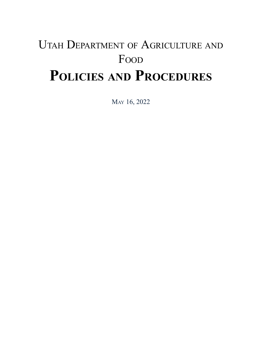# UTAH DEPARTMENT OF AGRICULTURE AND FOOD **POLICIES AND PROCEDURES**

MAY 16, 2022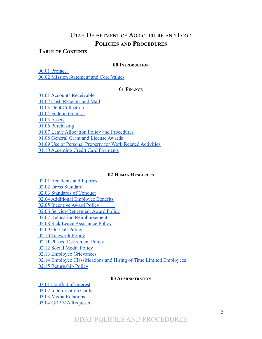# UTAH DEPARTMENT OF AGRICULTURE AND FOOD **POLICIES AND PROCEDURES**

#### **TABLE OF CONTENTS**

#### **00 INTRODUCTION**

[00.01 Preface](#page-4-0) [00.02 Mission Statement and Core Values](#page-5-0)

#### **01 FINANCE**

[01.01 Accounts Receivable](#page-6-0) [01.02 Cash Receipts and Mail](#page-8-0) [01.03 Debt Collection](#page-10-0) [01.04 Federal Grants](#page-12-0) [01.05 Assets](#page-13-0) [01.06 Purchasing](#page-16-0) [01.07 Leave Allocation Policy and Procedures](#page-18-0) [01.08 General Grant and License Awards](#page-19-0) [01.09 Use of Personal Property for Work Related Activities](#page-21-0) [01.10 Accepting Credit Card Payments](#page-25-0)

#### **02 HUMAN RESOURCES**

[02.01 Accidents and Injuries](#page-27-0) [02.02 Dress Standard](#page-28-0) [02.03 Standards of Conduct](#page-30-0) [02.04 Additional Employee Benefits](#page-38-0) [02.05 Incentive Award Policy](#page-43-0) [02.06 Service/Retirement Award Policy](#page-47-0) [02.07 Relocation Reimbursement](#page-48-0) [02.08 Sick Leave Assistance Policy](#page-50-0) [02.09 On-Call Policy](#page-55-0) [02.10 Telework Policy](#page-56-0) [02.11 Phased Retirement Policy](#page-63-0) [02.12 Social Media Policy](#page-66-0) [02.13 Employee Grievances](#page-69-0) [02.14 Employee Classifications and Hiring of Time Limited Employees](#page-72-0) [02.15 Returnship Policy](#page-75-0)

#### **03 ADMINISTRATION**

[03.01 Conflict of Interest](#page-78-0) [03.02 Identification Cards](#page-81-0) [03.03 Media Relations](#page-82-0) [03.04 GRAMA Requests](#page-84-0)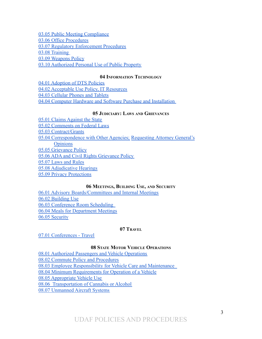[03.05 Public Meeting Compliance](#page-86-0) [03.06 Office Procedures](#page-89-0) [03.07 Regulatory Enforcement Procedures](#page-91-0) [03.08 Training](#page-94-0) [03.09 Weapons Policy](#page-95-0) [03.10 Authorized Personal Use of Public Property](#page-98-0)

#### **04 INFORMATION TECHNOLOGY**

[04.01 Adoption of DTS Policies](#page-101-0) [04.02 Acceptable Use Policy, IT Resources](#page-102-0) [04.03 Cellular Phones and Tablets](#page-104-0) [04.04 Computer Hardware and Software Purchase and Installation](#page-106-0)

#### **05 JUDICIARY: LAWS AND GRIEVANCES**

[05.01 Claims Against the State](#page-107-0) [05.02 Comments on Federal Laws](#page-108-0) [05.03 Contract/Grants](#page-109-0) [05.04 Correspondence with Other Agencies;](#page-111-0) Requesting [Attorney General's](#page-111-0) **[Opinions](#page-111-0)** [05.05 Grievance Policy](#page-112-0) [05.06 ADA and Civil Rights Grievance Policy](#page-113-0) [05.07 Laws and Rules](#page-115-0) [05.08 Adjudicative Hearings](#page-117-0)

[05.09 Privacy Protections](#page-119-0)

#### **06 MEETINGS, BUILDING USE, AND SECURITY**

[06.01 Advisory Boards/Committees and Internal Meetings](#page-122-0) [06.02 Building Use](#page-125-0) [06.03 Conference Room Scheduling](#page-126-0) [06.04 Meals for Department Meetings](#page-128-0) [06.05 Security](#page-129-0)

#### **07 TRAVEL**

[07.01 Conferences - Travel](#page-130-0)

#### **08 STATE MOTOR VEHICLE OPERATIONS**

[08.01 Authorized Passengers and Vehicle Operations](#page-133-0) [08.02 Commute Policy and Procedures](#page-135-0) [08.03 Employee Responsibility for Vehicle Care and Maintenance](#page-139-0)

[08.04 Minimum Requirements for Operation of a Vehicle](#page-140-0)

[08.05 Appropriate Vehicle Use](#page-141-0)

[08.06 Transportation of Cannabis or Alcohol](#page-147-0)

[08.07 Unmanned Aircraft Systems](#page-149-0)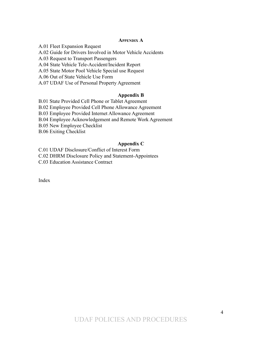#### **APPENDIX A**

A.01 Fleet Expansion Request A.02 Guide for Drivers Involved in Motor Vehicle Accidents A.03 Request to Transport Passengers A.04 State Vehicle Tele-Accident/Incident Report A.05 State Motor Pool Vehicle Special use Request A.06 Out of State Vehicle Use Form A.07 UDAF Use of Personal Property Agreement

#### **Appendix B**

B.01 State Provided Cell Phone or Tablet Agreement B.02 Employee Provided Cell Phone Allowance Agreement B.03 Employee Provided Internet Allowance Agreement B.04 Employee Acknowledgement and Remote Work Agreement B.05 New Employee Checklist B.06 Exiting Checklist

#### **Appendix C**

C.01 UDAF Disclosure/Conflict of Interest Form C.02 DHRM Disclosure Policy and Statement-Appointees C.03 Education Assistance Contract

Index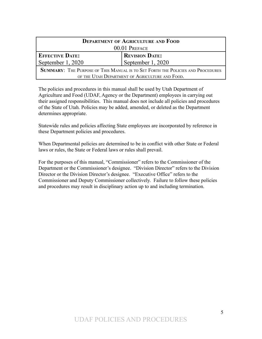| <b>DEPARTMENT OF AGRICULTURE AND FOOD</b>                                              |                       |  |
|----------------------------------------------------------------------------------------|-----------------------|--|
| 00.01 PREFACE                                                                          |                       |  |
| <b>EFFECTIVE DATE:</b>                                                                 | <b>REVISION DATE:</b> |  |
| September 1, 2020                                                                      | September 1, 2020     |  |
| <b>SUMMARY:</b> THE PURPOSE OF THIS MANUAL IS TO SET FORTH THE POLICIES AND PROCEDURES |                       |  |
| OF THE UTAH DEPARTMENT OF AGRICULTURE AND FOOD.                                        |                       |  |

<span id="page-4-0"></span>The policies and procedures in this manual shall be used by Utah Department of Agriculture and Food (UDAF, Agency or the Department) employees in carrying out their assigned responsibilities. This manual does not include all policies and procedures of the State of Utah. Policies may be added, amended, or deleted as the Department determines appropriate.

Statewide rules and policies affecting State employees are incorporated by reference in these Department policies and procedures.

When Departmental policies are determined to be in conflict with other State or Federal laws or rules, the State or Federal laws or rules shall prevail.

For the purposes of this manual, "Commissioner" refers to the Commissioner of the Department or the Commissioner's designee. "Division Director" refers to the Division Director or the Division Director's designee. "Executive Office" refers to the Commissioner and Deputy Commissioner collectively. Failure to follow these policies and procedures may result in disciplinary action up to and including termination.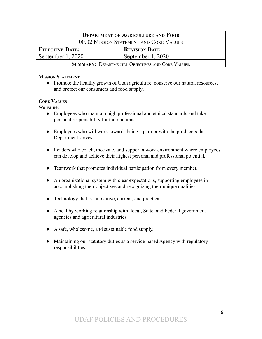| <b>DEPARTMENT OF AGRICULTURE AND FOOD</b>                |                       |  |
|----------------------------------------------------------|-----------------------|--|
| 00.02 MISSION STATEMENT AND CORE VALUES                  |                       |  |
| <b>EFFECTIVE DATE:</b>                                   | <b>REVISION DATE:</b> |  |
| September 1, 2020<br>September 1, 2020                   |                       |  |
| <b>SUMMARY: DEPARTMENTAL OBJECTIVES AND CORE VALUES.</b> |                       |  |

#### <span id="page-5-0"></span>**MISSION STATEMENT**

• Promote the healthy growth of Utah agriculture, conserve our natural resources, and protect our consumers and food supply.

#### **CORE VALUES**

We value:

- Employees who maintain high professional and ethical standards and take personal responsibility for their actions.
- Employees who will work towards being a partner with the producers the Department serves.
- Leaders who coach, motivate, and support a work environment where employees can develop and achieve their highest personal and professional potential.
- Teamwork that promotes individual participation from every member.
- An organizational system with clear expectations, supporting employees in accomplishing their objectives and recognizing their unique qualities.
- Technology that is innovative, current, and practical.
- A healthy working relationship with local, State, and Federal government agencies and agricultural industries.
- A safe, wholesome, and sustainable food supply.
- Maintaining our statutory duties as a service-based Agency with regulatory responsibilities.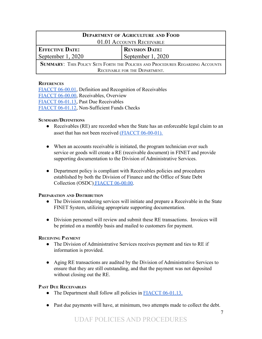#### **DEPARTMENT OF AGRICULTURE AND FOOD** 01.01 ACCOUNTS RECEIVABLE **EFFECTIVE DATE:** September 1, 2020 **REVISION DATE:** September 1, 2020 **SUMMARY:** THIS POLICY SETS FORTH THE POLICIES AND PROCEDURES REGARDING ACCOUNTS RECEIVABLE FOR THE DEPARTMENT.

#### <span id="page-6-0"></span>**REFERENCES**

[FIACCT 06-00.01,](http://apps.finance.utah.gov/nxt/gateway.dll?f=templates&fn=default.htm&vid=nxtpub:app1) Definition and Recognition of Receivables [FIACCT 06-00.00,](http://apps.finance.utah.gov/nxt/gateway.dll?f=templates&fn=default.htm&vid=nxtpub:app1) Receivables, Overview [FIACCT 06-01.13,](http://apps.finance.utah.gov/nxt/gateway.dll?f=templates&fn=default.htm&vid=nxtpub:app1) Past Due Receivables [FIACCT 06-01.12,](http://apps.finance.utah.gov/nxt/gateway.dll?f=templates&fn=default.htm&vid=nxtpub:app1) Non-Sufficient Funds Checks

#### **SUMMARY/DEFINITIONS**

- Receivables (RE) are recorded when the State has an enforceable legal claim to an asset that has not been received [\(FIACCT 06-00-01\).](http://apps.finance.utah.gov/nxt/gateway.dll?f=templates&fn=default.htm&vid=nxtpub:app1)
- When an accounts receivable is initiated, the program technician over such service or goods will create a RE (receivable document) in FINET and provide supporting documentation to the Division of Administrative Services.
- Department policy is compliant with Receivables policies and procedures established by both the Division of Finance and the Office of State Debt Collection (OSDC) [FIACCT 06-00.00.](http://apps.finance.utah.gov/nxt/gateway.dll?f=templates&fn=default.htm&vid=nxtpub:app1)

#### **PREPARATION AND DISTRIBUTION**

- The Division rendering services will initiate and prepare a Receivable in the State FINET System, utilizing appropriate supporting documentation.
- Division personnel will review and submit these RE transactions. Invoices will be printed on a monthly basis and mailed to customers for payment.

#### **RECEIVING PAYMENT**

- The Division of Administrative Services receives payment and ties to RE if information is provided.
- Aging RE transactions are audited by the Division of Administrative Services to ensure that they are still outstanding, and that the payment was not deposited without closing out the RE.

#### **PAST DUE RECEIVABLES**

- The Department shall follow all policies in FIACCT [06-01.13.](http://apps.finance.utah.gov/nxt/gateway.dll?f=templates&fn=default.htm&vid=nxtpub:app1)
- Past due payments will have, at minimum, two attempts made to collect the debt.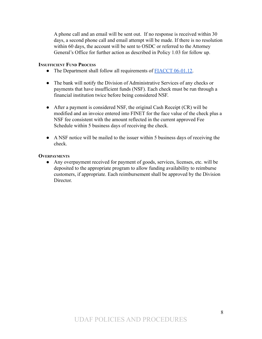A phone call and an email will be sent out. If no response is received within 30 days, a second phone call and email attempt will be made. If there is no resolution within 60 days, the account will be sent to OSDC or referred to the Attorney General's Office for further action as described in Policy 1.03 for follow up.

#### **INSUFFICIENT FUND PROCESS**

- The Department shall follow all requirements of FIACCT [06-01.12.](http://apps.finance.utah.gov/nxt/gateway.dll?f=templates&fn=default.htm&vid=nxtpub:app1)
- The bank will notify the Division of Administrative Services of any checks or payments that have insufficient funds (NSF). Each check must be run through a financial institution twice before being considered NSF.
- After a payment is considered NSF, the original Cash Receipt (CR) will be modified and an invoice entered into FINET for the face value of the check plus a NSF fee consistent with the amount reflected in the current approved Fee Schedule within 5 business days of receiving the check.
- A NSF notice will be mailed to the issuer within 5 business days of receiving the check.

#### **OVERPAYMENTS**

● Any overpayment received for payment of goods, services, licenses, etc. will be deposited to the appropriate program to allow funding availability to reimburse customers, if appropriate. Each reimbursement shall be approved by the Division Director.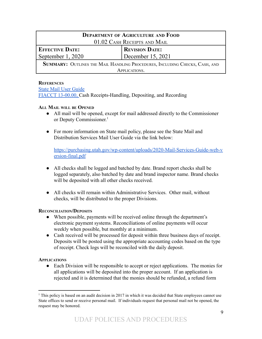| <b>DEPARTMENT OF AGRICULTURE AND FOOD</b>                                          |                   |  |
|------------------------------------------------------------------------------------|-------------------|--|
| 01.02 CASH RECEIPTS AND MAIL                                                       |                   |  |
| <b>REVISION DATE:</b><br><b>EFFECTIVE DATE:</b>                                    |                   |  |
| September 1, 2020                                                                  | December 15, 2021 |  |
| <b>SUMMARY:</b> OUTLINES THE MAIL HANDLING PROCEDURES, INCLUDING CHECKS, CASH, AND |                   |  |
| <b>APPLICATIONS.</b>                                                               |                   |  |

<span id="page-8-0"></span>[State Mail User Guide](https://purchasing.utah.gov/wp-content/uploads/2020-Mail-Services-Guide-web-version-final.pdf)

[FIACCT 13-00.00,](http://apps.finance.utah.gov/nxt/gateway.dll?f=templates&fn=default.htm&vid=nxtpub:app1) Cash Receipts-Handling, Depositing, and Recording

#### **ALL MAIL WILL BE OPENED**

- All mail will be opened, except for mail addressed directly to the Commissioner or Deputy Commissioner.<sup>1</sup>
- For more information on State mail policy, please see the State Mail and Distribution Services Mail User Guide via the link below:

[https://purchasing.utah.gov/wp-content/uploads/2020-Mail-Services-Guide-web-v](https://purchasing.utah.gov/wp-content/uploads/2020-Mail-Services-Guide-web-version-final.pdf) [ersion-final.pdf](https://purchasing.utah.gov/wp-content/uploads/2020-Mail-Services-Guide-web-version-final.pdf)

- All checks shall be logged and batched by date. Brand report checks shall be logged separately, also batched by date and brand inspector name. Brand checks will be deposited with all other checks received.
- All checks will remain within Administrative Services. Other mail, without checks, will be distributed to the proper Divisions.

#### **RECONCILIATION/DEPOSITS**

- When possible, payments will be received online through the department's electronic payment systems. Reconciliations of online payments will occur weekly when possible, but monthly at a minimum.
- Cash received will be processed for deposit within three business days of receipt. Deposits will be posted using the appropriate accounting codes based on the type of receipt. Check logs will be reconciled with the daily deposit.

#### **APPLICATIONS**

● Each Division will be responsible to accept or reject applications. The monies for all applications will be deposited into the proper account. If an application is rejected and it is determined that the monies should be refunded, a refund form

 $<sup>1</sup>$  This policy is based on an audit decision in 2017 in which it was decided that State employees cannot use</sup> State offices to send or receive personal mail. If individuals request that personal mail not be opened, the request may be honored.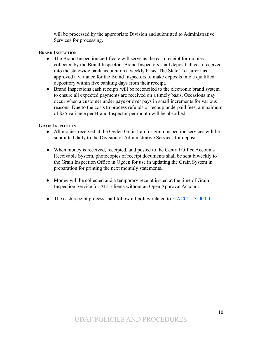will be processed by the appropriate Division and submitted to Administrative Services for processing.

#### **BRAND INSPECTION**

- The Brand Inspection certificate will serve as the cash receipt for monies collected by the Brand Inspector. Brand Inspectors shall deposit all cash received into the statewide bank account on a weekly basis. The State Treasurer has approved a variance for the Brand Inspectors to make deposits into a qualified depository within five banking days from their receipt.
- Brand Inspections cash receipts will be reconciled to the electronic brand system to ensure all expected payments are received on a timely basis. Occasions may occur when a customer under pays or over pays in small increments for various reasons. Due to the costs to process refunds or recoup underpaid fees, a maximum of \$25 variance per Brand Inspector per month will be absorbed.

## **GRAIN INSPECTION**

- All monies received at the Ogden Grain Lab for grain inspection services will be submitted daily to the Division of Administrative Services for deposit.
- When money is received, receipted, and posted to the Central Office Accounts Receivable System, photocopies of receipt documents shall be sent biweekly to the Grain Inspection Office in Ogden for use in updating the Grain System in preparation for printing the next monthly statements.
- Money will be collected and a temporary receipt issued at the time of Grain Inspection Service for ALL clients without an Open Approval Account.
- The cash receipt process shall follow all policy related to [FIACCT 13-00.00.](http://apps.finance.utah.gov/nxt/gateway.dll?f=templates&fn=default.htm&vid=nxtpub:app1)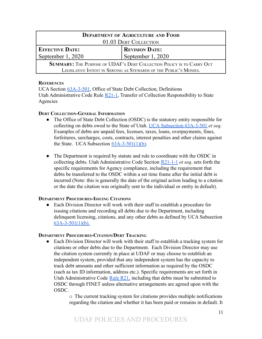| <b>DEPARTMENT OF AGRICULTURE AND FOOD</b><br>01.03 DEBT COLLECTION           |                       |  |
|------------------------------------------------------------------------------|-----------------------|--|
| <b>EFFECTIVE DATE:</b>                                                       | <b>REVISION DATE:</b> |  |
| September 1, 2020                                                            | September 1, 2020     |  |
| <b>SUMMARY:</b> THE PURPOSE OF UDAF'S DEBT COLLECTION POLICY IS TO CARRY OUT |                       |  |
| LEGISLATIVE INTENT IN SERVING AS STEWARDS OF THE PUBLIC'S MONIES.            |                       |  |

<span id="page-10-0"></span>UCA Section [63A-3-501,](https://le.utah.gov/xcode/Title63A/Chapter3/63A-3-S501.html?v=C63A-3-S501_2016051020160510) Office of State Debt Collection, Definitions Utah Administrative Code Rule [R21-1](https://rules.utah.gov/wp-content/uploads/r021-001.pdf), Transfer of Collection Responsibility to State Agencies

#### **DEBT COLLECTION-GENERAL INFORMATION**

- The Office of State Debt Collection (OSDC) is the statutory entity responsible for collecting on debts owed to the State of Utah. UCA [Subsection 63A-3-501](https://le.utah.gov/xcode/Title63A/Chapter3/63A-3-S501.html?v=C63A-3-S501_2016051020160510) *et seq*. Examples of debts are unpaid fees, licenses, taxes, loans, overpayments, fines, forfeitures, surcharges, costs, contracts, interest penalties and other claims against the State. UCA Subsection  $63A-3-501(1)(b)$ .
- The Department is required by statute and rule to coordinate with the OSDC in collecting debts. Utah Administrative Code Section [R21-1-1](https://rules.utah.gov/wp-content/uploads/r021-001.pdf) *et seq*. sets forth the specific requirements for Agency compliance, including the requirement that debts be transferred to the OSDC within a set time frame after the initial debt is incurred (Note: this is generally the date of the original action leading to a citation or the date the citation was originally sent to the individual or entity in default).

#### **DEPARTMENT PROCEDURES-ISSUING CITATIONS**

● Each Division Director will work with their staff to establish a procedure for issuing citations and recording all debts due to the Department, including delinquent licensing, citations, and any other debts as defined by UCA Subsection  $63A-3-501(1)(b)$ .

#### **DEPARTMENT PROCEDURES-CITATION/DEBT TRACKING**

• Each Division Director will work with their staff to establish a tracking system for citations or other debts due to the Department. Each Division Director may use the citation system currently in place at UDAF or may choose to establish an independent system, provided that any independent system has the capacity to track debt amounts and other sufficient information as required by the OSDC (such as tax ID information, address etc.). Specific requirements are set forth in Utah Administrative Code [Rule R21,](https://rules.utah.gov/wp-content/uploads/r021-001.pdf) including that debts must be submitted to OSDC through FINET unless alternative arrangements are agreed upon with the OSDC.

> o The current tracking system for citations provides multiple notifications regarding the citation and whether it has been paid or remains in default. It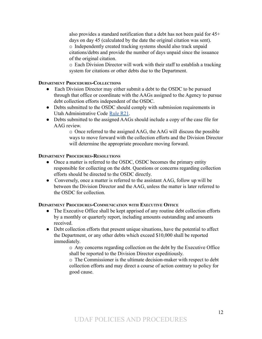also provides a standard notification that a debt has not been paid for 45+ days on day 45 (calculated by the date the original citation was sent). o Independently created tracking systems should also track unpaid citations/debts and provide the number of days unpaid since the issuance of the original citation.

o Each Division Director will work with their staff to establish a tracking system for citations or other debts due to the Department.

#### **DEPARTMENT PROCEDURES-COLLECTIONS**

- Each Division Director may either submit a debt to the OSDC to be pursued through that office or coordinate with the AAGs assigned to the Agency to pursue debt collection efforts independent of the OSDC.
- Debts submitted to the OSDC should comply with submission requirements in Utah Administrative Code [Rule R21](https://rules.utah.gov/wp-content/uploads/r021-001.pdf).
- Debts submitted to the assigned AAGs should include a copy of the case file for AAG review.

o Once referred to the assigned AAG, the AAG will discuss the possible ways to move forward with the collection efforts and the Division Director will determine the appropriate procedure moving forward.

#### **DEPARTMENT PROCEDURES-RESOLUTIONS**

- Once a matter is referred to the OSDC, OSDC becomes the primary entity responsible for collecting on the debt. Questions or concerns regarding collection efforts should be directed to the OSDC directly.
- Conversely, once a matter is referred to the assistant AAG, follow up will be between the Division Director and the AAG, unless the matter is later referred to the OSDC for collection.

#### **DEPARTMENT PROCEDURES-COMMUNICATION WITH EXECUTIVE OFFICE**

- The Executive Office shall be kept apprised of any routine debt collection efforts by a monthly or quarterly report, including amounts outstanding and amounts received.
- Debt collection efforts that present unique situations, have the potential to affect the Department, or any other debts which exceed \$10,000 shall be reported immediately.

o Any concerns regarding collection on the debt by the Executive Office shall be reported to the Division Director expeditiously.

o The Commissioner is the ultimate decision-maker with respect to debt collection efforts and may direct a course of action contrary to policy for good cause.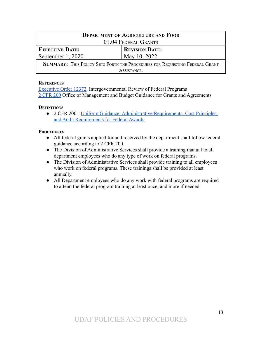| <b>DEPARTMENT OF AGRICULTURE AND FOOD</b>                                          |                       |  |
|------------------------------------------------------------------------------------|-----------------------|--|
| 01.04 FEDERAL GRANTS                                                               |                       |  |
| <b>EFFECTIVE DATE:</b>                                                             | <b>REVISION DATE:</b> |  |
| September 1, 2020                                                                  | May 10, 2022          |  |
| <b>SUMMARY:</b> THIS POLICY SETS FORTH THE PROCEDURES FOR REQUESTING FEDERAL GRANT |                       |  |
| ASSISTANCE.                                                                        |                       |  |

<span id="page-12-0"></span>[Executive Order 12372,](https://www.fws.gov/policy/library/rgeo12372.pdf) Intergovernmental Review of Federal Programs [2 CFR 200](https://www.ecfr.gov/current/title-2/subtitle-A/chapter-II/part-200?toc=1) Office of Management and Budget Guidance for Grants and Agreements

#### **DEFINITIONS**

● 2 CFR 200 - [Uniform Guidance: Administrative Requirements,](https://www.ecfr.gov/current/title-2/subtitle-A/chapter-II/part-200) Cost Principles, [and Audit Requirements for Federal Awards](https://www.ecfr.gov/current/title-2/subtitle-A/chapter-II/part-200)

#### **PROCEDURES**

- All federal grants applied for and received by the department shall follow federal guidance according to 2 CFR 200.
- The Division of Administrative Services shall provide a training manual to all department employees who do any type of work on federal programs.
- The Division of Administrative Services shall provide training to all employees who work on federal programs. These trainings shall be provided at least annually.
- All Department employees who do any work with federal programs are required to attend the federal program training at least once, and more if needed.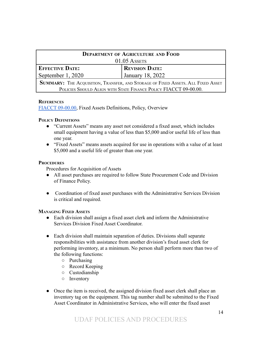| <b>DEPARTMENT OF AGRICULTURE AND FOOD</b><br>$01.05$ Assets                             |                         |  |
|-----------------------------------------------------------------------------------------|-------------------------|--|
| <b>EFFECTIVE DATE:</b>                                                                  | <b>REVISION DATE:</b>   |  |
| September 1, 2020                                                                       | <b>January 18, 2022</b> |  |
| <b>SUMMARY:</b> THE ACQUISITION, TRANSFER, AND STORAGE OF FIXED ASSETS. ALL FIXED ASSET |                         |  |
| POLICIES SHOULD ALIGN WITH STATE FINANCE POLICY FIACCT 09-00.00.                        |                         |  |

<span id="page-13-0"></span>[FIACCT 09-00.00,](http://apps.finance.utah.gov/nxt/gateway.dll?f=templates&fn=default.htm&vid=nxtpub:app1) Fixed Assets Definitions, Policy, Overview

#### **POLICY DEFINITIONS**

- "Current Assets" means any asset not considered a fixed asset, which includes small equipment having a value of less than \$5,000 and/or useful life of less than one year.
- "Fixed Assets" means assets acquired for use in operations with a value of at least \$5,000 and a useful life of greater than one year.

#### **PROCEDURES**

Procedures for Acquisition of Assets

- All asset purchases are required to follow State Procurement Code and Division of Finance Policy.
- Coordination of fixed asset purchases with the Administrative Services Division is critical and required.

#### **MANAGING FIXED ASSETS**

- Each division shall assign a fixed asset clerk and inform the Administrative Services Division Fixed Asset Coordinator.
- Each division shall maintain separation of duties. Divisions shall separate responsibilities with assistance from another division's fixed asset clerk for performing inventory, at a minimum. No person shall perform more than two of the following functions:
	- Purchasing
	- Record Keeping
	- Custodianship
	- Inventory
- Once the item is received, the assigned division fixed asset clerk shall place an inventory tag on the equipment. This tag number shall be submitted to the Fixed Asset Coordinator in Administrative Services, who will enter the fixed asset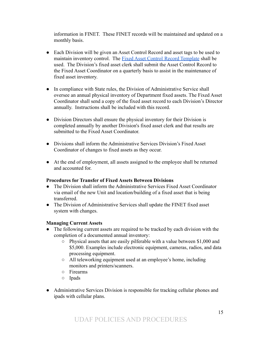information in FINET. These FINET records will be maintained and updated on a monthly basis.

- Each Division will be given an Asset Control Record and asset tags to be used to maintain inventory control. The [Fixed Asset Control](https://docs.google.com/spreadsheets/d/1_FHhbxODJEFhrSN_uvQgip_fXZeGJQOodPG5ydikIQE/edit?usp=sharing) Record Template shall be used. The Division's fixed asset clerk shall submit the Asset Control Record to the Fixed Asset Coordinator on a quarterly basis to assist in the maintenance of fixed asset inventory.
- In compliance with State rules, the Division of Administrative Service shall oversee an annual physical inventory of Department fixed assets. The Fixed Asset Coordinator shall send a copy of the fixed asset record to each Division's Director annually. Instructions shall be included with this record.
- Division Directors shall ensure the physical inventory for their Division is completed annually by another Division's fixed asset clerk and that results are submitted to the Fixed Asset Coordinator.
- Divisions shall inform the Administrative Services Division's Fixed Asset Coordinator of changes to fixed assets as they occur.
- At the end of employment, all assets assigned to the employee shall be returned and accounted for.

#### **Procedures for Transfer of Fixed Assets Between Divisions**

- The Division shall inform the Administrative Services Fixed Asset Coordinator via email of the new Unit and location/building of a fixed asset that is being transferred.
- The Division of Administrative Services shall update the FINET fixed asset system with changes.

# **Managing Current Assets**

- The following current assets are required to be tracked by each division with the completion of a documented annual inventory:
	- Physical assets that are easily pilferable with a value between \$1,000 and \$5,000. Examples include electronic equipment, cameras, radios, and data processing equipment.
	- All teleworking equipment used at an employee's home, including monitors and printers/scanners.
	- Firearms
	- Ipads
- Administrative Services Division is responsible for tracking cellular phones and ipads with cellular plans.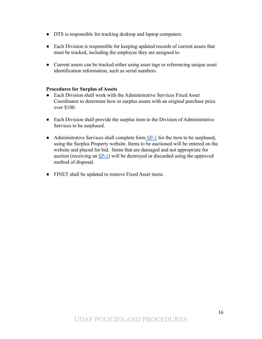- DTS is responsible for tracking desktop and laptop computers.
- Each Division is responsible for keeping updated records of current assets that must be tracked, including the employee they are assigned to.
- Current assets can be tracked either using asset tags or referencing unique asset identification information, such as serial numbers.

#### **Procedures for Surplus of Assets**

- Each Division shall work with the Administrative Services Fixed Asset Coordinator to determine how to surplus assets with an original purchase price over \$100.
- Each Division shall provide the surplus item to the Division of Administrative Services to be surplused.
- Administrative Services shall complete form [SP-1](https://purchasing.utah.gov/wp-content/uploads/sp1form_nonvehiclefillableform_09_2017.pdf) for the item to be surplused, using the Surplus Property website. Items to be auctioned will be entered on the website and placed for bid. Items that are damaged and not appropriate for auction (receiving an [SP-1\)](https://purchasing.utah.gov/wp-content/uploads/sp1form_nonvehiclefillableform_09_2017.pdf) will be destroyed or discarded using the approved method of disposal.
- FINET shall be updated to remove Fixed Asset items.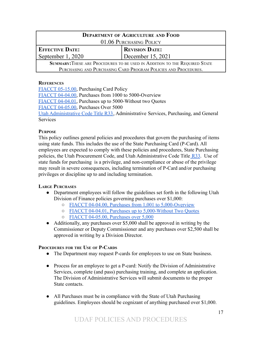| <b>DEPARTMENT OF AGRICULTURE AND FOOD</b><br>01.06 PURCHASING POLICY              |                       |  |
|-----------------------------------------------------------------------------------|-----------------------|--|
| <b>EFFECTIVE DATE:</b>                                                            | <b>REVISION DATE:</b> |  |
| September 1, 2020                                                                 | December 15, 2021     |  |
| <b>SUMMARY: THESE ARE PROCEDURES TO BE USED IN ADDITION TO THE REQUIRED STATE</b> |                       |  |
| PURCHASING AND PURCHASING CARD PROGRAM POLICIES AND PROCEDURES.                   |                       |  |

<span id="page-16-0"></span>[FIACCT 05-15.00,](http://apps.finance.utah.gov/nxt/gateway.dll?f=templates&fn=default.htm&vid=nxtpub:app1) Purchasing Card Policy [FIACCT 04-04.00,](http://apps.finance.utah.gov/nxt/gateway.dll?f=templates&fn=default.htm&vid=nxtpub:app1) Purchases from 1000 to 5000-Overview [FIACCT 04-04.01,](http://apps.finance.utah.gov/nxt/gateway.dll?f=templates&fn=default.htm&vid=nxtpub:app1) Purchases up to 5000-Without two Quotes [FIACCT 04-05.00,](http://apps.finance.utah.gov/nxt/gateway.dll?f=templates&fn=default.htm&vid=nxtpub:app1) Purchases Over 5000 [Utah Administrative Code Title R33,](https://rules.utah.gov/codification-segue/#/R21) Administrative Services, Purchasing, and General **Services** 

#### **PURPOSE**

This policy outlines general policies and procedures that govern the purchasing of items using state funds. This includes the use of the State Purchasing Card (P-Card). All employees are expected to comply with these policies and procedures, State Purchasing policies, the Utah Procurement Code, and Utah Administrative Code Title [R33](https://rules.utah.gov/codification-segue/#/R21). Use of state funds for purchasing is a privilege, and non-compliance or abuse of the privilege may result in severe consequences, including termination of P-Card and/or purchasing privileges or discipline up to and including termination.

#### **LARGE PURCHASES**

- Department employees will follow the guidelines set forth in the following Utah Division of Finance policies governing purchases over \$1,000:
	- [FIACCT 04-04.00, Purchases from 1,001 to 5,000-Overview](http://apps.finance.utah.gov/nxt/gateway.dll?f=templates&fn=default.htm&vid=nxtpub:app1)
	- [FIACCT 04-04.01, Purchases up to 5,000-Without Two Quotes](http://apps.finance.utah.gov/nxt/gateway.dll?f=templates&fn=default.htm&vid=nxtpub:app1)
	- [FIACCT 04-05.00, Purchases over 5,000](http://apps.finance.utah.gov/nxt/gateway.dll?f=templates&fn=default.htm&vid=nxtpub:app1)
- Additionally, any purchases over \$5,000 shall be approved in writing by the Commissioner or Deputy Commissioner and any purchases over \$2,500 shall be approved in writing by a Division Director.

**PROCEDURES FOR THE USE OF P-CARDS**

- The Department may request P-cards for employees to use on State business.
- Process for an employee to get a P-card: Notify the Division of Administrative Services, complete (and pass) purchasing training, and complete an application. The Division of Administrative Services will submit documents to the proper State contacts.
- All Purchases must be in compliance with the State of Utah Purchasing guidelines. Employees should be cognizant of anything purchased over \$1,000.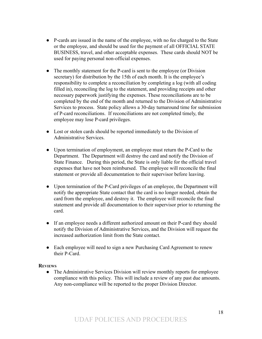- P-cards are issued in the name of the employee, with no fee charged to the State or the employee, and should be used for the payment of all OFFICIAL STATE BUSINESS, travel, and other acceptable expenses. These cards should NOT be used for paying personal non-official expenses.
- The monthly statement for the P-card is sent to the employee (or Division secretary) for distribution by the 15th of each month. It is the employee's responsibility to complete a reconciliation by completing a log (with all coding filled in), reconciling the log to the statement, and providing receipts and other necessary paperwork justifying the expenses. These reconciliations are to be completed by the end of the month and returned to the Division of Administrative Services to process. State policy allows a 30-day turnaround time for submission of P-card reconciliations. If reconciliations are not completed timely, the employee may lose P-card privileges.
- Lost or stolen cards should be reported immediately to the Division of Administrative Services.
- Upon termination of employment, an employee must return the P-Card to the Department. The Department will destroy the card and notify the Division of State Finance. During this period, the State is only liable for the official travel expenses that have not been reimbursed. The employee will reconcile the final statement or provide all documentation to their supervisor before leaving.
- Upon termination of the P-Card privileges of an employee, the Department will notify the appropriate State contact that the card is no longer needed, obtain the card from the employee, and destroy it. The employee will reconcile the final statement and provide all documentation to their supervisor prior to returning the card.
- If an employee needs a different authorized amount on their P-card they should notify the Division of Administrative Services, and the Division will request the increased authorization limit from the State contact.
- Each employee will need to sign a new Purchasing Card Agreement to renew their P-Card.

#### **REVIEWS**

• The Administrative Services Division will review monthly reports for employee compliance with this policy. This will include a review of any past due amounts. Any non-compliance will be reported to the proper Division Director.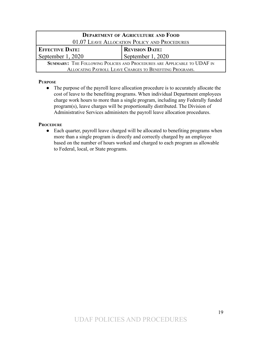| <b>DEPARTMENT OF AGRICULTURE AND FOOD</b>                                       |                   |  |
|---------------------------------------------------------------------------------|-------------------|--|
| 01.07 LEAVE ALLOCATION POLICY AND PROCEDURES                                    |                   |  |
| <b>EFFECTIVE DATE:</b><br><b>REVISION DATE:</b>                                 |                   |  |
| September 1, 2020                                                               | September 1, 2020 |  |
| <b>SUMMARY:</b> THE FOLLOWING POLICIES AND PROCEDURES ARE APPLICABLE TO UDAF IN |                   |  |
| ALLOCATING PAYROLL LEAVE CHARGES TO BENEFITING PROGRAMS.                        |                   |  |

#### <span id="page-18-0"></span>**PURPOSE**

● The purpose of the payroll leave allocation procedure is to accurately allocate the cost of leave to the benefiting programs. When individual Department employees charge work hours to more than a single program, including any Federally funded program(s), leave charges will be proportionally distributed. The Division of Administrative Services administers the payroll leave allocation procedures.

#### **PROCEDURE**

● Each quarter, payroll leave charged will be allocated to benefiting programs when more than a single program is directly and correctly charged by an employee based on the number of hours worked and charged to each program as allowable to Federal, local, or State programs.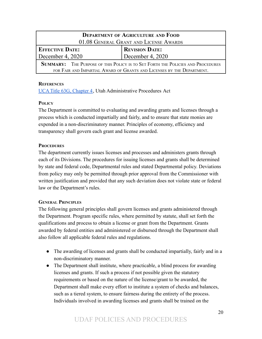| <b>DEPARTMENT OF AGRICULTURE AND FOOD</b>                                              |                  |  |
|----------------------------------------------------------------------------------------|------------------|--|
| 01.08 GENERAL GRANT AND LICENSE AWARDS                                                 |                  |  |
| <b>EFFECTIVE DATE:</b><br><b>REVISION DATE:</b>                                        |                  |  |
| December 4, $2020$                                                                     | December 4, 2020 |  |
| <b>SUMMARY:</b> THE PURPOSE OF THIS POLICY IS TO SET FORTH THE POLICIES AND PROCEDURES |                  |  |
| FOR FAIR AND IMPARTIAL AWARD OF GRANTS AND LICENSES BY THE DEPARTMENT.                 |                  |  |

<span id="page-19-0"></span>UCA [Title 63G, Chapter 4](https://le.utah.gov/xcode/Title63G/Chapter4/63G-4.html?v=C63G-4_1800010118000101), Utah Administrative Procedures Act

## **POLICY**

The Department is committed to evaluating and awarding grants and licenses through a process which is conducted impartially and fairly, and to ensure that state monies are expended in a non-discriminatory manner. Principles of economy, efficiency and transparency shall govern each grant and license awarded.

## **PROCEDURES**

The department currently issues licenses and processes and administers grants through each of its Divisions. The procedures for issuing licenses and grants shall be determined by state and federal code, Departmental rules and stated Departmental policy. Deviations from policy may only be permitted through prior approval from the Commissioner with written justification and provided that any such deviation does not violate state or federal law or the Department's rules.

# **GENERAL PRINCIPLES**

The following general principles shall govern licenses and grants administered through the Department. Program specific rules, where permitted by statute, shall set forth the qualifications and process to obtain a license or grant from the Department. Grants awarded by federal entities and administered or disbursed through the Department shall also follow all applicable federal rules and regulations.

- The awarding of licenses and grants shall be conducted impartially, fairly and in a non-discriminatory manner.
- The Department shall institute, where practicable, a blind process for awarding licenses and grants. If such a process if not possible given the statutory requirements or based on the nature of the license/grant to be awarded, the Department shall make every effort to institute a system of checks and balances, such as a tiered system, to ensure fairness during the entirety of the process. Individuals involved in awarding licenses and grants shall be trained on the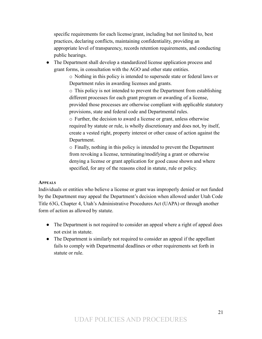specific requirements for each license/grant, including but not limited to, best practices, declaring conflicts, maintaining confidentiality, providing an appropriate level of transparency, records retention requirements, and conducting public hearings.

• The Department shall develop a standardized license application process and grant forms, in consultation with the AGO and other state entities.

> o Nothing in this policy is intended to supersede state or federal laws or Department rules in awarding licenses and grants.

o This policy is not intended to prevent the Department from establishing different processes for each grant program or awarding of a license, provided those processes are otherwise compliant with applicable statutory provisions, state and federal code and Departmental rules.

o Further, the decision to award a license or grant, unless otherwise required by statute or rule, is wholly discretionary and does not, by itself, create a vested right, property interest or other cause of action against the Department.

o Finally, nothing in this policy is intended to prevent the Department from revoking a license, terminating/modifying a grant or otherwise denying a license or grant application for good cause shown and where specified, for any of the reasons cited in statute, rule or policy.

#### **APPEALS**

Individuals or entities who believe a license or grant was improperly denied or not funded by the Department may appeal the Department's decision when allowed under Utah Code Title 63G, Chapter 4, Utah's Administrative Procedures Act (UAPA) or through another form of action as allowed by statute.

- The Department is not required to consider an appeal where a right of appeal does not exist in statute.
- The Department is similarly not required to consider an appeal if the appellant fails to comply with Departmental deadlines or other requirements set forth in statute or rule.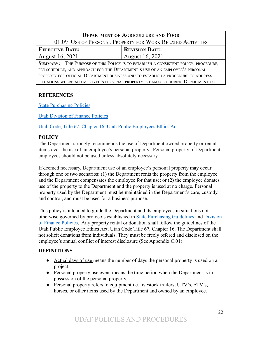# **DEPARTMENT OF AGRICULTURE AND FOOD**

01.09 USE OF PERSONAL PROPERTY FOR WORK RELATED ACTIVITIES

**EFFECTIVE DATE:** August 16, 2021

**REVISION DATE:** August 16, 2021

**SUMMARY:** THE PURPOSE OF THIS POLICY IS TO ESTABLISH A CONSISTENT POLICY, PROCEDURE, FEE SCHEDULE, AND APPROACH FOR THE DEPARTMENT'S USE OF AN EMPLOYEE'S PERSONAL PROPERTY FOR OFFICIAL DEPARTMENT BUSINESS AND TO ESTABLISH A PROCEDURE TO ADDRESS SITUATIONS WHERE AN EMPLOYEE'S PERSONAL PROPERTY IS DAMAGED DURING DEPARTMENT USE.

# <span id="page-21-0"></span>**REFERENCES**

[State Purchasing Policies](https://purchasing.utah.gov/code-and-rule/division-policies/)

[Utah Division of Finance Policies](http://apps.finance.utah.gov/nxt/gateway.dll?f=templates&fn=default.htm&vid=nxtpub:app1)

[Utah Code, Title 67, Chapter 16, Utah Public Employees Ethics Act](https://le.utah.gov/xcode/Title67/Chapter16/67-16.html?v=C67-16_1800010118000101)

# **POLICY**

The Department strongly recommends the use of Department owned property or rental items over the use of an employee's personal property. Personal property of Department employees should not be used unless absolutely necessary.

If deemed necessary, Department use of an employee's personal property may occur through one of two scenarios: (1) the Department rents the property from the employee and the Department compensates the employee for that use; or (2) the employee donates use of the property to the Department and the property is used at no charge. Personal property used by the Department must be maintained in the Department's care, custody, and control, and must be used for a business purpose.

This policy is intended to guide the Department and its employees in situations not otherwise governed by protocols established in State [Purchasing Guidelines](https://purchasing.utah.gov/code-and-rule/division-policies/) and [Division](http://apps.finance.utah.gov/nxt/gateway.dll?f=templates&fn=default.htm&vid=nxtpub:app1) [of Finance Policies.](http://apps.finance.utah.gov/nxt/gateway.dll?f=templates&fn=default.htm&vid=nxtpub:app1) Any property rental or donation shall follow the guidelines of the Utah Public Employee Ethics Act, Utah Code Title 67, Chapter 16. The Department shall not solicit donations from individuals. They must be freely offered and disclosed on the employee's annual conflict of interest disclosure (See Appendix C.01).

# **DEFINITIONS**

- Actual days of use means the number of days the personal property is used on a project.
- Personal property use event means the time period when the Department is in possession of the personal property.
- Personal property refers to equipment i.e. livestock trailers, UTV's, ATV's, horses, or other items used by the Department and owned by an employee.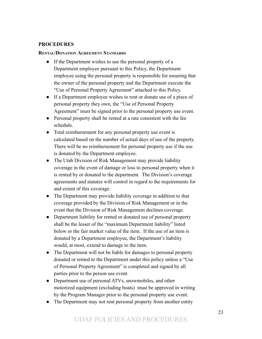#### **PROCEDURES**

#### **RENTAL/DONATION AGREEMENT STANDARDS**

- If the Department wishes to use the personal property of a Department employee pursuant to this Policy, the Department employee using the personal property is responsible for ensuring that the owner of the personal property and the Department execute the "Use of Personal Property Agreement" attached to this Policy.
- If a Department employee wishes to rent or donate use of a piece of personal property they own, the "Use of Personal Property Agreement" must be signed prior to the personal property use event.
- Personal property shall be rented at a rate consistent with the fee schedule.
- Total reimbursement for any personal property use event is calculated based on the number of actual days of use of the property. There will be no reimbursement for personal property use if the use is donated by the Department employee.
- The Utah Division of Risk Management may provide liability coverage in the event of damage or loss to personal property when it is rented by or donated to the department. The Division's coverage agreements and statutes will control in regard to the requirements for and extent of this coverage.
- The Department may provide liability coverage in addition to that coverage provided by the Division of Risk Management or in the event that the Division of Risk Management declines coverage.
- Department liability for rented or donated use of personal property shall be the lesser of the "maximum Department liability" listed below or the fair market value of the item. If the use of an item is donated by a Department employee, the Department's liability would, at most, extend to damage to the item.
- The Department will not be liable for damages to personal property donated or rented to the Department under this policy unless a "Use of Personal Property Agreement" is completed and signed by all parties prior to the person use event.
- Department use of personal ATVs, snowmobiles, and other motorized equipment (excluding boats) must be approved in writing by the Program Manager prior to the personal property use event.
- The Department may not rent personal property from another entity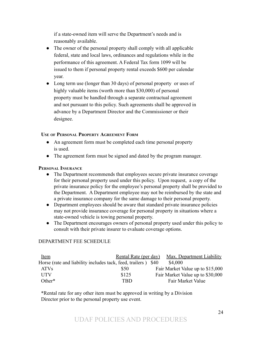if a state-owned item will serve the Department's needs and is reasonably available.

- The owner of the personal property shall comply with all applicable federal, state and local laws, ordinances and regulations while in the performance of this agreement. A Federal Tax form 1099 will be issued to them if personal property rental exceeds \$600 per calendar year.
- Long term use (longer than 30 days) of personal property or uses of highly valuable items (worth more than \$30,000) of personal property must be handled through a separate contractual agreement and not pursuant to this policy. Such agreements shall be approved in advance by a Department Director and the Commissioner or their designee.

#### **USE OF PERSONAL PROPERTY AGREEMENT FORM**

- An agreement form must be completed each time personal property is used.
- The agreement form must be signed and dated by the program manager.

#### **PERSONAL INSURANCE**

- The Department recommends that employees secure private insurance coverage for their personal property used under this policy. Upon request, a copy of the private insurance policy for the employee's personal property shall be provided to the Department. A Department employee may not be reimbursed by the state and a private insurance company for the same damage to their personal property.
- Department employees should be aware that standard private insurance policies may not provide insurance coverage for personal property in situations where a state-owned vehicle is towing personal property.
- The Department encourages owners of personal property used under this policy to consult with their private insurer to evaluate coverage options.

#### DEPARTMENT FEE SCHEDULE

| Item        | Rental Rate (per day)                                    |       |                   | Max. Department Liability        |
|-------------|----------------------------------------------------------|-------|-------------------|----------------------------------|
|             | Horse (rate and liability includes tack, feed, trailers) | - S40 | \$4,000           |                                  |
| <b>ATVs</b> | \$50                                                     |       |                   | Fair Market Value up to \$15,000 |
| <b>IITV</b> | \$125                                                    |       |                   | Fair Market Value up to \$30,000 |
| Other $*$   | TRD                                                      |       | Fair Market Value |                                  |

\*Rental rate for any other item must be approved in writing by a Division Director prior to the personal property use event.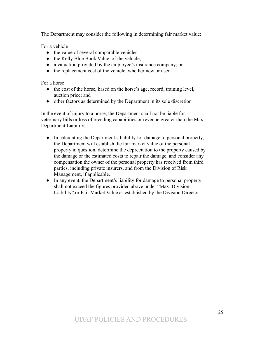The Department may consider the following in determining fair market value:

For a vehicle

- the value of several comparable vehicles;
- the Kelly Blue Book Value of the vehicle;
- a valuation provided by the employee's insurance company; or
- the replacement cost of the vehicle, whether new or used

For a horse

- the cost of the horse, based on the horse's age, record, training level, auction price; and
- other factors as determined by the Department in its sole discretion

In the event of injury to a horse, the Department shall not be liable for veterinary bills or loss of breeding capabilities or revenue greater than the Max Department Liability.

- In calculating the Department's liability for damage to personal property, the Department will establish the fair market value of the personal property in question, determine the depreciation to the property caused by the damage or the estimated costs to repair the damage, and consider any compensation the owner of the personal property has received from third parties, including private insurers, and from the Division of Risk Management, if applicable.
- In any event, the Department's liability for damage to personal property shall not exceed the figures provided above under "Max. Division Liability" or Fair Market Value as established by the Division Director.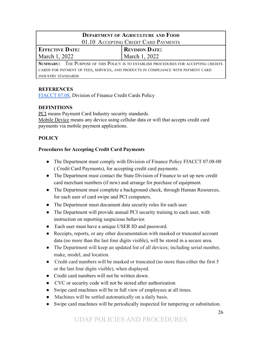# **DEPARTMENT OF AGRICULTURE AND FOOD** 01.10 ACCEPTING CREDIT CARD PAYMENTS

**EFFECTIVE DATE:** March 1, 2022

**REVISION DATE:** March 1, 2022

<span id="page-25-0"></span>**SUMMARY:** THE PURPOSE OF THIS POLICY IS TO ESTABLISH PROCEDURES FOR ACCEPTING CREDITS CARDS FOR PAYMENT OF FEES, SERVICES, AND PRODUCTS IN COMPLIANCE WITH PAYMENT CARD INDUSTRY STANDARDS

# **REFERENCES**

[FIACCT 07.08,](http://apps.finance.utah.gov/nxt/gateway.dll?f=templates&fn=default.htm&vid=nxtpub:app1) Division of Finance Credit Cards Policy

# **DEFINITIONS**

PCI means Payment Card Industry security standards. Mobile Device means any device using cellular data or wifi that accepts credit card payments via mobile payment applications.

# **POLICY**

# **Procedures for Accepting Credit Card Payments**

- The Department must comply with Division of Finance Policy FIACCT 07.08-00 ( Credit Card Payments), for accepting credit card payments.
- The Department must contact the State Division of Finance to set up new credit card merchant numbers (if new) and arrange for purchase of equipment.
- The Department must complete a background check, through Human Resources, for each user of card swipe and PCI computers.
- The Department must document data security roles for each user.
- The Department will provide annual PCI security training to each user, with instruction on reporting suspicious behavior.
- Each user must have a unique USER ID and password.
- Receipts, reports, or any other documentation with masked or truncated account data (no more than the last four digits visible), will be stored in a secure area.
- The Department will keep an updated list of all devices; including serial number, make, model, and location.
- Credit card numbers will be masked or truncated (no more than either the first 5 or the last four digits visible), when displayed.
- Credit card numbers will not be written down.
- CVC or security code will not be stored after authorization
- Swipe card machines will be in full view of employees at all times.
- Machines will be settled automatically on a daily basis.
- Swipe card machines will be periodically inspected for tampering or substitution.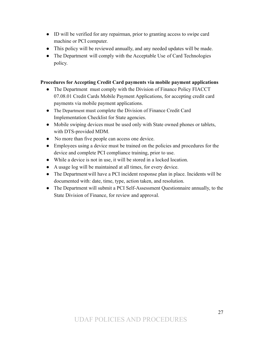- ID will be verified for any repairman, prior to granting access to swipe card machine or PCI computer.
- This policy will be reviewed annually, and any needed updates will be made.
- The Department will comply with the Acceptable Use of Card Technologies policy.

# **Procedures for Accepting Credit Card payments via mobile payment applications**

- The Department must comply with the Division of Finance Policy FIACCT 07.08.01 Credit Cards Mobile Payment Applications, for accepting credit card payments via mobile payment applications.
- The Department must complete the Division of Finance Credit Card Implementation Checklist for State agencies.
- Mobile swiping devices must be used only with State owned phones or tablets, with DTS-provided MDM.
- No more than five people can access one device.
- Employees using a device must be trained on the policies and procedures for the device and complete PCI compliance training, prior to use.
- While a device is not in use, it will be stored in a locked location.
- A usage log will be maintained at all times, for every device.
- The Department will have a PCI incident response plan in place. Incidents will be documented with: date, time, type, action taken, and resolution.
- The Department will submit a PCI Self-Assessment Questionnaire annually, to the State Division of Finance, for review and approval.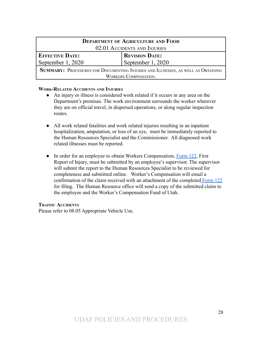| <b>DEPARTMENT OF AGRICULTURE AND FOOD</b>                                               |                       |  |
|-----------------------------------------------------------------------------------------|-----------------------|--|
| 02.01 ACCIDENTS AND INJURIES                                                            |                       |  |
| <b>EFFECTIVE DATE:</b>                                                                  | <b>REVISION DATE:</b> |  |
| September 1, 2020                                                                       | September 1, 2020     |  |
| <b>SUMMARY:</b> PROCEDURES FOR DOCUMENTING INJURIES AND ILLNESSES, AS WELL AS OBTAINING |                       |  |
| <b>WORKERS COMPENSATION.</b>                                                            |                       |  |

#### <span id="page-27-0"></span>**WORK-RELATED ACCIDENTS AND INJURIES**

- An injury or illness is considered work related if it occurs in any area on the Department's premises. The work environment surrounds the worker wherever they are on official travel, in dispersed operations, or along regular inspection routes.
- All work related fatalities and work related injuries resulting in an inpatient hospitalization, amputation, or loss of an eye, must be immediately reported to the Human Resources Specialist and the Commissioner. All diagnosed work related illnesses must be reported.
- In order for an employee to obtain Workers Compensation, [Form 122](https://laborcommission.utah.gov/wp-content/uploads/2019/11/Form-122-E-Revised-2-2019.pdf), First Report of Injury, must be submitted by an employee's supervisor. The supervisor will submit the report to the Human Resources Specialist to be reviewed for completeness and submitted online. Worker's Compensation will email a confirmation of the claim received with an attachment of the completed [Form 122](https://laborcommission.utah.gov/wp-content/uploads/2019/11/Form-122-E-Revised-2-2019.pdf) for filing. The Human Resource office will send a copy of the submitted claim to the employee and the Worker's Compensation Fund of Utah.

#### **TRAFFIC ACCIDENTS**

Please refer to 08.05 Appropriate Vehicle Use.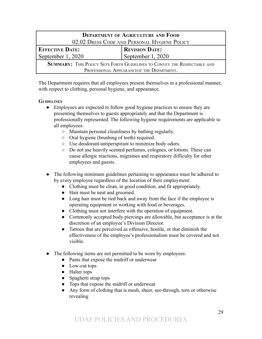| <b>DEPARTMENT OF AGRICULTURE AND FOOD</b>                                       |                   |  |
|---------------------------------------------------------------------------------|-------------------|--|
| 02.02 DRESS CODE AND PERSONAL HYGIENE POLICY                                    |                   |  |
| <b>EFFECTIVE DATE:</b><br><b>REVISION DATE:</b>                                 |                   |  |
| September 1, 2020                                                               | September 1, 2020 |  |
| <b>SUMMARY:</b> THIS POLICY SETS FORTH GUIDELINES TO CONVEY THE RESPECTABLE AND |                   |  |
| PROFESSIONAL APPEARANCEOF THE DEPARTMENT.                                       |                   |  |

<span id="page-28-0"></span>The Department requires that all employees present themselves in a professional manner, with respect to clothing, personal hygiene, and appearance.

#### **GUIDELINES**

- Employees are expected to follow good hygiene practices to ensure they are presenting themselves to guests appropriately and that the Department is professionally represented. The following hygiene requirements are applicable to all employees:
	- Maintain personal cleanliness by bathing regularly.
	- Oral hygiene (brushing of teeth) required.
	- Use deodorant/antiperspirant to minimize body odors.
	- Do not use heavily scented perfumes, colognes, or lotions. These can cause allergic reactions, migraines and respiratory difficulty for other employees and guests.
- The following minimum guidelines pertaining to appearance must be adhered to by every employee regardless of the location of their employment:
	- Clothing must be clean, in good condition, and fit appropriately.
	- Hair must be neat and groomed.
	- Long hair must be tied back and away from the face if the employee is operating equipment or working with food or beverages.
	- Clothing must not interfere with the operation of equipment.
	- Commonly accepted body piercings are allowable, but acceptance is at the discretion of an employee's Division Director.
	- Tattoos that are perceived as offensive, hostile, or that diminish the effectiveness of the employee's professionalism must be covered and not visible.
- The following items are not permitted to be worn by employees:
	- Pants that expose the midriff or underwear
	- Low-cut tops
	- Halter tops
	- Spaghetti strap tops
	- Tops that expose the midriff or underwear
	- Any form of clothing that is mesh, sheer, see-through, torn or otherwise revealing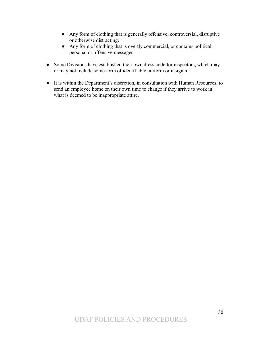- Any form of clothing that is generally offensive, controversial, disruptive or otherwise distracting.
- Any form of clothing that is overtly commercial, or contains political, personal or offensive messages.
- Some Divisions have established their own dress code for inspectors, which may or may not include some form of identifiable uniform or insignia.
- It is within the Department's discretion, in consultation with Human Resources, to send an employee home on their own time to change if they arrive to work in what is deemed to be inappropriate attire.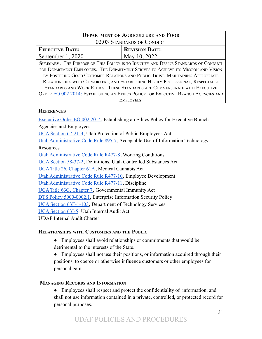| <b>DEPARTMENT OF AGRICULTURE AND FOOD</b>                                                 |                       |
|-------------------------------------------------------------------------------------------|-----------------------|
| 02.03 STANDARDS OF CONDUCT                                                                |                       |
| <b>EFFECTIVE DATE:</b>                                                                    | <b>REVISION DATE:</b> |
| September 1, 2020                                                                         | May 10, 2022          |
| <b>SUMMARY:</b> THE PURPOSE OF THIS POLICY IS TO IDENTIFY AND DEFINE STANDARDS OF CONDUCT |                       |
| FOR DEPARTMENT EMPLOYEES. THE DEPARTMENT STRIVES TO ACHIEVE ITS MISSION AND VISION        |                       |
| BY FOSTERING GOOD CUSTOMER RELATIONS AND PUBLIC TRUST, MAINTAINING APPROPRIATE            |                       |
| RELATIONSHIPS WITH CO-WORKERS, AND ESTABLISHING HIGHLY PROFESSIONAL, RESPECTABLE          |                       |
| STANDARDS AND WORK ETHICS. THESE STANDARDS ARE COMMENSURATE WITH EXECUTIVE                |                       |
| ORDER EO 002 2014: ESTABLISHING AN ETHICS POLICY FOR EXECUTIVE BRANCH AGENCIES AND        |                       |
| EMPLOYEES.                                                                                |                       |

<span id="page-30-0"></span>[Executive Order EO 002 2014,](https://rules.utah.gov/execdocs/2014/ExecDoc155325.htm) Establishing an Ethics Policy for Executive Branch Agencies and Employees [UCA Section 67-21-3](https://le.utah.gov/xcode/Title67/Chapter21/67-21-S3.html), Utah Protection of Public Employees Act [Utah Administrative Code Rule 895-7](https://rules.utah.gov/wp-content/uploads/r895-007.pdf), Acceptable Use of Information Technology Resources [Utah Administrative Code Rule R477-8](https://rules.utah.gov/wp-content/uploads/r477-008.pdf), Working Conditions [UCA Section 58-37-2](https://le.utah.gov/xcode/Title58/Chapter37/58-37-S2.html?v=C58-37-S2_2020022820200228), Definitions, Utah Controlled Substances Act UCA [Title 26, Chapter 61A](https://le.utah.gov/xcode/Title26/Chapter61A/26-61a.html?v=C26-61a_2018120320181203), Medical Cannabis Act [Utah Administrative Code Rule R477-10](https://rules.utah.gov/wp-content/uploads/r477-010.pdf), Employee Development [Utah Administrative Code Rule R477-11,](https://rules.utah.gov/wp-content/uploads/r477-011.pdf) Discipline UCA [Title 63G, Chapter 7](https://le.utah.gov/xcode/Title63G/Chapter7/63G-7.html?v=C63G-7_1800010118000101), Governmental Immunity Act [DTS Policy 5000-0002.1](https://dts.utah.gov/policies/enterprise-information-security-policy), Enterprise Information Security Policy [UCA Section 63F-1-103,](https://le.utah.gov/xcode/Title63F/Chapter1/63F-1-S103.html?v=C63F-1-S103_1800010118000101) Department of Technology Services [UCA Section 63I-5](https://le.utah.gov/xcode/Title63I/Chapter5/63I-5.html?v=C63I-5_1800010118000101), Utah Internal Audit Act UDAF Internal Audit Charter

# **RELATIONSHIPS WITH CUSTOMERS AND THE PUBLIC**

● Employees shall avoid relationships or commitments that would be detrimental to the interests of the State.

• Employees shall not use their positions, or information acquired through their positions, to coerce or otherwise influence customers or other employees for personal gain.

# **MANAGING RECORDS AND INFORMATION**

• Employees shall respect and protect the confidentiality of information, and shall not use information contained in a private, controlled, or protected record for personal purposes.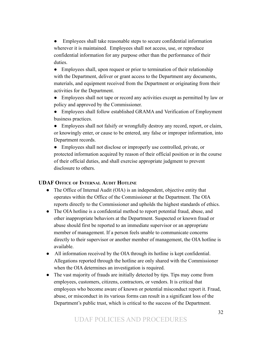Employees shall take reasonable steps to secure confidential information wherever it is maintained. Employees shall not access, use, or reproduce confidential information for any purpose other than the performance of their duties.

• Employees shall, upon request or prior to termination of their relationship with the Department, deliver or grant access to the Department any documents, materials, and equipment received from the Department or originating from their activities for the Department.

● Employees shall not tape or record any activities except as permitted by law or policy and approved by the Commissioner.

• Employees shall follow established GRAMA and Verification of Employment business practices.

• Employees shall not falsify or wrongfully destroy any record, report, or claim, or knowingly enter, or cause to be entered, any false or improper information, into Department records.

● Employees shall not disclose or improperly use controlled, private, or protected information acquired by reason of their official position or in the course of their official duties, and shall exercise appropriate judgment to prevent disclosure to others.

#### **UDAF OFFICE OF INTERNAL AUDIT HOTLINE**

- The Office of Internal Audit (OIA) is an independent, objective entity that operates within the Office of the Commissioner at the Department. The OIA reports directly to the Commissioner and upholds the highest standards of ethics.
- The OIA hotline is a confidential method to report potential fraud, abuse, and other inappropriate behaviors at the Department. Suspected or known fraud or abuse should first be reported to an immediate supervisor or an appropriate member of management. If a person feels unable to communicate concerns directly to their supervisor or another member of management, the OIA hotline is available.
- All information received by the OIA through its hotline is kept confidential. Allegations reported through the hotline are only shared with the Commissioner when the OIA determines an investigation is required.
- The vast majority of frauds are initially detected by tips. Tips may come from employees, customers, citizens, contractors, or vendors. It is critical that employees who become aware of known or potential misconduct report it. Fraud, abuse, or misconduct in its various forms can result in a significant loss of the Department's public trust, which is critical to the success of the Department.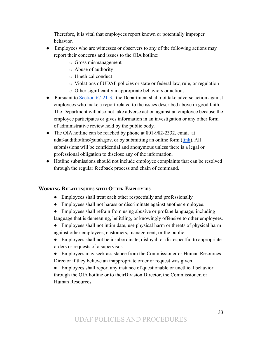Therefore, it is vital that employees report known or potentially improper behavior.

- Employees who are witnesses or observers to any of the following actions may report their concerns and issues to the OIA hotline:
	- o Gross mismanagement
	- o Abuse of authority
	- o Unethical conduct
	- o Violations of UDAF policies or state or federal law, rule, or regulation
	- o Other significantly inappropriate behaviors or actions
- Pursuant to [Section 67-21-3](https://le.utah.gov/xcode/Title67/Chapter21/67-21-S3.html?v=C67-21-S3_2020051220200701), the Department shall not take adverse action against employees who make a report related to the issues described above in good faith. The Department will also not take adverse action against an employee because the employee participates or gives information in an investigation or any other form of administrative review held by the public body.
- The OIA hotline can be reached by phone at 801-982-2332, email at udaf-audithotline@utah.gov, or by submitting an online form  $(\underline{link})$  $(\underline{link})$  $(\underline{link})$ . All submissions will be confidential and anonymous unless there is a legal or professional obligation to disclose any of the information.
- Hotline submissions should not include employee complaints that can be resolved through the regular feedback process and chain of command.

#### **WORKING RELATIONSHIPS WITH OTHER EMPLOYEES**

- Employees shall treat each other respectfully and professionally.
- Employees shall not harass or discriminate against another employee.
- Employees shall refrain from using abusive or profane language, including
- language that is demeaning, belittling, or knowingly offensive to other employees.
- Employees shall not intimidate, use physical harm or threats of physical harm against other employees, customers, management, or the public.
- Employees shall not be insubordinate, disloyal, or disrespectful to appropriate orders or requests of a supervisor.
- Employees may seek assistance from the Commissioner or Human Resources Director if they believe an inappropriate order or request was given.
- Employees shall report any instance of questionable or unethical behavior through the OIA hotline or to theirDivision Director, the Commissioner, or Human Resources.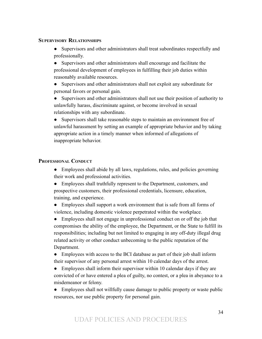#### **SUPERVISORY RELATIONSHIPS**

- Supervisors and other administrators shall treat subordinates respectfully and professionally.
- Supervisors and other administrators shall encourage and facilitate the professional development of employees in fulfilling their job duties within reasonably available resources.
- Supervisors and other administrators shall not exploit any subordinate for personal favors or personal gain.
- Supervisors and other administrators shall not use their position of authority to unlawfully harass, discriminate against, or become involved in sexual relationships with any subordinate.
- Supervisors shall take reasonable steps to maintain an environment free of unlawful harassment by setting an example of appropriate behavior and by taking appropriate action in a timely manner when informed of allegations of inappropriate behavior.

#### **PROFESSIONAL CONDUCT**

- Employees shall abide by all laws, regulations, rules, and policies governing their work and professional activities.
- Employees shall truthfully represent to the Department, customers, and prospective customers, their professional credentials, licensure, education, training, and experience.
- Employees shall support a work environment that is safe from all forms of violence, including domestic violence perpetrated within the workplace.
- Employees shall not engage in unprofessional conduct on or off the job that compromises the ability of the employee, the Department, or the State to fulfill its responsibilities; including but not limited to engaging in any off-duty illegal drug related activity or other conduct unbecoming to the public reputation of the Department.
- Employees with access to the BCI database as part of their job shall inform their supervisor of any personal arrest within 10 calendar days of the arrest.
- Employees shall inform their supervisor within 10 calendar days if they are convicted of or have entered a plea of guilty, no contest, or a plea in abeyance to a misdemeanor or felony.
- Employees shall not willfully cause damage to public property or waste public resources, nor use public property for personal gain.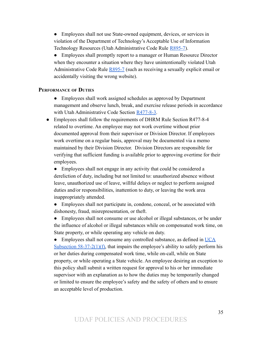• Employees shall not use State-owned equipment, devices, or services in violation of the Department of Technology's Acceptable Use of Information Technology Resources (Utah Administrative Code Rule [R895-7](https://rules.utah.gov/wp-content/uploads/r895-007.pdf)).

● Employees shall promptly report to a manager or Human Resource Director when they encounter a situation where they have unintentionally violated Utah Administrative Code Rule [R895-7](https://rules.utah.gov/wp-content/uploads/r895-007.pdf) (such as receiving a sexually explicit email or accidentally visiting the wrong website).

#### **PERFORMANCE OF DUTIES**

- Employees shall work assigned schedules as approved by Department management and observe lunch, break, and exercise release periods in accordance with Utah Administrative Code Section [R477-8-3.](https://rules.utah.gov/wp-content/uploads/r477-008.pdf)
- Employees shall follow the requirements of DHRM Rule Section R477-8-4 related to overtime. An employee may not work overtime without prior documented approval from their supervisor or Division Director. If employees work overtime on a regular basis, approval may be documented via a memo maintained by their Division Director. Division Directors are responsible for verifying that sufficient funding is available prior to approving overtime for their employees.

● Employees shall not engage in any activity that could be considered a dereliction of duty, including but not limited to: unauthorized absence without leave, unauthorized use of leave, willful delays or neglect to perform assigned duties and/or responsibilities, inattention to duty, or leaving the work area inappropriately attended.

• Employees shall not participate in, condone, conceal, or be associated with dishonesty, fraud, misrepresentation, or theft.

• Employees shall not consume or use alcohol or illegal substances, or be under the influence of alcohol or illegal substances while on compensated work time, on State property, or while operating any vehicle on duty.

• Employees shall not consume any controlled substance, as defined in [UCA](https://le.utah.gov/xcode/Title58/Chapter37/58-37-S2.html?v=C58-37-S2_2020022820200228) Subsection  $58-37-2(1)(f)$ , that impairs the employee's ability to safely perform his or her duties during compensated work time, while on-call, while on State property, or while operating a State vehicle. An employee desiring an exception to this policy shall submit a written request for approval to his or her immediate supervisor with an explanation as to how the duties may be temporarily changed or limited to ensure the employee's safety and the safety of others and to ensure an acceptable level of production.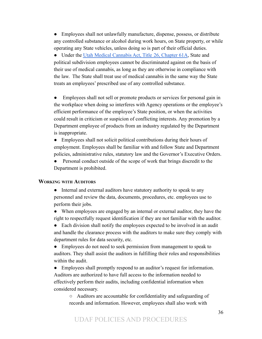• Employees shall not unlawfully manufacture, dispense, possess, or distribute any controlled substance or alcohol during work hours, on State property, or while operating any State vehicles, unless doing so is part of their official duties.

• Under the [Utah Medical Cannabis Act, Title](https://le.utah.gov/xcode/Title26/Chapter61A/26-61a.html) 26, Chapter 61A, State and political subdivision employees cannot be discriminated against on the basis of their use of medical cannabis, as long as they are otherwise in compliance with the law. The State shall treat use of medical cannabis in the same way the State treats an employees' prescribed use of any controlled substance.

Employees shall not sell or promote products or services for personal gain in the workplace when doing so interferes with Agency operations or the employee's efficient performance of the employee's State position, or when the activities could result in criticism or suspicion of conflicting interests. Any promotion by a Department employee of products from an industry regulated by the Department is inappropriate.

• Employees shall not solicit political contributions during their hours of employment. Employees shall be familiar with and follow State and Department policies, administrative rules, statutory law and the Governor's Executive Orders.

• Personal conduct outside of the scope of work that brings discredit to the Department is prohibited.

#### **WORKING WITH AUDITORS**

• Internal and external auditors have statutory authority to speak to any personnel and review the data, documents, procedures, etc. employees use to perform their jobs.

• When employees are engaged by an internal or external auditor, they have the right to respectfully request identification if they are not familiar with the auditor.

• Each division shall notify the employees expected to be involved in an audit and handle the clearance process with the auditors to make sure they comply with department rules for data security, etc.

• Employees do not need to seek permission from management to speak to auditors. They shall assist the auditors in fulfilling their roles and responsibilities within the audit.

● Employees shall promptly respond to an auditor's request for information. Auditors are authorized to have full access to the information needed to effectively perform their audits, including confidential information when considered necessary.

○ Auditors are accountable for confidentiality and safeguarding of records and information. However, employees shall also work with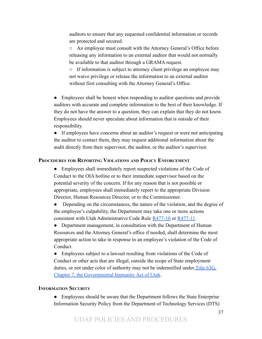auditors to ensure that any requested confidential information or records are protected and secured.

○ An employee must consult with the Attorney General's Office before releasing any information to an external auditor that would not normally be available to that auditor through a GRAMA request.

○ If information is subject to attorney client privilege an employee may not waive privilege or release the information to an external auditor without first consulting with the Attorney General's Office.

• Employees shall be honest when responding to auditor questions and provide auditors with accurate and complete information to the best of their knowledge. If they do not have the answer to a question, they can explain that they do not know. Employees should never speculate about information that is outside of their responsibility.

● If employees have concerns about an auditor's request or were not anticipating the auditor to contact them, they may request additional information about the audit directly from their supervisor, the auditor, or the auditor's supervisor.

## **PROCEDURES FOR REPORTING VIOLATIONS AND POLICY ENFORCEMENT**

• Employees shall immediately report suspected violations of the Code of Conduct to the OIA hotline or to their immediate supervisor based on the potential severity of the concern. If for any reason that is not possible or appropriate, employees shall immediately report to the appropriate Division Director, Human Resources Director, or to the Commissioner.

• Depending on the circumstances, the nature of the violation, and the degree of the employee's culpability, the Department may take one or more actions consistent with Utah Administrative Code Rule [R477-10](https://rules.utah.gov/wp-content/uploads/r477-010.pdf) or [R477-11](https://rules.utah.gov/wp-content/uploads/r477-011.pdf).

• Department management, in consultation with the Department of Human Resources and the Attorney General's office if needed, shall determine the most appropriate action to take in response to an employee's violation of the Code of Conduct.

• Employees subject to a lawsuit resulting from violations of the Code of Conduct or other acts that are illegal, outside the scope of State employment duties, or not under color of authority may not be indemnified under [Title 63G,](https://le.utah.gov/xcode/Title63G/Chapter7/63G-7.html?v=C63G-7_1800010118000101) [Chapter 7, the Governmental Immunity Act of Utah](https://le.utah.gov/xcode/Title63G/Chapter7/63G-7.html?v=C63G-7_1800010118000101).

## **INFORMATION SECURITY**

• Employees should be aware that the Department follows the State Enterprise Information Security Policy from the Department of Technology Services (DTS)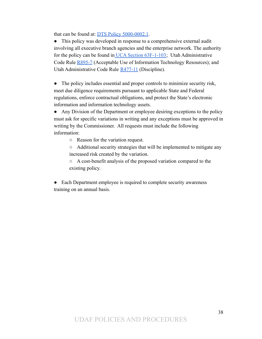that can be found at: [DTS Policy 5000-0002.1](https://dts.utah.gov/policies/enterprise-information-security-policy).

● This policy was developed in response to a comprehensive external audit involving all executive branch agencies and the enterprise network. The authority for the policy can be found in [UCA Section 63F-1-103;](https://le.utah.gov/xcode/Title63F/Chapter1/63F-1-S103.html?v=C63F-1-S103_1800010118000101) Utah Administrative Code Rule [R895-7](https://rules.utah.gov/wp-content/uploads/r895-007.pdf) (Acceptable Use of Information Technology Resources); and Utah Administrative Code Rule [R477-11](https://rules.utah.gov/wp-content/uploads/r477-011.pdf) (Discipline).

● The policy includes essential and proper controls to minimize security risk, meet due diligence requirements pursuant to applicable State and Federal regulations, enforce contractual obligations, and protect the State's electronic information and information technology assets.

● Any Division of the Department or employee desiring exceptions to the policy must ask for specific variations in writing and any exceptions must be approved in writing by the Commissioner. All requests must include the following information:

○ Reason for the variation request.

○ Additional security strategies that will be implemented to mitigate any increased risk created by the variation.

○ A cost-benefit analysis of the proposed variation compared to the existing policy.

• Each Department employee is required to complete security awareness training on an annual basis.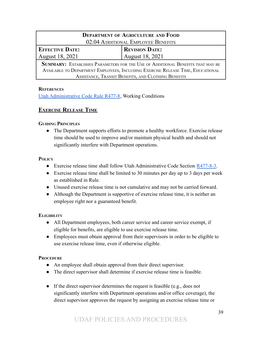# **DEPARTMENT OF AGRICULTURE AND FOOD** 02.04 ADDITIONAL EMPLOYEE BENEFITS

**EFFECTIVE DATE:** August 18, 2021

**REVISION DATE:** August 18, 2021

**SUMMARY:** ESTABLISHES PARAMETERS FOR THE USE OF ADDITIONAL BENEFITS THAT MAY BE AVAILABLE TO DEPARTMENT EMPLOYEES, INCLUDING EXERCISE RELEASE TIME, EDUCATIONAL ASSISTANCE, TRANSIT BENEFITS, AND CLOTHING BENEFITS

## **REFERENCES**

[Utah Administrative Code Rule R477-8](https://rules.utah.gov/wp-content/uploads/r477-008.pdf), Working Conditions

# **EXERCISE RELEASE TIME**

## **GUIDING PRINCIPLES**

● The Department supports efforts to promote a healthy workforce. Exercise release time should be used to improve and/or maintain physical health and should not significantly interfere with Department operations.

## **POLICY**

- Exercise release time shall follow Utah Administrative Code Section [R477-8-3.](https://rules.utah.gov/wp-content/uploads/r477-008.pdf)
- Exercise release time shall be limited to 30 minutes per day up to 3 days per week as established in Rule.
- Unused exercise release time is not cumulative and may not be carried forward.
- Although the Department is supportive of exercise release time, it is neither an employee right nor a guaranteed benefit.

## **ELIGIBILITY**

- All Department employees, both career service and career service exempt, if eligible for benefits, are eligible to use exercise release time.
- Employees must obtain approval from their supervisors in order to be eligible to use exercise release time, even if otherwise eligible.

## **PROCEDURE**

- An employee shall obtain approval from their direct supervisor.
- The direct supervisor shall determine if exercise release time is feasible.
- If the direct supervisor determines the request is feasible (e.g., does not significantly interfere with Department operations and/or office coverage), the direct supervisor approves the request by assigning an exercise release time or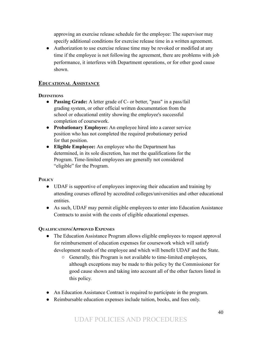approving an exercise release schedule for the employee: The supervisor may specify additional conditions for exercise release time in a written agreement.

• Authorization to use exercise release time may be revoked or modified at any time if the employee is not following the agreement, there are problems with job performance, it interferes with Department operations, or for other good cause shown.

# **EDUCATIONAL ASSISTANCE**

## **DEFINITIONS**

- **Passing Grade:** A letter grade of C- or better, "pass" in a pass/fail grading system, or other official written documentation from the school or educational entity showing the employee's successful completion of coursework.
- **Probationary Employee:** An employee hired into a career service position who has not completed the required probationary period for that position.
- **Eligible Employee:** An employee who the Department has determined, in its sole discretion, has met the qualifications for the Program. Time-limited employees are generally not considered "eligible" for the Program.

## **POLICY**

- UDAF is supportive of employees improving their education and training by attending courses offered by accredited colleges/universities and other educational entities.
- As such, UDAF may permit eligible employees to enter into Education Assistance Contracts to assist with the costs of eligible educational expenses.

## **QUALIFICATIONS/APPROVED EXPENSES**

- The Education Assistance Program allows eligible employees to request approval for reimbursement of education expenses for coursework which will satisfy development needs of the employee and which will benefit UDAF and the State.
	- Generally, this Program is not available to time-limited employees, although exceptions may be made to this policy by the Commissioner for good cause shown and taking into account all of the other factors listed in this policy.
- An Education Assistance Contract is required to participate in the program.
- Reimbursable education expenses include tuition, books, and fees only.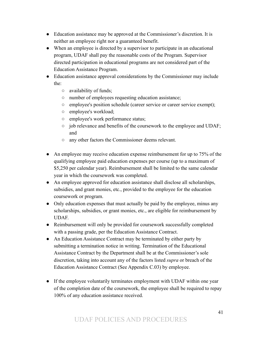- Education assistance may be approved at the Commissioner's discretion. It is neither an employee right nor a guaranteed benefit.
- When an employee is directed by a supervisor to participate in an educational program, UDAF shall pay the reasonable costs of the Program. Supervisor directed participation in educational programs are not considered part of the Education Assistance Program.
- Education assistance approval considerations by the Commissioner may include the:
	- availability of funds;
	- number of employees requesting education assistance;
	- employee's position schedule (career service or career service exempt);
	- employee's workload;
	- employee's work performance status;
	- job relevance and benefits of the coursework to the employee and UDAF; and
	- any other factors the Commissioner deems relevant.
- An employee may receive education expense reimbursement for up to 75% of the qualifying employee paid education expenses per course (up to a maximum of \$5,250 per calendar year). Reimbursement shall be limited to the same calendar year in which the coursework was completed.
- An employee approved for education assistance shall disclose all scholarships, subsidies, and grant monies, etc., provided to the employee for the education coursework or program.
- Only education expenses that must actually be paid by the employee, minus any scholarships, subsidies, or grant monies, etc., are eligible for reimbursement by UDAF.
- Reimbursement will only be provided for coursework successfully completed with a passing grade, per the Education Assistance Contract.
- An Education Assistance Contract may be terminated by either party by submitting a termination notice in writing. Termination of the Educational Assistance Contract by the Department shall be at the Commissioner's sole discretion, taking into account any of the factors listed *supra* or breach of the Education Assistance Contract (See Appendix C.03) by employee.
- If the employee voluntarily terminates employment with UDAF within one year of the completion date of the coursework, the employee shall be required to repay 100% of any education assistance received.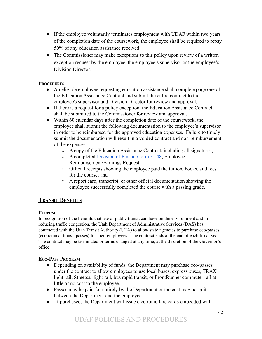- If the employee voluntarily terminates employment with UDAF within two years of the completion date of the coursework, the employee shall be required to repay 50% of any education assistance received.
- The Commissioner may make exceptions to this policy upon review of a written exception request by the employee, the employee's supervisor or the employee's Division Director.

## **PROCEDURES**

- An eligible employee requesting education assistance shall complete page one of the Education Assistance Contract and submit the entire contract to the employee's supervisor and Division Director for review and approval.
- If there is a request for a policy exception, the Education Assistance Contract shall be submitted to the Commissioner for review and approval.
- Within 60 calendar days after the completion date of the coursework, the employee shall submit the following documentation to the employee's supervisor in order to be reimbursed for the approved education expenses. Failure to timely submit the documentation will result in a voided contract and non-reimbursement of the expenses.
	- A copy of the Education Assistance Contract, including all signatures;
	- A completed [Division of Finance form FI-48,](https://finance.utah.gov/forms-2-2/) Employee Reimbursement/Earnings Request;
	- Official receipts showing the employee paid the tuition, books, and fees for the course; and
	- A report card, transcript, or other official documentation showing the employee successfully completed the course with a passing grade.

# **TRANSIT BENEFITS**

## **PURPOSE**

In recognition of the benefits that use of public transit can have on the environment and in reducing traffic congestion, the Utah Department of Administrative Services (DAS) has contracted with the Utah Transit Authority (UTA) to allow state agencies to purchase eco-passes (economical transit passes) for their employees. The contract ends at the end of each fiscal year. The contract may be terminated or terms changed at any time, at the discretion of the Governor's office.

## **ECO-PASS PROGRAM**

- Depending on availability of funds, the Department may purchase eco-passes under the contract to allow employees to use local buses, express buses, TRAX light rail, Streetcar light rail, bus rapid transit, or FrontRunner commuter rail at little or no cost to the employee.
- Passes may be paid for entirely by the Department or the cost may be split between the Department and the employee.
- If purchased, the Department will issue electronic fare cards embedded with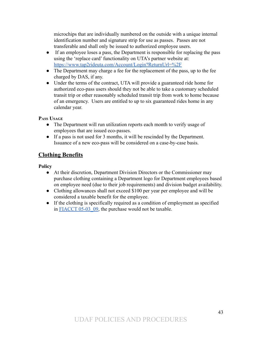microchips that are individually numbered on the outside with a unique internal identification number and signature strip for use as passes. Passes are not transferable and shall only be issued to authorized employee users.

- If an employee loses a pass, the Department is responsible for replacing the pass using the 'replace card' functionality on UTA's partner website at: <https://www.tap2rideuta.com/Account/Login?ReturnUrl=%2F>
- The Department may charge a fee for the replacement of the pass, up to the fee charged by DAS, if any.
- Under the terms of the contract, UTA will provide a guaranteed ride home for authorized eco-pass users should they not be able to take a customary scheduled transit trip or other reasonably scheduled transit trip from work to home because of an emergency. Users are entitled to up to six guaranteed rides home in any calendar year.

**PASS USAGE**

- The Department will run utilization reports each month to verify usage of employees that are issued eco-passes.
- If a pass is not used for 3 months, it will be rescinded by the Department. Issuance of a new eco-pass will be considered on a case-by-case basis.

# **Clothing Benefits**

**Policy**

- At their discretion, Department Division Directors or the Commissioner may purchase clothing containing a Department logo for Department employees based on employee need (due to their job requirements) and division budget availability.
- Clothing allowances shall not exceed \$100 per year per employee and will be considered a taxable benefit for the employee.
- If the clothing is specifically required as a condition of employment as specified in FIACCT 05-03 09, the purchase would not be taxable.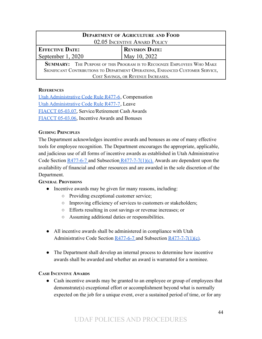# **DEPARTMENT OF AGRICULTURE AND FOOD** 02.05 INCENTIVE AWARD POLICY

**EFFECTIVE DATE:** September 1, 2020

**REVISION DATE:** May 10, 2022

**SUMMARY:** THE PURPOSE OF THIS PROGRAM IS TO RECOGNIZE EMPLOYEES WHO MAKE SIGNIFICANT CONTRIBUTIONS TO DEPARTMENT OPERATIONS, ENHANCED CUSTOMER SERVICE, COST SAVINGS, OR REVENUE INCREASES.

## **REFERENCES**

[Utah Administrative Code Rule R477-6](https://rules.utah.gov/wp-content/uploads/r477-006.pdf), Compensation [Utah Administrative Code Rule R477-7](https://rules.utah.gov/wp-content/uploads/r477-007.pdf), Leave [FIACCT 05-03.07,](http://apps.finance.utah.gov/nxt/gateway.dll?f=templates&fn=default.htm&vid=nxtpub:app1) Service/Retirement Cash Awards [FIACCT 05-03.06,](http://apps.finance.utah.gov/nxt/gateway.dll?f=templates&fn=default.htm&vid=nxtpub:app1) Incentive Awards and Bonuses

## **GUIDING PRINCIPLES**

The Department acknowledges incentive awards and bonuses as one of many effective tools for employee recognition. The Department encourages the appropriate, applicable, and judicious use of all forms of incentive awards as established in Utah Administrative Code Section [R477-6-7](https://rules.utah.gov/wp-content/uploads/r477-006.pdf) and Subsection [R477-7-7\(1\)\(c\).](https://rules.utah.gov/wp-content/uploads/r477-007.pdf) Awards are dependent upon the availability of financial and other resources and are awarded in the sole discretion of the Department.

## **GENERAL PROVISIONS**

- Incentive awards may be given for many reasons, including:
	- Providing exceptional customer service;
	- Improving efficiency of services to customers or stakeholders;
	- Efforts resulting in cost savings or revenue increases; or
	- Assuming additional duties or responsibilities.
- All incentive awards shall be administered in compliance with Utah Administrative Code Section [R477-6-7](https://rules.utah.gov/wp-content/uploads/r477-006.pdf) and Subsection [R477-7-7\(1\)\(c\).](https://rules.utah.gov/wp-content/uploads/r477-007.pdf)
- The Department shall develop an internal process to determine how incentive awards shall be awarded and whether an award is warranted for a nominee.

## **CASH INCENTIVE AWARDS**

● Cash incentive awards may be granted to an employee or group of employees that demonstrate(s) exceptional effort or accomplishment beyond what is normally expected on the job for a unique event, over a sustained period of time, or for any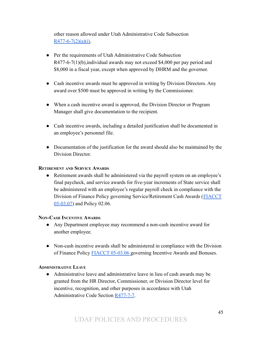other reason allowed under Utah Administrative Code Subsection  $R477-6-7(2)(a)(i)$ .

- Per the requirements of Utah Administrative Code Subsection R477-6-7(1)(b),individual awards may not exceed \$4,000 per pay period and \$8,000 in a fiscal year, except when approved by DHRM and the governor.
- Cash incentive awards must be approved in writing by Division Directors. Any award over \$500 must be approved in writing by the Commissioner.
- When a cash incentive award is approved, the Division Director or Program Manager shall give documentation to the recipient.
- Cash incentive awards, including a detailed justification shall be documented in an employee's personnel file.
- Documentation of the justification for the award should also be maintained by the Division Director.

## **RETIREMENT AND SERVICE AWARDS**

● Retirement awards shall be administered via the payroll system on an employee's final paycheck, and service awards for five-year increments of State service shall be administered with an employee's regular payroll check in compliance with the Division of Finance Policy governing Service/Retirement Cash Awards ([FIACCT](http://apps.finance.utah.gov/nxt/gateway.dll?f=templates&fn=default.htm&vid=nxtpub:app1) [05-03.07\)](http://apps.finance.utah.gov/nxt/gateway.dll?f=templates&fn=default.htm&vid=nxtpub:app1) and Policy 02.06.

## **NON-CASH INCENTIVE AWARDS**

- Any Department employee may recommend a non-cash incentive award for another employee.
- Non-cash incentive awards shall be administered in compliance with the Division of Finance Policy [FIACCT 05-03.06](http://apps.finance.utah.gov/nxt/gateway.dll?f=templates&fn=default.htm&vid=nxtpub:app1) governing Incentive Awards and Bonuses.

## **ADMINISTRATIVE LEAVE**

● Administrative leave and administrative leave in lieu of cash awards may be granted from the HR Director, Commissioner, or Division Director level for incentive, recognition, and other purposes in accordance with Utah Administrative Code Section [R477-7-7](https://rules.utah.gov/wp-content/uploads/r477-007.pdf).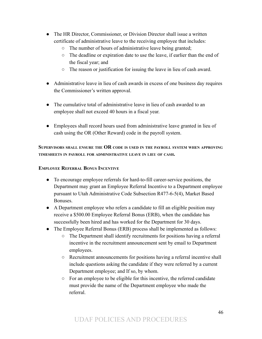- The HR Director, Commissioner, or Division Director shall issue a written certificate of administrative leave to the receiving employee that includes:
	- The number of hours of administrative leave being granted;
	- The deadline or expiration date to use the leave, if earlier than the end of the fiscal year; and
	- The reason or justification for issuing the leave in lieu of cash award.
- Administrative leave in lieu of cash awards in excess of one business day requires the Commissioner's written approval.
- The cumulative total of administrative leave in lieu of cash awarded to an employee shall not exceed 40 hours in a fiscal year.
- Employees shall record hours used from administrative leave granted in lieu of cash using the OR (Other Reward) code in the payroll system.

**SUPERVISORS SHALL ENSURE THE OR CODE IS USED IN THE PAYROLL SYSTEM WHEN APPROVING TIMESHEETS IN PAYROLL FOR ADMINISTRATIVE LEAVE IN LIEU OF CASH.**

## **EMPLOYEE REFERRAL BONUS INCENTIVE**

- To encourage employee referrals for hard-to-fill career-service positions, the Department may grant an Employee Referral Incentive to a Department employee pursuant to Utah Administrative Code Subsection R477-6-5(4), Market Based Bonuses.
- A Department employee who refers a candidate to fill an eligible position may receive a \$500.00 Employee Referral Bonus (ERB), when the candidate has successfully been hired and has worked for the Department for 30 days.
- The Employee Referral Bonus (ERB) process shall be implemented as follows:
	- The Department shall identify recruitments for positions having a referral incentive in the recruitment announcement sent by email to Department employees.
	- Recruitment announcements for positions having a referral incentive shall include questions asking the candidate if they were referred by a current Department employee; and If so, by whom.
	- For an employee to be eligible for this incentive, the referred candidate must provide the name of the Department employee who made the referral.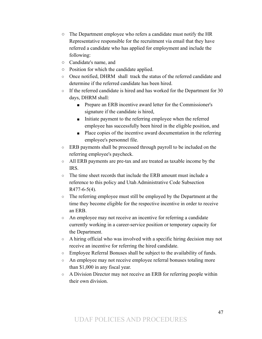- The Department employee who refers a candidate must notify the HR Representative responsible for the recruitment via email that they have referred a candidate who has applied for employment and include the following:
- Candidate's name, and
- Position for which the candidate applied.
- Once notified, DHRM shall track the status of the referred candidate and determine if the referred candidate has been hired.
- If the referred candidate is hired and has worked for the Department for 30 days, DHRM shall:
	- Prepare an ERB incentive award letter for the Commissioner's signature if the candidate is hired,
	- Initiate payment to the referring employee when the referred employee has successfully been hired in the eligible position, and
	- Place copies of the incentive award documentation in the referring employee's personnel file.
- ERB payments shall be processed through payroll to be included on the referring employee's paycheck.
- All ERB payments are pre-tax and are treated as taxable income by the IRS.
- The time sheet records that include the ERB amount must include a reference to this policy and Utah Administrative Code Subsection R477-6-5(4).
- The referring employee must still be employed by the Department at the time they become eligible for the respective incentive in order to receive an ERB.
- An employee may not receive an incentive for referring a candidate currently working in a career-service position or temporary capacity for the Department.
- A hiring official who was involved with a specific hiring decision may not receive an incentive for referring the hired candidate.
- Employee Referral Bonuses shall be subject to the availability of funds.
- An employee may not receive employee referral bonuses totaling more than \$1,000 in any fiscal year.
- A Division Director may not receive an ERB for referring people within their own division.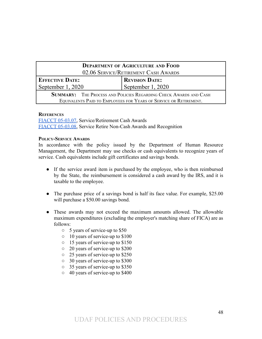| <b>DEPARTMENT OF AGRICULTURE AND FOOD</b><br>02.06 SERVICE/RETIREMENT CASH AWARDS |                       |
|-----------------------------------------------------------------------------------|-----------------------|
| <b>EFFECTIVE DATE:</b>                                                            | <b>REVISION DATE:</b> |
| September 1, 2020                                                                 | September 1, 2020     |
| <b>SUMMARY:</b> THE PROCESS AND POLICIES REGARDING CHECK AWARDS AND CASH          |                       |
| EQUIVALENTS PAID TO EMPLOYEES FOR YEARS OF SERVICE OR RETIREMENT.                 |                       |

#### **REFERENCES**

[FIACCT 05-03.07,](http://apps.finance.utah.gov/nxt/gateway.dll?f=templates&fn=default.htm&vid=nxtpub:app1) Service/Retirement Cash Awards [FIACCT 05-03.08,](http://apps.finance.utah.gov/nxt/gateway.dll?f=templates&fn=default.htm&vid=nxtpub:app1) Service Retire Non-Cash Awards and Recognition

#### **POLICY-SERVICE AWARDS**

In accordance with the policy issued by the Department of Human Resource Management, the Department may use checks or cash equivalents to recognize years of service. Cash equivalents include gift certificates and savings bonds.

- If the service award item is purchased by the employee, who is then reimbursed by the State, the reimbursement is considered a cash award by the IRS, and it is taxable to the employee.
- The purchase price of a savings bond is half its face value. For example, \$25.00 will purchase a \$50.00 savings bond.
- These awards may not exceed the maximum amounts allowed. The allowable maximum expenditures (excluding the employer's matching share of FICA) are as follows:
	- 5 years of service-up to \$50
	- 10 years of service-up to \$100
	- 15 years of service-up to \$150
	- 20 years of service-up to \$200
	- 25 years of service-up to \$250
	- 30 years of service-up to \$300
	- 35 years of service-up to \$350
	- 40 years of service-up to \$400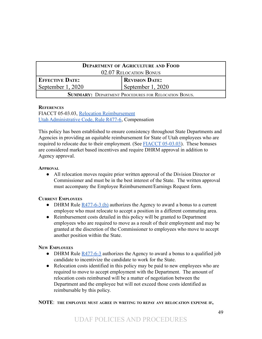| <b>DEPARTMENT OF AGRICULTURE AND FOOD</b>                   |                       |
|-------------------------------------------------------------|-----------------------|
| 02.07 RELOCATION BONUS                                      |                       |
| <b>EFFECTIVE DATE:</b>                                      | <b>REVISION DATE:</b> |
| September 1, 2020                                           | September 1, 2020     |
| <b>SUMMARY: DEPARTMENT PROCEDURES FOR RELOCATION BONUS.</b> |                       |

#### **REFERENCES**

FIACCT 05-03.03, [Relocation Reimbursement](http://apps.finance.utah.gov/nxt/gateway.dll?f=templates&fn=default.htm&vid=nxtpub:app1) [Utah Administrative Code, Rule R477-6](https://rules.utah.gov/wp-content/uploads/r477-006.pdf), Compensation

This policy has been established to ensure consistency throughout State Departments and Agencies in providing an equitable reimbursement for State of Utah employees who are required to relocate due to their employment. (See [FIACCT 05-03.03\)](http://apps.finance.utah.gov/nxt/gateway.dll?f=templates&fn=default.htm&vid=nxtpub:app1). These bonuses are considered market based incentives and require DHRM approval in addition to Agency approval.

#### **APPROVAL**

● All relocation moves require prior written approval of the Division Director or Commissioner and must be in the best interest of the State. The written approval must accompany the Employee Reimbursement/Earnings Request form.

## **CURRENT EMPLOYEES**

- DHRM Rule  $R477-6-3$  (b) authorizes the Agency to award a bonus to a current employee who must relocate to accept a position in a different commuting area.
- Reimbursement costs detailed in this policy will be granted to Department employees who are required to move as a result of their employment and may be granted at the discretion of the Commissioner to employees who move to accept another position within the State.

## **NEW EMPLOYEES**

- DHRM Rule  $R477-6-3$  authorizes the Agency to award a bonus to a qualified job candidate to incentivize the candidate to work for the State.
- Relocation costs identified in this policy may be paid to new employees who are required to move to accept employment with the Department. The amount of relocation costs reimbursed will be a matter of negotiation between the Department and the employee but will not exceed those costs identified as reimbursable by this policy.

## **NOTE**: **THE EMPLOYEE MUST AGREE IN WRITING TO REPAY ANY RELOCATION EXPENSE IF,**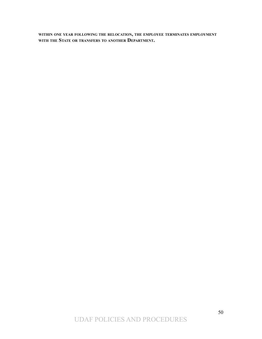**WITHIN ONE YEAR FOLLOWING THE RELOCATION, THE EMPLOYEE TERMINATES EMPLOYMENT WITH THE STATE OR TRANSFERS TO ANOTHER DEPARTMENT.**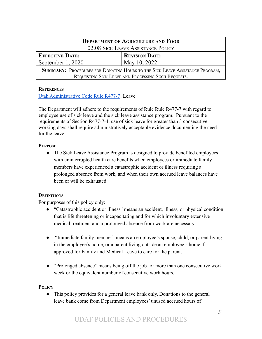| <b>DEPARTMENT OF AGRICULTURE AND FOOD</b>                                           |                       |  |
|-------------------------------------------------------------------------------------|-----------------------|--|
| 02.08 SICK LEAVE ASSISTANCE POLICY                                                  |                       |  |
| <b>EFFECTIVE DATE:</b>                                                              | <b>REVISION DATE:</b> |  |
| September 1, 2020                                                                   | May 10, 2022          |  |
| <b>SUMMARY:</b> PROCEDURES FOR DONATING HOURS TO THE SICK LEAVE ASSISTANCE PROGRAM, |                       |  |
| REQUESTING SICK LEAVE AND PROCESSING SUCH REQUESTS.                                 |                       |  |

## **REFERENCES**

[Utah Administrative Code Rule R477-7](https://rules.utah.gov/wp-content/uploads/r477-007.pdf), Leave

The Department will adhere to the requirements of Rule Rule R477-7 with regard to employee use of sick leave and the sick leave assistance program. Pursuant to the requirements of Section R477-7-4, use of sick leave for greater than 3 consecutive working days shall require administratively acceptable evidence documenting the need for the leave.

## **PURPOSE**

• The Sick Leave Assistance Program is designed to provide benefited employees with uninterrupted health care benefits when employees or immediate family members have experienced a catastrophic accident or illness requiring a prolonged absence from work, and when their own accrued leave balances have been or will be exhausted.

## **DEFINITIONS**

For purposes of this policy only:

- "Catastrophic accident or illness" means an accident, illness, or physical condition that is life threatening or incapacitating and for which involuntary extensive medical treatment and a prolonged absence from work are necessary.
- "Immediate family member" means an employee's spouse, child, or parent living in the employee's home, or a parent living outside an employee's home if approved for Family and Medical Leave to care for the parent.
- "Prolonged absence" means being off the job for more than one consecutive work week or the equivalent number of consecutive work hours.

## **POLICY**

• This policy provides for a general leave bank only. Donations to the general leave bank come from Department employees' unused accrued hours of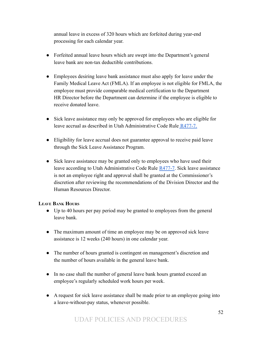annual leave in excess of 320 hours which are forfeited during year-end processing for each calendar year.

- Forfeited annual leave hours which are swept into the Department's general leave bank are non-tax deductible contributions.
- Employees desiring leave bank assistance must also apply for leave under the Family Medical Leave Act (FMLA). If an employee is not eligible for FMLA, the employee must provide comparable medical certification to the Department HR Director before the Department can determine if the employee is eligible to receive donated leave.
- Sick leave assistance may only be approved for employees who are eligible for leave accrual as described in Utah Administrative Code Rule [R477-7.](https://rules.utah.gov/wp-content/uploads/r477-007.pdf)
- Eligibility for leave accrual does not guarantee approval to receive paid leave through the Sick Leave Assistance Program.
- Sick leave assistance may be granted only to employees who have used their leave according to Utah Administrative Code Rule [R477-7](https://rules.utah.gov/wp-content/uploads/r477-007.pdf). Sick leave assistance is not an employee right and approval shall be granted at the Commissioner's discretion after reviewing the recommendations of the Division Director and the Human Resources Director.

## **LEAVE BANK HOURS**

- Up to 40 hours per pay period may be granted to employees from the general leave bank.
- The maximum amount of time an employee may be on approved sick leave assistance is 12 weeks (240 hours) in one calendar year.
- The number of hours granted is contingent on management's discretion and the number of hours available in the general leave bank.
- In no case shall the number of general leave bank hours granted exceed an employee's regularly scheduled work hours per week.
- A request for sick leave assistance shall be made prior to an employee going into a leave-without-pay status, whenever possible.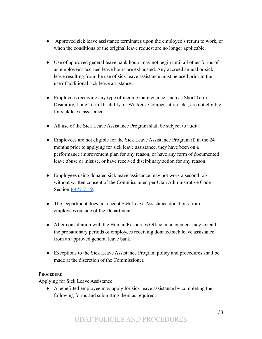- Approved sick leave assistance terminates upon the employee's return to work, or when the conditions of the original leave request are no longer applicable.
- Use of approved general leave bank hours may not begin until all other forms of an employee's accrued leave hours are exhausted. Any accrued annual or sick leave resulting from the use of sick leave assistance must be used prior to the use of additional sick leave assistance.
- Employees receiving any type of income maintenance, such as Short Term Disability, Long Term Disability, or Workers' Compensation, etc., are not eligible for sick leave assistance.
- All use of the Sick Leave Assistance Program shall be subject to audit.
- Employees are not eligible for the Sick Leave Assistance Program if, in the 24 months prior to applying for sick leave assistance, they have been on a performance improvement plan for any reason, or have any form of documented leave abuse or misuse, or have received disciplinary action for any reason.
- Employees using donated sick leave assistance may not work a second job without written consent of the Commissioner, per Utah Administrative Code Section [R477-7-19.](https://rules.utah.gov/wp-content/uploads/r477-007.pdf)
- The Department does not accept Sick Leave Assistance donations from employees outside of the Department.
- After consultation with the Human Resources Office, management may extend the probationary periods of employees receiving donated sick leave assistance from an approved general leave bank.
- Exceptions to the Sick Leave Assistance Program policy and procedures shall be made at the discretion of the Commissioner.

## **PROCEDURE**

Applying for Sick Leave Assistance

● A benefitted employee may apply for sick leave assistance by completing the following forms and submitting them as required: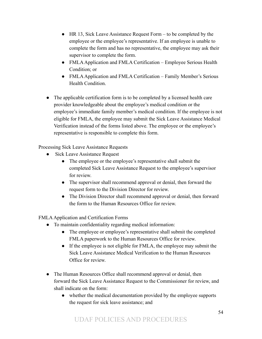- HR 13, Sick Leave Assistance Request Form to be completed by the employee or the employee's representative. If an employee is unable to complete the form and has no representative, the employee may ask their supervisor to complete the form.
- FMLA Application and FMLA Certification Employee Serious Health Condition; or
- FMLA Application and FMLA Certification Family Member's Serious Health Condition.
- The applicable certification form is to be completed by a licensed health care provider knowledgeable about the employee's medical condition or the employee's immediate family member's medical condition. If the employee is not eligible for FMLA, the employee may submit the Sick Leave Assistance Medical Verification instead of the forms listed above. The employee or the employee's representative is responsible to complete this form.

Processing Sick Leave Assistance Requests

- **Sick Leave Assistance Request** 
	- The employee or the employee's representative shall submit the completed Sick Leave Assistance Request to the employee's supervisor for review.
	- The supervisor shall recommend approval or denial, then forward the request form to the Division Director for review.
	- The Division Director shall recommend approval or denial, then forward the form to the Human Resources Office for review.

FMLAApplication and Certification Forms

- To maintain confidentiality regarding medical information:
	- The employee or employee's representative shall submit the completed FMLA paperwork to the Human Resources Office for review.
	- If the employee is not eligible for FMLA, the employee may submit the Sick Leave Assistance Medical Verification to the Human Resources Office for review.
- The Human Resources Office shall recommend approval or denial, then forward the Sick Leave Assistance Request to the Commissioner for review, and shall indicate on the form:
	- whether the medical documentation provided by the employee supports the request for sick leave assistance; and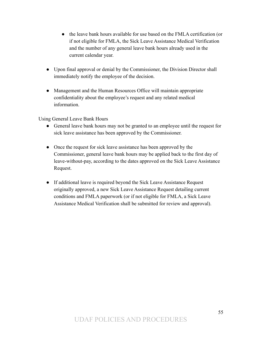- the leave bank hours available for use based on the FMLA certification (or if not eligible for FMLA, the Sick Leave Assistance Medical Verification and the number of any general leave bank hours already used in the current calendar year.
- Upon final approval or denial by the Commissioner, the Division Director shall immediately notify the employee of the decision.
- Management and the Human Resources Office will maintain appropriate confidentiality about the employee's request and any related medical information.

Using General Leave Bank Hours

- General leave bank hours may not be granted to an employee until the request for sick leave assistance has been approved by the Commissioner.
- Once the request for sick leave assistance has been approved by the Commissioner, general leave bank hours may be applied back to the first day of leave-without-pay, according to the dates approved on the Sick Leave Assistance Request.
- If additional leave is required beyond the Sick Leave Assistance Request originally approved, a new Sick Leave Assistance Request detailing current conditions and FMLA paperwork (or if not eligible for FMLA, a Sick Leave Assistance Medical Verification shall be submitted for review and approval).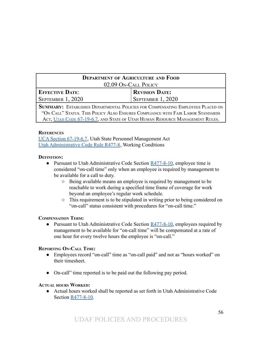| <b>DEPARTMENT OF AGRICULTURE AND FOOD</b><br>02.09 ON-CALL POLICY |                           |
|-------------------------------------------------------------------|---------------------------|
| <b>EFFECTIVE DATE:</b>                                            | <b>REVISION DATE:</b>     |
| $\vert$ SEPTEMBER 1, 2020                                         | $\vert$ SEPTEMBER 1, 2020 |
|                                                                   |                           |

**SUMMARY:** ESTABLISHES DEPARTMENTAL POLICIES FOR COMPENSATING EMPLOYEES PLACED ON "ON CALL" STATUS. THIS POLICY ALSO ENSURES COMPLIANCE WITH FAIR LABOR STANDARDS ACT, UTAH CODE [67-19-6.7](https://le.utah.gov/xcode/Title67/Chapter19/67-19.html), AND STATE OF UTAH HUMAN RESOURCE MANAGEMENT RULES.

#### **REFERENCES**

[UCA Section 67-19-6.7](https://le.utah.gov/xcode/Title67/Chapter19/67-19.html), Utah State Personnel Management Act [Utah Administrative Code Rule R477-8](https://rules.utah.gov/wp-content/uploads/r477-008.pdf), Working Conditions

## **DEFINITION:**

- Pursuant to Utah Administrative Code Section [R477-8-10,](https://rules.utah.gov/wp-content/uploads/r477-008.pdf) employee time is considered "on-call time" only when an employee is required by management to be available for a call to duty.
	- Being available means an employee is required by management to be reachable to work during a specified time frame of coverage for work beyond an employee's regular work schedule.
	- This requirement is to be stipulated in writing prior to being considered on "on-call" status consistent with procedures for "on-call time."

## **COMPENSATION TERM:**

• Pursuant to Utah Administrative Code Section [R477-8-10,](https://rules.utah.gov/wp-content/uploads/r477-008.pdf) employees required by management to be available for "on-call time" will be compensated at a rate of one hour for every twelve hours the employee is "on-call."

## **REPORTING ON-CALL TIME:**

- Employees record "on-call" time as "on-call paid" and not as "hours worked" on their timesheet.
- On-call" time reported is to be paid out the following pay period.

## **ACTUAL HOURS WORKED:**

● Actual hours worked shall be reported as set forth in Utah Administrative Code Section [R477-8-10.](https://rules.utah.gov/wp-content/uploads/r477-008.pdf)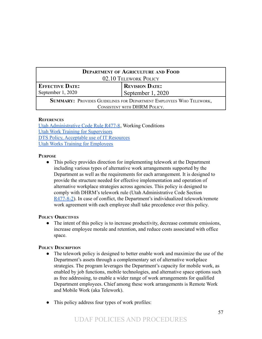| <b>DEPARTMENT OF AGRICULTURE AND FOOD</b>                                  |                       |
|----------------------------------------------------------------------------|-----------------------|
| 02.10 TELEWORK POLICY                                                      |                       |
| <b>EFFECTIVE DATE:</b>                                                     | <b>REVISION DATE:</b> |
| September 1, 2020                                                          | September 1, 2020     |
| <b>SUMMARY: PROVIDES GUIDELINES FOR DEPARTMENT EMPLOYEES WHO TELEWORK,</b> |                       |

CONSISTENT WITH DHRM POLICY.

#### **REFERENCES**

[Utah Administrative Code Rule R477-8](https://rules.utah.gov/wp-content/uploads/r477-008.pdf), Working Conditions [Utah Work Training for Supervisors](https://utah.sabacloud.com/Saba/Web_spf/NA1PRD0101/app/shared;spf-url=common%2Fleclassview%2Fdowbt-DHRM_MANAGING_TELEWORKERS_2019) [DTS Policy, Acceptable use of IT Resources](https://dts.utah.gov/policies/acceptable-use-of-information-technology-resources) [Utah Works Training for Employees](https://utah.sabacloud.com/Saba/Web_spf/NA1PRD0101/app/shared;spf-url=common%2Fleclassdetail%2Fregdw000000000816270%3Fcontext%3Duser&learnerId%3Demplo000000000128190)

#### **PURPOSE**

● This policy provides direction for implementing telework at the Department including various types of alternative work arrangements supported by the Department as well as the requirements for each arrangement. It is designed to provide the structure needed for effective implementation and operation of alternative workplace strategies across agencies. This policy is designed to comply with DHRM's telework rule (Utah Administrative Code Section [R477-8-2\)](https://rules.utah.gov/wp-content/uploads/r477-008.pdf). In case of conflict, the Department's individualized telework/remote work agreement with each employee shall take precedence over this policy.

## **POLICY OBJECTIVES**

• The intent of this policy is to increase productivity, decrease commute emissions, increase employee morale and retention, and reduce costs associated with office space.

## **POLICY DESCRIPTION**

- The telework policy is designed to better enable work and maximize the use of the Department's assets through a complementary set of alternative workplace strategies. The program leverages the Department's capacity for mobile work, as enabled by job functions, mobile technologies, and alternative space options such as free addressing, to enable a wider range of work arrangements for qualified Department employees. Chief among these work arrangements is Remote Work and Mobile Work (aka Telework).
- This policy address four types of work profiles: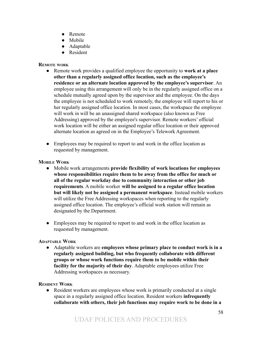- Remote
- Mobile
- Adaptable
- Resident

## **REMOTE WORK**

- Remote work provides a qualified employee the opportunity to **work at a place other than a regularly assigned office location, such as the employee's residence or an alternate location approved by the employee's supervisor**. An employee using this arrangement will only be in the regularly assigned office on a schedule mutually agreed upon by the supervisor and the employee. On the days the employee is not scheduled to work remotely, the employee will report to his or her regularly assigned office location. In most cases, the workspace the employee will work in will be an unassigned shared workspace (also known as Free Addressing) approved by the employee's supervisor. Remote workers' official work location will be either an assigned regular office location or their approved alternate location as agreed on in the Employee's Telework Agreement.
- Employees may be required to report to and work in the office location as requested by management.

## **MOBILE WORK**

- Mobile work arrangements **provide flexibility of work locations for employees whose responsibilities require them to be away from the office for much or all of the regular workday due to community interaction or other job requirements**. A mobile worker **will be assigned to a regular office location but will likely not be assigned a permanent workspace**. Instead mobile workers will utilize the Free Addressing workspaces when reporting to the regularly assigned office location. The employee's official work station will remain as designated by the Department.
- Employees may be required to report to and work in the office location as requested by management.

## **ADAPTABLE WORK**

● Adaptable workers are **employees whose primary place to conduct work is in a regularly assigned building, but who frequently collaborate with different groups or whose work functions require them to be mobile within their facility for the majority of their day**. Adaptable employees utilize Free Addressing workspaces as necessary.

## **RESIDENT WORK**

• Resident workers are employees whose work is primarily conducted at a single space in a regularly assigned office location. Resident workers **infrequently collaborate with others, their job functions may require work to be done in a**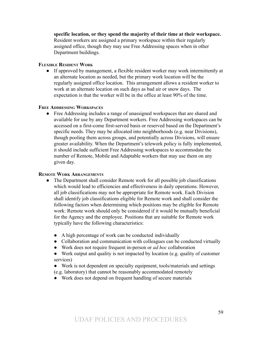**specific location, or they spend the majority of their time at their workspace.** Resident workers are assigned a primary workspace within their regularly assigned office, though they may use Free Addressing spaces when in other Department buildings.

#### **FLEXIBLE RESIDENT WORK**

● If approved by management, a flexible resident worker may work intermittently at an alternate location as needed, but the primary work location will be the regularly assigned office location. This arrangement allows a resident worker to work at an alternate location on such days as bad air or snow days. The expectation is that the worker will be in the office at least 90% of the time.

#### **FREE ADDRESSING WORKSPACES**

● Free Addressing includes a range of unassigned workspaces that are shared and available for use by any Department workers. Free Addressing workspaces can be accessed on a first-come first-served basis or reserved based on the Department's specific needs. They may be allocated into neighborhoods (e.g. near Divisions), though pooling them across groups, and potentially across Divisions, will ensure greater availability. When the Department's telework policy is fully implemented, it should include sufficient Free Addressing workspaces to accommodate the number of Remote, Mobile and Adaptable workers that may use them on any given day.

## **REMOTE WORK ARRANGEMENTS**

- The Department shall consider Remote work for all possible job classifications which would lead to efficiencies and effectiveness in daily operations. However, all job classifications may not be appropriate for Remote work. Each Division shall identify job classifications eligible for Remote work and shall consider the following factors when determining which positions may be eligible for Remote work: Remote work should only be considered if it would be mutually beneficial for the Agency and the employee. Positions that are suitable for Remote work typically have the following characteristics:
	- A high percentage of work can be conducted individually
	- Collaboration and communication with colleagues can be conducted virtually
	- Work does not require frequent in-person or *ad hoc* collaboration
	- Work output and quality is not impacted by location (e.g. quality of customer services)
	- Work is not dependent on specialty equipment, tools/materials and settings (e.g. laboratory) that cannot be reasonably accommodated remotely
	- Work does not depend on frequent handling of secure materials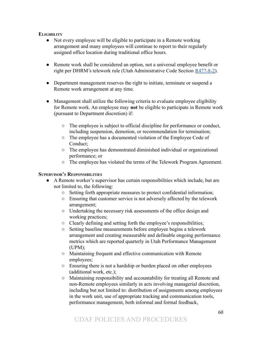## **ELIGIBILITY**

- Not every employee will be eligible to participate in a Remote working arrangement and many employees will continue to report to their regularly assigned office location during traditional office hours.
- Remote work shall be considered an option, not a universal employee benefit or right per DHRM's telework rule (Utah Administrative Code Section [R477-8-2](https://rules.utah.gov/wp-content/uploads/r477-008.pdf)).
- Department management reserves the right to initiate, terminate or suspend a Remote work arrangement at any time.
- Management shall utilize the following criteria to evaluate employee eligibility for Remote work. An employee may **not** be eligible to participate in Remote work (pursuant to Department discretion) if:
	- The employee is subject to official discipline for performance or conduct, including suspension, demotion, or recommendation for termination;
	- The employee has a documented violation of the Employee Code of Conduct;
	- The employee has demonstrated diminished individual or organizational performance; or
	- The employee has violated the terms of the Telework Program Agreement.

## **SUPERVISOR'S RESPONSIBILITIES**

- A Remote worker's supervisor has certain responsibilities which include, but are not limited to, the following:
	- Setting forth appropriate measures to protect confidential information;
	- Ensuring that customer service is not adversely affected by the telework arrangement;
	- Undertaking the necessary risk assessments of the office design and working practices;
	- Clearly defining and setting forth the employee's responsibilities;
	- Setting baseline measurements before employee begins a telework arrangement and creating measurable and definable ongoing performance metrics which are reported quarterly in Utah Performance Management (UPM);
	- Maintaining frequent and effective communication with Remote employees;
	- Ensuring there is not a hardship or burden placed on other employees (additional work, etc.);
	- Maintaining responsibility and accountability for treating all Remote and non-Remote employees similarly in acts involving managerial discretion, including but not limited to: distribution of assignments among employees in the work unit, use of appropriate tracking and communication tools, performance management, both informal and formal feedback,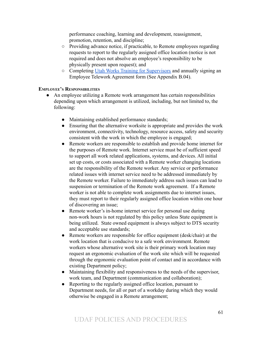performance coaching, learning and development, reassignment, promotion, retention, and discipline;

- Providing advance notice, if practicable, to Remote employees regarding requests to report to the regularly assigned office location (notice is not required and does not absolve an employee's responsibility to be physically present upon request); and
- Completing [Utah Works Training for Supervisors](https://utah.sabacloud.com/Saba/Web_spf/NA1PRD0101/common/leclassview/dowbt-DHRM_MANAGING_TELEWORKERS_2019) and annually signing an Employee Telework Agreement form (See Appendix B.04).

## **EMPLOYEE'S RESPONSIBILITIES**

- An employee utilizing a Remote work arrangement has certain responsibilities depending upon which arrangement is utilized, including, but not limited to, the following:
	- Maintaining established performance standards;
	- Ensuring that the alternative worksite is appropriate and provides the work environment, connectivity, technology, resource access, safety and security consistent with the work in which the employee is engaged;
	- Remote workers are responsible to establish and provide home internet for the purposes of Remote work. Internet service must be of sufficient speed to support all work related applications, systems, and devices. All initial set up costs, or costs associated with a Remote worker changing locations are the responsibility of the Remote worker. Any service or performance related issues with internet service need to be addressed immediately by the Remote worker. Failure to immediately address such issues can lead to suspension or termination of the Remote work agreement. If a Remote worker is not able to complete work assignments due to internet issues, they must report to their regularly assigned office location within one hour of discovering an issue;
	- Remote worker's in-home internet service for personal use during non-work hours is not regulated by this policy unless State equipment is being utilized. State owned equipment is always subject to DTS security and acceptable use standards;
	- Remote workers are responsible for office equipment (desk/chair) at the work location that is conducive to a safe work environment. Remote workers whose alternative work site is their primary work location may request an ergonomic evaluation of the work site which will be requested through the ergonomic evaluation point of contact and in accordance with existing Department policy;
	- Maintaining flexibility and responsiveness to the needs of the supervisor, work team, and Department (communication and collaboration);
	- Reporting to the regularly assigned office location, pursuant to Department needs, for all or part of a workday during which they would otherwise be engaged in a Remote arrangement;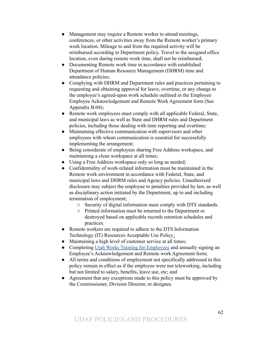- Management may require a Remote worker to attend meetings, conferences, or other activities away from the Remote worker's primary work location. Mileage to and from the required activity will be reimbursed according to Department policy. Travel to the assigned office location, even during remote work time, shall not be reimbursed;
- Documenting Remote work time in accordance with established Department of Human Resource Management (DHRM) time and attendance policies;
- Complying with DHRM and Department rules and practices pertaining to requesting and obtaining approval for leave, overtime, or any change to the employee's agreed-upon work schedule outlined in the Employee Employee Acknowledgement and Remote Work Agreement form (See Appendix B.04);
- Remote work employees must comply with all applicable Federal, State, and municipal laws as well as State and DHRM rules and Department policies, including those dealing with time reporting and overtime;
- Maintaining effective communication with supervisors and other employees with whom communication is essential for successfully implementing the arrangement;
- Being considerate of employees sharing Free Address workspace, and maintaining a clean workspace at all times;
- Using a Free Address workspace only so long as needed;
- Confidentiality of work-related information must be maintained in the Remote work environment in accordance with Federal, State, and municipal laws and DHRM rules and Agency policies. Unauthorized disclosure may subject the employee to penalties provided by law, as well as disciplinary action initiated by the Department, up to and including termination of employment;
	- Security of digital information must comply with DTS standards.
	- Printed information must be returned to the Department or destroyed based on applicable records retention schedules and practices.
- Remote workers are required to adhere to the DTS Information Technology (IT) Resources Acceptable Use Policy;
- Maintaining a high level of customer service at all times;
- Completing [Utah Works Training for Employees](https://utah.sabacloud.com/Saba/Web_spf/NA1PRD0101/common/leclassview/dowbt-DHRM_SUCCESSFUL_TELEWORKING_2019) and annually signing an Employee's Acknowledgement and Remote work Agreement form;
- All terms and conditions of employment not specifically addressed in this policy remain in effect as if the employee were not teleworking, including but not limited to salary, benefits, leave use, etc; and
- Agreement that any exceptions made to this policy must be approved by the Commissioner, Division Director, or designee.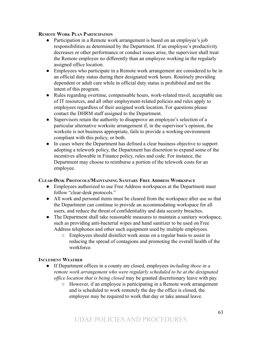#### **REMOTE WORK PLAN PARTICIPATION**

- Participation in a Remote work arrangement is based on an employee's job responsibilities as determined by the Department. If an employee's productivity decreases or other performance or conduct issues arise, the supervisor shall treat the Remote employee no differently than an employee working in the regularly assigned office location.
- Employees who participate in a Remote work arrangement are considered to be in an official duty status during their designated work hours. Routinely providing dependent or adult care while in official duty status is prohibited and not the intent of this program.
- Rules regarding overtime, compensable hours, work-related travel, acceptable use of IT resources, and all other employment-related policies and rules apply to employees regardless of their assigned work location. For questions please contact the DHRM staff assigned to the Department.
- Supervisors retain the authority to disapprove an employee's selection of a particular alternative worksite arrangement if, in the supervisor's opinion, the worksite is not business appropriate, fails to provide a working environment compliant with this policy, or both.
- In cases where the Department has defined a clear business objective to support adopting a telework policy, the Department has discretion to expand some of the incentives allowable in Finance policy, rules and code. For instance, the Department may choose to reimburse a portion of the telework costs for an employee.

## **CLEAR-DESK PROTOCOLS/MAINTAINING SANITARY FREE ADDRESS WORKSPACE**

- Employees authorized to use Free Address workspaces at the Department must follow "clear-desk protocols."
- All work and personal items must be cleared from the workspace after use so that the Department can continue to provide an accommodating workspace for all users, and reduce the threat of confidentiality and data security breaches.
- The Department shall take reasonable measures to maintain a sanitary workspace, such as providing anti-bacterial wipes and hand sanitizer to be used on Free Address telephones and other such equipment used by multiple employees.
	- Employees should disinfect work areas on a regular basis to assist in reducing the spread of contagions and promoting the overall health of the workforce.

## **INCLEMENT WEATHER**

- If Department offices in a county are closed, employees *including those in a remote work arrangement who were regularly scheduled to be at the designated office location that is being closed* may be granted discretionary leave with pay.
	- However, if an employee is participating in a Remote work arrangement and is scheduled to work remotely the day the office is closed, the employee may be required to work that day or take annual leave.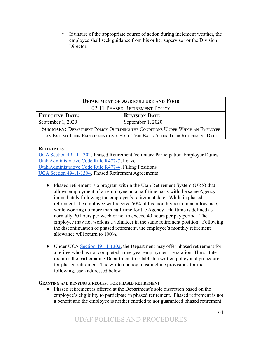○ If unsure of the appropriate course of action during inclement weather, the employee shall seek guidance from his or her supervisor or the Division **Director** 

| <b>DEPARTMENT OF AGRICULTURE AND FOOD</b><br>02.11 PHASED RETIREMENT POLICY        |                       |  |
|------------------------------------------------------------------------------------|-----------------------|--|
| <b>EFFECTIVE DATE:</b>                                                             | <b>REVISION DATE:</b> |  |
| September 1, 2020                                                                  | September 1, 2020     |  |
| <b>SUMMARY: DEPARTMENT POLICY OUTLINING THE CONDITIONS UNDER WHICH AN EMPLOYEE</b> |                       |  |
| CAN EXTEND THEIR EMPLOYMENT ON A HALF-TIME BASIS AFTER THEIR RETIREMENT DATE.      |                       |  |

## **REFERENCES**

[UCA Section 49-11-1302,](https://le.utah.gov/xcode/Title49/Chapter11/49-11-S1302.html?v=C49-11-S1302_2016051020170101) Phased Retirement-Voluntary Participation-Employer Duties [Utah Administrative Code Rule R477-7](https://rules.utah.gov/wp-content/uploads/r477-007.pdf), Leave [Utah Administrative Code Rule R477-4](https://rules.utah.gov/wp-content/uploads/r477-004.pdf), Filling Positions [UCA Section 49-11-1304,](https://le.utah.gov/xcode/Title49/Chapter11/49-11-S1304.html?v=C49-11-S1304_2016051020170101) Phased Retirement Agreements

- Phased retirement is a program within the Utah Retirement System (URS) that allows employment of an employee on a half-time basis with the same Agency immediately following the employee's retirement date. While in phased retirement, the employee will receive 50% of his monthly retirement allowance, while working no more than half-time for the Agency. Halftime is defined as normally 20 hours per week or not to exceed 40 hours per pay period. The employee may not work as a volunteer in the same retirement position. Following the discontinuation of phased retirement, the employee's monthly retirement allowance will return to 100%.
- Under UCA [Section 49-11-1302,](https://le.utah.gov/xcode/Title49/Chapter11/49-11-S1302.html?v=C49-11-S1302_2016051020170101) the Department may offer phased retirement for a retiree who has not completed a one-year employment separation. The statute requires the participating Department to establish a written policy and procedure for phased retirement. The written policy must include provisions for the following, each addressed below:

**GRANTING AND DENYING A REQUEST FOR PHASED RETIREMENT**

• Phased retirement is offered at the Department's sole discretion based on the employee's eligibility to participate in phased retirement. Phased retirement is not a benefit and the employee is neither entitled to nor guaranteed phased retirement.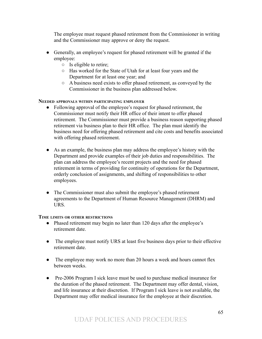The employee must request phased retirement from the Commissioner in writing and the Commissioner may approve or deny the request.

- Generally, an employee's request for phased retirement will be granted if the employee:
	- Is eligible to retire;
	- Has worked for the State of Utah for at least four years and the Department for at least one year; and
	- A business need exists to offer phased retirement, as conveyed by the Commissioner in the business plan addressed below.

#### **NEEDED APPROVALS WITHIN PARTICIPATING EMPLOYER**

- Following approval of the employee's request for phased retirement, the Commissioner must notify their HR office of their intent to offer phased retirement. The Commissioner must provide a business reason supporting phased retirement via business plan to their HR office. The plan must identify the business need for offering phased retirement and cite costs and benefits associated with offering phased retirement.
- As an example, the business plan may address the employee's history with the Department and provide examples of their job duties and responsibilities. The plan can address the employee's recent projects and the need for phased retirement in terms of providing for continuity of operations for the Department, orderly conclusion of assignments, and shifting of responsibilities to other employees.
- The Commissioner must also submit the employee's phased retirement agreements to the Department of Human Resource Management (DHRM) and **URS**

#### **TIME LIMITS OR OTHER RESTRICTIONS**

- Phased retirement may begin no later than 120 days after the employee's retirement date.
- The employee must notify URS at least five business days prior to their effective retirement date.
- The employee may work no more than 20 hours a week and hours cannot flex between weeks.
- Pre-2006 Program I sick leave must be used to purchase medical insurance for the duration of the phased retirement. The Department may offer dental, vision, and life insurance at their discretion. If Program I sick leave is not available, the Department may offer medical insurance for the employee at their discretion.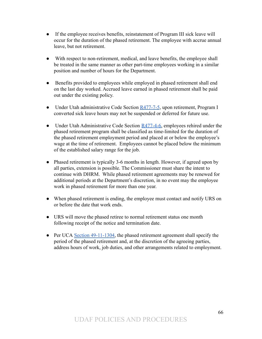- If the employee receives benefits, reinstatement of Program III sick leave will occur for the duration of the phased retirement. The employee with accrue annual leave, but not retirement.
- With respect to non-retirement, medical, and leave benefits, the employee shall be treated in the same manner as other part-time employees working in a similar position and number of hours for the Department.
- Benefits provided to employees while employed in phased retirement shall end on the last day worked. Accrued leave earned in phased retirement shall be paid out under the existing policy.
- Under Utah administrative Code Section [R477-7-5](https://rules.utah.gov/wp-content/uploads/r477-007.pdf), upon retirement, Program I converted sick leave hours may not be suspended or deferred for future use.
- Under Utah Administrative Code Section [R477-4-6,](https://rules.utah.gov/wp-content/uploads/r477-004.pdf) employees rehired under the phased retirement program shall be classified as time-limited for the duration of the phased retirement employment period and placed at or below the employee's wage at the time of retirement. Employees cannot be placed below the minimum of the established salary range for the job.
- Phased retirement is typically 3-6 months in length. However, if agreed upon by all parties, extension is possible. The Commissioner must share the intent to continue with DHRM. While phased retirement agreements may be renewed for additional periods at the Department's discretion, in no event may the employee work in phased retirement for more than one year.
- When phased retirement is ending, the employee must contact and notify URS on or before the date that work ends.
- URS will move the phased retiree to normal retirement status one month following receipt of the notice and termination date.
- Per UCA [Section 49-11-1304,](https://casetext.com/statute/utah-code/title-49-utah-state-retirement-and-insurance-benefit-act/chapter-11-utah-state-retirement-systems-administration/section-49-11-1304-phased-retirement-agreements) the phased retirement agreement shall specify the period of the phased retirement and, at the discretion of the agreeing parties, address hours of work, job duties, and other arrangements related to employment.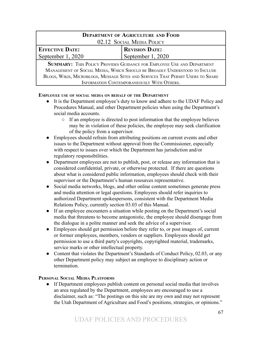| <b>DEPARTMENT OF AGRICULTURE AND FOOD</b>                                     |                       |  |
|-------------------------------------------------------------------------------|-----------------------|--|
| 02.12 SOCIAL MEDIA POLICY                                                     |                       |  |
| <b>EFFECTIVE DATE:</b>                                                        | <b>REVISION DATE:</b> |  |
| September 1, 2020                                                             | September 1, 2020     |  |
| <b>SUMMARY:</b> THIS POLICY PROVIDES GUIDANCE FOR EMPLOYEE USE AND DEPARTMENT |                       |  |
| MANAGEMENT OF SOCIAL MEDIA, WHICH SHOULD BE BROADLY UNDERSTOOD TO INCLUDE     |                       |  |

MANAGEMENT OF SOCIAL MEDIA, WHICH SHOULD BE BROADLY UNDERSTOOD TO INCLUDE BLOGS, WIKIS, MICROBLOGS, MESSAGE SITES AND SERVICES THAT PERMIT USERS TO SHARE INFORMATION CONTEMPORANEOUSLY WITH OTHERS.

#### **EMPLOYEE USE OF SOCIAL MEDIA ON BEHALF OF THE DEPARTMENT**

- It is the Department employee's duty to know and adhere to the UDAF Policy and Procedures Manual, and other Department policies when using the Department's social media accounts.
	- If an employee is directed to post information that the employee believes may be in violation of these policies, the employee may seek clarification of the policy from a supervisor.
- Employees should refrain from attributing positions on current events and other issues to the Department without approval from the Commissioner, especially with respect to issues over which the Department has jurisdiction and/or regulatory responsibilities.
- Department employees are not to publish, post, or release any information that is considered confidential, private, or otherwise protected. If there are questions about what is considered public information, employees should check with their supervisor or the Department's human resources representative.
- Social media networks, blogs, and other online content sometimes generate press and media attention or legal questions. Employees should refer inquiries to authorized Department spokespersons, consistent with the Department Media Relations Policy, currently section 03.03 of this Manual.
- If an employee encounters a situation while posting on the Department's social media that threatens to become antagonistic, the employee should disengage from the dialogue in a polite manner and seek the advice of a supervisor.
- Employees should get permission before they refer to, or post images of, current or former employees, members, vendors or suppliers. Employees should get permission to use a third party's copyrights, copyrighted material, trademarks, service marks or other intellectual property.
- Content that violates the Department's Standards of Conduct Policy, 02.03, or any other Department policy may subject an employee to disciplinary action or termination.

## **PERSONAL SOCIAL MEDIA PLATFORMS**

If Department employees publish content on personal social media that involves an area regulated by the Department, employees are encouraged to use a disclaimer, such as: "The postings on this site are my own and may not represent the Utah Department of Agriculture and Food's positions, strategies, or opinions."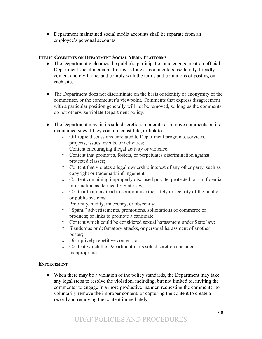• Department maintained social media accounts shall be separate from an employee's personal accounts

## **PUBLIC COMMENTS ON DEPARTMENT SOCIAL MEDIA PLATFORMS**

- The Department welcomes the public's participation and engagement on official Department social media platforms as long as commenters use family-friendly content and civil tone, and comply with the terms and conditions of posting on each site.
- The Department does not discriminate on the basis of identity or anonymity of the commenter, or the commenter's viewpoint. Comments that express disagreement with a particular position generally will not be removed, so long as the comments do not otherwise violate Department policy.
- The Department may, in its sole discretion, moderate or remove comments on its maintained sites if they contain, constitute, or link to:
	- Off-topic discussions unrelated to Department programs, services, projects, issues, events, or activities;
	- Content encouraging illegal activity or violence;
	- Content that promotes, fosters, or perpetuates discrimination against protected classes;
	- Content that violates a legal ownership interest of any other party, such as copyright or trademark infringement;
	- Content containing improperly disclosed private, protected, or confidential information as defined by State law;
	- Content that may tend to compromise the safety or security of the public or public systems;
	- Profanity, nudity, indecency, or obscenity;
	- "Spam," advertisements, promotions, solicitations of commerce or products; or links to promote a candidate;
	- Content which could be considered sexual harassment under State law;
	- Slanderous or defamatory attacks, or personal harassment of another poster;
	- Disruptively repetitive content; or
	- Content which the Department in its sole discretion considers inappropriate..

## **ENFORCEMENT**

• When there may be a violation of the policy standards, the Department may take any legal steps to resolve the violation, including, but not limited to, inviting the commenter to engage in a more productive manner, requesting the commenter to voluntarily remove the improper content, or capturing the content to create a record and removing the content immediately.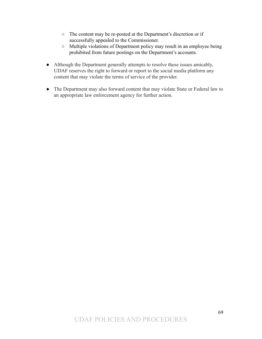- The content may be re-posted at the Department's discretion or if successfully appealed to the Commissioner.
- Multiple violations of Department policy may result in an employee being prohibited from future postings on the Department's accounts.
- Although the Department generally attempts to resolve these issues amicably, UDAF reserves the right to forward or report to the social media platform any content that may violate the terms of service of the provider.
- The Department may also forward content that may violate State or Federal law to an appropriate law enforcement agency for further action.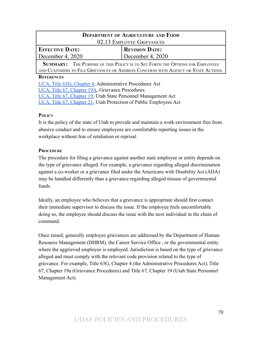# **DEPARTMENT OF AGRICULTURE AND FOOD** 02.13 EMPLOYEE GRIEVANCES

**EFFECTIVE DATE:** December 4, 2020

**REVISION DATE:** December 4, 2020

**SUMMARY:** THE PURPOSE OF THIS POLICY IS TO SET FORTH THE OPTIONS FOR EMPLOYEES AND CUSTOMERS TO FILE GRIEVANCES OR ADDRESS CONCERNS WITH AGENCY OR STATE ACTIONS.

**REFERENCES**

[UCA, Title 63G, Chapter 4](https://le.utah.gov/xcode/Title63G/Chapter4/63G-4.html?v=C63G-4_1800010118000101), Administrative Procedures Act

[UCA, Title 67, Chapter 19A](https://le.utah.gov/xcode/Title67/Chapter19A/67-19a.html?v=C67-19a_1800010118000101), Grievance Procedures

[UCA, Title 67, Chapter 19,](https://le.utah.gov/xcode/Title67/Chapter19/67-19.html?v=C67-19_1800010118000101) Utah State Personnel Management Act

[UCA, Title 67, Chapter 21,](https://le.utah.gov/xcode/Title67/Chapter21/67-21.html) Utah Protection of Public Employees Act

## **POLICY**

It is the policy of the state of Utah to provide and maintain a work environment free from abusive conduct and to ensure employees are comfortable reporting issues in the workplace without fear of retaliation or reprisal.

## **PROCEDURE**

The procedure for filing a grievance against another state employee or entity depends on the type of grievance alleged. For example, a grievance regarding alleged discrimination against a co-worker or a grievance filed under the Americans with Disability Act (ADA) may be handled differently than a grievance regarding alleged misuse of governmental funds.

Ideally, an employee who believes that a grievance is appropriate should first contact their immediate supervisor to discuss the issue. If the employee feels uncomfortable doing so, the employee should discuss the issue with the next individual in the chain of command.

Once raised, generally employee grievances are addressed by the Department of Human Resource Management (DHRM), the Career Service Office , or the governmental entity where the aggrieved employee is employed. Jurisdiction is based on the type of grievance alleged and must comply with the relevant code provision related to the type of grievance. For example, Title 63G, Chapter 4 (the Administrative Procedures Act), Title 67, Chapter 19a (Grievance Procedures) and Title 67, Chapter 19 (Utah State Personnel Management Act).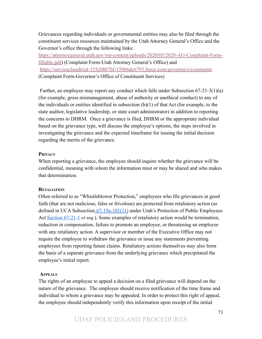Grievances regarding individuals or governmental entities may also be filed through the constituent services resources maintained by the Utah Attorney General's Office and the Governor's office through the following links:

[https://attorneygeneral.utah.gov/wp-content/uploads/2020/05/2020-AG-Complaint-Form](https://attorneygeneral.utah.gov/wp-content/uploads/2020/05/2020-AG-Complaint-Form-fillable.pdf)[fillable.pdf\)](https://attorneygeneral.utah.gov/wp-content/uploads/2020/05/2020-AG-Complaint-Form-fillable.pdf) (Complaint Form-Utah Attorney General's Office) and <https://servicecloudtrial-155c0807bf-158b6dc6793.force.com/governor/s/comments> (Complaint Form-Governor's Office of Constituent Services)

Further, an employee may report any conduct which falls under Subsection 67-21-3(1)(a) (for example, gross mismanagement, abuse of authority or unethical conduct) to any of the individuals or entities identified in subsection  $(b)(1)$  of that Act (for example, to the state auditor, legislative leadership, or state court administrator) in addition to reporting the concerns to DHRM. Once a grievance is filed, DHRM or the appropriate individual based on the grievance type, will discuss the employee's options, the steps involved in investigating the grievance and the expected timeframe for issuing the initial decision regarding the merits of the grievance.

#### **PRIVACY**

When reporting a grievance, the employee should inquire whether the grievance will be confidential, meaning with whom the information must or may be shared and who makes that determination.

## **RETALIATION**

Often referred to as "Whistleblower Protection," employees who file grievances in good faith (that are not malicious, false or frivolous) are protected from retaliatory action (as defined in UCA Subsection [67-19a-101\(11\)](https://le.utah.gov/xcode/Title67/Chapter19A/67-19a-S101.html?v=C67-19a-S101_2020051220200701) under Utah's Protection of Public Employees Act [Section 67-21-1](https://le.utah.gov/xcode/Title67/Chapter21/67-21.html?v=C67-21_1800010118000101) *et seq*.). Some examples of retaliatory action would be termination, reduction in compensation, failure to promote an employee, or threatening an employee with any retaliatory action. A supervisor or member of the Executive Office may not require the employee to withdraw the grievance or issue any statements preventing employees from reporting future claims. Retaliatory actions themselves may also form the basis of a separate grievance from the underlying grievance which precipitated the employee's initial report.

#### **APPEALS**

The rights of an employee to appeal a decision on a filed grievance will depend on the nature of the grievance. The employee should receive notification of the time frame and individual to whom a grievance may be appealed. In order to protect this right of appeal, the employee should independently verify this information upon receipt of the initial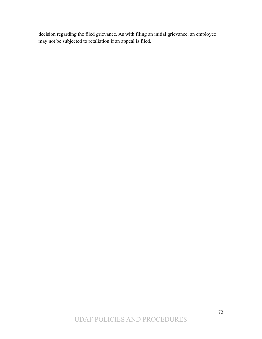decision regarding the filed grievance. As with filing an initial grievance, an employee may not be subjected to retaliation if an appeal is filed.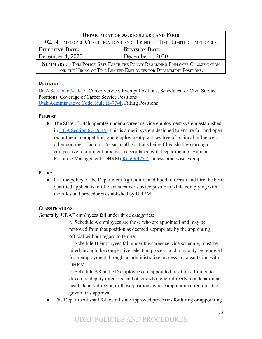| <b>DEPARTMENT OF AGRICULTURE AND FOOD</b>                                           |                       |
|-------------------------------------------------------------------------------------|-----------------------|
| 02.14 EMPLOYEE CLASSIFICATIONS AND HIRING OF TIME LIMITED EMPLOYEES                 |                       |
| <b>EFFECTIVE DATE:</b>                                                              | <b>REVISION DATE:</b> |
| December 4, 2020                                                                    | December 4, 2020      |
| <b>SUMMARY:</b> THIS POLICY SETS FORTH THE POLICY REGARDING EMPLOYEE CLASSIFICATION |                       |
| AND THE HIRING OF TIME LIMITED EMPLOYEES FOR DEPARTMENT POSITIONS.                  |                       |

# **REFERENCES**

[UCA Section 67-19-15](https://le.utah.gov/xcode/Title67/Chapter19/67-19.html?v=C67-19_1800010118000101), Career Service, Exempt Positions, Schedules for Civil Service Positions, Coverage of Career Service Positions [Utah Administrative Code, Rule R477-4](https://rules.utah.gov/wp-content/uploads/r477-004.pdf), Filling Positions

# **PURPOSE**

• The State of Utah operates under a career service employment system established in [UCA Section 67-19-15.](https://le.utah.gov/xcode/Title67/Chapter19/67-19-S15.html) This is a merit system designed to ensure fair and open recruitment, competition, and employment practices free of political influence or other non-merit factors. As such, all positions being filled shall go through a competitive recruitment process in accordance with Department of Human Resource Management (DHRM) [Rule R477-4,](https://rules.utah.gov/wp-content/uploads/r477-004.pdf) unless otherwise exempt.

# **POLICY**

• It is the policy of the Department Agriculture and Food to recruit and hire the best qualified applicants to fill vacant career service positions while complying with the rules and procedures established by DHRM.

# **CLASSIFICATIONS**

Generally, UDAF employees fall under three categories:

o Schedule A employees are those who are appointed and may be removed from that position as deemed appropriate by the appointing official without regard to tenure.

o Schedule B employees fall under the career service schedule, must be hired through the competitive selection process, and may only be removed from employment through an administrative process in consultation with DHRM.

o Schedule AR and AD employees are appointed positions, limited to directors, deputy directors, and others who report directly to a department head, deputy director, or those positions whose appointment requires the governor's approval.

The Department shall follow all state approved processes for hiring or appointing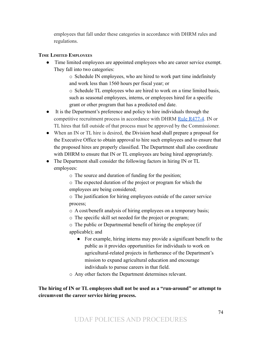employees that fall under these categories in accordance with DHRM rules and regulations.

# **TIME LIMITED EMPLOYEES**

● Time limited employees are appointed employees who are career service exempt. They fall into two categories:

> o Schedule IN employees, who are hired to work part time indefinitely and work less than 1560 hours per fiscal year; or

o Schedule TL employees who are hired to work on a time limited basis, such as seasonal employees, interns, or employees hired for a specific grant or other program that has a predicted end date.

- It is the Department's preference and policy to hire individuals through the competitive recruitment process in accordance with DHRM [Rule R477-4](https://rules.utah.gov/wp-content/uploads/r477-004.pdf). IN or TL hires that fall outside of that process must be approved by the Commissioner.
- When an IN or TL hire is desired, the Division head shall prepare a proposal for the Executive Office to obtain approval to hire such employees and to ensure that the proposed hires are properly classified. The Department shall also coordinate with DHRM to ensure that IN or TL employees are being hired appropriately.
- The Department shall consider the following factors in hiring IN or TL employees:
	- o The source and duration of funding for the position;

o The expected duration of the project or program for which the employees are being considered;

o The justification for hiring employees outside of the career service process;

o A cost/benefit analysis of hiring employees on a temporary basis;

o The specific skill set needed for the project or program;

o The public or Departmental benefit of hiring the employee (if applicable); and

● For example, hiring interns may provide a significant benefit to the public as it provides opportunities for individuals to work on agricultural-related projects in furtherance of the Department's mission to expand agricultural education and encourage individuals to pursue careers in that field.

o Any other factors the Department determines relevant.

# **The hiring of IN or TL employees shall not be used as a "run-around" or attempt to circumvent the career service hiring process.**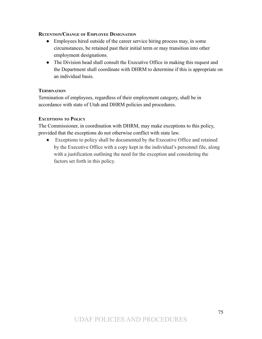# **RETENTION/CHANGE OF EMPLOYEE DESIGNATION**

- Employees hired outside of the career service hiring process may, in some circumstances, be retained past their initial term or may transition into other employment designations.
- The Division head shall consult the Executive Office in making this request and the Department shall coordinate with DHRM to determine if this is appropriate on an individual basis.

# **TERMINATION**

Termination of employees, regardless of their employment category, shall be in accordance with state of Utah and DHRM policies and procedures.

# **EXCEPTIONS TO POLICY**

The Commissioner, in coordination with DHRM, may make exceptions to this policy, provided that the exceptions do not otherwise conflict with state law.

• Exceptions to policy shall be documented by the Executive Office and retained by the Executive Office with a copy kept in the individual's personnel file, along with a justification outlining the need for the exception and considering the factors set forth in this policy.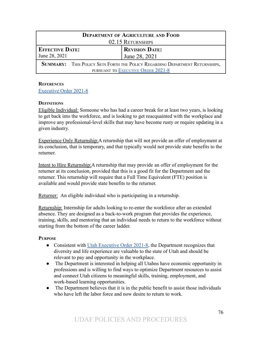| <b>DEPARTMENT OF AGRICULTURE AND FOOD</b> |                                                                                     |                       |
|-------------------------------------------|-------------------------------------------------------------------------------------|-----------------------|
| 02.15 RETURNSHIPS                         |                                                                                     |                       |
| <b>EFFECTIVE DATE:</b>                    |                                                                                     | <b>REVISION DATE:</b> |
| June 28, 2021                             |                                                                                     | June 28, 2021         |
|                                           | <b>SUMMARY:</b> THIS POLICY SETS FORTH THE POLICY REGARDING DEPARTMENT RETURNSHIPS, |                       |
| PURSUANT TO EXECUTIVE ORDER 2021-8        |                                                                                     |                       |

### **REFERENCES**

[Executive Order 2021-8](https://rules.utah.gov/wp-content/uploads/Utah-Executive-Order-No.-2021-08.pdf)

### **DEFINITIONS**

Eligible Individual: Someone who has had a career break for at least two years, is looking to get back into the workforce, and is looking to get reacquainted with the workplace and improve any professional-level skills that may have become rusty or require updating in a given industry.

Experience Only Returnship:A returnship that will not provide an offer of employment at its conclusion, that is temporary, and that typically would not provide state benefits to the returner.

Intent to Hire Returnship:A returnship that may provide an offer of employment for the returner at its conclusion, provided that this is a good fit for the Department and the returner. This returnship will require that a Full Time Equivalent (FTE) position is available and would provide state benefits to the returner.

Returner: An eligible individual who is participating in a returnship.

Returnship: Internship for adults looking to re-enter the workforce after an extended absence. They are designed as a back-to-work program that provides the experience, training, skills, and mentoring that an individual needs to return to the workforce without starting from the bottom of the career ladder.

# **PURPOSE**

- Consistent with [Utah Executive Order 2021-8](https://rules.utah.gov/wp-content/uploads/Utah-Executive-Order-No.-2021-08.pdf), the Department recognizes that diversity and life experience are valuable to the state of Utah and should be relevant to pay and opportunity in the workplace.
- The Department is interested in helping all Utahns have economic opportunity in professions and is willing to find ways to optimize Department resources to assist and connect Utah citizens to meaningful skills, training, employment, and work-based learning opportunities.
- The Department believes that it is in the public benefit to assist those individuals who have left the labor force and now desire to return to work.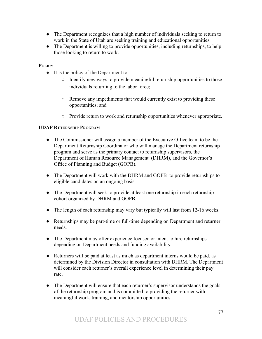- The Department recognizes that a high number of individuals seeking to return to work in the State of Utah are seeking training and educational opportunities.
- The Department is willing to provide opportunities, including returnships, to help those looking to return to work.

# **POLICY**

- It is the policy of the Department to:
	- Identify new ways to provide meaningful returnship opportunities to those individuals returning to the labor force;
	- Remove any impediments that would currently exist to providing these opportunities; and
	- Provide return to work and returnship opportunities whenever appropriate.

# **UDAF RETURNSHIP PROGRAM**

- The Commissioner will assign a member of the Executive Office team to be the Department Returnship Coordinator who will manage the Department returnship program and serve as the primary contact to returnship supervisors, the Department of Human Resource Management (DHRM), and the Governor's Office of Planning and Budget (GOPB).
- The Department will work with the DHRM and GOPB to provide returnships to eligible candidates on an ongoing basis.
- The Department will seek to provide at least one returnship in each returnship cohort organized by DHRM and GOPB.
- The length of each returnship may vary but typically will last from 12-16 weeks.
- Returnships may be part-time or full-time depending on Department and returner needs.
- The Department may offer experience focused or intent to hire returnships depending on Department needs and funding availability.
- Returners will be paid at least as much as department interns would be paid, as determined by the Division Director in consultation with DHRM. The Department will consider each returner's overall experience level in determining their pay rate.
- The Department will ensure that each returner's supervisor understands the goals of the returnship program and is committed to providing the returner with meaningful work, training, and mentorship opportunities.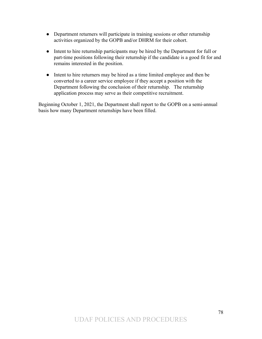- Department returners will participate in training sessions or other returnship activities organized by the GOPB and/or DHRM for their cohort.
- Intent to hire returnship participants may be hired by the Department for full or part-time positions following their returnship if the candidate is a good fit for and remains interested in the position.
- Intent to hire returners may be hired as a time limited employee and then be converted to a career service employee if they accept a position with the Department following the conclusion of their returnship. The returnship application process may serve as their competitive recruitment.

Beginning October 1, 2021, the Department shall report to the GOPB on a semi-annual basis how many Department returnships have been filled.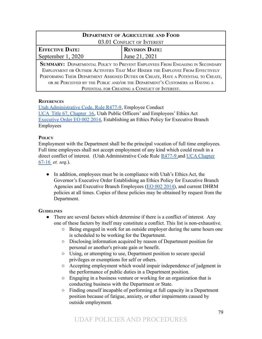| <b>DEPARTMENT OF AGRICULTURE AND FOOD</b><br>03.01 CONFLICT OF INTEREST             |                       |
|-------------------------------------------------------------------------------------|-----------------------|
| <b>EFFECTIVE DATE:</b>                                                              | <b>REVISION DATE:</b> |
| September 1, 2020                                                                   | <u>June</u> 21, 2021  |
| <b>SUMMARY: DEPARTMENTAL POLICY TO PREVENT EMPLOYEES FROM ENGAGING IN SECONDARY</b> |                       |
| EMPLOYMENT OR OUTSIDE ACTIVITIES THAT MAY HINDER THE EMPLOYEE FROM EFFECTIVELY      |                       |
| PERFORMING THEIR DEPARTMENT ASSIGNED DUTIES OR CREATE, HAVE A POTENTIAL TO CREATE,  |                       |

OR BE PERCEIVED BY THE PUBLIC AND/OR THE DEPARTMENT'S CUSTOMERS AS HAVING A POTENTIAL FOR CREATING A CONFLICT OF INTEREST.

#### **REFERENCES**

[Utah Administrative Code, Rule R477-9](https://rules.utah.gov/wp-content/uploads/r477-009.pdf), Employee Conduct [UCA Title 67, Chapter 16,](https://le.utah.gov/xcode/Title67/Chapter16/67-16-S1.html?v=C67-16-S1_1800010118000101) Utah Public Officers' and Employees' Ethics Act [Executive Order EO 002 2014,](https://rules.utah.gov/execdocs/2014/ExecDoc155325.htm) Establishing an Ethics Policy for Executive Branch Employees

#### **POLICY**

Employment with the Department shall be the principal vocation of full time employees. Full time employees shall not accept employment of any kind which could result in a direct conflict of interest. (Utah Administrative Code Rule [R477-9](https://rules.utah.gov/wp-content/uploads/r477-009.pdf) and [UCA Chapter](https://le.utah.gov/xcode/Title67/Chapter16/67-16.html) [67-16](https://le.utah.gov/xcode/Title67/Chapter16/67-16.html) *et. seq.*).

● In addition, employees must be in compliance with Utah's Ethics Act, the Governor's Executive Order Establishing an Ethics Policy for Executive Branch Agencies and Executive Branch Employees ([EO 002 2014\)](https://rules.utah.gov/execdocs/2014/ExecDoc155325.htm), and current DHRM policies at all times. Copies of these policies may be obtained by request from the Department.

# **GUIDELINES**

- There are several factors which determine if there is a conflict of interest. Any one of these factors by itself may constitute a conflict. This list is non-exhaustive.
	- Being engaged in work for an outside employer during the same hours one is scheduled to be working for the Department.
	- Disclosing information acquired by reason of Department position for personal or another's private gain or benefit.
	- Using, or attempting to use, Department position to secure special privileges or exemptions for self or others.
	- Accepting employment which would impair independence of judgment in the performance of public duties in a Department position.
	- Engaging in a business venture or working for an organization that is conducting business with the Department or State.
	- Finding oneself incapable of performing at full capacity in a Department position because of fatigue, anxiety, or other impairments caused by outside employment.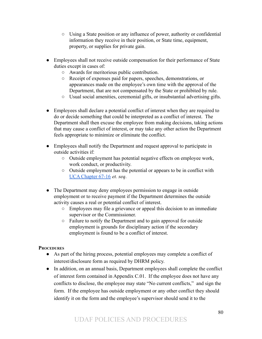- Using a State position or any influence of power, authority or confidential information they receive in their position, or State time, equipment, property, or supplies for private gain.
- Employees shall not receive outside compensation for their performance of State duties except in cases of:
	- Awards for meritorious public contribution.
	- Receipt of expenses paid for papers, speeches, demonstrations, or appearances made on the employee's own time with the approval of the Department, that are not compensated by the State or prohibited by rule.
	- Usual social amenities, ceremonial gifts, or insubstantial advertising gifts.
- Employees shall declare a potential conflict of interest when they are required to do or decide something that could be interpreted as a conflict of interest. The Department shall then excuse the employee from making decisions, taking actions that may cause a conflict of interest, or may take any other action the Department feels appropriate to minimize or eliminate the conflict.
- Employees shall notify the Department and request approval to participate in outside activities if:
	- Outside employment has potential negative effects on employee work, work conduct, or productivity.
	- Outside employment has the potential or appears to be in conflict with [UCA Chapter 67-16](https://le.utah.gov/xcode/Title67/Chapter16/67-16.html) *et. seq*.
- The Department may deny employees permission to engage in outside employment or to receive payment if the Department determines the outside activity causes a real or potential conflict of interest.
	- Employees may file a grievance or appeal this decision to an immediate supervisor or the Commissioner.
	- Failure to notify the Department and to gain approval for outside employment is grounds for disciplinary action if the secondary employment is found to be a conflict of interest.

# **PROCEDURES**

- As part of the hiring process, potential employees may complete a conflict of interest/disclosure form as required by DHRM policy.
- In addition, on an annual basis, Department employees shall complete the conflict of interest form contained in Appendix C.01. If the employee does not have any conflicts to disclose, the employee may state "No current conflicts," and sign the form. If the employee has outside employment or any other conflict they should identify it on the form and the employee's supervisor should send it to the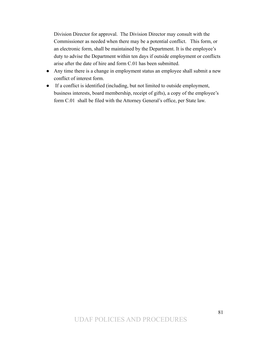Division Director for approval. The Division Director may consult with the Commissioner as needed when there may be a potential conflict. This form, or an electronic form, shall be maintained by the Department. It is the employee's duty to advise the Department within ten days if outside employment or conflicts arise after the date of hire and form C.01 has been submitted.

- Any time there is a change in employment status an employee shall submit a new conflict of interest form.
- If a conflict is identified (including, but not limited to outside employment, business interests, board membership, receipt of gifts), a copy of the employee's form C.01 shall be filed with the Attorney General's office, per State law.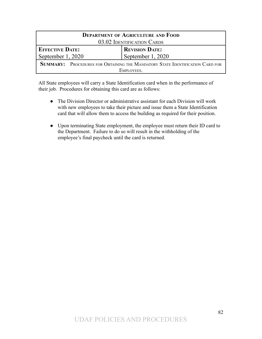| <b>DEPARTMENT OF AGRICULTURE AND FOOD</b>                                            |                       |
|--------------------------------------------------------------------------------------|-----------------------|
| 03.02 IDENTIFICATION CARDS                                                           |                       |
| <b>EFFECTIVE DATE:</b>                                                               | <b>REVISION DATE:</b> |
| September 1, 2020                                                                    | September 1, 2020     |
| <b>SUMMARY:</b> PROCEDURES FOR OBTAINING THE MANDATORY STATE IDENTIFICATION CARD FOR |                       |
| EMPLOYEES.                                                                           |                       |

All State employees will carry a State Identification card when in the performance of their job. Procedures for obtaining this card are as follows:

- The Division Director or administrative assistant for each Division will work with new employees to take their picture and issue them a State Identification card that will allow them to access the building as required for their position.
- Upon terminating State employment, the employee must return their ID card to the Department. Failure to do so will result in the withholding of the employee's final paycheck until the card is returned.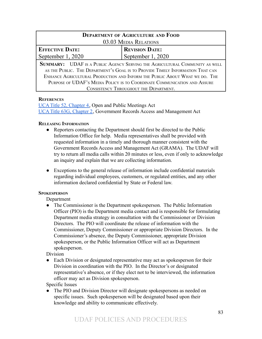| <b>DEPARTMENT OF AGRICULTURE AND FOOD</b>                                          |                       |
|------------------------------------------------------------------------------------|-----------------------|
| 03.03 MEDIA RELATIONS                                                              |                       |
| <b>EFFECTIVE DATE:</b>                                                             | <b>REVISION DATE:</b> |
| September 1, 2020                                                                  | September 1, 2020     |
| <b>SUMMARY:</b> UDAF IS A PUBLIC AGENCY SERVING THE AGRICULTURAL COMMUNITY AS WELL |                       |
| AS THE PUBLIC. THE DEPARTMENT'S GOAL IS TO PROVIDE TIMELY INFORMATION THAT CAN     |                       |
| ENHANCE AGRICULTURAL PRODUCTION AND INFORM THE PUBLIC ABOUT WHAT WE DO. THE        |                       |
| PURPOSE OF UDAF'S MEDIA POLICY IS TO COORDINATE COMMUNICATION AND ASSURE           |                       |

CONSISTENCY THROUGHOUT THE DEPARTMENT.

# **REFERENCES**

UCA [Title 52, Chapter 4,](https://le.utah.gov/xcode/Title52/Chapter4/52-4.html?v=C52-4_1800010118000101) Open and Public Meetings Act UCA [Title 63G, Chapter 2](https://le.utah.gov/xcode/Title63G/Chapter2/63G-2.html?v=C63G-2_1800010118000101), Government Records Access and Management Act

# **RELEASING INFORMATION**

- Reporters contacting the Department should first be directed to the Public Information Office for help. Media representatives shall be provided with requested information in a timely and thorough manner consistent with the Government Records Access and Management Act (GRAMA). The UDAF will try to return all media calls within 20 minutes or less, even if only to acknowledge an inquiry and explain that we are collecting information.
- Exceptions to the general release of information include confidential materials regarding individual employees, customers, or regulated entities, and any other information declared confidential by State or Federal law.

# **SPOKESPERSON**

Department

• The Commissioner is the Department spokesperson. The Public Information Officer (PIO) is the Department media contact and is responsible for formulating Department media strategy in consultation with the Commissioner or Division Directors. The PIO will coordinate the release of information with the Commissioner, Deputy Commissioner or appropriate Division Directors. In the Commissioner's absence, the Deputy Commissioner, appropriate Division spokesperson, or the Public Information Officer will act as Department spokesperson.

Division

• Each Division or designated representative may act as spokesperson for their Division in coordination with the PIO. In the Director's or designated representative's absence, or if they elect not to be interviewed, the information officer may act as Division spokesperson.

Specific Issues

• The PIO and Division Director will designate spokespersons as needed on specific issues. Such spokesperson will be designated based upon their knowledge and ability to communicate effectively.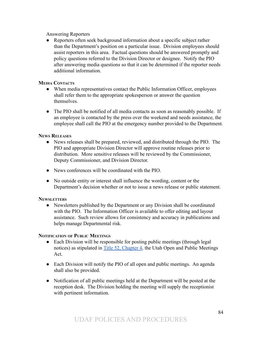Answering Reporters

• Reporters often seek background information about a specific subject rather than the Department's position on a particular issue. Division employees should assist reporters in this area. Factual questions should be answered promptly and policy questions referred to the Division Director or designee. Notify the PIO after answering media questions so that it can be determined if the reporter needs additional information.

# **MEDIA CONTACTS**

- When media representatives contact the Public Information Officer, employees shall refer them to the appropriate spokesperson or answer the question themselves.
- The PIO shall be notified of all media contacts as soon as reasonably possible. If an employee is contacted by the press over the weekend and needs assistance, the employee shall call the PIO at the emergency number provided to the Department.

### **NEWS RELEASES**

- News releases shall be prepared, reviewed, and distributed through the PIO. The PIO and appropriate Division Director will approve routine releases prior to distribution. More sensitive releases will be reviewed by the Commissioner, Deputy Commissioner, and Division Director.
- News conferences will be coordinated with the PIO.
- No outside entity or interest shall influence the wording, content or the Department's decision whether or not to issue a news release or public statement.

#### **NEWSLETTERS**

• Newsletters published by the Department or any Division shall be coordinated with the PIO. The Information Officer is available to offer editing and layout assistance. Such review allows for consistency and accuracy in publications and helps manage Departmental risk.

# **NOTIFICATION OF PUBLIC MEETINGS**

- Each Division will be responsible for posting public meetings (through legal notices) as stipulated in [Title 52, Chapter 4](https://le.utah.gov/xcode/Title52/Chapter4/52-4.html), the Utah Open and Public Meetings Act.
- Each Division will notify the PIO of all open and public meetings. An agenda shall also be provided.
- Notification of all public meetings held at the Department will be posted at the reception desk. The Division holding the meeting will supply the receptionist with pertinent information.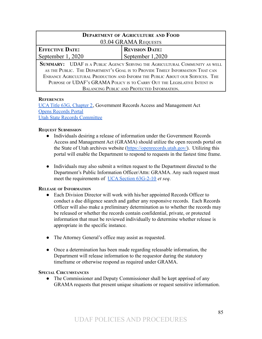| <b>DEPARTMENT OF AGRICULTURE AND FOOD</b><br>03.04 GRAMA REQUESTS                  |                       |
|------------------------------------------------------------------------------------|-----------------------|
| <b>EFFECTIVE DATE:</b>                                                             | <b>REVISION DATE:</b> |
| September 1, 2020                                                                  | September 1,2020      |
| <b>SUMMARY:</b> UDAF IS A PUBLIC AGENCY SERVING THE AGRICULTURAL COMMUNITY AS WELL |                       |
| AS THE PUBLIC. THE DEPARTMENT'S GOAL IS TO PROVIDE TIMELY INFORMATION THAT CAN     |                       |

ENHANCE AGRICULTURAL PRODUCTION AND INFORM THE PUBLIC ABOUT OUR SERVICES. THE PURPOSE OF UDAF'S GRAMA POLICY IS TO CARRY OUT THE LEGISLATIVE INTENT IN BALANCING PUBLIC AND PROTECTED INFORMATION.

### **REFERENCES**

UCA [Title 63G, Chapter 2](https://le.utah.gov/xcode/Title63G/Chapter2/63G-2.html?v=C63G-2_1800010118000101), Government Records Access and Management Act [Opens Records Portal](https://openrecords.utah.gov) [Utah State Records Committee](https://archives.utah.gov/src/index.html)

### **REQUEST SUBMISSION**

- Individuals desiring a release of information under the Government Records Access and Management Act (GRAMA) should utilize the open records portal on the State of Utah archives website ([https://openrecords.utah.gov/\)](https://openrecords.utah.gov/). Utilizing this portal will enable the Department to respond to requests in the fastest time frame.
- Individuals may also submit a written request to the Department directed to the Department's Public Information Officer/Attn: GRAMA. Any such request must meet the requirements of [UCA Section 63G-2-10](https://le.utah.gov/xcode/Title63G/Chapter2/63G-2-S101.html) *et seq*.

# **RELEASE OF INFORMATION**

- Each Division Director will work with his/her appointed Records Officer to conduct a due diligence search and gather any responsive records. Each Records Officer will also make a preliminary determination as to whether the records may be released or whether the records contain confidential, private, or protected information that must be reviewed individually to determine whether release is appropriate in the specific instance.
- The Attorney General's office may assist as requested.
- Once a determination has been made regarding releasable information, the Department will release information to the requestor during the statutory timeframe or otherwise respond as required under GRAMA.

#### **SPECIAL CIRCUMSTANCES**

• The Commissioner and Deputy Commissioner shall be kept apprised of any GRAMA requests that present unique situations or request sensitive information.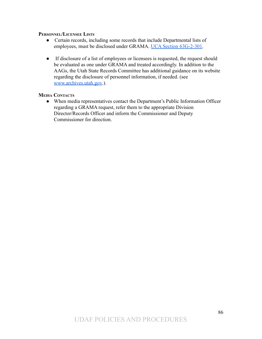### **PERSONNEL/LICENSEE LISTS**

- Certain records, including some records that include Departmental lists of employees, must be disclosed under GRAMA. [UCA Section](https://le.utah.gov/xcode/Title63G/Chapter2/63G-2-S301.html?v=C63G-2-S301_2020051220200512) 63G-2-301.
- If disclosure of a list of employees or licensees is requested, the request should be evaluated as one under GRAMA and treated accordingly. In addition to the AAGs, the Utah State Records Committee has additional guidance on its website regarding the disclosure of personnel information, if needed. (see [www.archives.utah.gov.](http://www.archives.utah.gov)).

# **MEDIA CONTACTS**

● When media representatives contact the Department's Public Information Officer regarding a GRAMA request, refer them to the appropriate Division Director/Records Officer and inform the Commissioner and Deputy Commissioner for direction.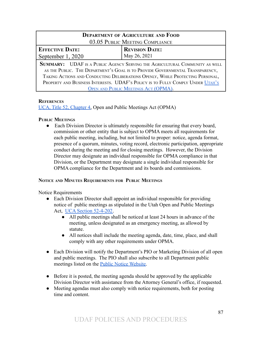| <b>DEPARTMENT OF AGRICULTURE AND FOOD</b>                                          |                       |
|------------------------------------------------------------------------------------|-----------------------|
| 03.05 PUBLIC MEETING COMPLIANCE                                                    |                       |
| <b>EFFECTIVE DATE:</b>                                                             | <b>REVISION DATE:</b> |
| September 1, 2020                                                                  | May 26, 2021          |
| <b>SUMMARY:</b> UDAF IS A PUBLIC AGENCY SERVING THE AGRICULTURAL COMMUNITY AS WELL |                       |
| AS THE PUBLIC. THE DEPARTMENT'S GOAL IS TO PROVIDE GOVERNMENTAL TRANSPARENCY,      |                       |
| TAKING ACTIONS AND CONDUCTING DELIBERATIONS OPENLY, WHILE PROTECTING PERSONAL,     |                       |
| PROPERTY AND BUSINESS INTERESTS. UDAF'S POLICY IS TO FULLY COMPLY UNDER UTAH'S     |                       |

# OPEN AND PUBLIC MEETINGS ACT [\(OPMA\)](https://le.utah.gov/xcode/Title52/Chapter4/52-4.html).

### **REFERENCES**

[UCA, Title 52, Chapter 4,](https://le.utah.gov/xcode/Title52/Chapter4/52-4.html) Open and Public Meetings Act (OPMA)

# **PUBLIC MEETINGS**

• Each Division Director is ultimately responsible for ensuring that every board, commission or other entity that is subject to OPMA meets all requirements for each public meeting, including, but not limited to proper: notice, agenda format, presence of a quorum, minutes, voting record, electronic participation, appropriate conduct during the meeting and for closing meetings. However, the Division Director may designate an individual responsible for OPMA compliance in that Division, or the Department may designate a single individual responsible for OPMA compliance for the Department and its boards and commissions.

# **NOTICE AND MINUTES REQUIREMENTS FOR PUBLIC MEETINGS**

Notice Requirements

- Each Division Director shall appoint an individual responsible for providing notice of public meetings as stipulated in the Utah Open and Public Meetings Act, [UCA Section 52-4-202.](https://le.utah.gov/xcode/Title52/Chapter4/52-4-S202.html)
	- All public meetings shall be noticed at least 24 hours in advance of the meeting, unless designated as an emergency meeting, as allowed by statute.
	- All notices shall include the meeting agenda, date, time, place, and shall comply with any other requirements under OPMA.
- Each Division will notify the Department's PIO or Marketing Division of all open and public meetings. The PIO shall also subscribe to all Department public meetings listed on the [Public Notice Website.](https://www.utah.gov/pmn/)
- Before it is posted, the meeting agenda should be approved by the applicable Division Director with assistance from the Attorney General's office, if requested.
- Meeting agendas must also comply with notice requirements, both for posting time and content.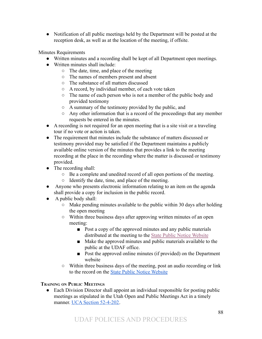● Notification of all public meetings held by the Department will be posted at the reception desk, as well as at the location of the meeting, if offsite.

Minutes Requirements

- Written minutes and a recording shall be kept of all Department open meetings.
- Written minutes shall include:
	- The date, time, and place of the meeting
	- The names of members present and absent
	- The substance of all matters discussed
	- A record, by individual member, of each vote taken
	- The name of each person who is not a member of the public body and provided testimony
	- A summary of the testimony provided by the public, and
	- Any other information that is a record of the proceedings that any member requests be entered in the minutes.
- A recording is not required for an open meeting that is a site visit or a traveling tour if no vote or action is taken.
- The requirement that minutes include the substance of matters discussed or testimony provided may be satisfied if the Department maintains a publicly available online version of the minutes that provides a link to the meeting recording at the place in the recording where the matter is discussed or testimony provided.
- The recording shall:
	- Be a complete and unedited record of all open portions of the meeting.
	- Identify the date, time, and place of the meeting.
- Anyone who presents electronic information relating to an item on the agenda shall provide a copy for inclusion in the public record.
- A public body shall:
	- Make pending minutes available to the public within 30 days after holding the open meeting
	- Within three business days after approving written minutes of an open meeting:
		- Post a copy of the approved minutes and any public materials distributed at the meeting to the [State Public Notice](https://www.utah.gov/pmn/index.html) Website
		- Make the approved minutes and public materials available to the public at the UDAF office.
		- Post the approved online minutes (if provided) on the Department website
	- Within three business days of the meeting, post an audio recording or link to the record on the [State Public Notice Website](https://www.utah.gov/pmn/index.html)

# **TRAINING ON PUBLIC MEETINGS**

• Each Division Director shall appoint an individual responsible for posting public meetings as stipulated in the Utah Open and Public Meetings Act in a timely manner. [UCA Section 52-4-202.](https://le.utah.gov/xcode/Title52/Chapter4/52-4-S202.html)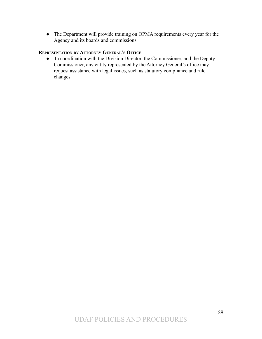● The Department will provide training on OPMA requirements every year for the Agency and its boards and commissions.

# **REPRESENTATION BY ATTORNEY GENERAL'S OFFICE**

• In coordination with the Division Director, the Commissioner, and the Deputy Commissioner, any entity represented by the Attorney General's office may request assistance with legal issues, such as statutory compliance and rule changes.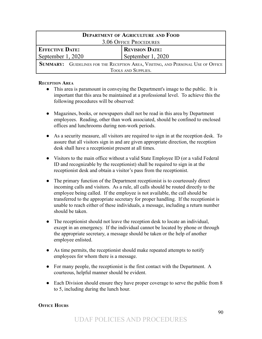| <b>DEPARTMENT OF AGRICULTURE AND FOOD</b>                                               |                       |
|-----------------------------------------------------------------------------------------|-----------------------|
| 3.06 OFFICE PROCEDURES                                                                  |                       |
| <b>EFFECTIVE DATE:</b>                                                                  | <b>REVISION DATE:</b> |
| September 1, 2020                                                                       | September 1, 2020     |
| <b>SUMMARY:</b> GUIDELINES FOR THE RECEPTION AREA, VISITING, AND PERSONAL USE OF OFFICE |                       |
| <b>TOOLS AND SUPPLIES.</b>                                                              |                       |

# **RECEPTION AREA**

- This area is paramount in conveying the Department's image to the public. It is important that this area be maintained at a professional level. To achieve this the following procedures will be observed:
- Magazines, books, or newspapers shall not be read in this area by Department employees. Reading, other than work associated, should be confined to enclosed offices and lunchrooms during non-work periods.
- As a security measure, all visitors are required to sign in at the reception desk. To assure that all visitors sign in and are given appropriate direction, the reception desk shall have a receptionist present at all times.
- Visitors to the main office without a valid State Employee ID (or a valid Federal ID and recognizable by the receptionist) shall be required to sign in at the receptionist desk and obtain a visitor's pass from the receptionist.
- The primary function of the Department receptionist is to courteously direct incoming calls and visitors. As a rule, all calls should be routed directly to the employee being called. If the employee is not available, the call should be transferred to the appropriate secretary for proper handling. If the receptionist is unable to reach either of these individuals, a message, including a return number should be taken.
- The receptionist should not leave the reception desk to locate an individual, except in an emergency. If the individual cannot be located by phone or through the appropriate secretary, a message should be taken or the help of another employee enlisted.
- As time permits, the receptionist should make repeated attempts to notify employees for whom there is a message.
- For many people, the receptionist is the first contact with the Department. A courteous, helpful manner should be evident.
- Each Division should ensure they have proper coverage to serve the public from 8 to 5, including during the lunch hour.

# **OFFICE HOURS**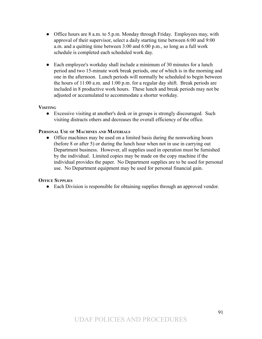- Office hours are 8 a.m. to 5.p.m. Monday through Friday. Employees may, with approval of their supervisor, select a daily starting time between 6:00 and 9:00 a.m. and a quitting time between 3:00 and 6:00 p.m., so long as a full work schedule is completed each scheduled work day.
- Each employee's workday shall include a minimum of 30 minutes for a lunch period and two 15-minute work break periods, one of which is in the morning and one in the afternoon. Lunch periods will normally be scheduled to begin between the hours of 11:00 a.m. and 1:00 p.m. for a regular day shift. Break periods are included in 8 productive work hours. These lunch and break periods may not be adjusted or accumulated to accommodate a shorter workday.

# **VISITING**

● Excessive visiting at another's desk or in groups is strongly discouraged. Such visiting distracts others and decreases the overall efficiency of the office.

# **PERSONAL USE OF MACHINES AND MATERIALS**

• Office machines may be used on a limited basis during the nonworking hours (before 8 or after 5) or during the lunch hour when not in use in carrying out Department business. However, all supplies used in operation must be furnished by the individual. Limited copies may be made on the copy machine if the individual provides the paper. No Department supplies are to be used for personal use. No Department equipment may be used for personal financial gain.

# **OFFICE SUPPLIES**

● Each Division is responsible for obtaining supplies through an approved vendor.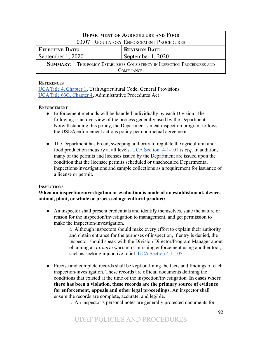| <b>DEPARTMENT OF AGRICULTURE AND FOOD</b>                                        |                       |
|----------------------------------------------------------------------------------|-----------------------|
| 03.07 REGULATORY ENFORCEMENT PROCEDURES                                          |                       |
| <b>EFFECTIVE DATE:</b>                                                           | <b>REVISION DATE:</b> |
| September 1, 2020                                                                | September 1, 2020     |
| <b>SUMMARY:</b> THIS POLICY ESTABLISHES CONSISTENCY IN INSPECTION PROCEDURES AND |                       |
| COMPLIANCE.                                                                      |                       |

#### **REFERENCES**

UCA [Title 4, Chapter 1,](https://le.utah.gov/xcode/Title4/Chapter1/4-1.html) Utah Agricultural Code, General Provisions UCA [Title 63G, Chapter 4](https://le.utah.gov/xcode/Title63G/Chapter4/63G-4.html?v=C63G-4_1800010118000101), Administrative Procedures Act

### **ENFORCEMENT**

- Enforcement methods will be handled individually by each Division. The following is an overview of the process generally used by the Department. Notwithstanding this policy, the Department's meat inspection program follows the USDA enforcement actions policy per contractual agreement.
- The Department has broad, sweeping authority to regulate the agricultural and food production industry at all levels. [UCA Section](https://le.utah.gov/xcode/Title4/Chapter1/4-1-S101.html?v=C4-1-S101_2017050920170701) 4-1-101 *et seq*. In addition, many of the permits and licenses issued by the Department are issued upon the condition that the licensee permits scheduled or unscheduled Departmental inspections/investigations and sample collections as a requirement for issuance of a license or permit.

# **INSPECTIONS**

# **When an inspection/investigation or evaluation is made of an establishment, device, animal, plant, or whole or processed agricultural product:**

● An inspector shall present credentials and identify themselves, state the nature or reason for the inspection/investigation to management, and get permission to make the inspection/investigation.

> o Although inspectors should make every effort to explain their authority and obtain entrance for the purposes of inspection, if entry is denied, the inspector should speak with the Division Director/Program Manager about obtaining an *ex parte* warrant or pursuing enforcement using another tool, such as seeking injunctive relief. [UCA Section 4-1-105](https://le.utah.gov/xcode/Title4/Chapter1/4-1-S105.html?v=C4-1-S105_2017050920170701).

- Precise and complete records shall be kept outlining the facts and findings of each inspection/investigation. These records are official documents defining the conditions that existed at the time of the inspection/investigation. **In cases where there has been a violation, these records are the primary source of evidence for enforcement, appeals and other legal proceedings**. An inspector shall ensure the records are complete, accurate, and legible.
	- o An inspector's personal notes are generally protected documents for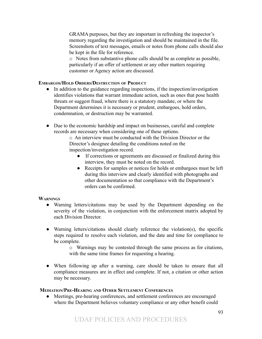GRAMA purposes, but they are important in refreshing the inspector's memory regarding the investigation and should be maintained in the file. Screenshots of text messages, emails or notes from phone calls should also be kept in the file for reference.

o Notes from substantive phone calls should be as complete as possible, particularly if an offer of settlement or any other matters requiring customer or Agency action are discussed.

### **EMBARGOS/HOLD ORDERS/DESTRUCTION OF PRODUCT**

- In addition to the guidance regarding inspections, if the inspection/investigation identifies violations that warrant immediate action, such as ones that pose health threats or suggest fraud, where there is a statutory mandate, or where the Department determines it is necessary or prudent, embargoes, hold orders, condemnation, or destruction may be warranted.
- Due to the economic hardship and impact on businesses, careful and complete records are necessary when considering one of these options.

o An interview must be conducted with the Division Director or the Director's designee detailing the conditions noted on the inspection/investigation record.

- If corrections or agreements are discussed or finalized during this interview, they must be noted on the record.
- Receipts for samples or notices for holds or embargoes must be left during this interview and clearly identified with photographs and other documentation so that compliance with the Department's orders can be confirmed.

#### **WARNINGS**

- Warning letters/citations may be used by the Department depending on the severity of the violation, in conjunction with the enforcement matrix adopted by each Division Director.
- $\bullet$  Warning letters/citations should clearly reference the violation(s), the specific steps required to resolve each violation, and the date and time for compliance to be complete.

o Warnings may be contested through the same process as for citations, with the same time frames for requesting a hearing.

• When following up after a warning, care should be taken to ensure that all compliance measures are in effect and complete. If not, a citation or other action may be necessary.

#### **MEDIATION/PRE-HEARING AND OTHER SETTLEMENT CONFERENCES**

● Meetings, pre-hearing conferences, and settlement conferences are encouraged where the Department believes voluntary compliance or any other benefit could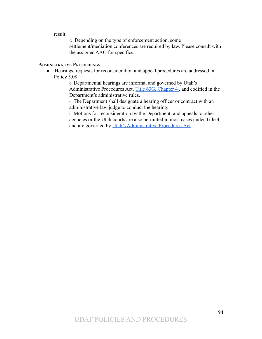#### result.

o Depending on the type of enforcement action, some settlement/mediation conferences are required by law. Please consult with the assigned AAG for specifics.

#### **ADMINISTRATIVE PROCEEDINGS**

● Hearings, requests for reconsideration and appeal procedures are addressed in Policy 5.08.

> <sup>O</sup> Departmental hearings are informal and governed by Utah's Administrative Procedures Act, [Title 63G, Chapter](https://le.utah.gov/xcode/Title63G/Chapter4/63G-4.html?v=C63G-4_1800010118000101) 4 , and codified in the Department's administrative rules.

<sup>O</sup> The Department shall designate a hearing officer or contract with an administrative law judge to conduct the hearing.

<sup>O</sup> Motions for reconsideration by the Department, and appeals to other agencies or the Utah courts are also permitted in most cases under Title 4, and are governed by [Utah's Administrative Procedures](https://le.utah.gov/xcode/Title63G/Chapter4/63G-4.html) Act.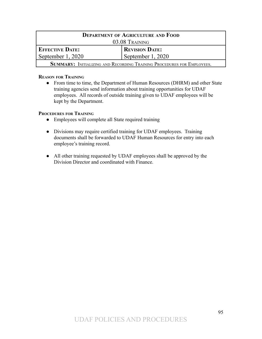| <b>DEPARTMENT OF AGRICULTURE AND FOOD</b>                                     |                       |
|-------------------------------------------------------------------------------|-----------------------|
| 03.08 TRAINING                                                                |                       |
| <b>EFFECTIVE DATE:</b>                                                        | <b>REVISION DATE:</b> |
| September 1, 2020                                                             | September 1, 2020     |
| <b>SUMMARY:</b> INITIALIZING AND RECORDING TRAINING PROCEDURES FOR EMPLOYEES. |                       |

### **REASON FOR TRAINING**

● From time to time, the Department of Human Resources (DHRM) and other State training agencies send information about training opportunities for UDAF employees. All records of outside training given to UDAF employees will be kept by the Department.

**PROCEDURES FOR TRAINING**

- Employees will complete all State required training
- Divisions may require certified training for UDAF employees. Training documents shall be forwarded to UDAF Human Resources for entry into each employee's training record.
- All other training requested by UDAF employees shall be approved by the Division Director and coordinated with Finance.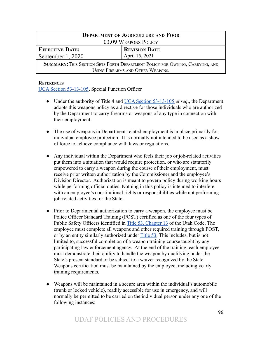| <b>DEPARTMENT OF AGRICULTURE AND FOOD</b><br>03.09 WEAPONS POLICY                                                        |                                                     |
|--------------------------------------------------------------------------------------------------------------------------|-----------------------------------------------------|
| <b>EFFECTIVE DATE:</b><br>September 1, 2020                                                                              | <b>REVISION DATE</b><br><sup>1</sup> April 15, 2021 |
| <b>SUMMARY:</b> THIS SECTION SETS FORTH DEPARTMENT POLICY FOR OWNING, CARRYING, AND<br>USING FIREARMS AND OTHER WEAPONS. |                                                     |

### **REFERENCES**

[UCA Section 53-13-105](https://le.utah.gov/xcode/Title53/Chapter13/53-13-S105.html?v=C53-13-S105_2016051020160510), Special Function Officer

- Under the authority of Title 4 and [UCA Section 53-13-105](https://le.utah.gov/xcode/Title53/Chapter13/53-13-S105.html?v=C53-13-S105_2016051020160510) *et seq*., the Department adopts this weapons policy as a directive for those individuals who are authorized by the Department to carry firearms or weapons of any type in connection with their employment.
- The use of weapons in Department-related employment is in place primarily for individual employee protection. It is normally not intended to be used as a show of force to achieve compliance with laws or regulations.
- Any individual within the Department who feels their job or job-related activities put them into a situation that would require protection, or who are statutorily empowered to carry a weapon during the course of their employment, must receive prior written authorization by the Commissioner and the employee's Division Director. Authorization is meant to govern policy during working hours while performing official duties. Nothing in this policy is intended to interfere with an employee's constitutional rights or responsibilities while not performing job-related activities for the State.
- Prior to Departmental authorization to carry a weapon, the employee must be Police Officer Standard Training (POST) certified as one of the four types of Public Safety Officers identified in [Title 53, Chapter](https://le.utah.gov/xcode/Title53/Chapter13/53-13.html) 13 of the Utah Code. The employee must complete all weapons and other required training through POST, or by an entity similarly authorized under [Title 53.](https://le.utah.gov/xcode/Title53/53.html?v=C53_1800010118000101) This includes, but is not limited to, successful completion of a weapon training course taught by any participating law enforcement agency. At the end of the training, each employee must demonstrate their ability to handle the weapon by qualifying under the State's present standard or be subject to a waiver recognized by the State. Weapons certification must be maintained by the employee, including yearly training requirements.
- Weapons will be maintained in a secure area within the individual's automobile (trunk or locked vehicle), readily accessible for use in emergency, and will normally be permitted to be carried on the individual person under any one of the following instances: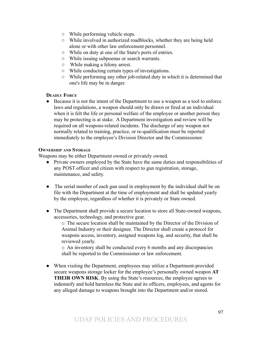- While performing vehicle stops.
- While involved in authorized roadblocks, whether they are being held alone or with other law enforcement personnel.
- While on duty at one of the State's ports of entries.
- While issuing subpoenas or search warrants.
- While making a felony arrest.
- While conducting certain types of investigations.
- While performing any other job-related duty in which it is determined that one's life may be in danger.

#### **DEADLY FORCE**

● Because it is not the intent of the Department to use a weapon as a tool to enforce laws and regulations, a weapon should only be drawn or fired at an individual when it is felt the life or personal welfare of the employee or another person they may be protecting is at stake. A Department investigation and review will be required on all weapons-related incidents. The discharge of any weapon not normally related to training, practice, or re-qualification must be reported immediately to the employee's Division Director and the Commissioner.

#### **OWNERSHIP AND STORAGE**

Weapons may be either Department owned or privately owned.

- Private owners employed by the State have the same duties and responsibilities of any POST officer and citizen with respect to gun registration, storage, maintenance, and safety.
- The serial number of each gun used in employment by the individual shall be on file with the Department at the time of employment and shall be updated yearly by the employee, regardless of whether it is privately or State owned.
- The Department shall provide a secure location to store all State-owned weapons, accessories, technology, and protective gear.

o The secure location shall be maintained by the Director of the Division of Animal Industry or their designee. The Director shall create a protocol for weapons access, inventory, assigned weapons log, and security, that shall be reviewed yearly.

o An inventory shall be conducted every 6 months and any discrepancies shall be reported to the Commissioner or law enforcement.

• When visiting the Department, employees may utilize a Department-provided secure weapons storage locker for the employee's personally owned weapon **AT THEIR OWN RISK**. By using the State's resources, the employee agrees to indemnify and hold harmless the State and its officers, employees, and agents for any alleged damage to weapons brought into the Department and/or stored.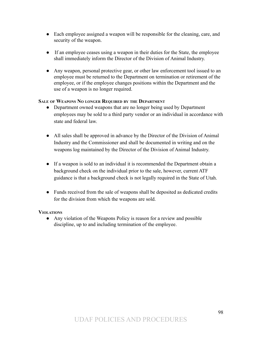- Each employee assigned a weapon will be responsible for the cleaning, care, and security of the weapon.
- If an employee ceases using a weapon in their duties for the State, the employee shall immediately inform the Director of the Division of Animal Industry.
- Any weapon, personal protective gear, or other law enforcement tool issued to an employee must be returned to the Department on termination or retirement of the employee, or if the employee changes positions within the Department and the use of a weapon is no longer required.

# **SALE OF WEAPONS NO LONGER REQUIRED BY THE DEPARTMENT**

- Department owned weapons that are no longer being used by Department employees may be sold to a third party vendor or an individual in accordance with state and federal law.
- All sales shall be approved in advance by the Director of the Division of Animal Industry and the Commissioner and shall be documented in writing and on the weapons log maintained by the Director of the Division of Animal Industry.
- If a weapon is sold to an individual it is recommended the Department obtain a background check on the individual prior to the sale, however, current ATF guidance is that a background check is not legally required in the State of Utah.
- Funds received from the sale of weapons shall be deposited as dedicated credits for the division from which the weapons are sold.

# **VIOLATIONS**

● Any violation of the Weapons Policy is reason for a review and possible discipline, up to and including termination of the employee.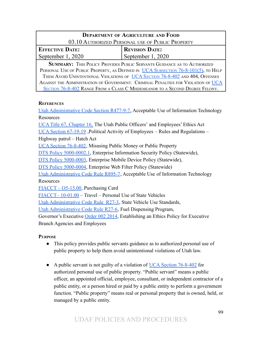# **DEPARTMENT OF AGRICULTURE AND FOOD** 03.10 AUTHORIZED PERSONAL USE OF PUBLIC PROPERTY

**EFFECTIVE DATE:** September 1, 2020 **REVISION DATE:** September 1, 2020

**SUMMARY:** THIS POLICY PROVIDES PUBLIC SERVANTS GUIDANCE AS TO AUTHORIZED PERSONAL USE OF PUBLIC PROPERTY, AS DEFINED IN UCA SUBSECTION [76-8-101\(5\)](https://le.utah.gov/xcode/Title76/Chapter8/76-8-S101.html), TO HELP THEM AVOID UNINTENTIONAL VIOLATIONS OF <u>UCA SECTION [76-8-402](https://le.utah.gov/xcode/Title76/Chapter8/76-8-S402.html?v=C76-8-S402_2019051420190701)</u> AND 404, OFFENSES AGAINST THE ADMINISTRATION OF GOVERNMENT. CRIMINAL PENALTIES FOR VIOLATION OF [UCA](https://le.utah.gov/xcode/Title76/Chapter8/76-8-S402.html?v=C76-8-S402_2019051420190701) SECTION [76-8-402](https://le.utah.gov/xcode/Title76/Chapter8/76-8-S402.html?v=C76-8-S402_2019051420190701) RANGE FROM A CLASS C MISDEMEANOR TO A SECOND DEGREE FELONY.

# **REFERENCES**

[Utah Administrative Code Section R477-9-7,](https://rules.utah.gov/wp-content/uploads/r477-009.pdf) Acceptable Use of Information Technology Resources

UCA [Title 67, Chapter 16,](https://le.utah.gov/xcode/Title67/Chapter16/67-16.html?v=C67-16_1800010118000101) The Utah Public Officers' and Employees' Ethics Act

[UCA Section 67-19-19](https://le.utah.gov/xcode/Title67/Chapter19/67-19.html) ,Political Activity of Employees – Rules and Regulations –

Highway patrol – Hatch Act

[UCA Section 76-8-402](https://le.utah.gov/xcode/Title76/Chapter8/76-8-S402.html?v=C76-8-S402_2020051220200512), Misusing Public Money or Public Property

[DTS Policy 5000-0002.1](https://dts.utah.gov/policies/enterprise-information-security-policy), Enterprise Information Security Policy (Statewide),

[DTS Policy 5000-0003](https://dts.utah.gov/policies/enterprise-mobile-device-policy), Enterprise Mobile Device Policy (Statewide),

[DTS Policy 5000-0004](https://dts.utah.gov/policies/enterprise-web-filter-policy), Enterprise Web Filter Policy (Statewide)

[Utah Administrative Code Rule R895-7](https://rules.utah.gov/wp-content/uploads/r895-007.pdf), Acceptable Use of Information Technology Resources

[FIACCT – O5-15.00](http://apps.finance.utah.gov/nxt/gateway.dll?f=templates&fn=default.htm&q=05-15_00&x=advanced), Purchasing Card

[FIACCT– 10-01.00](http://apps.finance.utah.gov/nxt/gateway.dll?f=templates&fn=default.htm&q=05-15_00&x=advanced) – Travel – Personal Use of State Vehicles

[Utah Administrative Code Rule R27-3](https://rules.utah.gov/wp-content/uploads/r027-003.pdf), State Vehicle Use Standards,

[Utah Administrative Code Rule R27-6](https://rules.utah.gov/wp-content/uploads/r027-006.pdf), Fuel Dispensing Program,

Governor's Executive [Order 002 2014](https://rules.utah.gov/execdocs/2014/ExecDoc155325.htm), Establishing an Ethics Policy for Executive Branch Agencies and Employees

**PURPOSE**

- This policy provides public servants guidance as to authorized personal use of public property to help them avoid unintentional violations of Utah law.
- A public servant is not guilty of a violation of UCA [Section 76-8-402](https://le.utah.gov/xcode/Title76/Chapter8/76-8-S402.html?v=C76-8-S402_2019051420190701) for authorized personal use of public property. "Public servant" means a public officer, an appointed official, employee, consultant, or independent contractor of a public entity, or a person hired or paid by a public entity to perform a government function. "Public property" means real or personal property that is owned, held, or managed by a public entity.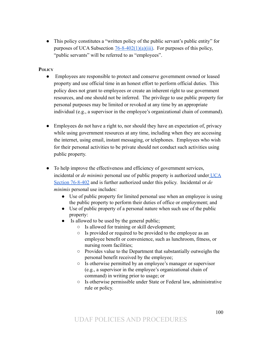● This policy constitutes a "written policy of the public servant's public entity" for purposes of UCA Subsection  $76-8-402(1)(a)(iii)$ . For purposes of this policy, "public servants" will be referred to as "employees".

# **POLICY**

- Employees are responsible to protect and conserve government owned or leased property and use official time in an honest effort to perform official duties. This policy does not grant to employees or create an inherent right to use government resources, and one should not be inferred. The privilege to use public property for personal purposes may be limited or revoked at any time by an appropriate individual (e.g., a supervisor in the employee's organizational chain of command).
- Employees do not have a right to, nor should they have an expectation of, privacy while using government resources at any time, including when they are accessing the internet, using email, instant messaging, or telephones. Employees who wish for their personal activities to be private should not conduct such activities using public property.
- To help improve the effectiveness and efficiency of government services, incidental or *de minimis* personal use of public property is authorized under [UCA](https://le.utah.gov/xcode/Title76/Chapter8/76-8-S402.html?v=C76-8-S402_2020051220200512) [Section 76-8-402](https://le.utah.gov/xcode/Title76/Chapter8/76-8-S402.html?v=C76-8-S402_2020051220200512) and is further authorized under this policy. Incidental or *de minimis* personal use includes:
	- Use of public property for limited personal use when an employee is using the public property to perform their duties of office or employment; and
	- Use of public property of a personal nature when such use of the public property:
	- Is allowed to be used by the general public;
		- Is allowed for training or skill development;
		- Is provided or required to be provided to the employee as an employee benefit or convenience, such as lunchroom, fitness, or nursing room facilities;
		- Provides value to the Department that substantially outweighs the personal benefit received by the employee;
		- Is otherwise permitted by an employee's manager or supervisor (e.g., a supervisor in the employee's organizational chain of command) in writing prior to usage; or
		- Is otherwise permissible under State or Federal law, administrative rule or policy.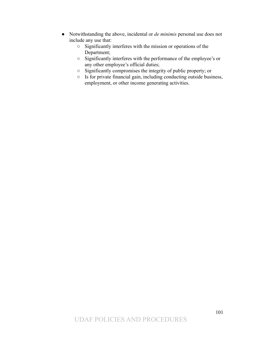- Notwithstanding the above, incidental or *de minimis* personal use does not include any use that:
	- Significantly interferes with the mission or operations of the Department;
	- Significantly interferes with the performance of the employee's or any other employee's official duties;
	- Significantly compromises the integrity of public property; or
	- Is for private financial gain, including conducting outside business, employment, or other income generating activities.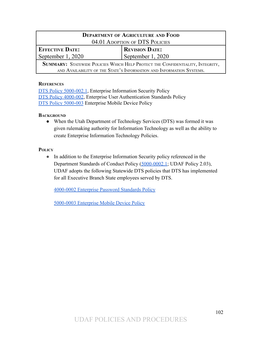| <b>DEPARTMENT OF AGRICULTURE AND FOOD</b>                                             |                       |
|---------------------------------------------------------------------------------------|-----------------------|
| 04.01 ADOPTION OF DTS POLICIES                                                        |                       |
| <b>EFFECTIVE DATE:</b>                                                                | <b>REVISION DATE:</b> |
| September 1, 2020                                                                     | September 1, 2020     |
| <b>SUMMARY:</b> STATEWIDE POLICIES WHICH HELP PROTECT THE CONFIDENTIALITY, INTEGRITY, |                       |
| AND AVAILABILITY OF THE STATE'S INFORMATION AND INFORMATION SYSTEMS.                  |                       |

# **REFERENCES**

[DTS Policy 5000-002.1](https://dts.utah.gov/policies/enterprise-information-security-policy), Enterprise Information Security Policy [DTS Policy 4000-002](https://dts.utah.gov/policies/enterprise-user-authentication-standards-policy), Enterprise User Authentication Standards Policy [DTS Policy 5000-003](https://dts.utah.gov/policies/enterprise-mobile-device-policy) Enterprise Mobile Device Policy

# **BACKGROUND**

• When the Utah Department of Technology Services (DTS) was formed it was given rulemaking authority for Information Technology as well as the ability to create Enterprise Information Technology Policies.

# **POLICY**

● In addition to the Enterprise Information Security policy referenced in the Department Standards of Conduct Policy [\(5000-0002.1](https://dts.utah.gov/policies/enterprise-information-security-policy); UDAF Policy 2.03), UDAF adopts the following Statewide DTS policies that DTS has implemented for all Executive Branch State employees served by DTS.

[4000-0002 Enterprise Password Standards Policy](https://dts.utah.gov/policies/enterprise-password-standards-policy)

[5000-0003 Enterprise Mobile Device Policy](https://dts.utah.gov/policies/enterprise-mobile-device-policy)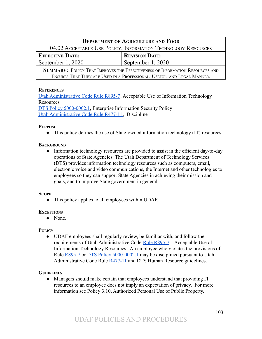| <b>DEPARTMENT OF AGRICULTURE AND FOOD</b>                                           |                       |  |
|-------------------------------------------------------------------------------------|-----------------------|--|
| 04.02 ACCEPTABLE USE POLICY, INFORMATION TECHNOLOGY RESOURCES                       |                       |  |
| <b>EFFECTIVE DATE:</b>                                                              | <b>REVISION DATE:</b> |  |
| September 1, 2020                                                                   | September 1, 2020     |  |
| <b>SUMMARY:</b> POLICY THAT IMPROVES THE EFFECTIVENESS OF INFORMATION RESOURCES AND |                       |  |

ENSURES THAT THEY ARE USED IN A PROFESSIONAL, USEFUL, AND LEGAL MANNER.

# **REFERENCES**

[Utah Administrative Code Rule R895-7](https://rules.utah.gov/wp-content/uploads/r895-007.pdf), Acceptable Use of Information Technology Resources [DTS Policy 5000-0002.1](https://dts.utah.gov/policies/enterprise-information-security-policy), Enterprise Information Security Policy

[Utah Administrative Code Rule R477-11,](https://rules.utah.gov/wp-content/uploads/r477-011.pdf) Discipline

# **PURPOSE**

● This policy defines the use of State-owned information technology (IT) resources.

# **BACKGROUND**

• Information technology resources are provided to assist in the efficient day-to-day operations of State Agencies. The Utah Department of Technology Services (DTS) provides information technology resources such as computers, email, electronic voice and video communications, the Internet and other technologies to employees so they can support State Agencies in achieving their mission and goals, and to improve State government in general.

# **SCOPE**

● This policy applies to all employees within UDAF.

# **EXCEPTIONS**

● None.

# **POLICY**

● UDAF employees shall regularly review, be familiar with, and follow the requirements of Utah Administrative Code [Rule R895-7](https://rules.utah.gov/wp-content/uploads/r895-007.pdf) – Acceptable Use of Information Technology Resources. An employee who violates the provisions of Rule [R895-7](https://rules.utah.gov/wp-content/uploads/r895-007.pdf) or [DTS Policy 5000-0002.1](https://dts.utah.gov/policies/enterprise-information-security-policy) may be disciplined pursuant to Utah Administrative Code Rule [R477-11](https://rules.utah.gov/wp-content/uploads/r477-011.pdf) and DTS Human Resource guidelines.

# **GUIDELINES**

• Managers should make certain that employees understand that providing IT resources to an employee does not imply an expectation of privacy. For more information see Policy 3.10, Authorized Personal Use of Public Property.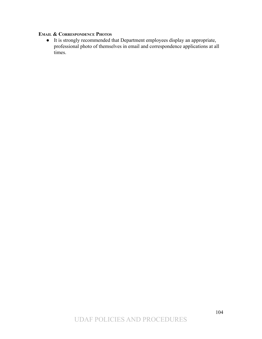# **EMAIL & CORRESPONDENCE PHOTOS**

● It is strongly recommended that Department employees display an appropriate, professional photo of themselves in email and correspondence applications at all times.

UDAF POLICIES AND PROCEDURES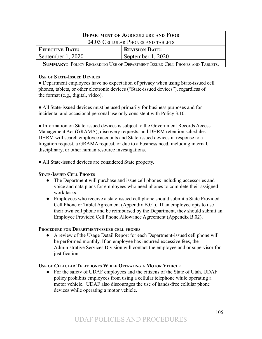| <b>DEPARTMENT OF AGRICULTURE AND FOOD</b>                                          |                       |  |
|------------------------------------------------------------------------------------|-----------------------|--|
| 04.03 CELLULAR PHONES AND TABLETS                                                  |                       |  |
| <b>EFFECTIVE DATE:</b>                                                             | <b>REVISION DATE:</b> |  |
| September 1, 2020                                                                  | September 1, 2020     |  |
| <b>SUMMARY:</b> POLICY REGARDING USE OF DEPARTMENT ISSUED CELL PHONES AND TABLETS. |                       |  |

# **USE OF STATE-ISSUED DEVICES**

● Department employees have no expectation of privacy when using State-issued cell phones, tablets, or other electronic devices ("State-issued devices"), regardless of the format (e.g., digital, video).

● All State-issued devices must be used primarily for business purposes and for incidental and occasional personal use only consistent with Policy 3.10.

● Information on State-issued devices is subject to the Government Records Access Management Act (GRAMA), discovery requests, and DHRM retention schedules. DHRM will search employee accounts and State-issued devices in response to a litigation request, a GRAMA request, or due to a business need, including internal, disciplinary, or other human resource investigations.

● All State-issued devices are considered State property.

# **STATE-ISSUED CELL PHONES**

- The Department will purchase and issue cell phones including accessories and voice and data plans for employees who need phones to complete their assigned work tasks.
- Employees who receive a state-issued cell phone should submit a State Provided Cell Phone or Tablet Agreement (Appendix B.01). If an employee opts to use their own cell phone and be reimbursed by the Department, they should submit an Employee Provided Cell Phone Allowance Agreement (Appendix B.02).

# **PROCEDURE FOR DEPARTMENT-ISSUED CELL PHONES**

● A review of the Usage Detail Report for each Department-issued cell phone will be performed monthly. If an employee has incurred excessive fees, the Administrative Services Division will contact the employee and or supervisor for justification.

# **USE OF CELLULAR TELEPHONES WHILE OPERATING <sup>A</sup> MOTOR VEHICLE**

• For the safety of UDAF employees and the citizens of the State of Utah, UDAF policy prohibits employees from using a cellular telephone while operating a motor vehicle. UDAF also discourages the use of hands-free cellular phone devices while operating a motor vehicle.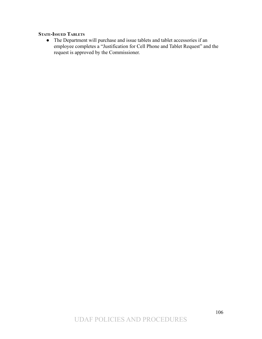# **STATE-ISSUED TABLETS**

● The Department will purchase and issue tablets and tablet accessories if an employee completes a "Justification for Cell Phone and Tablet Request" and the request is approved by the Commissioner.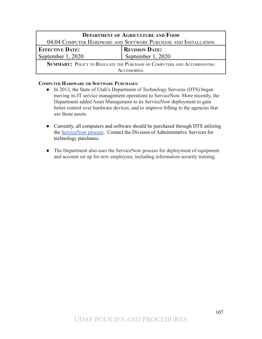| <b>DEPARTMENT OF AGRICULTURE AND FOOD</b>                                     |                       |  |
|-------------------------------------------------------------------------------|-----------------------|--|
| 04.04 COMPUTER HARDWARE AND SOFTWARE PURCHASE AND INSTALLATION                |                       |  |
| <b>EFFECTIVE DATE:</b>                                                        | <b>REVISION DATE:</b> |  |
| September 1, 2020                                                             | September 1, 2020     |  |
| <b>SUMMARY:</b> POLICY TO REGULATE THE PURCHASE OF COMPUTERS AND ACCOMPANYING |                       |  |
| ACCESSORIES.                                                                  |                       |  |

# **COMPUTER HARDWARE OR SOFTWARE PURCHASES**:

- In 2013, the State of Utah's Department of Technology Services (DTS) began moving its IT service management operations to ServiceNow. More recently, the Department added Asset Management to its ServiceNow deployment to gain better control over hardware devices, and to improve billing to the agencies that use those assets.
- Currently, all computers and software should be purchased through DTS utilizing the [ServiceNow process.](https://www.servicenow.com/customers/utahdeptoftechservices.html) Contact the Division of Administrative Services for technology purchases.
- The Department also uses the ServiceNow process for deployment of equipment and account set up for new employees, including information security training.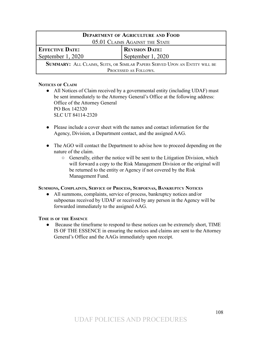| <b>DEPARTMENT OF AGRICULTURE AND FOOD</b>                                          |                       |  |
|------------------------------------------------------------------------------------|-----------------------|--|
| 05.01 CLAIMS AGAINST THE STATE                                                     |                       |  |
| <b>EFFECTIVE DATE:</b>                                                             | <b>REVISION DATE:</b> |  |
| September 1, 2020                                                                  | September 1, 2020     |  |
| <b>SUMMARY:</b> ALL CLAIMS, SUITS, OR SIMILAR PAPERS SERVED UPON AN ENTITY WILL BE |                       |  |
| PROCESSED AS FOLLOWS.                                                              |                       |  |

# **NOTICES OF CLAIM**

- All Notices of Claim received by a governmental entity (including UDAF) must be sent immediately to the Attorney General's Office at the following address: Office of the Attorney General PO Box 142320 SLC UT 84114-2320
- Please include a cover sheet with the names and contact information for the Agency, Division, a Department contact, and the assigned AAG.
- The AGO will contact the Department to advise how to proceed depending on the nature of the claim.
	- Generally, either the notice will be sent to the Litigation Division, which will forward a copy to the Risk Management Division or the original will be returned to the entity or Agency if not covered by the Risk Management Fund.

# **SUMMONS, COMPLAINTS, SERVICE OF PROCESS, SUBPOENAS, BANKRUPTCY NOTICES**

● All summons, complaints, service of process, bankruptcy notices and/or subpoenas received by UDAF or received by any person in the Agency will be forwarded immediately to the assigned AAG.

#### **TIME IS OF THE ESSENCE**

● Because the timeframe to respond to these notices can be extremely short, TIME IS OF THE ESSENCE in ensuring the notices and claims are sent to the Attorney General's Office and the AAGs immediately upon receipt.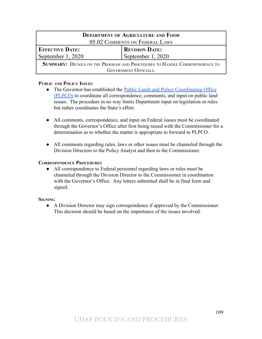| <b>DEPARTMENT OF AGRICULTURE AND FOOD</b>                                         |                       |
|-----------------------------------------------------------------------------------|-----------------------|
| 05.02 COMMENTS ON FEDERAL LAWS                                                    |                       |
| <b>EFFECTIVE DATE:</b>                                                            | <b>REVISION DATE:</b> |
| September 1, 2020                                                                 | September 1, 2020     |
| <b>SUMMARY:</b> DETAILS ON THE PROGRAM AND PROCEDURES TO HANDLE CORRESPONDENCE TO |                       |
| <b>GOVERNMENT OFFICIALS.</b>                                                      |                       |

### **PUBLIC AND POLICY ISSUES**

- The Governor has established the **Public Lands and [Policy Coordinating Office](https://publiclands.utah.gov/)** [\(PLPCO\)](https://publiclands.utah.gov/) to coordinate all correspondence, comments, and input on public land issues. The procedure in no way limits Department input on legislation or rules but rather coordinates the State's effort.
- All comments, correspondence, and input on Federal issues must be coordinated through the Governor's Office after first being raised with the Commissioner for a determination as to whether the matter is appropriate to forward to PLPCO.
- All comments regarding rules, laws or other issues must be channeled through the Division Directors to the Policy Analyst and then to the Commissioner.

#### **CORRESPONDENCE PROCEDURES**

● All correspondence to Federal personnel regarding laws or rules must be channeled through the Division Director to the Commissioner in coordination with the Governor's Office. Any letters submitted shall be in final form and signed.

#### **SIGNING**

● A Division Director may sign correspondence if approved by the Commissioner. This decision should be based on the importance of the issues involved.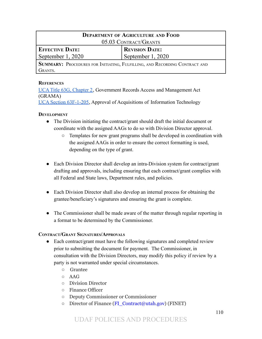| <b>DEPARTMENT OF AGRICULTURE AND FOOD</b>                                         |                       |
|-----------------------------------------------------------------------------------|-----------------------|
| 05.03 CONTRACT/GRANTS                                                             |                       |
| <b>EFFECTIVE DATE:</b>                                                            | <b>REVISION DATE:</b> |
| September 1, 2020                                                                 | September 1, 2020     |
| <b>SUMMARY:</b> PROCEDURES FOR INITIATING, FULFILLING, AND RECORDING CONTRACT AND |                       |
| GRANTS.                                                                           |                       |

UCA [Title 63G, Chapter 2](https://le.utah.gov/xcode/Title63G/Chapter2/63G-2.html?v=C63G-2_1800010118000101), Government Records Access and Management Act (GRAMA) [UCA Section 63F-1-205,](https://le.utah.gov/xcode/Title63F/Chapter1/63F-1-S205.html?v=C63F-1-S205_2018050820180508) Approval of Acquisitions of Information Technology

### **DEVELOPMENT**

- The Division initiating the contract/grant should draft the initial document or coordinate with the assigned AAGs to do so with Division Director approval.
	- Templates for new grant programs shall be developed in coordination with the assigned AAGs in order to ensure the correct formatting is used, depending on the type of grant.
- Each Division Director shall develop an intra-Division system for contract/grant drafting and approvals, including ensuring that each contract/grant complies with all Federal and State laws, Department rules, and policies.
- Each Division Director shall also develop an internal process for obtaining the grantee/beneficiary's signatures and ensuring the grant is complete.
- The Commissioner shall be made aware of the matter through regular reporting in a format to be determined by the Commissioner.

### **CONTRACT/GRANT SIGNATURES/APPROVALS**

- Each contract/grant must have the following signatures and completed review prior to submitting the document for payment. The Commissioner, in consultation with the Division Directors, may modify this policy if review by a party is not warranted under special circumstances.
	- Grantee
	- AAG
	- Division Director
	- Finance Officer
	- Deputy Commissioner or Commissioner
	- Director of Finance (FI\_Contract@utah.gov) (FINET)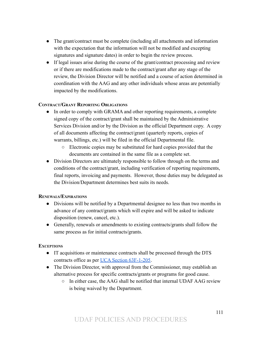- The grant/contract must be complete (including all attachments and information with the expectation that the information will not be modified and excepting signatures and signature dates) in order to begin the review process.
- If legal issues arise during the course of the grant/contract processing and review or if there are modifications made to the contract/grant after any stage of the review, the Division Director will be notified and a course of action determined in coordination with the AAG and any other individuals whose areas are potentially impacted by the modifications.

## **CONTRACT/GRANT REPORTING OBLIGATIONS**

- In order to comply with GRAMA and other reporting requirements, a complete signed copy of the contract/grant shall be maintained by the Administrative Services Division and/or by the Division as the official Department copy. A copy of all documents affecting the contract/grant (quarterly reports, copies of warrants, billings, etc.) will be filed in the official Departmental file.
	- Electronic copies may be substituted for hard copies provided that the documents are contained in the same file as a complete set.
- Division Directors are ultimately responsible to follow through on the terms and conditions of the contract/grant, including verification of reporting requirements, final reports, invoicing and payments. However, those duties may be delegated as the Division/Department determines best suits its needs.

### **RENEWALS/EXPIRATIONS**

- Divisions will be notified by a Departmental designee no less than two months in advance of any contract/grants which will expire and will be asked to indicate disposition (renew, cancel, etc.).
- Generally, renewals or amendments to existing contracts/grants shall follow the same process as for initial contracts/grants.

### **EXCEPTIONS**

- IT acquisitions or maintenance contracts shall be processed through the DTS contracts office as per [UCA Section 63F-1-205](https://le.utah.gov/xcode/Title63F/Chapter1/63F-1-P2.html?v=C63F-1-P2_1800010118000101).
- The Division Director, with approval from the Commissioner, may establish an alternative process for specific contracts/grants or programs for good cause.
	- In either case, the AAG shall be notified that internal UDAF AAG review is being waived by the Department.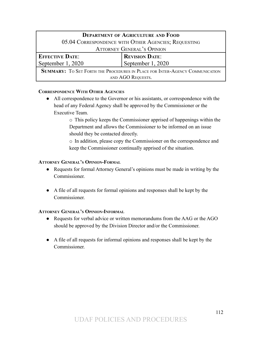#### **DEPARTMENT OF AGRICULTURE AND FOOD** 05.04 CORRESPONDENCE WITH OTHER AGENCIES; REQUESTING ATTORNEY GENERAL'<sup>S</sup> OPINION **EFFECTIVE DATE**: September 1, 2020 **REVISION DATE**: September 1, 2020 **SUMMARY:** T<sup>O</sup> SET FORTH THE PROCEDURES IN PLACE FOR INTER-AGENCY COMMUNICATION AND AGO REQUESTS.

## **CORRESPONDENCE WITH OTHER AGENCIES**

● All correspondence to the Governor or his assistants, or correspondence with the head of any Federal Agency shall be approved by the Commissioner or the Executive Team.

> o This policy keeps the Commissioner apprised of happenings within the Department and allows the Commissioner to be informed on an issue should they be contacted directly.

o In addition, please copy the Commissioner on the correspondence and keep the Commissioner continually apprised of the situation.

## **ATTORNEY GENERAL'S OPINION-FORMAL**

- Requests for formal Attorney General's opinions must be made in writing by the Commissioner.
- A file of all requests for formal opinions and responses shall be kept by the Commissioner.

## **ATTORNEY GENERAL'S OPINION-INFORMAL**

- Requests for verbal advice or written memorandums from the AAG or the AGO should be approved by the Division Director and/or the Commissioner.
- A file of all requests for informal opinions and responses shall be kept by the Commissioner.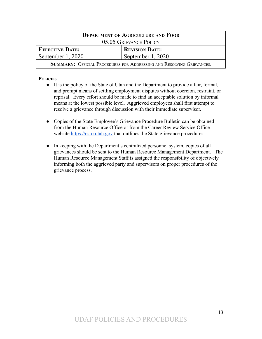| <b>DEPARTMENT OF AGRICULTURE AND FOOD</b>                                    |                       |
|------------------------------------------------------------------------------|-----------------------|
| 05.05 GRIEVANCE POLICY                                                       |                       |
| <b>EFFECTIVE DATE:</b>                                                       | <b>REVISION DATE:</b> |
| September 1, 2020                                                            | September 1, 2020     |
| <b>SUMMARY: OFFICIAL PROCEDURES FOR ADDRESSING AND RESOLVING GRIEVANCES.</b> |                       |

### **POLICIES**

- It is the policy of the State of Utah and the Department to provide a fair, formal, and prompt means of settling employment disputes without coercion, restraint, or reprisal. Every effort should be made to find an acceptable solution by informal means at the lowest possible level. Aggrieved employees shall first attempt to resolve a grievance through discussion with their immediate supervisor.
- Copies of the State Employee's Grievance Procedure Bulletin can be obtained from the Human Resource Office or from the Career Review Service Office website <https://csro.utah.gov> that outlines the State grievance procedures.
- In keeping with the Department's centralized personnel system, copies of all grievances should be sent to the Human Resource Management Department. The Human Resource Management Staff is assigned the responsibility of objectively informing both the aggrieved party and supervisors on proper procedures of the grievance process.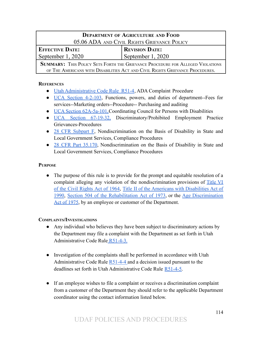# **DEPARTMENT OF AGRICULTURE AND FOOD** 05.06 ADA AND CIVIL RIGHTS GRIEVANCE POLICY

**EFFECTIVE DATE:** September 1, 2020

**REVISION DATE:** September 1, 2020

**SUMMARY:** THIS POLICY SETS FORTH THE GRIEVANCE PROCEDURE FOR ALLEGED VIOLATIONS OF THE AMERICANS WITH DISABILITIES ACT AND CIVIL RIGHTS GRIEVANCE PROCEDURES.

## **REFERENCES**

- [Utah Administrative Code Rule R51-4](https://rules.utah.gov/wp-content/uploads/r051-004.pdf), ADA Complaint Procedure
- UCA Section [4-2-103](https://le.utah.gov/xcode/Title4/Chapter2/4-2-S103.html?v=C4-2-S103_2018050820180508), Functions, powers, and duties of department--Fees for services--Marketing orders--Procedure-- Purchasing and auditing
- UCA Section 62A-5a-101, Coordinating Council for Persons with Disabilities
- UCA Section 67-19-32, [Discriminatory/Prohibited](https://le.utah.gov/xcode/Title67/Chapter19/67-19-S32.html?v=C67-19-S32_1800010118000101) Employment Practice [Grievances-Procedures](https://le.utah.gov/xcode/Title67/Chapter19/67-19-S32.html?v=C67-19-S32_1800010118000101)
- 28 CFR [Subpart](https://www.law.cornell.edu/cfr/text/28/part-35/subpart-F) F, Nondiscrimination on the Basis of Disability in State and Local Government Services, Compliance Procedures
- 28 CFR Part [35.170](https://www.law.cornell.edu/cfr/text/28/part-35), Nondiscrimination on the Basis of Disability in State and Local Government Services, Compliance Procedures

## **PURPOSE**

• The purpose of this rule is to provide for the prompt and equitable resolution of a complaint alleging any violation of the nondiscrimination provisions of [Title](https://www.justice.gov/crt/fcs/TitleVI) VI of the Civil [Rights](https://www.justice.gov/crt/fcs/TitleVI) Act of 1964, Title II of the Americans with [Disabilities](https://www.ada.gov/ada_title_II.htm) Act of [1990](https://www.ada.gov/ada_title_II.htm), Section 504 of the [Rehabilitation](https://www.dol.gov/agencies/oasam/centers-offices/civil-rights-center/statutes/section-504-rehabilitation-act-of-1973) Act of 1973, or the Age [Discrimination](https://www.dol.gov/agencies/oasam/regulatory/statutes/age-discrimination-act) [Act of 1975](https://www.dol.gov/agencies/oasam/regulatory/statutes/age-discrimination-act), by an employee or customer of the Department.

## **COMPLAINTS/INVESTIGATIONS**

- Any individual who believes they have been subject to discriminatory actions by the Department may file a complaint with the Department as set forth in Utah Administrative Code Rule [R51-4-3.](https://rules.utah.gov/wp-content/uploads/r051-004.pdf)
- Investigation of the complaints shall be performed in accordance with Utah Administrative Code Rule  $R51-4-4$  and a decision issued pursuant to the deadlines set forth in Utah Administrative Code Rule [R51-4-5.](https://rules.utah.gov/wp-content/uploads/r051-004.pdf)
- If an employee wishes to file a complaint or receives a discrimination complaint from a customer of the Department they should refer to the applicable Department coordinator using the contact information listed below.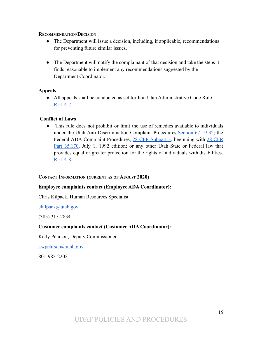#### **RECOMMENDATION/DECISION**

- The Department will issue a decision, including, if applicable, recommendations for preventing future similar issues.
- The Department will notify the complainant of that decision and take the steps it finds reasonable to implement any recommendations suggested by the Department Coordinator.

### **Appeals**

● All appeals shall be conducted as set forth in Utah Administrative Code Rule [R51-4-7.](https://rules.utah.gov/wp-content/uploads/r051-004.pdf)

### **Conflict of Laws**

● This rule does not prohibit or limit the use of remedies available to individuals under the Utah Anti-Discrimination Complaint Procedures Section [67-19-32;](https://le.utah.gov/xcode/Title67/Chapter19/67-19-S32.html?v=C67-19-S32_1800010118000101) the Federal ADA Complaint Procedures, 28 CFR [Subpart](https://www.law.cornell.edu/cfr/text/28/part-35/subpart-F) F, beginning with 28 [CFR](https://www.law.cornell.edu/cfr/text/28/part-35) Part [35.170,](https://www.law.cornell.edu/cfr/text/28/part-35) July 1, 1992 edition; or any other Utah State or Federal law that provides equal or greater protection for the rights of individuals with disabilities. [R51-4-8.](https://rules.utah.gov/wp-content/uploads/r051-004.pdf)

### **CONTACT INFORMATION (CURRENT AS OF AUGUST 2020)**

#### **Employee complaints contact (Employee ADA Coordinator):**

Chris Kilpack, Human Resources Specialist

[ckilpack@utah.gov](mailto:ckilpack@utah.gov)

(385) 315-2834

#### **Customer complaints contact (Customer ADA Coordinator):**

Kelly Pehrson, Deputy Commissioner

[kwpehrson@utah.gov](mailto:kwpehrson@utah.gov)

801-982-2202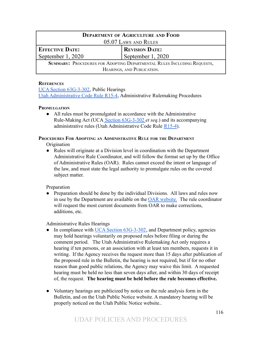| <b>DEPARTMENT OF AGRICULTURE AND FOOD</b>                                      |                       |
|--------------------------------------------------------------------------------|-----------------------|
| 05.07 LAWS AND RULES                                                           |                       |
| <b>EFFECTIVE DATE:</b>                                                         | <b>REVISION DATE:</b> |
| September 1, 2020                                                              | September 1, 2020     |
| <b>SUMMARY: PROCEDURES FOR ADOPTING DEPARTMENTAL RULES INCLUDING REQUESTS,</b> |                       |
| HEARINGS, AND PUBLICATION.                                                     |                       |

[UCA Section 63G-3-302,](https://le.utah.gov/xcode/Title63G/Chapter3/63G-3-S302.html?v=C63G-3-S302_1800010118000101) Public Hearings [Utah Administrative Code Rule R15-4](https://rules.utah.gov/wp-content/uploads/r051-004.pdf), Administrative Rulemaking Procedures

#### **PROMULGATION**

● All rules must be promulgated in accordance with the Administrative Rule-Making Act (UCA [Section 63G-3-302](https://le.utah.gov/xcode/Title63G/Chapter3/63G-3-S302.html?v=C63G-3-S302_1800010118000101) *et seq*.) and its accompanying administrative rules (Utah Administrative Code Rule [R15-4](https://rules.utah.gov/wp-content/uploads/r051-004.pdf)).

### **PROCEDURES FOR ADOPTING AN ADMINISTRATIVE RULE FOR THE DEPARTMENT**

**Origination** 

● Rules will originate at a Division level in coordination with the Department Administrative Rule Coordinator, and will follow the format set up by the Office of Administrative Rules (OAR). Rules cannot exceed the intent or language of the law, and must state the legal authority to promulgate rules on the covered subject matter.

Preparation

• Preparation should be done by the individual Divisions. All laws and rules now in use by the Department are available on the OAR [website.](https://adminrules.utah.gov/state/my%20work/work%20queue) The rule coordinator will request the most current documents from OAR to make corrections, additions, etc.

Administrative Rules Hearings

- In compliance with UCA Section  $63G-3-302$ , and Department policy, agencies may hold hearings voluntarily on proposed rules before filing or during the comment period. The Utah Administrative Rulemaking Act only requires a hearing if ten persons, or an association with at least ten members, requests it in writing. If the Agency receives the request more than 15 days after publication of the proposed rule in the Bulletin, the hearing is not required, but if for no other reason than good public relations, the Agency may waive this limit. A requested hearing must be held no less than seven days after, and within 30 days of receipt of, the request. **The hearing must be held before the rule becomes effective.**
- Voluntary hearings are publicized by notice on the rule analysis form in the Bulletin, and on the Utah Public Notice website. A mandatory hearing will be properly noticed on the Utah Public Notice website..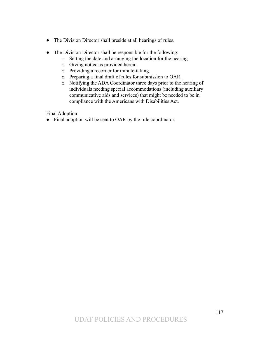- The Division Director shall preside at all hearings of rules.
- The Division Director shall be responsible for the following:
	- o Setting the date and arranging the location for the hearing.
	- o Giving notice as provided herein.
	- o Providing a recorder for minute-taking.
	- o Preparing a final draft of rules for submission to OAR.
	- o Notifying the ADA Coordinator three days prior to the hearing of individuals needing special accommodations (including auxiliary communicative aids and services) that might be needed to be in compliance with the Americans with Disabilities Act.

Final Adoption

• Final adoption will be sent to OAR by the rule coordinator.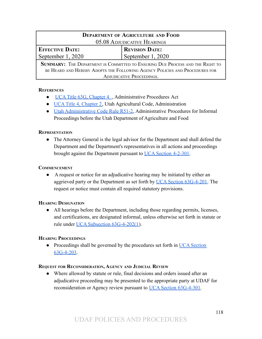## **DEPARTMENT OF AGRICULTURE AND FOOD** 05.08 ADJUDICATIVE HEARINGS

**EFFECTIVE DATE:** September 1, 2020

**REVISION DATE:** September 1, 2020

**SUMMARY:** THE DEPARTMENT IS COMMITTED TO ENSURING DUE PROCESS AND THE RIGHT TO BE HEARD AND HEREBY ADOPTS THE FOLLOWING AGENCY POLICIES AND PROCEDURES FOR ADJUDICATIVE PROCEEDINGS.

### **REFERENCES**

- UCA [Title 63G, Chapter 4](https://le.utah.gov/xcode/Title63G/Chapter4/63G-4.html?v=C63G-4_1800010118000101) , Administrative Procedures Act
- UCA [Title 4, Chapter 2,](https://le.utah.gov/xcode/Title4/Chapter2/4-2.html?v=C4-2_2017050920170701) Utah Agricultural Code, Administration
- [Utah Administrative Code Rule R51-2](https://rules.utah.gov/wp-content/uploads/r051-002.pdf), Administrative Procedures for Informal Proceedings before the Utah Department of Agriculture and Food

## **REPRESENTATION**

● The Attorney General is the legal advisor for the Department and shall defend the Department and the Department's representatives in all actions and proceedings brought against the Department pursuant to [UCA Section](https://le.utah.gov/xcode/Title4/Chapter2/4-2-S301.html) 4-2-301.

### **COMMENCEMENT**

● A request or notice for an adjudicative hearing may be initiated by either an aggrieved party or the Department as set forth by [UCA Section 63G-4-201.](https://le.utah.gov/xcode/Title63G/Chapter4/63G-4-S201.html) The request or notice must contain all required statutory provisions.

### **HEARING DESIGNATION**

● All hearings before the Department, including those regarding permits, licenses, and certifications, are designated informal, unless otherwise set forth in statute or rule under [UCA Subsection 63G-4-202\(1\)](https://le.utah.gov/xcode/Title63G/Chapter4/63G-4-S202.html).

### **HEARING PROCEEDINGS**

• Proceedings shall be governed by the procedures set forth in [UCA Section](https://le.utah.gov/xcode/Title63G/Chapter4/63G-4-S203.html?v=C63G-4-S203_1800010118000101) [63G-4-203.](https://le.utah.gov/xcode/Title63G/Chapter4/63G-4-S203.html?v=C63G-4-S203_1800010118000101)

### **REQUEST FOR RECONSIDERATION, AGENCY AND JUDICIAL REVIEW**

• Where allowed by statute or rule, final decisions and orders issued after an adjudicative proceeding may be presented to the appropriate party at UDAF for reconsideration or Agency review pursuant to [UCA Section](https://le.utah.gov/xcode/Title63G/Chapter4/63G-4-S301.html?v=C63G-4-S301_1800010118000101) 63G-4-301.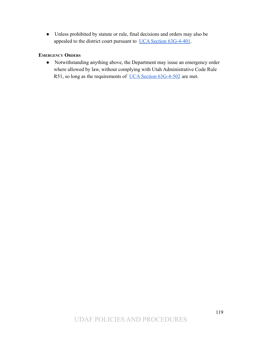● Unless prohibited by statute or rule, final decisions and orders may also be appealed to the district court pursuant to [UCA Section](https://le.utah.gov/xcode/Title63G/Chapter4/63G-4-S401.html?v=C63G-4-S401_1800010118000101) 63G-4-401.

## **EMERGENCY ORDERS**

● Notwithstanding anything above, the Department may issue an emergency order where allowed by law, without complying with Utah Administrative Code Rule R51, so long as the requirements of [UCA Section 63G-4-502](https://le.utah.gov/xcode/Title63G/Chapter4/63G-4-S502.html) are met.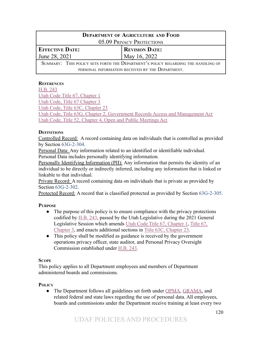| <b>DEPARTMENT OF AGRICULTURE AND FOOD</b>                                         |                       |
|-----------------------------------------------------------------------------------|-----------------------|
| 05.09 PRIVACY PROTECTIONS                                                         |                       |
| <b>EFFECTIVE DATE:</b>                                                            | <b>REVISION DATE:</b> |
| June 28, 2021                                                                     | May 16, 2022          |
| SUMMARY: THIS POLICY SETS FORTH THE DEPARTMENT'S POLICY REGARDING THE HANDLING OF |                       |
| PERSONAL INFORMATION RECEIVED BY THE DEPARTMENT.                                  |                       |

[H.B. 243](https://le.utah.gov/~2021/bills/static/HB0243.html) [Utah Code Title 67, Chapter 1](https://le.utah.gov/xcode/Title67/Chapter1/67-1.html?v=C67-1_1800010118000101) [Utah Code, Title 67 Chapter 3](https://le.utah.gov/xcode/Title67/Chapter3/67-3.html?v=C67-3_1800010118000101) [Utah Code, Title 63C, Chapter 23](https://le.utah.gov/xcode/Title63C/Chapter23/63C-23.html?v=C63C-23_2021050520210505) [Utah Code, Title 63G, Chapter 2, Government Records Access and Management Act](https://le.utah.gov/xcode/Title63G/Chapter2/63G-2.html?v=C63G-2_1800010118000101) [Utah Code, Title 52, Chapter 4, Open and Public Meetings Act](https://le.utah.gov/xcode/Title52/Chapter4/52-4.html?v=C52-4_1800010118000101)

#### **DEFINITIONS**

Controlled Record: A record containing data on individuals that is controlled as provided by Section [63G-2-304.](https://le.utah.gov/xcode/Title63G/Chapter2/63G-2-S304.html?v=C63G-2-S304_1800010118000101)

Personal Data: Any information related to an identified or identifiable individual. Personal Data includes personally identifying information.

Personally Identifying Information (PII): Any information that permits the identity of an individual to be directly or indirectly inferred, including any information that is linked or linkable to that individual.

Private Record: A record containing data on individuals that is private as provided by Section [63G-2-302.](https://le.utah.gov/xcode/Title63G/Chapter2/63G-2-S302.html?v=C63G-2-S302_2021050520210505)

Protected Record: A record that is classified protected as provided by Section [63G-2-305.](https://le.utah.gov/xcode/Title63G/Chapter2/63G-2-S305.html?v=C63G-2-S305_2021050520210505)

### **PURPOSE**

- The purpose of this policy is to ensure compliance with the privacy protections codified by [H.B. 243,](https://le.utah.gov/~2021/bills/static/HB0243.html) passed by the Utah Legislative during the 2021 General Legislative Session which amends [Utah Code Title 67,](https://le.utah.gov/xcode/Title67/Chapter1/67-1.html?v=C67-1_1800010118000101) Chapter 1, [Title 67,](https://le.utah.gov/xcode/Title67/Chapter3/67-3.html?v=C67-3_1800010118000101) [Chapter 3,](https://le.utah.gov/xcode/Title67/Chapter3/67-3.html?v=C67-3_1800010118000101) and enacts additional sections in Title [63C, Chapter 23.](https://le.utah.gov/xcode/Title63C/Chapter23/63C-23.html?v=C63C-23_2021050520210505)
- This policy shall be modified as guidance is received by the government operations privacy officer, state auditor, and Personal Privacy Oversight Commission established under [H.B. 243.](https://le.utah.gov/~2021/bills/static/HB0243.html)

#### **SCOPE**

This policy applies to all Department employees and members of Department administered boards and commissions.

#### **POLICY**

• The Department follows all guidelines set forth under [OPMA](https://le.utah.gov/xcode/Title52/Chapter4/52-4.html?v=C52-4_1800010118000101), [GRAMA,](https://le.utah.gov/xcode/Title63G/Chapter2/63G-2.html?v=C63G-2_1800010118000101) and related federal and state laws regarding the use of personal data. All employees, boards and commissions under the Department receive training at least every two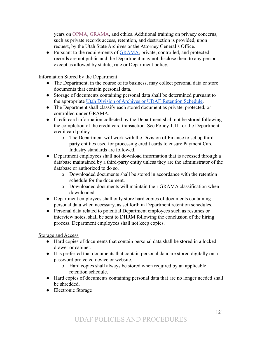years on [OPMA,](https://le.utah.gov/xcode/Title52/Chapter4/52-4.html?v=C52-4_1800010118000101) [GRAMA,](https://le.utah.gov/xcode/Title63G/Chapter2/63G-2.html?v=C63G-2_1800010118000101) and ethics. Additional training on privacy concerns, such as private records access, retention, and destruction is provided, upon request, by the Utah State Archives or the Attorney General's Office.

• Pursuant to the requirements of [GRAMA](https://le.utah.gov/xcode/Title63G/Chapter2/63G-2.html?v=C63G-2_1800010118000101), private, controlled, and protected records are not public and the Department may not disclose them to any person except as allowed by statute, rule or Department policy.

Information Stored by the Department

- The Department, in the course of its business, may collect personal data or store documents that contain personal data.
- Storage of documents containing personal data shall be determined pursuant to the appropriate [Utah Division of Archives or UDAF](https://axaemarchives.utah.gov/cgi-bin/agencylist.cgi) Retention Schedule.
- The Department shall classify each stored document as private, protected, or controlled under GRAMA.
- Credit card information collected by the Department shall not be stored following the completion of the credit card transaction. See Policy 1.11 for the Department credit card policy.
	- o The Department will work with the Division of Finance to set up third party entities used for processing credit cards to ensure Payment Card Industry standards are followed.
- Department employees shall not download information that is accessed through a database maintained by a third-party entity unless they are the administrator of the database or authorized to do so.
	- o Downloaded documents shall be stored in accordance with the retention schedule for the document.
	- o Downloaded documents will maintain their GRAMA classification when downloaded.
- Department employees shall only store hard copies of documents containing personal data when necessary, as set forth in Department retention schedules.
- Personal data related to potential Department employees such as resumes or interview notes, shall be sent to DHRM following the conclusion of the hiring process. Department employees shall not keep copies.

Storage and Access

- Hard copies of documents that contain personal data shall be stored in a locked drawer or cabinet.
- It is preferred that documents that contain personal data are stored digitally on a password protected device or website.
	- o Hard copies shall always be stored when required by an applicable retention schedule.
- Hard copies of documents containing personal data that are no longer needed shall be shredded.
- Electronic Storage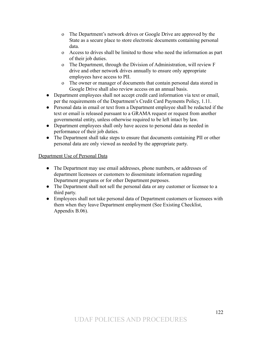- o The Department's network drives or Google Drive are approved by the State as a secure place to store electronic documents containing personal data.
- o Access to drives shall be limited to those who need the information as part of their job duties.
- o The Department, through the Division of Administration, will review F drive and other network drives annually to ensure only appropriate employees have access to PII.
- o The owner or manager of documents that contain personal data stored in Google Drive shall also review access on an annual basis.
- Department employees shall not accept credit card information via text or email, per the requirements of the Department's Credit Card Payments Policy, 1.11.
- Personal data in email or text from a Department employee shall be redacted if the text or email is released pursuant to a GRAMA request or request from another governmental entity, unless otherwise required to be left intact by law.
- Department employees shall only have access to personal data as needed in performance of their job duties.
- The Department shall take steps to ensure that documents containing PII or other personal data are only viewed as needed by the appropriate party.

## Department Use of Personal Data

- The Department may use email addresses, phone numbers, or addresses of department licensees or customers to disseminate information regarding Department programs or for other Department purposes.
- The Department shall not sell the personal data or any customer or licensee to a third party.
- Employees shall not take personal data of Department customers or licensees with them when they leave Department employment (See Existing Checklist, Appendix B.06).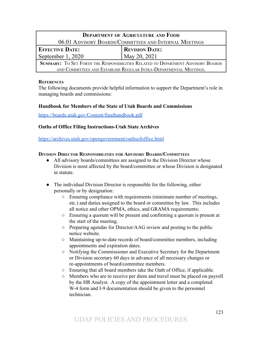| <b>DEPARTMENT OF AGRICULTURE AND FOOD</b>                                               |                       |
|-----------------------------------------------------------------------------------------|-----------------------|
| 06.01 ADVISORY BOARDS/COMMITTEES AND INTERNAL MEETINGS                                  |                       |
| <b>EFFECTIVE DATE:</b>                                                                  | <b>REVISION DATE:</b> |
| September 1, 2020                                                                       | May 20, 2021          |
| <b>SUMMARY:</b> TO SET FORTH THE RESPONSIBILITIES RELATED TO DEPARTMENT ADVISORY BOARDS |                       |
| AND COMMITTEES AND ESTABLISH REGULAR INTRA-DEPARTMENTAL MEETINGS.                       |                       |

The following documents provide helpful information to support the Department's role in managing boards and commissions:

### **Handbook for Members of the State of Utah Boards and Commissions**

<https://boards.utah.gov/Content/finalhandbook.pdf>

## **Oaths of Office Filing Instructions-Utah State Archives**

<https://archives.utah.gov/opengovernment/oathsofoffice.html>

### **DIVISION DIRECTOR RESPONSIBILITIES FOR ADVISORY BOARDS/COMMITTEES**

- All advisory boards/committees are assigned to the Division Director whose Division is most affected by the board/committee or whose Division is designated in statute.
- The individual Division Director is responsible for the following, either personally or by designation:
	- Ensuring compliance with requirements (minimum number of meetings, etc.) and duties assigned to the board or committee by law. This includes all notice and other OPMA, ethics, and GRAMA requirements;
	- Ensuring a quorum will be present and confirming a quorum is present at the start of the meeting.
	- Preparing agendas for Director/AAG review and posting to the public notice website.
	- Maintaining up-to-date records of board/committee members, including appointments and expiration dates.
	- Notifying the Commissioner and Executive Secretary for the Department or Division secretary 60 days in advance of all necessary changes or re-appointments of board/committee members.
	- Ensuring that all board members take the Oath of Office, if applicable.
	- Members who are to receive per diem and travel must be placed on payroll by the HR Analyst. A copy of the appointment letter and a completed W-4 form and I-9 documentation should be given to the personnel technician.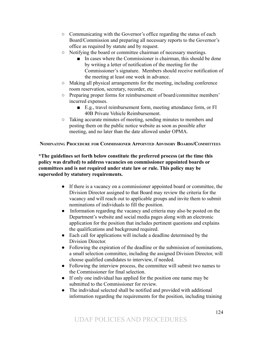- Communicating with the Governor's office regarding the status of each Board/Commission and preparing all necessary reports to the Governor's office as required by statute and by request.
- Notifying the board or committee chairman of necessary meetings.
	- In cases where the Commissioner is chairman, this should be done by writing a letter of notification of the meeting for the Commissioner's signature. Members should receive notification of the meeting at least one week in advance.
- Making all physical arrangements for the meeting, including conference room reservation, secretary, recorder, etc.
- Preparing proper forms for reimbursement of board/committee members' incurred expenses.
	- E.g., travel reimbursement form, meeting attendance form, or FI 40B Private Vehicle Reimbursement.
- Taking accurate minutes of meeting, sending minutes to members and posting them on the public notice website as soon as possible after meeting, and no later than the date allowed under OPMA.

**NOMINATING PROCEDURE FOR COMMISSIONER APPOINTED ADVISORY BOARDS/COMMITTEES**

## **\*The guidelines set forth below constitute the preferred process (at the time this policy was drafted) to address vacancies on commissioner appointed boards or committees and is not required under state law or rule. This policy may be superseded by statutory requirements.**

- If there is a vacancy on a commissioner appointed board or committee, the Division Director assigned to that Board may review the criteria for the vacancy and will reach out to applicable groups and invite them to submit nominations of individuals to fill the position.
- Information regarding the vacancy and criteria may also be posted on the Department's website and social media pages along with an electronic application for the position that includes pertinent questions and explains the qualifications and background required.
- Each call for applications will include a deadline determined by the Division Director.
- Following the expiration of the deadline or the submission of nominations, a small selection committee, including the assigned Division Director, will choose qualified candidates to interview, if needed.
- Following the interview process, the committee will submit two names to the Commissioner for final selection.
- If only one individual has applied for the position one name may be submitted to the Commissioner for review.
- The individual selected shall be notified and provided with additional information regarding the requirements for the position, including training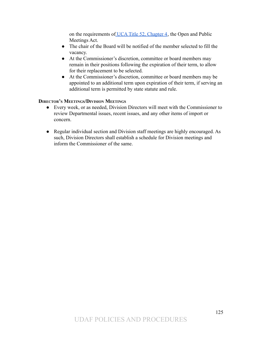on the requirements of UCA [Title 52, Chapter 4,](https://le.utah.gov/xcode/Title52/Chapter4/52-4.html?v=C52-4_1800010118000101) the Open and Public Meetings Act.

- The chair of the Board will be notified of the member selected to fill the vacancy.
- At the Commissioner's discretion, committee or board members may remain in their positions following the expiration of their term, to allow for their replacement to be selected.
- At the Commissioner's discretion, committee or board members may be appointed to an additional term upon expiration of their term, if serving an additional term is permitted by state statute and rule.

## **DIRECTOR'S MEETINGS/DIVISION MEETINGS**

- Every week, or as needed, Division Directors will meet with the Commissioner to review Departmental issues, recent issues, and any other items of import or concern.
- Regular individual section and Division staff meetings are highly encouraged. As such, Division Directors shall establish a schedule for Division meetings and inform the Commissioner of the same.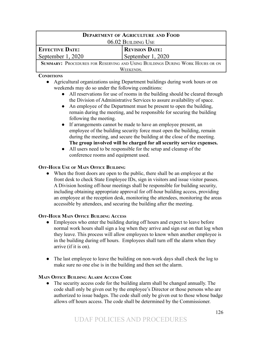| <b>DEPARTMENT OF AGRICULTURE AND FOOD</b>                                            |                       |
|--------------------------------------------------------------------------------------|-----------------------|
| 06.02 BUILDING USE                                                                   |                       |
| <b>EFFECTIVE DATE:</b>                                                               | <b>REVISION DATE:</b> |
| September 1, 2020                                                                    | September 1, 2020     |
| <b>SUMMARY: PROCEDURES FOR RESERVING AND USING BUILDINGS DURING WORK HOURS OR ON</b> |                       |
| WEEKENDS.                                                                            |                       |

**CONDITIONS**

- Agricultural organizations using Department buildings during work hours or on weekends may do so under the following conditions:
	- All reservations for use of rooms in the building should be cleared through the Division of Administrative Services to assure availability of space.
	- An employee of the Department must be present to open the building, remain during the meeting, and be responsible for securing the building following the meeting.
	- If arrangements cannot be made to have an employee present, an employee of the building security force must open the building, remain during the meeting, and secure the building at the close of the meeting. **The group involved will be charged for all security service expenses.**
	- All users need to be responsible for the setup and cleanup of the conference rooms and equipment used.

## **OFF-HOUR USE OF MAIN OFFICE BUILDING**

• When the front doors are open to the public, there shall be an employee at the front desk to check State Employee IDs, sign in visitors and issue visitor passes. A Division hosting off-hour meetings shall be responsible for building security, including obtaining appropriate approval for off-hour building access, providing an employee at the reception desk, monitoring the attendees, monitoring the areas accessible by attendees, and securing the building after the meeting.

## **OFF-HOUR MAIN OFFICE BUILDING ACCESS**

- Employees who enter the building during off hours and expect to leave before normal work hours shall sign a log when they arrive and sign out on that log when they leave. This process will allow employees to know when another employee is in the building during off hours. Employees shall turn off the alarm when they arrive (if it is on).
- The last employee to leave the building on non-work days shall check the log to make sure no one else is in the building and then set the alarm.

## **MAIN OFFICE BUILDING ALARM ACCESS CODE**

● The security access code for the building alarm shall be changed annually. The code shall only be given out by the employee's Director or those persons who are authorized to issue badges. The code shall only be given out to those whose badge allows off hours access. The code shall be determined by the Commissioner.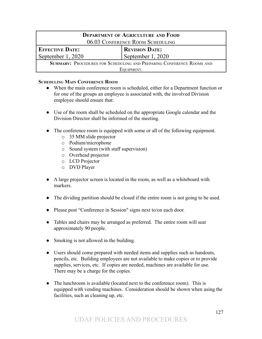| <b>DEPARTMENT OF AGRICULTURE AND FOOD</b>                                    |                       |
|------------------------------------------------------------------------------|-----------------------|
| 06.03 CONFERENCE ROOM SCHEDULING                                             |                       |
| <b>EFFECTIVE DATE:</b>                                                       | <b>REVISION DATE:</b> |
| September 1, 2020                                                            | September 1, 2020     |
| <b>SUMMARY: PROCEDURES FOR SCHEDULING AND PREPARING CONFERENCE ROOMS AND</b> |                       |
| EQUIPMENT.                                                                   |                       |

### **SCHEDULING MAIN CONFERENCE ROOM**

- When the main conference room is scheduled, either for a Department function or for one of the groups an employee is associated with, the involved Division employee should ensure that:
- Use of the room shall be scheduled on the appropriate Google calendar and the Division Director shall be informed of the meeting.
- The conference room is equipped with some or all of the following equipment.
	- o 35 MM slide projector
	- o Podium/microphone
	- o Sound system (with staff supervision)
	- o Overhead projector
	- o LCD Projector
	- o DVD Player
- A large projector screen is located in the room, as well as a whiteboard with markers.
- The dividing partition should be closed if the entire room is not going to be used.
- Please post "Conference in Session" signs next to/on each door.
- Tables and chairs may be arranged as preferred. The entire room will seat approximately 90 people.
- Smoking is not allowed in the building.
- Users should come prepared with needed items and supplies such as handouts, pencils, etc. Building employees are not available to make copies or to provide supplies, services, etc. If copies are needed, machines are available for use. There may be a charge for the copies.
- The lunchroom is available (located next to the conference room). This is equipped with vending machines. Consideration should be shown when using the facilities, such as cleaning up, etc.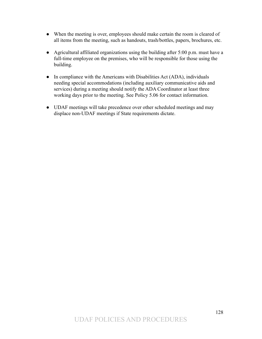- When the meeting is over, employees should make certain the room is cleared of all items from the meeting, such as handouts, trash/bottles, papers, brochures, etc.
- Agricultural affiliated organizations using the building after 5:00 p.m. must have a full-time employee on the premises, who will be responsible for those using the building.
- In compliance with the Americans with Disabilities Act (ADA), individuals needing special accommodations (including auxiliary communicative aids and services) during a meeting should notify the ADA Coordinator at least three working days prior to the meeting. See Policy 5.06 for contact information.
- UDAF meetings will take precedence over other scheduled meetings and may displace non-UDAF meetings if State requirements dictate.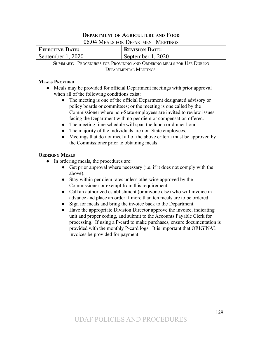| <b>DEPARTMENT OF AGRICULTURE AND FOOD</b>                                  |                       |
|----------------------------------------------------------------------------|-----------------------|
| 06.04 MEALS FOR DEPARTMENT MEETINGS                                        |                       |
| <b>EFFECTIVE DATE:</b>                                                     | <b>REVISION DATE:</b> |
| September 1, 2020                                                          | September 1, 2020     |
| <b>SUMMARY: PROCEDURES FOR PROVIDING AND ORDERING MEALS FOR USE DURING</b> |                       |
| <b>DEPARTMENTAL MEETINGS.</b>                                              |                       |

### **MEALS PROVIDED**

- Meals may be provided for official Department meetings with prior approval when all of the following conditions exist:
	- The meeting is one of the official Department designated advisory or policy boards or committees; or the meeting is one called by the Commissioner where non-State employees are invited to review issues facing the Department with no per diem or compensation offered.
	- The meeting time schedule will span the lunch or dinner hour.
	- The majority of the individuals are non-State employees.
	- Meetings that do not meet all of the above criteria must be approved by the Commissioner prior to obtaining meals.

## **ORDERING MEALS**

- In ordering meals, the procedures are:
	- Get prior approval where necessary (i.e. if it does not comply with the above).
	- Stay within per diem rates unless otherwise approved by the Commissioner or exempt from this requirement.
	- Call an authorized establishment (or anyone else) who will invoice in advance and place an order if more than ten meals are to be ordered.
	- Sign for meals and bring the invoice back to the Department.
	- Have the appropriate Division Director approve the invoice, indicating unit and proper coding, and submit to the Accounts Payable Clerk for processing. If using a P-card to make purchases, ensure documentation is provided with the monthly P-card logs. It is important that ORIGINAL invoices be provided for payment.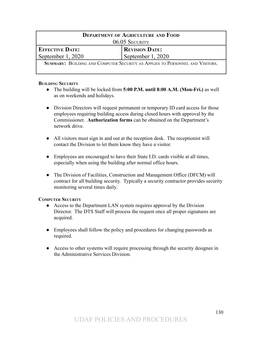| <b>DEPARTMENT OF AGRICULTURE AND FOOD</b>                                            |                       |
|--------------------------------------------------------------------------------------|-----------------------|
| 06.05 SECURITY                                                                       |                       |
| <b>EFFECTIVE DATE:</b>                                                               | <b>REVISION DATE:</b> |
| September 1, 2020                                                                    | September 1, 2020     |
| <b>SUMMARY:</b> BUILDING AND COMPUTER SECURITY AS APPLIES TO PERSONNEL AND VISITORS. |                       |

## **BUILDING SECURITY**

- The building will be locked from **5:00 P.M. until 8:00 A.M. (Mon-Fri.)** as well as on weekends and holidays.
- Division Directors will request permanent or temporary ID card access for those employees requiring building access during closed hours with approval by the Commissioner. **Authorization forms** can be obtained on the Department's network drive.
- All visitors must sign in and out at the reception desk. The receptionist will contact the Division to let them know they have a visitor.
- Employees are encouraged to have their State I.D. cards visible at all times, especially when using the building after normal office hours.
- The Division of Facilities, Construction and Management Office (DFCM) will contract for all building security. Typically a security contractor provides security monitoring several times daily.

### **COMPUTER SECURITY**

- Access to the Department LAN system requires approval by the Division Director. The DTS Staff will process the request once all proper signatures are acquired.
- Employees shall follow the policy and procedures for changing passwords as required.
- Access to other systems will require processing through the security designee in the Administrative Services Division.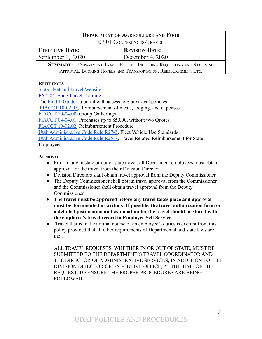### **DEPARTMENT OF AGRICULTURE AND FOOD** 07.01 CONFERENCES-TRAVEL **EFFECTIVE DATE:** September 1, 2020 **REVISION DATE:** December 4, 2020 **SUMMARY:** DEPARTMENT TRAVEL POLICIES INCLUDING REQUESTING AND RECEIVING APPROVAL, BOOKING HOTELS AND TRANSPORTATION, REIMBURSEMENT ETC.

#### **REFERENCES**

[State Fleet and Travel Website](https://fleet.utah.gov/state-travel-a/) [FY 2021 State Travel Training](https://fleet.utah.gov/wp-content/uploads/State-of-Utah-Annual-Training-FY21.pdf)

The [Find It Guide](https://fleet.utah.gov/state-travel-a/cornerstone-draft-2/) - a portal with access to State travel policies [FIACCT 10-02.03,](https://dhrm.utah.gov/wp-content/uploads/Travel-Meal-Reimbursement-Information.pdf) Reimbursement of meals, lodging, and expenses [FIACCT 10-04.00,](http://apps.finance.utah.gov/nxt/gateway.dll?f=templates&fn=default.htm&vid=nxtpub:app1) Group Gatherings [FIACCT 04-04.01,](http://apps.finance.utah.gov/nxt/gateway.dll?f=templates&fn=default.htm&q=05-15_00&x=advanced) Purchases up to \$5,000, without two Quotes [FIACCT 10-02.02,](http://apps.finance.utah.gov/nxt/gateway.dll?f=templates&fn=default.htm&q=05-15_00&x=advanced) Reimbursement Procedure [Utah Administrative Code Rule R27-3](https://rules.utah.gov/wp-content/uploads/r027-003.pdf), Fleet Vehicle Use Standards [Utah Administrative Code Rule R25-7](https://rules.utah.gov/wp-content/uploads/r025-007.pdf), Travel Related Reimbursement for State Employees

**APPROVAL**

- Prior to any in state or out of state travel, all Department employees must obtain approval for the travel from their Division Director.
- Division Directors shall obtain travel approval from the Deputy Commissioner.
- The Deputy Commissioner shall obtain travel approval from the Commissioner and the Commissioner shall obtain travel approval from the Deputy Commissioner.
- **The travel must be approved before any travel takes place and approval must be documented in writing. If possible, the travel authorization form or a detailed justification and explanation for the travel should be stored with the employee's travel record in Employee Self Service.**
- Travel that is in the normal course of an employee's duties is exempt from this policy provided that all other requirements of Departmental and state laws are met.

ALL TRAVEL REQUESTS, WHETHER IN OR OUT OF STATE, MUST BE SUBMITTED TO THE DEPARTMENT'S TRAVEL COORDINATOR AND THE DIRECTOR OF ADMINISTRATIVE SERVICES, IN ADDITION TO THE DIVISION DIRECTOR OR EXECUTIVE OFFICE, AT THE TIME OF THE REQUEST, TO ENSURE THE PROPER PROCEDURES ARE BEING **FOLLOWED.**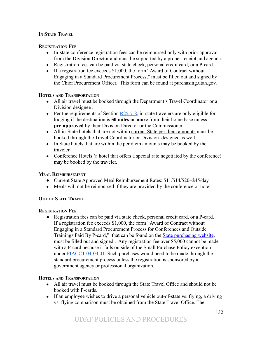## **IN STATE TRAVEL**

### **REGISTRATION FEE**

- In-state conference registration fees can be reimbursed only with prior approval from the Division Director and must be supported by a proper receipt and agenda.
- Registration fees can be paid via state check, personal credit card, or a P-card.
- If a registration fee exceeds \$1,000, the form "Award of Contract without Engaging in a Standard Procurement Process," must be filled out and signed by the Chief Procurement Officer. This form can be found at purchasing.utah.gov.

### **HOTELS AND TRANSPORTATION**

- All air travel must be booked through the Department's Travel Coordinator or a Division designee .
- Per the requirements of Section  $R25-7-8$ , in-state travelers are only eligible for lodging if the destination is **50 miles or more** from their home base unless **pre-approved** by their Division Director or the Commissioner.
- All in-State hotels that are not within current State [per diem amounts](https://fleet.utah.gov/state-travel-a/in-state-per-diem-rates-1/) must be booked through the Travel Coordinator or Division designee as well.
- In State hotels that are within the per diem amounts may be booked by the traveler.
- Conference Hotels (a hotel that offers a special rate negotiated by the conference) may be booked by the traveler.

## **MEAL REIMBURSEMENT**

- Current State Approved Meal Reimbursement Rates: \$11/\$14/\$20=\$45/day
- Meals will not be reimbursed if they are provided by the conference or hotel.

## **OUT OF STATE TRAVEL**

### **REGISTRATION FEE**

● Registration fees can be paid via state check, personal credit card, or a P-card. If a registration fee exceeds \$1,000, the form "Award of Contract without Engaging in a Standard Procurement Process for Conferences and Outside Trainings Paid By P-card," that can be found on the [State purchasing website](https://purchasing.utah.gov/forms/), must be filled out and signed.. Any registration fee over \$5,000 cannot be made with a P-card because it falls outside of the Small Purchase Policy exception under **FIACCT 04-04.01**. Such purchases would need to be made through the standard procurement process unless the registration is sponsored by a government agency or professional organization.

### **HOTELS AND TRANSPORTATION**

- All air travel must be booked through the State Travel Office and should not be booked with P-cards.
- If an employee wishes to drive a personal vehicle out-of-state vs. flying, a driving vs. flying comparison must be obtained from the State Travel Office. The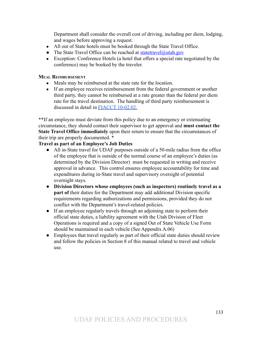Department shall consider the overall cost of driving, including per diem, lodging, and wages before approving a request.

- All out of State hotels must be booked through the State Travel Office.
- The State Travel Office can be reached at [statetravel@utah.gov](mailto:statetravel@utah.gov)
- Exception: Conference Hotels (a hotel that offers a special rate negotiated by the conference) may be booked by the traveler.

### **MEAL REIMBURSEMENT**

- Meals may be reimbursed at the state rate for the location.
- If an employee receives reimbursement from the federal government or another third party, they cannot be reimbursed at a rate greater than the federal per diem rate for the travel destination. The handling of third party reimbursement is discussed in detail in [FIACCT 10-02.02.](http://apps.finance.utah.gov/nxt/gateway.dll?f=templates&fn=default.htm&vid=nxtpub:app1)

\*\*If an employee must deviate from this policy due to an emergency or extenuating circumstance, they should contact their supervisor to get approval and **must contact the State Travel Office immediately** upon their return to ensure that the circumstances of their trip are properly documented. \*

## **Travel as part of an Employee's Job Duties**

- All in-State travel for UDAF purposes outside of a 50-mile radius from the office of the employee that is outside of the normal course of an employee's duties (as determined by the Division Director) must be requested in writing and receive approval in advance. This control ensures employee accountability for time and expenditures during in-State travel and supervisory oversight of potential overnight stays.
- **Division Directors whose employees (such as inspectors) routinely travel as a part of** their duties for the Department may add additional Division specific requirements regarding authorizations and permissions, provided they do not conflict with the Department's travel-related policies.
- If an employee regularly travels through an adjoining state to perform their official state duties, a liability agreement with the Utah Division of Fleet Operations is required and a copy of a signed Out of State Vehicle Use Form should be maintained in each vehicle (See Appendix A.06)
- Employees that travel regularly as part of their official state duties should review and follow the policies in Section 8 of this manual related to travel and vehicle use.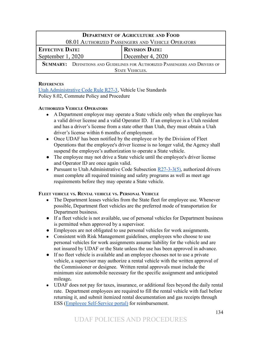| <b>DEPARTMENT OF AGRICULTURE AND FOOD</b>                                           |                       |
|-------------------------------------------------------------------------------------|-----------------------|
| 08.01 AUTHORIZED PASSENGERS AND VEHICLE OPERATORS                                   |                       |
| <b>EFFECTIVE DATE:</b>                                                              | <b>REVISION DATE:</b> |
| September 1, 2020                                                                   | December 4, 2020      |
| <b>SUMMARY:</b> DEFINITIONS AND GUIDELINES FOR AUTHORIZED PASSENGERS AND DRIVERS OF |                       |
| <b>STATE VEHICLES.</b>                                                              |                       |

[Utah Administrative Code Rule R27-3](https://rules.utah.gov/wp-content/uploads/r027-003.pdf), Vehicle Use Standards Policy 8.02, Commute Policy and Procedure

### **AUTHORIZED VEHICLE OPERATORS**

- A Department employee may operate a State vehicle only when the employee has a valid driver license and a valid Operator ID. If an employee is a Utah resident and has a driver's license from a state other than Utah, they must obtain a Utah driver's license within 6 months of employment.
- Once UDAF has been notified by the employee or by the Division of Fleet Operations that the employee's driver license is no longer valid, the Agency shall suspend the employee's authorization to operate a State vehicle.
- The employee may not drive a State vehicle until the employee's driver license and Operator ID are once again valid.
- Pursuant to Utah Administrative Code Subsection  $R27-3-3(5)$ , authorized drivers must complete all required training and safety programs as well as meet age requirements before they may operate a State vehicle.

**FLEET VEHICLE VS. RENTAL VEHICLE VS. PERSONAL VEHICLE**

- The Department leases vehicles from the State fleet for employee use. Whenever possible, Department fleet vehicles are the preferred mode of transportation for Department business.
- If a fleet vehicle is not available, use of personal vehicles for Department business is permitted when approved by a supervisor.
- Employees are not obligated to use personal vehicles for work assignments.
- Consistent with Risk Management guidelines, employees who choose to use personal vehicles for work assignments assume liability for the vehicle and are not insured by UDAF or the State unless the use has been approved in advance.
- If no fleet vehicle is available and an employee chooses not to use a private vehicle, a supervisor may authorize a rental vehicle with the written approval of the Commissioner or designee. Written rental approvals must include the minimum size automobile necessary for the specific assignment and anticipated mileage**.**
- UDAF does not pay for taxes, insurance, or additional fees beyond the daily rental rate. Department employees are required to fill the rental vehicle with fuel before returning it, and submit itemized rental documentation and gas receipts through ESS ([Employee Self-Service portal\)](https://dhrm.utah.gov/payroll/employee-self-serve-ess-system-time-entry) for reimbursement.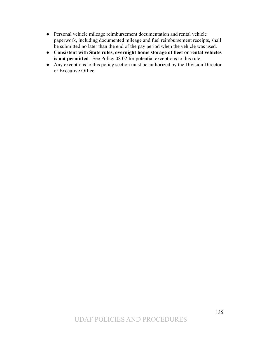- Personal vehicle mileage reimbursement documentation and rental vehicle paperwork, including documented mileage and fuel reimbursement receipts, shall be submitted no later than the end of the pay period when the vehicle was used.
- **Consistent with State rules, overnight home storage of fleet or rental vehicles is not permitted**. See Policy 08.02 for potential exceptions to this rule.
- Any exceptions to this policy section must be authorized by the Division Director or Executive Office.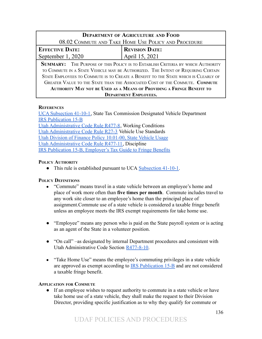| <b>DEPARTMENT OF AGRICULTURE AND FOOD</b>                                              |                |  |
|----------------------------------------------------------------------------------------|----------------|--|
|                                                                                        |                |  |
| 08.02 COMMUTE AND TAKE HOME USE POLICY AND PROCEDURE                                   |                |  |
| <b>EFFECTIVE DATE:</b><br><b>REVISION DATE:</b>                                        |                |  |
| September 1, 2020                                                                      | April 15, 2021 |  |
| <b>SUMMARY:</b> THE PURPOSE OF THIS POLICY IS TO ESTABLISH CRITERIA BY WHICH AUTHORITY |                |  |
| TO COMMUTE IN A STATE VEHICLE MAY BE AUTHORIZED. THE INTENT OF REQUIRING CERTAIN       |                |  |
| STATE EMPLOYEES TO COMMUTE IS TO CREATE A BENEFIT TO THE STATE WHICH IS CLEARLY OF     |                |  |
| GREATER VALUE TO THE STATE THAN THE ASSOCIATED COST OF THE COMMUTE. COMMUTE            |                |  |
| AUTHORITY MAY NOT BE USED AS A MEANS OF PROVIDING A FRINGE BENEFIT TO                  |                |  |
| <b>DEPARTMENT EMPLOYEES.</b>                                                           |                |  |

[UCA Subsection 41-10-1,](https://le.utah.gov/xcode/Title41/Chapter10/41-10-S1.html?v=C41-10-S1_1800010118000101) State Tax Commission Designated Vehicle Department [IRS Publication 15-B](https://www.irs.gov/pub/irs-pdf/p15b.pdf) [Utah Administrative Code Rule R477-8](https://rules.utah.gov/wp-content/uploads/r477-008.pdf), Working Conditions [Utah Administrative Code Rule R27-3](https://rules.utah.gov/wp-content/uploads/r027-003.pdf) Vehicle Use Standards [Utah Division of Finance Policy 10.01-00, State Vehicle Usage](http://apps.finance.utah.gov/nxt/gateway.dll?f=templates&fn=default.htm&vid=nxtpub:app1) [Utah Administrative Code Rule R477-11,](https://rules.utah.gov/wp-content/uploads/r477-011.pdf) Discipline [IRS Publication 15-B, Employer's Tax Guide to Fringe Benefits](https://www.irs.gov/pub/irs-prior/p15b--2021.pdf)

#### **POLICY AUTHORITY**

• This rule is established pursuant to UCA [Subsection](https://le.utah.gov/xcode/Title41/Chapter10/41-10.html?v=C41-10_1800010118000101) 41-10-1.

### **POLICY DEFINITIONS**

- "Commute" means travel in a state vehicle between an employee's home and place of work more often than **five times per month**. Commute includes travel to any work site closer to an employee's home than the principal place of assignment.Commute use of a state vehicle is considered a taxable fringe benefit unless an employee meets the IRS exempt requirements for take home use.
- "Employee" means any person who is paid on the State payroll system or is acting as an agent of the State in a volunteer position.
- "On call" –as designated by internal Department procedures and consistent with Utah Administrative Code Section [R477-8-10.](https://rules.utah.gov/wp-content/uploads/r477-008.pdf)
- "Take Home Use" means the employee's commuting privileges in a state vehicle are approved as exempt according to [IRS Publication](https://www.irs.gov/pub/irs-prior/p15b--2021.pdf) 15-B and are not considered a taxable fringe benefit.

#### **APPLICATION FOR COMMUTE**

● If an employee wishes to request authority to commute in a state vehicle or have take home use of a state vehicle, they shall make the request to their Division Director, providing specific justification as to why they qualify for commute or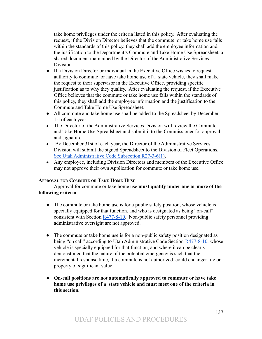take home privileges under the criteria listed in this policy. After evaluating the request, if the Division Director believes that the commute or take home use falls within the standards of this policy, they shall add the employee information and the justification to the Department's Commute and Take Home Use Spreadsheet, a shared document maintained by the Director of the Administrative Services **Division** 

- If a Division Director or individual in the Executive Office wishes to request authority to commute or have take home use of a state vehicle, they shall make the request to their supervisor in the Executive Office, providing specific justification as to why they qualify. After evaluating the request, if the Executive Office believes that the commute or take home use falls within the standards of this policy, they shall add the employee information and the justification to the Commute and Take Home Use Spreadsheet.
- All commute and take home use shall be added to the Spreadsheet by December 1st of each year.
- The Director of the Administrative Services Division will review the Commute and Take Home Use Spreadsheet and submit it to the Commissioner for approval and signature.
- By December 31st of each year, the Director of the Administrative Services Division will submit the signed Spreadsheet to the Division of Fleet Operations. [See Utah Administrative Code Subsection R27-3-6\(1\).](https://rules.utah.gov/wp-content/uploads/r027-003.pdf)
- Any employee, including Division Directors and members of the Executive Office may not approve their own Application for commute or take home use.

### **APPROVAL FOR COMMUTE OR TAKE HOME HUSE**

Approval for commute or take home use **must qualify under one or more of the following criteria**:

- The commute or take home use is for a public safety position, whose vehicle is specially equipped for that function, and who is designated as being "on-call" consistent with Section [R477-8-10](https://rules.utah.gov/wp-content/uploads/r477-008.pdf). Non-public safety personnel providing administrative oversight are not approved.
- The commute or take home use is for a non-public safety position designated as being "on call" according to Utah Administrative Code Section [R477-8-10,](https://rules.utah.gov/wp-content/uploads/r477-008.pdf) whose vehicle is specially equipped for that function, and where it can be clearly demonstrated that the nature of the potential emergency is such that the incremental response time, if a commute is not authorized, could endanger life or property of significant value.
- **On-call positions are not automatically approved to commute or have take home use privileges of a state vehicle and must meet one of the criteria in this section.**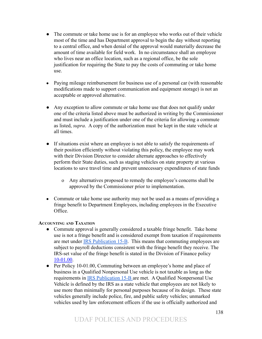- The commute or take home use is for an employee who works out of their vehicle most of the time and has Department approval to begin the day without reporting to a central office, and when denial of the approval would materially decrease the amount of time available for field work. In no circumstance shall an employee who lives near an office location, such as a regional office, be the sole justification for requiring the State to pay the costs of commuting or take home use.
- Paying mileage reimbursement for business use of a personal car (with reasonable modifications made to support communication and equipment storage) is not an acceptable or approved alternative.
- Any exception to allow commute or take home use that does not qualify under one of the criteria listed above must be authorized in writing by the Commissioner and must include a justification under one of the criteria for allowing a commute as listed, *supra*. A copy of the authorization must be kept in the state vehicle at all times.
- If situations exist where an employee is not able to satisfy the requirements of their position efficiently without violating this policy, the employee may work with their Division Director to consider alternate approaches to effectively perform their State duties, such as staging vehicles on state property at various locations to save travel time and prevent unnecessary expenditures of state funds
	- o Any alternatives proposed to remedy the employee's concerns shall be approved by the Commissioner prior to implementation.
- **●** Commute or take home use authority may not be used as a means of providing a fringe benefit to Department Employees, including employees in the Executive Office.

### **ACCOUNTING AND TAXATION**

- Commute approval is generally considered a taxable fringe benefit. Take home use is not a fringe benefit and is considered exempt from taxation if requirements are met under [IRS Publication 15-B](https://www.irs.gov/pub/irs-prior/p15b--2021.pdf). This means that commuting employees are subject to payroll deductions consistent with the fringe benefit they receive. The IRS-set value of the fringe benefit is stated in the Division of Finance policy [10-01.00.](http://apps.finance.utah.gov/nxt/gateway.dll?f=templates&fn=default.htm&vid=nxtpub:app1)
- Per Policy 10-01.00, Commuting between an employee's home and place of business in a Qualified Nonpersonal Use vehicle is not taxable as long as the requirements in [IRS Publication 15-B](https://www.irs.gov/pub/irs-prior/p15b--2021.pdf) are met. A Qualified Nonpersonal Use Vehicle is defined by the IRS as a state vehicle that employees are not likely to use more than minimally for personal purposes because of its design. These state vehicles generally include police, fire, and public safety vehicles; unmarked vehicles used by law enforcement officers if the use is officially authorized and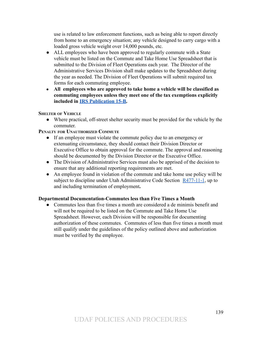use is related to law enforcement functions, such as being able to report directly from home to an emergency situation; any vehicle designed to carry cargo with a loaded gross vehicle weight over 14,000 pounds, etc.

- ALL employees who have been approved to regularly commute with a State vehicle must be listed on the Commute and Take Home Use Spreadsheet that is submitted to the Division of Fleet Operations each year. The Director of the Administrative Services Division shall make updates to the Spreadsheet during the year as needed. The Division of Fleet Operations will submit required tax forms for each commuting employee.
- **● All employees who are approved to take home a vehicle will be classified as commuting employees unless they meet one of the tax exemptions explicitly included in [IRS Publication 15-B.](https://www.irs.gov/pub/irs-prior/p15b--2021.pdf)**

### **SHELTER OF VEHICLE**

• Where practical, off-street shelter security must be provided for the vehicle by the commuter.

### **PENALTY FOR UNAUTHORIZED COMMUTE**

- If an employee must violate the commute policy due to an emergency or extenuating circumstance, they should contact their Division Director or Executive Office to obtain approval for the commute. The approval and reasoning should be documented by the Division Director or the Executive Office.
- The Division of Administrative Services must also be apprised of the decision to ensure that any additional reporting requirements are met.
- An employee found in violation of the commute and take home use policy will be subject to discipline under Utah Administrative Code Section [R477-11-1](https://rules.utah.gov/wp-content/uploads/r477-011.pdf), up to and including termination of employment**.**

### **Departmental Documentation-Commutes less than Five Times a Month**

● Commutes less than five times a month are considered a de minimis benefit and will not be required to be listed on the Commute and Take Home Use Spreadsheet. However, each Division will be responsible for documenting authorization of these commutes. Commutes of less than five times a month must still qualify under the guidelines of the policy outlined above and authorization must be verified by the employee.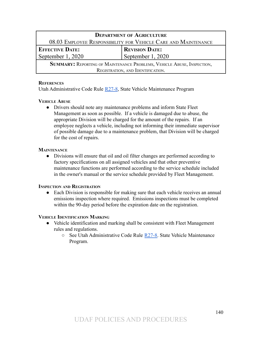| <b>DEPARTMENT OF AGRICULTURE</b>                                              |                       |  |
|-------------------------------------------------------------------------------|-----------------------|--|
| 08.03 EMPLOYEE RESPONSIBILITY FOR VEHICLE CARE AND MAINTENANCE                |                       |  |
| <b>EFFECTIVE DATE:</b>                                                        | <b>REVISION DATE:</b> |  |
| September 1, 2020                                                             | September 1, 2020     |  |
| <b>SUMMARY:</b> REPORTING OF MAINTENANCE PROBLEMS, VEHICLE ABUSE, INSPECTION, |                       |  |
| REGISTRATION, AND IDENTIFICATION.                                             |                       |  |

Utah Administrative Code Rule [R27-8](https://rules.utah.gov/wp-content/uploads/r027-008.pdf), State Vehicle Maintenance Program

#### **VEHICLE ABUSE**

● Drivers should note any maintenance problems and inform State Fleet Management as soon as possible. If a vehicle is damaged due to abuse, the appropriate Division will be charged for the amount of the repairs. If an employee neglects a vehicle, including not informing their immediate supervisor of possible damage due to a maintenance problem, that Division will be charged for the cost of repairs.

#### **MAINTENANCE**

● Divisions will ensure that oil and oil filter changes are performed according to factory specifications on all assigned vehicles and that other preventive maintenance functions are performed according to the service schedule included in the owner's manual or the service schedule provided by Fleet Management.

#### **INSPECTION AND REGISTRATION**

• Each Division is responsible for making sure that each vehicle receives an annual emissions inspection where required. Emissions inspections must be completed within the 90-day period before the expiration date on the registration.

#### **VEHICLE IDENTIFICATION MARKING**

- Vehicle identification and marking shall be consistent with Fleet Management rules and regulations.
	- See Utah Administrative Code Rule [R27-8.](https://rules.utah.gov/wp-content/uploads/r027-008.pdf) State Vehicle Maintenance Program.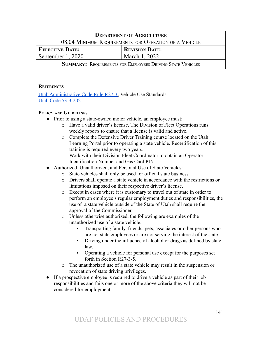| <b>DEPARTMENT OF AGRICULTURE</b>                                  |                       |  |
|-------------------------------------------------------------------|-----------------------|--|
| 08.04 MINIMUM REQUIREMENTS FOR OPERATION OF A VEHICLE             |                       |  |
| <b>EFFECTIVE DATE:</b>                                            | <b>REVISION DATE:</b> |  |
| September 1, 2020                                                 | March 1, 2022         |  |
| <b>SUMMARY: REQUIREMENTS FOR EMPLOYEES DRIVING STATE VEHICLES</b> |                       |  |

[Utah Administrative Code Rule R27-3](https://rules.utah.gov/wp-content/uploads/r027-003.pdf), Vehicle Use Standards [Utah Code 53-3-202](https://le.utah.gov/xcode/Title53/Chapter3/C53-3_1800010118000101.pdf)

#### **POLICY AND GUIDELINES**

- Prior to using a state-owned motor vehicle, an employee must:
	- o Have a valid driver's license. The Division of Fleet Operations runs weekly reports to ensure that a license is valid and active.
	- o Complete the Defensive Driver Training course located on the Utah Learning Portal prior to operating a state vehicle. Recertification of this training is required every two years.
	- o Work with their Division Fleet Coordinator to obtain an Operator Identification Number and Gas Card PIN.
- Authorized, Unauthorized, and Personal Use of State Vehicles:
	- o State vehicles shall only be used for official state business.
	- o Drivers shall operate a state vehicle in accordance with the restrictions or limitations imposed on their respective driver's license.
	- o Except in cases where it is customary to travel out of state in order to perform an employee's regular employment duties and responsibilities, the use of a state vehicle outside of the State of Utah shall require the approval of the Commissioner.
	- o Unless otherwise authorized, the following are examples of the unauthorized use of a state vehicle:
		- Transporting family, friends, pets, associates or other persons who are not state employees or are not serving the interest of the state.
		- **•** Driving under the influence of alcohol or drugs as defined by state law.
		- Operating a vehicle for personal use except for the purposes set forth in Section R27-3-5.
	- o The unauthorized use of a state vehicle may result in the suspension or revocation of state driving privileges.
- If a prospective employee is required to drive a vehicle as part of their job responsibilities and fails one or more of the above criteria they will not be considered for employment.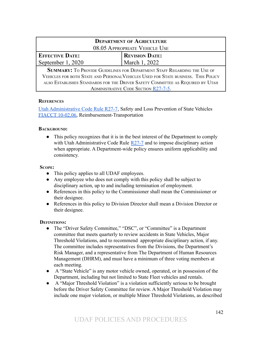| <b>DEPARTMENT OF AGRICULTURE</b>                                                  |                       |  |
|-----------------------------------------------------------------------------------|-----------------------|--|
| 08.05 APPROPRIATE VEHICLE USE                                                     |                       |  |
| <b>EFFECTIVE DATE:</b>                                                            | <b>REVISION DATE:</b> |  |
| September 1, 2020                                                                 | March 1, 2022         |  |
| <b>SUMMARY:</b> To PROVIDE GUIDELINES FOR DEPARTMENT STAFF REGARDING THE USE OF   |                       |  |
| VEHICLES FOR BOTH STATE AND PERSONALVEHICLES USED FOR STATE BUSINESS. THIS POLICY |                       |  |
| ALSO ESTABLISHES STANDARDS FOR THE DRIVER SAFETY COMMITTEE AS REQUIRED BY UTAH    |                       |  |
| <b>ADMINISTRATIVE CODE SECTION R27-7-5.</b>                                       |                       |  |

[Utah Administrative Code Rule R27-7](https://rules.utah.gov/wp-content/uploads/r027-007.pdf), Safety and Loss Prevention of State Vehicles [FIACCT 10-02.06,](http://apps.finance.utah.gov/nxt/gateway.dll?f=templates&fn=default.htm&q=05-15_00&x=advanced) Reimbursement-Transportation

### **BACKGROUND:**

● This policy recognizes that it is in the best interest of the Department to comply with Utah Administrative Code Rule [R27-7](https://rules.utah.gov/wp-content/uploads/r027-007.pdf) and to impose disciplinary action when appropriate. A Department-wide policy ensures uniform applicability and consistency.

### **SCOPE:**

- This policy applies to all UDAF employees.
- Any employee who does not comply with this policy shall be subject to disciplinary action, up to and including termination of employment.
- References in this policy to the Commissioner shall mean the Commissioner or their designee.
- References in this policy to Division Director shall mean a Division Director or their designee.

### **DEFINITIONS:**

- The "Driver Safety Committee," "DSC", or "Committee" is a Department committee that meets quarterly to review accidents in State Vehicles, Major Threshold Violations, and to recommend appropriate disciplinary action, if any. The committee includes representatives from the Divisions, the Department's Risk Manager, and a representative from The Department of Human Resources Management (DHRM), and must have a minimum of three voting members at each meeting.
- A "State Vehicle" is any motor vehicle owned, operated, or in possession of the Department, including but not limited to State Fleet vehicles and rentals.
- A "Major Threshold Violation" is a violation sufficiently serious to be brought before the Driver Safety Committee for review. A Major Threshold Violation may include one major violation, or multiple Minor Threshold Violations, as described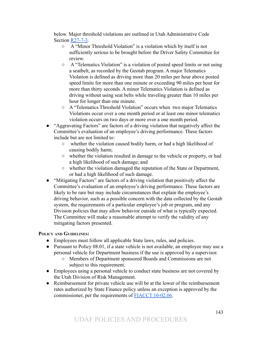below. Major threshold violations are outlined in Utah Administrative Code Section [R27-7-3.](https://rules.utah.gov/wp-content/uploads/r027-007.pdf)

- A "Minor Threshold Violation" is a violation which by itself is not sufficiently serious to be brought before the Driver Safety Committee for review.
- A "Telematics Violation" is a violation of posted speed limits or not using a seatbelt, as recorded by the Geotab program. A major Telematics Violation is defined as driving more than 20 miles per hour above posted speed limits for more than one minute or exceeding 90 miles per hour for more than thirty seconds. A minor Telematics Violation is defined as driving without using seat belts while traveling greater than 10 miles per hour for longer than one minute.
- A "Telematics Threshold Violation" occurs when two major Telematics Violations occur over a one month period or at least one minor telematics violation occurs on two days or more over a one month period.
- "Aggravating Factors" are factors of a driving violation that negatively affect the Committee's evaluation of an employee's driving performance. These factors include but are not limited to:
	- whether the violation caused bodily harm, or had a high likelihood of causing bodily harm;
	- whether the violation resulted in damage to the vehicle or property, or had a high likelihood of such damage; and
	- whether the violation damaged the reputation of the State or Department, or had a high likelihood of such damage.
- "Mitigating Factors" are factors of a driving violation that positively affect the Committee's evaluation of an employee's driving performance. These factors are likely to be rare but may include circumstances that explain the employee's driving behavior, such as a possible concern with the data collected by the Geotab system, the requirements of a particular employee's job or program, and any Division policies that may allow behavior outside of what is typically expected. The Committee will make a reasonable attempt to verify the validity of any mitigating factors presented.

### **POLICY AND GUIDELINES:**

- Employees must follow all applicable State laws, rules, and policies.
- Pursuant to Policy 08.01, if a state vehicle is not available, an employee may use a personal vehicle for Department business if the use is approved by a supervisor.
	- Members of Department sponsored Boards and Commissions are not subject to this requirement.
- Employees using a personal vehicle to conduct state business are not covered by the Utah Division of Risk Management.
- Reimbursement for private vehicle use will be at the lower of the reimbursement rates authorized by State Finance policy unless an exception is approved by the commissioner, per the requirements of [FIACCT 10-02.06](http://apps.finance.utah.gov/nxt/gateway.dll?f=templates&fn=default.htm&vid=nxtpub:app1).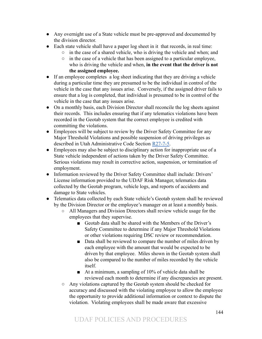- Any overnight use of a State vehicle must be pre-approved and documented by the division director.
- Each state vehicle shall have a paper log sheet in it that records, in real time:
	- in the case of a shared vehicle, who is driving the vehicle and when; and
	- in the case of a vehicle that has been assigned to a particular employee, who is driving the vehicle and when, **in the event that the driver is not the assigned employee.**
- If an employee completes a log sheet indicating that they are driving a vehicle during a particular time they are presumed to be the individual in control of the vehicle in the case that any issues arise. Conversely, if the assigned driver fails to ensure that a log is completed, that individual is presumed to be in control of the vehicle in the case that any issues arise.
- On a monthly basis, each Division Director shall reconcile the log sheets against their records. This includes ensuring that if any telematics violations have been recorded in the Geotab system that the correct employee is credited with committing the violations.
- Employees will be subject to review by the Driver Safety Committee for any Major Threshold Violations and possible suspension of driving privileges as described in Utah Administrative Code Section [R27-7-5.](https://rules.utah.gov/wp-content/uploads/r027-007.pdf)
- Employees may also be subject to disciplinary action for inappropriate use of a State vehicle independent of actions taken by the Driver Safety Committee. Serious violations may result in corrective action, suspension, or termination of employment.
- Information reviewed by the Driver Safety Committee shall include: Drivers' License information provided to the UDAF Risk Manager, telematics data collected by the Geotab program, vehicle logs, and reports of accidents and damage to State vehicles.
- Telematics data collected by each State vehicle's Geotab system shall be reviewed by the Division Director or the employee's manager on at least a monthly basis.
	- All Managers and Division Directors shall review vehicle usage for the employees that they supervise.
		- Geotab data shall be shared with the Members of the Driver's Safety Committee to determine if any Major Threshold Violations or other violations requiring DSC review or recommendation.
		- Data shall be reviewed to compare the number of miles driven by each employee with the amount that would be expected to be driven by that employee. Miles shown in the Geotab system shall also be compared to the number of miles recorded by the vehicle itself.
		- At a minimum, a sampling of 10% of vehicle data shall be reviewed each month to determine if any discrepancies are present.
	- Any violations captured by the Geotab system should be checked for accuracy and discussed with the violating employee to allow the employee the opportunity to provide additional information or context to dispute the violation. Violating employees shall be made aware that excessive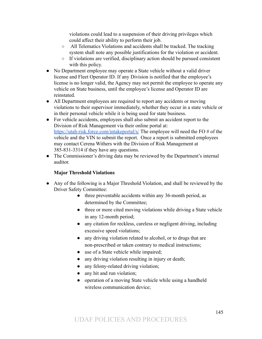violations could lead to a suspension of their driving privileges which could affect their ability to perform their job.

- All Telematics Violations and accidents shall be tracked. The tracking system shall note any possible justifications for the violation or accident.
- If violations are verified, disciplinary action should be pursued consistent with this policy.
- No Department employee may operate a State vehicle without a valid driver license and Fleet Operator ID. If any Division is notified that the employee's license is no longer valid, the Agency may not permit the employee to operate any vehicle on State business, until the employee's license and Operator ID are reinstated.
- All Department employees are required to report any accidents or moving violations to their supervisor immediately, whether they occur in a state vehicle or in their personal vehicle while it is being used for state business.
- For vehicle accidents, employees shall also submit an accident report to the Division of Risk Management via their online portal at: <https://utah-risk.force.com/intakeportal/s/> The employee will need the FO # of the vehicle and the VIN to submit the report. Once a report is submitted employees may contact Cerena Withers with the Division of Risk Management at 385-831-3314 if they have any questions.
- The Commissioner's driving data may be reviewed by the Department's internal auditor.

### **Major Threshold Violations**

- Any of the following is a Major Threshold Violation, and shall be reviewed by the Driver Safety Committee:
	- three preventable accidents within any 36-month period, as determined by the Committee;
	- three or more cited moving violations while driving a State vehicle in any 12-month period;
	- any citation for reckless, careless or negligent driving, including excessive speed violations;
	- any driving violation related to alcohol, or to drugs that are non-prescribed or taken contrary to medical instructions;
	- use of a State vehicle while impaired;
	- any driving violation resulting in injury or death;
	- any felony-related driving violation;
	- any hit and run violation;
	- operation of a moving State vehicle while using a handheld wireless communication device;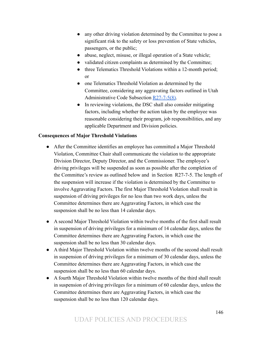- any other driving violation determined by the Committee to pose a significant risk to the safety or loss prevention of State vehicles, passengers, or the public;
- abuse, neglect, misuse, or illegal operation of a State vehicle;
- validated citizen complaints as determined by the Committee;
- three Telematics Threshold Violations within a 12-month period; or
- one Telematics Threshold Violation as determined by the Committee, considering any aggravating factors outlined in Utah Administrative Code Subsection [R27-7-5\(8\).](https://rules.utah.gov/wp-content/uploads/r027-007.pdf)
- In reviewing violations, the DSC shall also consider mitigating factors, including whether the action taken by the employee was reasonable considering their program, job responsibilities, and any applicable Department and Division policies.

### **Consequences of Major Threshold Violations**

- After the Committee identifies an employee has committed a Major Threshold Violation, Committee Chair shall communicate the violation to the appropriate Division Director, Deputy Director, and the Commissioner. The employee's driving privileges will be suspended as soon as possible after the completion of the Committee's review as outlined below and in Section R27-7-5. The length of the suspension will increase if the violation is determined by the Committee to involve Aggravating Factors. The first Major Threshold Violation shall result in suspension of driving privileges for no less than two work days, unless the Committee determines there are Aggravating Factors, in which case the suspension shall be no less than 14 calendar days.
- A second Major Threshold Violation within twelve months of the first shall result in suspension of driving privileges for a minimum of 14 calendar days, unless the Committee determines there are Aggravating Factors, in which case the suspension shall be no less than 30 calendar days.
- A third Major Threshold Violation within twelve months of the second shall result in suspension of driving privileges for a minimum of 30 calendar days, unless the Committee determines there are Aggravating Factors, in which case the suspension shall be no less than 60 calendar days.
- A fourth Major Threshold Violation within twelve months of the third shall result in suspension of driving privileges for a minimum of 60 calendar days, unless the Committee determines there are Aggravating Factors, in which case the suspension shall be no less than 120 calendar days.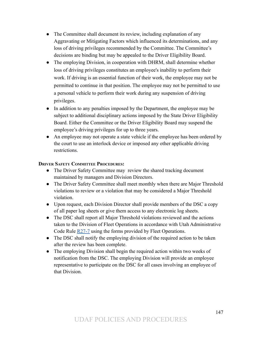- The Committee shall document its review, including explanation of any Aggravating or Mitigating Factors which influenced its determinations, and any loss of driving privileges recommended by the Committee. The Committee's decisions are binding but may be appealed to the Driver Eligibility Board.
- The employing Division, in cooperation with DHRM, shall determine whether loss of driving privileges constitutes an employee's inability to perform their work. If driving is an essential function of their work, the employee may not be permitted to continue in that position. The employee may not be permitted to use a personal vehicle to perform their work during any suspension of driving privileges.
- In addition to any penalties imposed by the Department, the employee may be subject to additional disciplinary actions imposed by the State Driver Eligibility Board. Either the Committee or the Driver Eligibility Board may suspend the employee's driving privileges for up to three years.
- An employee may not operate a state vehicle if the employee has been ordered by the court to use an interlock device or imposed any other applicable driving restrictions.

### **DRIVER SAFETY COMMITTEE PROCEDURES:**

- The Driver Safety Committee may review the shared tracking document maintained by managers and Division Directors.
- The Driver Safety Committee shall meet monthly when there are Major Threshold violations to review or a violation that may be considered a Major Threshold violation.
- Upon request, each Division Director shall provide members of the DSC a copy of all paper log sheets or give them access to any electronic log sheets.
- The DSC shall report all Major Threshold violations reviewed and the actions taken to the Division of Fleet Operations in accordance with Utah Administrative Code Rule [R27-7](https://rules.utah.gov/wp-content/uploads/r027-007.pdf) using the forms provided by Fleet Operations.
- The DSC shall notify the employing division of the required action to be taken after the review has been complete.
- The employing Division shall begin the required action within two weeks of notification from the DSC. The employing Division will provide an employee representative to participate on the DSC for all cases involving an employee of that Division.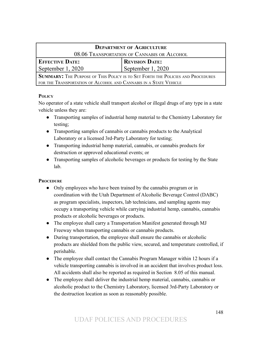| <b>DEPARTMENT OF AGRICULTURE</b>                                                       |                       |  |  |  |
|----------------------------------------------------------------------------------------|-----------------------|--|--|--|
| 08.06 TRANSPORTATION OF CANNABIS OR ALCOHOL                                            |                       |  |  |  |
| <b>EFFECTIVE DATE:</b>                                                                 | <b>REVISION DATE:</b> |  |  |  |
| September 1, 2020                                                                      | September 1, 2020     |  |  |  |
| <b>SUMMARY:</b> THE PURPOSE OF THIS POLICY IS TO SET FORTH THE POLICIES AND PROCEDURES |                       |  |  |  |

FOR THE TRANSPORTATION OF ALCOHOL AND CANNABIS IN A STATE VEHICLE

#### **POLICY**

No operator of a state vehicle shall transport alcohol or illegal drugs of any type in a state vehicle unless they are:

- Transporting samples of industrial hemp material to the Chemistry Laboratory for testing;
- Transporting samples of cannabis or cannabis products to the Analytical Laboratory or a licensed 3rd-Party Laboratory for testing;
- Transporting industrial hemp material, cannabis, or cannabis products for destruction or approved educational events; or
- Transporting samples of alcoholic beverages or products for testing by the State lab.

### **PROCEDURE**

- Only employees who have been trained by the cannabis program or in coordination with the Utah Department of Alcoholic Beverage Control (DABC) as program specialists, inspectors, lab technicians, and sampling agents may occupy a transporting vehicle while carrying industrial hemp, cannabis, cannabis products or alcoholic beverages or products.
- The employee shall carry a Transportation Manifest generated through MJ Freeway when transporting cannabis or cannabis products.
- During transportation, the employee shall ensure the cannabis or alcoholic products are shielded from the public view, secured, and temperature controlled, if perishable.
- The employee shall contact the Cannabis Program Manager within 12 hours if a vehicle transporting cannabis is involved in an accident that involves product loss. All accidents shall also be reported as required in Section 8.05 of this manual.
- The employee shall deliver the industrial hemp material, cannabis, cannabis or alcoholic product to the Chemistry Laboratory, licensed 3rd-Party Laboratory or the destruction location as soon as reasonably possible.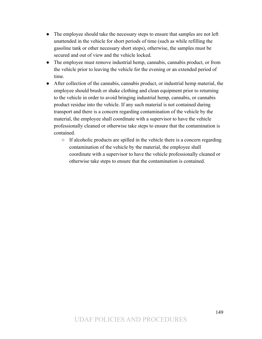- The employee should take the necessary steps to ensure that samples are not left unattended in the vehicle for short periods of time (such as while refilling the gasoline tank or other necessary short stops), otherwise, the samples must be secured and out of view and the vehicle locked.
- The employee must remove industrial hemp, cannabis, cannabis product, or from the vehicle prior to leaving the vehicle for the evening or an extended period of time.
- After collection of the cannabis, cannabis product, or industrial hemp material, the employee should brush or shake clothing and clean equipment prior to returning to the vehicle in order to avoid bringing industrial hemp, cannabis, or cannabis product residue into the vehicle. If any such material is not contained during transport and there is a concern regarding contamination of the vehicle by the material, the employee shall coordinate with a supervisor to have the vehicle professionally cleaned or otherwise take steps to ensure that the contamination is contained.
	- If alcoholic products are spilled in the vehicle there is a concern regarding contamination of the vehicle by the material, the employee shall coordinate with a supervisor to have the vehicle professionally cleaned or otherwise take steps to ensure that the contamination is contained.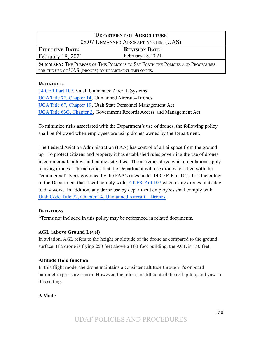# **DEPARTMENT OF AGRICULTURE** 08.07 UNMANNED AIRCRAFT SYSTEM (UAS)

**EFFECTIVE DATE:** February 18, 2021

**REVISION DATE:** February 18, 2021

**SUMMARY:** THE PURPOSE OF THIS POLICY IS TO SET FORTH THE POLICIES AND PROCEDURES FOR THE USE OF UAS (DRONES) BY DEPARTMENT EMPLOYEES.

### **REFERENCES**

[14 CFR Part 107](https://www.ecfr.gov/cgi-bin/text-idx?node=pt14.2.107&rgn=div5), Small Unmanned Aircraft Systems UCA [Title 72, Chapter 14,](https://le.utah.gov/xcode/Title72/Chapter14/72-14-P3.html?v=C72-14-P3_2017050920170509) Unmanned Aircraft--Drones UCA [Title 67, Chapter 19,](https://le.utah.gov/xcode/Title67/Chapter19/67-19.html?v=C67-19_1800010118000101) Utah State Personnel Management Act UCA [Title 63G, Chapter 2](https://le.utah.gov/xcode/Title63G/Chapter2/63G-2.html?v=C63G-2_1800010118000101), Government Records Access and Management Act

To minimize risks associated with the Department's use of drones, the following policy shall be followed when employees are using drones owned by the Department.

The Federal Aviation Administration (FAA) has control of all airspace from the ground up. To protect citizens and property it has established rules governing the use of drones in commercial, hobby, and public activities. The activities drive which regulations apply to using drones. The activities that the Department will use drones for align with the "commercial" types governed by the FAA's rules under 14 CFR Part 107. It is the policy of the Department that it will comply with 14 CFR [Part 107](https://www.ecfr.gov/cgi-bin/text-idx?node=pt14.2.107&rgn=div5) when using drones in its day to day work. In addition, any drone use by department employees shall comply with [Utah Code Title 72, Chapter 14, Unmanned Aircraft—Drones](https://le.utah.gov/xcode/Title72/Chapter14/72-14-P3.html?v=C72-14-P3_2017050920170509).

# **DEFINITIONS**

\*Terms not included in this policy may be referenced in related documents.

# **AGL (Above Ground Level)**

In aviation, AGL refers to the height or altitude of the drone as compared to the ground surface. If a drone is flying 250 feet above a 100-foot building, the AGL is 150 feet.

# **Altitude Hold function**

In this flight mode, the drone maintains a consistent altitude through it's onboard barometric pressure sensor. However, the pilot can still control the roll, pitch, and yaw in this setting.

# **A Mode**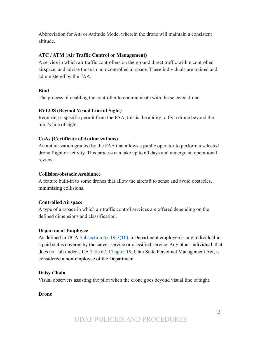Abbreviation for Atti or Attitude Mode, wherein the drone will maintain a consistent altitude.

### **ATC / ATM (Air Traffic Control or Management)**

A service in which air traffic controllers on the ground direct traffic within controlled airspace, and advise those in non-controlled airspace. These individuals are trained and administered by the FAA.

#### **Bind**

The process of enabling the controller to communicate with the selected drone.

#### **BVLOS (Beyond Visual Line of Sight)**

Requiring a specific permit from the FAA, this is the ability to fly a drone beyond the pilot's line of sight.

#### **CoAs (Certificate of Authorizations)**

An authorization granted by the FAA that allows a public operator to perform a selected drone flight or activity. This process can take up to 60 days and undergo an operational review.

#### **Collision/obstacle Avoidance**

A feature built-in to some drones that allow the aircraft to sense and avoid obstacles, minimizing collisions.

#### **Controlled Airspace**

A type of airspace in which air traffic control services are offered depending on the defined dimensions and classification.

#### **Department Employee**

As defined in UCA [Subsection 67-19-3\(10\),](https://le.utah.gov/xcode/Title67/Chapter19/67-19-S3.html?v=C67-19-S3_2017050920170509) a Department employee is any individual in a paid status covered by the career service or classified service. Any other individual that does not fall under UCA [Title 67, Chapter 19](https://le.utah.gov/xcode/Title67/Chapter19/67-19.html), Utah State Personnel Management Act, is considered a non-employee of the Department.

#### **Daisy Chain**

Visual observers assisting the pilot when the drone goes beyond visual line of sight.

#### **Drone**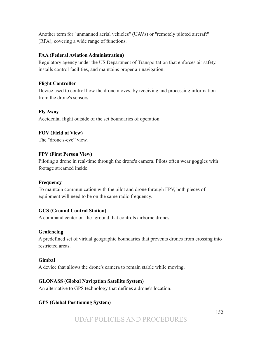Another term for "unmanned aerial vehicles" (UAVs) or "remotely piloted aircraft" (RPA), covering a wide range of functions.

#### **FAA (Federal Aviation Administration)**

Regulatory agency under the US Department of Transportation that enforces air safety, installs control facilities, and maintains proper air navigation.

#### **Flight Controller**

Device used to control how the drone moves, by receiving and processing information from the drone's sensors.

#### **Fly Away**

Accidental flight outside of the set boundaries of operation.

### **FOV (Field of View)**

The "drone's-eye" view.

### **FPV (First Person View)**

Piloting a drone in real-time through the drone's camera. Pilots often wear goggles with footage streamed inside.

### **Frequency**

To maintain communication with the pilot and drone through FPV, both pieces of equipment will need to be on the same radio frequency.

### **GCS (Ground Control Station)**

A command center on-the- ground that controls airborne drones.

### **Geofencing**

A predefined set of virtual geographic boundaries that prevents drones from crossing into restricted areas.

### **Gimbal**

A device that allows the drone's camera to remain stable while moving.

### **GLONASS (Global Navigation Satellite System)**

An alternative to GPS technology that defines a drone's location.

### **GPS (Global Positioning System)**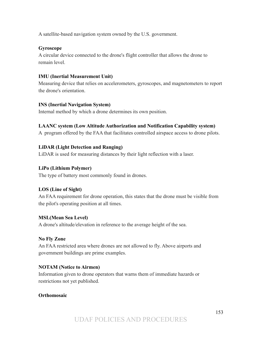A satellite-based navigation system owned by the U.S. government.

#### **Gyroscope**

A circular device connected to the drone's flight controller that allows the drone to remain level.

#### **IMU (Inertial Measurement Unit)**

Measuring device that relies on accelerometers, gyroscopes, and magnetometers to report the drone's orientation.

#### **INS (Inertial Navigation System)**

Internal method by which a drone determines its own position.

### **LAANC system (Low Altitude Authorization and Notification Capability system)**

A program offered by the FAA that facilitates controlled airspace access to drone pilots.

#### **LiDAR (Light Detection and Ranging)**

LiDAR is used for measuring distances by their light reflection with a laser.

#### **LiPo (Lithium Polymer)**

The type of battery most commonly found in drones.

### **LOS (Line of Sight)**

An FAA requirement for drone operation, this states that the drone must be visible from the pilot's operating position at all times.

### **MSL(Mean Sea Level)**

A drone's altitude/elevation in reference to the average height of the sea.

### **No Fly Zone**

An FAA restricted area where drones are not allowed to fly. Above airports and government buildings are prime examples.

### **NOTAM (Notice to Airmen)**

Information given to drone operators that warns them of immediate hazards or restrictions not yet published.

### **Orthomosaic**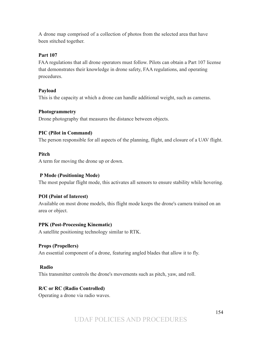A drone map comprised of a collection of photos from the selected area that have been stitched together.

#### **Part 107**

FAA regulations that all drone operators must follow. Pilots can obtain a Part 107 license that demonstrates their knowledge in drone safety, FAA regulations, and operating procedures.

#### **Payload**

This is the capacity at which a drone can handle additional weight, such as cameras.

#### **Photogrammetry**

Drone photography that measures the distance between objects.

#### **PIC (Pilot in Command)**

The person responsible for all aspects of the planning, flight, and closure of a UAV flight.

### **Pitch**

A term for moving the drone up or down.

### **P Mode (Positioning Mode)**

The most popular flight mode, this activates all sensors to ensure stability while hovering.

# **POI (Point of Interest)**

Available on most drone models, this flight mode keeps the drone's camera trained on an area or object.

### **PPK (Post-Processing Kinematic)**

A satellite positioning technology similar to RTK.

### **Props (Propellers)**

An essential component of a drone, featuring angled blades that allow it to fly.

### **Radio**

This transmitter controls the drone's movements such as pitch, yaw, and roll.

# **R/C or RC (Radio Controlled)**

Operating a drone via radio waves.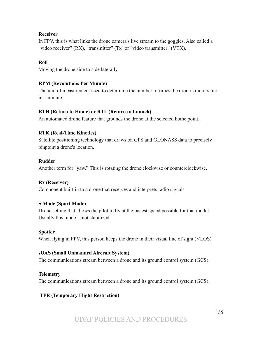#### **Receiver**

In FPV, this is what links the drone camera's live stream to the goggles. Also called a "video receiver" (RX), "transmitter" (Tx) or "video transmitter" (VTX).

#### **Roll**

Moving the drone side to side laterally.

#### **RPM (Revolutions Per Minute)**

The unit of measurement used to determine the number of times the drone's motors turn in 1 minute.

#### **RTH (Return to Home) or RTL (Return to Launch)**

An automated drone feature that grounds the drone at the selected home point.

### **RTK (Real-Time Kinetics)**

Satellite positioning technology that draws on GPS and GLONASS data to precisely pinpoint a drone's location.

#### **Rudder**

Another term for "yaw." This is rotating the drone clockwise or counterclockwise.

### **Rx (Receiver)**

Component built-in to a drone that receives and interprets radio signals.

### **S Mode (Sport Mode)**

Drone setting that allows the pilot to fly at the fastest speed possible for that model. Usually this mode is not stabilized.

#### **Spotter**

When flying in FPV, this person keeps the drone in their visual line of sight (VLOS).

### **sUAS (Small Unmanned Aircraft System)**

The communications stream between a drone and its ground control system (GCS).

### **Telemetry**

The communications stream between a drone and its ground control system (GCS).

### **TFR (Temporary Flight Restriction)**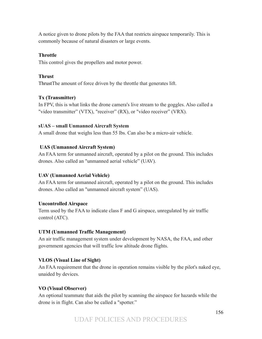A notice given to drone pilots by the FAA that restricts airspace temporarily. This is commonly because of natural disasters or large events.

#### **Throttle**

This control gives the propellers and motor power.

### **Thrust**

ThrustThe amount of force driven by the throttle that generates lift.

### **Tx (Transmitter)**

In FPV, this is what links the drone camera's live stream to the goggles. Also called a "video transmitter" (VTX), "receiver" (RX), or "video receiver" (VRX).

#### **sUAS – small Unmanned Aircraft System**

A small drone that weighs less than 55 lbs. Can also be a micro-air vehicle.

### **UAS (Unmanned Aircraft System)**

An FAA term for unmanned aircraft, operated by a pilot on the ground. This includes drones. Also called an "unmanned aerial vehicle" (UAV).

### **UAV (Unmanned Aerial Vehicle)**

An FAA term for unmanned aircraft, operated by a pilot on the ground. This includes drones. Also called an "unmanned aircraft system" (UAS).

#### **Uncontrolled Airspace**

Term used by the FAA to indicate class F and G airspace, unregulated by air traffic control (ATC).

### **UTM (Unmanned Traffic Management)**

An air traffic management system under development by NASA, the FAA, and other government agencies that will traffic low altitude drone flights.

### **VLOS (Visual Line of Sight)**

An FAA requirement that the drone in operation remains visible by the pilot's naked eye, unaided by devices.

### **VO (Visual Observer)**

An optional teammate that aids the pilot by scanning the airspace for hazards while the drone is in flight. Can also be called a "spotter."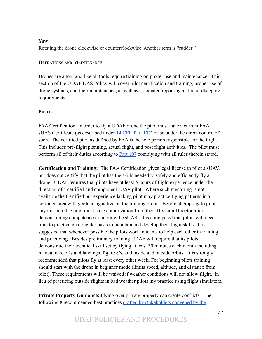#### **Yaw**

Rotating the drone clockwise or counterclockwise. Another term is "rudder."

#### **OPERATIONS AND MAINTENANCE**

Drones are a tool and like all tools require training on proper use and maintenance. This section of the UDAF UAS Policy will cover pilot certification and training, proper use of drone systems, and their maintenance, as well as associated reporting and recordkeeping requirements.

#### **PILOTS**

FAA Certification: In order to fly a UDAF drone the pilot must have a current FAA sUAS Certificate (as described under [14 CFR Part 107\)](https://www.ecfr.gov/cgi-bin/text-idx?node=pt14.2.107&rgn=div5) or be under the direct control of such. The certified pilot as defined by FAA is the sole person responsible for the flight. This includes pre-flight planning, actual flight, and post flight activities. The pilot must perform all of their duties according to [Part 107](https://www.ecfr.gov/cgi-bin/text-idx?node=pt14.2.107&rgn=div5) complying with all rules therein stated.

**Certification and Training:** The FAA Certification gives legal license to pilot a sUAV, but does not certify that the pilot has the skills needed to safely and efficiently fly a drone. UDAF requires that pilots have at least 5 hours of flight experience under the direction of a certified and component sUAV pilot. Where such mentoring is not available the Certified but experience lacking pilot may practice flying patterns in a confined area with geofencing active on the training drone. Before attempting to pilot any mission, the pilot must have authorization from their Division Director after demonstrating competence in piloting the sUAS. It is anticipated that pilots will need time to practice on a regular basis to maintain and develop their flight skills. It is suggested that whenever possible the pilots work in teams to help each other in training and practicing. Besides preliminary training UDAF will require that its pilots demonstrate their technical skill set by flying at least 30 minutes each month including manual take offs and landings, figure 8's, and inside and outside orbits. It is strongly recommended that pilots fly at least every other week. For beginning pilots training should start with the drone in beginner mode (limits speed, altitude, and distance from pilot). These requirements will be waived if weather conditions will not allow flight. In lieu of practicing outside flights in bad weather pilots my practice using flight simulators.

**Private Property Guidance:** Flying over private property can create conflicts. The following 8 recommended best practices drafted by [stakeholders convened by the](https://fpf.org/wp-content/uploads/2016/06/UAS_Privacy_Best_Practices_6-21-16.pdf)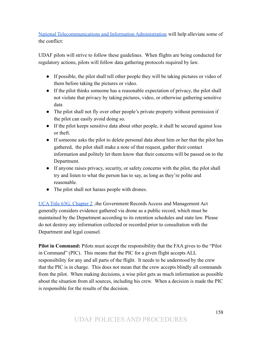[National Telecommunications and Information Administration](https://fpf.org/wp-content/uploads/2016/06/UAS_Privacy_Best_Practices_6-21-16.pdf) will help alleviate some of the conflict:

UDAF pilots will strive to follow these guidelines. When flights are being conducted for regulatory actions, pilots will follow data gathering protocols required by law.

- If possible, the pilot shall tell other people they will be taking pictures or video of them before taking the pictures or video.
- If the pilot thinks someone has a reasonable expectation of privacy, the pilot shall not violate that privacy by taking pictures, video, or otherwise gathering sensitive data
- The pilot shall not fly over other people's private property without permission if the pilot can easily avoid doing so.
- If the pilot keeps sensitive data about other people, it shall be secured against loss or theft.
- If someone asks the pilot to delete personal data about him or her that the pilot has gathered, the pilot shall make a note of that request, gather their contact information and politely let them know that their concerns will be passed on to the Department.
- If anyone raises privacy, security, or safety concerns with the pilot, the pilot shall try and listen to what the person has to say, as long as they're polite and reasonable.
- The pilot shall not harass people with drones.

UCA [Title 63G, Chapter 2](https://le.utah.gov/xcode/Title63G/Chapter2/63G-2.html?v=C63G-2_1800010118000101), the Government Records Access and Management Act generally considers evidence gathered via drone as a public record, which must be maintained by the Department according to its retention schedules and state law. Please do not destroy any information collected or recorded prior to consultation with the Department and legal counsel.

**Pilot in Command:** Pilots must accept the responsibility that the FAA gives to the "Pilot in Command" (PIC). This means that the PIC for a given flight accepts ALL responsibility for any and all parts of the flight. It needs to be understood by the crew that the PIC is in charge. This does not mean that the crew accepts blindly all commands from the pilot. When making decisions, a wise pilot gets as much information as possible about the situation from all sources, including his crew. When a decision is made the PIC is responsible for the results of the decision.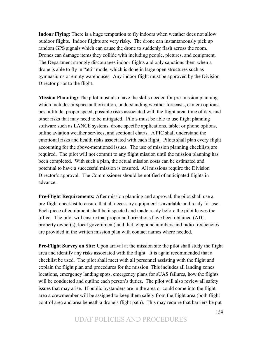**Indoor Flying**: There is a huge temptation to fly indoors when weather does not allow outdoor flights. Indoor flights are very risky. The drone can instantaneously pick up random GPS signals which can cause the drone to suddenly flash across the room. Drones can damage items they collide with including people, pictures, and equipment. The Department strongly discourages indoor flights and only sanctions them when a drone is able to fly in "atti" mode, which is done in large open structures such as gymnasiums or empty warehouses. Any indoor flight must be approved by the Division Director prior to the flight.

**Mission Planning:** The pilot must also have the skills needed for pre-mission planning which includes airspace authorization, understanding weather forecasts, camera options, best altitude, proper speed, possible risks associated with the flight area, time of day, and other risks that may need to be mitigated. Pilots must be able to use flight planning software such as LANCE systems, drone specific applications, tablet or phone options, online aviation weather services, and sectional charts. A PIC shall understand the emotional risks and health risks associated with each flight. Pilots shall plan every flight accounting for the above-mentioned issues. The use of mission planning checklists are required. The pilot will not commit to any flight mission until the mission planning has been completed. With such a plan, the actual mission costs can be estimated and potential to have a successful mission is ensured. All missions require the Division Director's approval. The Commissioner should be notified of anticipated flights in advance.

**Pre-Flight Requirements:** After mission planning and approval, the pilot shall use a pre-flight checklist to ensure that all necessary equipment is available and ready for use. Each piece of equipment shall be inspected and made ready before the pilot leaves the office. The pilot will ensure that proper authorizations have been obtained (ATC, property owner(s), local government) and that telephone numbers and radio frequencies are provided in the written mission plan with contact names where needed.

**Pre-Flight Survey on Site:** Upon arrival at the mission site the pilot shall study the flight area and identify any risks associated with the flight. It is again recommended that a checklist be used. The pilot shall meet with all personnel assisting with the flight and explain the flight plan and procedures for the mission. This includes all landing zones locations, emergency landing spots, emergency plans for sUAS failures, how the flights will be conducted and outline each person's duties. The pilot will also review all safety issues that may arise. If public bystanders are in the area or could come into the flight area a crewmember will be assigned to keep them safely from the flight area (both flight control area and area beneath a drone's flight path). This may require that barriers be put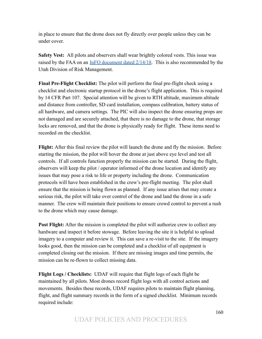in place to ensure that the drone does not fly directly over people unless they can be under cover.

**Safety Vest:** All pilots and observers shall wear brightly colored vests. This issue was raised by the FAA on an [InFO document dated 2/14/18](https://www.faa.gov/other_visit/aviation_industry/airline_operators/airline_safety/info/all_infos/media/2018/InFO18001.pdf). This is also recommended by the Utah Division of Risk Management.

**Final Pre-Flight Checklist:** The pilot will perform the final pre-flight check using a checklist and electronic startup protocol in the drone's flight application. This is required by 14 CFR Part 107. Special attention will be given to RTH altitude, maximum altitude and distance from controller, SD card installation, compass calibration, battery status of all hardware, and camera settings. The PIC will also inspect the drone ensuring props are not damaged and are securely attached, that there is no damage to the drone, that storage locks are removed, and that the drone is physically ready for flight. These items need to recorded on the checklist.

**Flight:** After this final review the pilot will launch the drone and fly the mission. Before starting the mission, the pilot will hover the drone at just above eye level and test all controls. If all controls function properly the mission can be started. During the flight, observers will keep the pilot / operator informed of the drone location and identify any issues that may pose a risk to life or property including the drone. Communication protocols will have been established in the crew's pre-flight meeting. The pilot shall ensure that the mission is being flown as planned. If any issue arises that may create a serious risk, the pilot will take over control of the drone and land the drone in a safe manner. The crew will maintain their positions to ensure crowd control to prevent a rush to the drone which may cause damage.

**Post Flight:** After the mission is completed the pilot will authorize crew to collect any hardware and inspect it before stowage. Before leaving the site it is helpful to upload imagery to a computer and review it. This can save a re-visit to the site. If the imagery looks good, then the mission can be completed and a checklist of all equipment is completed closing out the mission. If there are missing images and time permits, the mission can be re-flown to collect missing data.

**Flight Logs / Checklists:** UDAF will require that flight logs of each flight be maintained by all pilots. Most drones record flight logs with all control actions and movements. Besides these records, UDAF requires pilots to maintain flight planning, flight, and flight summary records in the form of a signed checklist. Minimum records required include: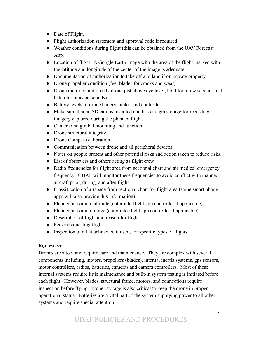- Date of Flight.
- Flight authorization statement and approval code if required.
- Weather conditions during flight (this can be obtained from the UAV Forecast App).
- Location of flight. A Google Earth image with the area of the flight marked with the latitude and longitude of the center of the image is adequate.
- Documentation of authorization to take off and land if on private property.
- Drone propeller condition (feel blades for cracks and wear).
- Drone motor condition (fly drone just above eye level, hold for a few seconds and listen for unusual sounds).
- Battery levels of drone battery, tablet, and controller.
- Make sure that an SD card is installed and has enough storage for recording imagery captured during the planned flight.
- Camera and gimbal mounting and function.
- Drone structural integrity.
- Drone Compass calibration
- Communication between drone and all peripheral devices.
- Notes on people present and other potential risks and action taken to reduce risks.
- List of observers and others acting as flight crew.
- Radio frequencies for flight area from sectional chart and air medical emergency frequency. UDAF will monitor these frequencies to avoid conflict with manned aircraft prior, during, and after flight.
- Classification of airspace from sectional chart for flight area (some smart phone apps will also provide this information).
- Planned maximum altitude (enter into flight app controller if applicable).
- Planned maximum range (enter into flight app controller if applicable).
- Description of flight and reason for flight.
- Person requesting flight.
- Inspection of all attachments, if used, for specific types of flights.

# **EQUIPMENT**

Drones are a tool and require care and maintenance. They are complex with several components including, motors, propellers (blades), internal inertia systems, gps sensors, motor controllers, radios, batteries, cameras and camera controllers. Most of these internal systems require little maintenance and built-in system testing is initiated before each flight. However, blades, structural frame, motors, and connections require inspection before flying. Proper storage is also critical to keep the drone in proper operational status. Batteries are a vital part of the system supplying power to all other systems and require special attention.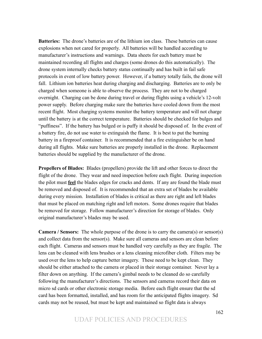**Batteries:** The drone's batteries are of the lithium ion class. These batteries can cause explosions when not cared for properly. All batteries will be handled according to manufacturer's instructions and warnings. Data sheets for each battery must be maintained recording all flights and charges (some drones do this automatically). The drone system internally checks battery status continually and has built in fail safe protocols in event of low battery power. However, if a battery totally fails, the drone will fall. Lithium ion batteries heat during charging and discharging. Batteries are to only be charged when someone is able to observe the process. They are not to be charged overnight. Charging can be done during travel or during flights using a vehicle's 12-volt power supply. Before charging make sure the batteries have cooled down from the most recent flight. Most charging systems monitor the battery temperature and will not charge until the battery is at the correct temperature. Batteries should be checked for bulges and "puffiness". If the battery has bulged or is puffy it should be disposed of. In the event of a battery fire, do not use water to extinguish the flame. It is best to put the burning battery in a fireproof container. It is recommended that a fire extinguisher be on hand during all flights. Make sure batteries are properly installed in the drone. Replacement batteries should be supplied by the manufacturer of the drone.

**Propellers of Blades:** Blades (propellers) provide the lift and other forces to direct the flight of the drone. They wear and need inspection before each flight. During inspection the pilot must **feel** the blades edges for cracks and dents. If any are found the blade must be removed and disposed of. It is recommended that an extra set of blades be available during every mission. Installation of blades is critical as there are right and left blades that must be placed on matching right and left motors. Some drones require that blades be removed for storage. Follow manufacturer's direction for storage of blades. Only original manufacturer's blades may be used.

**Camera / Sensors:** The whole purpose of the drone is to carry the camera(s) or sensor(s) and collect data from the sensor(s). Make sure all cameras and sensors are clean before each flight. Cameras and sensors must be handled very carefully as they are fragile. The lens can be cleaned with lens brushes or a lens cleaning microfiber cloth. Filters may be used over the lens to help capture better imagery. These need to be kept clean. They should be either attached to the camera or placed in their storage container. Never lay a filter down on anything. If the camera's gimbal needs to be cleaned do so carefully following the manufacturer's directions. The sensors and cameras record their data on micro sd cards or other electronic storage media. Before each flight ensure that the sd card has been formatted, installed, and has room for the anticipated flights imagery. Sd cards may not be reused, but must be kept and maintained so flight data is always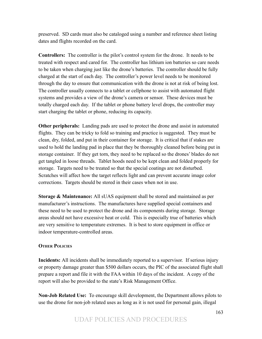preserved. SD cards must also be cataloged using a number and reference sheet listing dates and flights recorded on the card.

**Controllers:** The controller is the pilot's control system for the drone. It needs to be treated with respect and cared for. The controller has lithium ion batteries so care needs to be taken when charging just like the drone's batteries. The controller should be fully charged at the start of each day. The controller's power level needs to be monitored through the day to ensure that communication with the drone is not at risk of being lost. The controller usually connects to a tablet or cellphone to assist with automated flight systems and provides a view of the drone's camera or sensor. These devices must be totally charged each day. If the tablet or phone battery level drops, the controller may start charging the tablet or phone, reducing its capacity.

**Other peripherals:** Landing pads are used to protect the drone and assist in automated flights. They can be tricky to fold so training and practice is suggested. They must be clean, dry, folded, and put in their container for storage. It is critical that if stakes are used to hold the landing pad in place that they be thoroughly cleaned before being put in storage container. If they get torn, they need to be replaced so the drones' blades do not get tangled in loose threads. Tablet hoods need to be kept clean and folded properly for storage. Targets need to be treated so that the special coatings are not disturbed. Scratches will affect how the target reflects light and can prevent accurate image color corrections. Targets should be stored in their cases when not in use.

**Storage & Maintenance:** All sUAS equipment shall be stored and maintained as per manufacturer's instructions. The manufactures have supplied special containers and these need to be used to protect the drone and its components during storage. Storage areas should not have excessive heat or cold. This is especially true of batteries which are very sensitive to temperature extremes. It is best to store equipment in office or indoor temperature-controlled areas.

### **OTHER POLICIES**

**Incidents:** All incidents shall be immediately reported to a supervisor. If serious injury or property damage greater than \$500 dollars occurs, the PIC of the associated flight shall prepare a report and file it with the FAA within 10 days of the incident. A copy of the report will also be provided to the state's Risk Management Office.

**Non-Job Related Use:** To encourage skill development, the Department allows pilots to use the drone for non-job related uses as long as it is not used for personal gain, illegal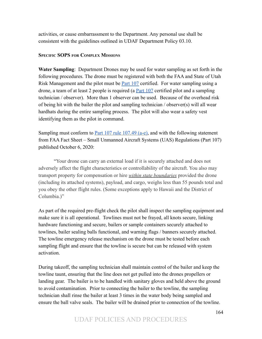activities, or cause embarrassment to the Department. Any personal use shall be consistent with the guidelines outlined in UDAF Department Policy 03.10.

#### **SPECIFIC SOPS FOR COMPLEX MISSIONS**

**Water Sampling**: Department Drones may be used for water sampling as set forth in the following procedures. The drone must be registered with both the FAA and State of Utah Risk Management and the pilot must be [Part 107](https://www.ecfr.gov/cgi-bin/text-idx?node=pt14.2.107&rgn=div5) certified. For water sampling using a drone, a team of at least 2 people is required (a **[Part 107](https://www.ecfr.gov/cgi-bin/text-idx?node=pt14.2.107&rgn=div5)** certified pilot and a sampling technician / observer). More than 1 observer can be used. Because of the overhead risk of being hit with the bailer the pilot and sampling technician / observer(s) will all wear hardhats during the entire sampling process. The pilot will also wear a safety vest identifying them as the pilot in command.

Sampling must conform to **Part 107 rule 107.49 (a-e)**, and with the following statement from FAA Fact Sheet – Small Unmanned Aircraft Systems (UAS) Regulations (Part 107) published October 6, 2020:

"Your drone can carry an external load if it is securely attached and does not adversely affect the flight characteristics or controllability of the aircraft. You also may transport property for compensation or hire *within state boundaries* provided the drone (including its attached systems), payload, and cargo, weighs less than 55 pounds total and you obey the other flight rules. (Some exceptions apply to Hawaii and the District of Columbia.)"

As part of the required pre-flight check the pilot shall inspect the sampling equipment and make sure it is all operational. Towlines must not be frayed, all knots secure, linking hardware functioning and secure, bailers or sample containers securely attached to towlines, bailer sealing balls functional, and warning flags / banners securely attached. The towline emergency release mechanism on the drone must be tested before each sampling flight and ensure that the towline is secure but can be released with system activation.

During takeoff, the sampling technician shall maintain control of the bailer and keep the towline taunt, ensuring that the line does not get pulled into the drones propellers or landing gear. The bailer is to be handled with sanitary gloves and held above the ground to avoid contamination. Prior to connecting the bailer to the towline, the sampling technician shall rinse the bailer at least 3 times in the water body being sampled and ensure the ball valve seals. The bailer will be drained prior to connection of the towline.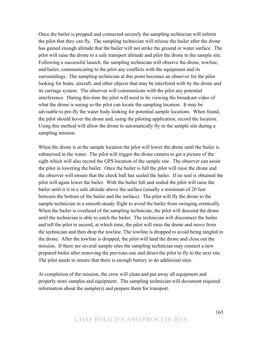Once the bailer is prepped and connected securely the sampling technician will inform the pilot that they can fly. The sampling technician will release the bailer after the drone has gained enough altitude that the bailer will not strike the ground or water surface. The pilot will raise the drone to a safe transport altitude and pilot the drone to the sample site. Following a successful launch, the sampling technician will observe the drone, towline, and bailer, communicating to the pilot any conflicts with the equipment and its surroundings. The sampling technician at this point becomes an observer for the pilot looking for boats, aircraft, and other objects that may be interfered with by the drone and its carriage system. The observer will communicate with the pilot any potential interference. During this time the pilot will need to be viewing the broadcast video of what the drone is seeing so the pilot can locate the sampling location. It may be advisable to pre-fly the water body looking for potential sample locations. When found, the pilot should hover the drone and, using the piloting application, record the location. Using this method will allow the drone to automatically fly to the sample site during a sampling mission.

When the drone is at the sample location the pilot will lower the drone until the bailer is submersed in the water. The pilot will trigger the drone camera to get a picture of the sight which will also record the GPS location of the sample site. The observer can assist the pilot in lowering the bailer. Once the bailer is full the pilot will raise the drone and the observer will ensure that the check ball has sealed the bailer. If no seal is obtained the pilot will again lower the bailer. With the bailer full and sealed the pilot will raise the bailer until it is in a safe altitude above the surface (usually a minimum of 20 feet between the bottom of the bailer and the surface). The pilot will fly the drone to the sample technician in a smooth steady flight to avoid the bailer from swinging erratically. When the bailer is overhead of the sampling technician, the pilot will descend the drone until the technician is able to catch the bailer. The technician will disconnect the bailer and tell the pilot to ascend, at which time, the pilot will raise the drone and move from the technician and then drop the towline. The towline is dropped to avoid being tangled in the drone. After the towline is dropped, the pilot will land the drone and close out the mission. If there are several sample sites the sampling technician may connect a new prepared bailer after removing the previous one and direct the pilot to fly to the next site. The pilot needs to ensure that there is enough battery to do additional sites.

At completion of the mission, the crew will clean and put away all equipment and properly store samples and equipment. The sampling technician will document required information about the sample(s) and prepare them for transport.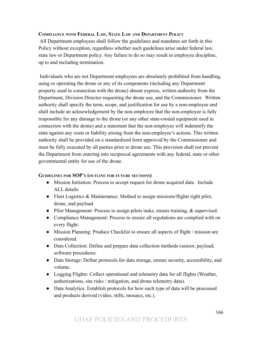#### **COMPLIANCE WITH FEDERAL LAW, STATE LAW AND DEPARTMENT POLICY**

All Department employees shall follow the guidelines and mandates set forth in this Policy without exception, regardless whether such guidelines arise under federal law, state law or Department policy. Any failure to do so may result in employee discipline, up to and including termination.

Individuals who are not Department employees are absolutely prohibited from handling, using or operating the drone or any of its components (including any Department property used in connection with the drone) absent express, written authority from the Department, Division Director requesting the drone use, and the Commissioner. Written authority shall specify the term, scope, and justification for use by a non-employee and shall include an acknowledgement by the non-employee that the non-employee is fully responsible for any damage to the drone (or any other state-owned equipment used in connection with the drone) and a statement that the non-employee will indemnify the state against any costs or liability arising from the non-employee's actions. This written authority shall be provided on a standardized form approved by the Commissioner and must be fully executed by all parties prior to drone use. This provision shall not prevent the Department from entering into reciprocal agreements with any federal, state or other governmental entity for use of the drone.

#### **GUIDELINES FOR SOP'S (OUTLINE FOR FUTURE SECTIONS)**

- Mission Initiation: Process to accept request for drone acquired data. Include ALL details
- Fleet Logistics & Maintenance: Method to assign missions/flights right pilot, drone, and payload.
- Pilot Management: Process to assign pilots tasks, ensure training, & supervised.
- Compliance Management: Process to ensure all regulations are complied with on every flight.
- Mission Planning: Produce Checklist to ensure all aspects of flight / mission are considered.
- Data Collection: Define and prepare data collection methods (sensor, payload, software procedures.
- Data Storage: Define protocols for data storage, ensure security, accessibility, and volume.
- Logging Flights: Collect operational and telemetry data for all flights (Weather, authorizations, site risks / mitigation, and drone telemetry data).
- Data Analytics: Establish protocols for how each type of data will be processed and products derived (video, stills, mosaics, etc.).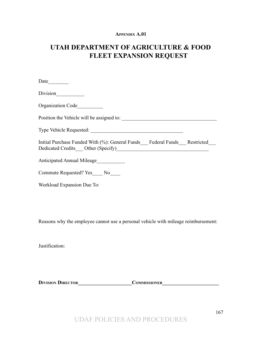#### **APPENDIX A.01**

# **UTAH DEPARTMENT OF AGRICULTURE & FOOD FLEET EXPANSION REQUEST**

| Organization Code                                                        |
|--------------------------------------------------------------------------|
|                                                                          |
|                                                                          |
| Initial Purchase Funded With (%): General Funds Federal Funds Restricted |
| Anticipated Annual Mileage                                               |
| Commute Requested? Yes No                                                |
| Workload Expansion Due To:                                               |
|                                                                          |

Reasons why the employee cannot use a personal vehicle with mileage reimbursement:

Justification:

**DIVISION DIRECTOR\_\_\_\_\_\_\_\_\_\_\_\_\_\_\_\_\_\_\_\_\_COMMISSIONER\_\_\_\_\_\_\_\_\_\_\_\_\_\_\_\_\_\_\_\_\_\_**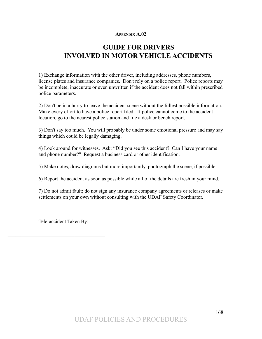#### **APPENDIX A.02**

# **GUIDE FOR DRIVERS INVOLVED IN MOTOR VEHICLE ACCIDENTS**

1) Exchange information with the other driver, including addresses, phone numbers, license plates and insurance companies. Don't rely on a police report. Police reports may be incomplete, inaccurate or even unwritten if the accident does not fall within prescribed police parameters.

2) Don't be in a hurry to leave the accident scene without the fullest possible information. Make every effort to have a police report filed. If police cannot come to the accident location, go to the nearest police station and file a desk or bench report.

3) Don't say too much. You will probably be under some emotional pressure and may say things which could be legally damaging.

4) Look around for witnesses. Ask: "Did you see this accident? Can I have your name and phone number?" Request a business card or other identification.

5) Make notes, draw diagrams but more importantly, photograph the scene, if possible.

6) Report the accident as soon as possible while all of the details are fresh in your mind.

7) Do not admit fault; do not sign any insurance company agreements or releases or make settlements on your own without consulting with the UDAF Safety Coordinator.

Tele-accident Taken By:

 $\mathcal{L}_\text{max}$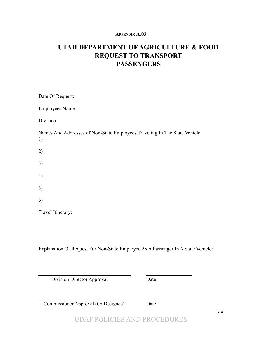#### **APPENDIX A.03**

# **UTAH DEPARTMENT OF AGRICULTURE & FOOD REQUEST TO TRANSPORT PASSENGERS**

Division Director Approval Date

Commissioner Approval (Or Designee) Date

UDAF POLICIES AND PROCEDURES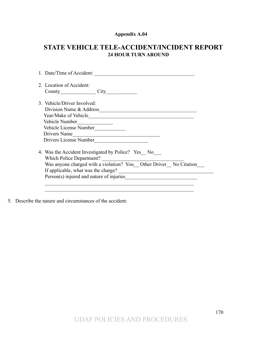### **Appendix A.04**

# **STATE VEHICLE TELE-ACCIDENT/INCIDENT REPORT 24 HOUR TURN AROUND**

| 1. Date/Time of Accident:                          | the control of the control of the control of the control of the control of |  |
|----------------------------------------------------|----------------------------------------------------------------------------|--|
| 2. Location of Accident:                           |                                                                            |  |
| $County$ $City$                                    |                                                                            |  |
| 3. Vehicle/Driver Involved:                        |                                                                            |  |
|                                                    | Division Name & Address                                                    |  |
|                                                    |                                                                            |  |
| Vehicle Number                                     |                                                                            |  |
| Vehicle License Number                             |                                                                            |  |
| Drivers Name                                       |                                                                            |  |
| Drivers License Number                             |                                                                            |  |
|                                                    |                                                                            |  |
| 4. Was the Accident Investigated by Police? Yes No |                                                                            |  |
|                                                    | Which Police Department?                                                   |  |
|                                                    | Was anyone charged with a violation? You Other Driver No Citation          |  |
|                                                    | If applicable, what was the charge?                                        |  |
|                                                    | Person(s) injured and nature of injuries                                   |  |
|                                                    |                                                                            |  |
|                                                    |                                                                            |  |
|                                                    |                                                                            |  |

5. Describe the nature and circumstances of the accident: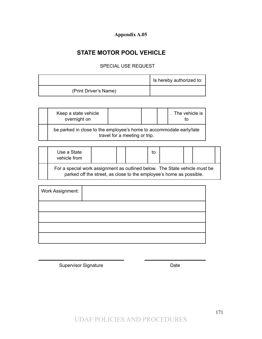## **Appendix A.05**

# **STATE MOTOR POOL VEHICLE**

#### SPECIAL USE REQUEST

|                       | Is hereby authorized to: |
|-----------------------|--------------------------|
| (Print Driver's Name) |                          |

| Keep a state vehicle<br>overnight on                                                                 |  |  | . The vehicle is |  |  |
|------------------------------------------------------------------------------------------------------|--|--|------------------|--|--|
| be parked in close to the employee's home to accommodate early/late<br>travel for a meeting or trip. |  |  |                  |  |  |

| Use a State<br>vehicle from                                                                                                                       |  | to |  |  |
|---------------------------------------------------------------------------------------------------------------------------------------------------|--|----|--|--|
| For a special work assignment as outlined below. The State vehicle must be<br>parked off the street, as close to the employee's home as possible. |  |    |  |  |

| Work Assignment: |  |
|------------------|--|
|                  |  |
|                  |  |
|                  |  |
|                  |  |

Supervisor Signature **Date** Date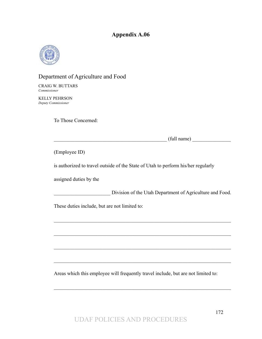# **Appendix A.06**



| Commissioner | <b>CRAIG W. BUTTARS</b>                                                           |
|--------------|-----------------------------------------------------------------------------------|
|              | <b>KELLY PEHRSON</b><br>Deputy Commissioner                                       |
|              | To Those Concerned:                                                               |
|              | (full name) _                                                                     |
|              | (Employee ID)                                                                     |
|              | is authorized to travel outside of the State of Utah to perform his/her regularly |
|              | assigned duties by the                                                            |
|              | Division of the Utah Department of Agriculture and Food.                          |
|              | These duties include, but are not limited to:                                     |
|              |                                                                                   |
|              |                                                                                   |
|              |                                                                                   |
|              | Areas which this employee will frequently travel include, but are not limited to: |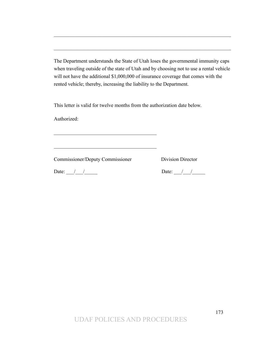The Department understands the State of Utah loses the governmental immunity caps when traveling outside of the state of Utah and by choosing not to use a rental vehicle will not have the additional \$1,000,000 of insurance coverage that comes with the rented vehicle; thereby, increasing the liability to the Department.

 $\mathcal{L}_\text{max} = \frac{1}{2} \sum_{i=1}^n \mathcal{L}_\text{max}(\mathbf{z}_i - \mathbf{z}_i)$ 

 $\mathcal{L}_\text{max} = \frac{1}{2} \sum_{i=1}^n \mathcal{L}_\text{max}(\mathbf{z}_i - \mathbf{z}_i)$ 

This letter is valid for twelve months from the authorization date below.

Authorized:

Commissioner/Deputy Commissioner Division Director

 $\mathcal{L}_\text{max}$ 

 $\mathcal{L}_\text{max}$ 

Date:  $\sqrt{2}$  / Date:  $\sqrt{2}$  / Date:  $\sqrt{2}$  /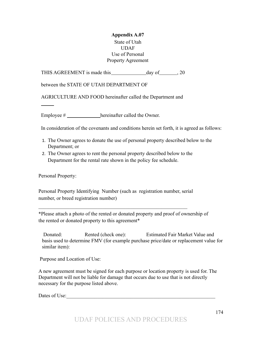**Appendix A.07** State of Utah UDAF Use of Personal Property Agreement

THIS AGREEMENT is made this day of  $\qquad$  20

between the STATE OF UTAH DEPARTMENT OF

AGRICULTURE AND FOOD hereinafter called the Department and

Employee # hereinafter called the Owner.

In consideration of the covenants and conditions herein set forth, it is agreed as follows:

- 1. The Owner agrees to donate the use of personal property described below to the Department; or
- 2. The Owner agrees to rent the personal property described below to the Department for the rental rate shown in the policy fee schedule.

Personal Property:

Personal Property Identifying Number (such as registration number, serial number, or breed registration number)

 $\mathcal{L}_\text{max}$  , and the contribution of the contribution of the contribution of the contribution of the contribution of the contribution of the contribution of the contribution of the contribution of the contribution of t

\*Please attach a photo of the rented or donated property and proof of ownership of the rented or donated property to this agreement\*

Donated: Rented (check one): Estimated Fair Market Value and basis used to determine FMV (for example purchase price/date or replacement value for similar item):

Purpose and Location of Use:

A new agreement must be signed for each purpose or location property is used for. The Department will not be liable for damage that occurs due to use that is not directly necessary for the purpose listed above.

Dates of Use: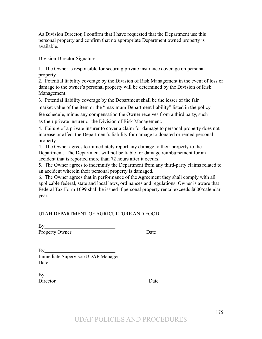As Division Director, I confirm that I have requested that the Department use this personal property and confirm that no appropriate Department owned property is available.

Division Director Signature

1. The Owner is responsible for securing private insurance coverage on personal property.

2. Potential liability coverage by the Division of Risk Management in the event of loss or damage to the owner's personal property will be determined by the Division of Risk Management.

3. Potential liability coverage by the Department shall be the lesser of the fair market value of the item or the "maximum Department liability" listed in the policy fee schedule, minus any compensation the Owner receives from a third party, such as their private insurer or the Division of Risk Management.

4. Failure of a private insurer to cover a claim for damage to personal property does not increase or affect the Department's liability for damage to donated or rented personal property.

4. The Owner agrees to immediately report any damage to their property to the Department. The Department will not be liable for damage reimbursement for an accident that is reported more than 72 hours after it occurs.

5. The Owner agrees to indemnify the Department from any third-party claims related to an accident wherein their personal property is damaged.

6. The Owner agrees that in performance of the Agreement they shall comply with all applicable federal, state and local laws, ordinances and regulations. Owner is aware that Federal Tax Form 1099 shall be issued if personal property rental exceeds \$600/calendar year.

### UTAH DEPARTMENT OF AGRICULTURE AND FOOD

 $By$ 

Property Owner Date

By Immediate Supervisor/UDAF Manager **Date** 

 $By$ Director Date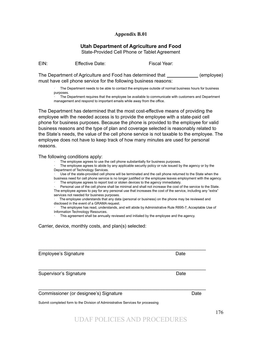#### **Appendix B.01**

### **Utah Department of Agriculture and Food**

State-Provided Cell Phone or Tablet Agreement

| EIN:<br><b>Effective Date:</b> | Fiscal Year: |
|--------------------------------|--------------|
|--------------------------------|--------------|

The Department of Agriculture and Food has determined that \_\_\_\_\_\_\_\_\_\_\_\_\_(employee) must have cell phone service for the following business reasons:

The Department needs to be able to contact the employee outside of normal business hours for business purposes.

The Department requires that the employee be available to communicate with customers and Department management and respond to important emails while away from the office.

The Department has determined that the most cost-effective means of providing the employee with the needed access is to provide the employee with a state-paid cell phone for business purposes. Because the phone is provided to the employee for valid business reasons and the type of plan and coverage selected is reasonably related to the State's needs, the value of the cell phone service is not taxable to the employee. The employee does not have to keep track of how many minutes are used for personal reasons.

The following conditions apply:

- The employee agrees to use the cell phone substantially for business purposes.
- The employee agrees to abide by any applicable security policy or rule issued by the agency or by the Department of Technology Services.

Use of the state-provided cell phone will be terminated and the cell phone returned to the State when the

business need for cell phone service is no longer justified or the employee leaves employment with the agency. · The employee agrees to report lost or stolen devices to the agency immediately.

· Personal use of the cell phone shall be minimal and shall not increase the cost of the service to the State. The employee agrees to pay for any personal use that increases the cost of the service, including any "extra" services not needed for business purposes.

The employee understands that any data (personal or business) on the phone may be reviewed and disclosed in the event of a GRAMA request.

The employee has read, understands, and will abide by Administrative Rule R895-7, Acceptable Use of Information Technology Resources.

This agreement shall be annually reviewed and initialed by the employee and the agency.

\_\_\_\_\_\_\_\_\_\_\_\_\_\_\_\_\_\_\_\_\_\_\_\_\_\_\_\_\_\_\_\_\_\_\_\_\_\_\_\_\_\_\_\_\_\_\_\_\_\_\_\_\_\_\_\_\_\_\_\_\_\_\_\_

\_\_\_\_\_\_\_\_\_\_\_\_\_\_\_\_\_\_\_\_\_\_\_\_\_\_\_\_\_\_\_\_\_\_\_\_\_\_\_\_\_\_\_\_\_\_\_\_\_\_\_\_\_\_\_\_\_\_\_\_\_\_\_\_

Carrier, device, monthly costs, and plan(s) selected:

Employee's Signature **Date** Date

Supervisor's Signature **Date** Date Date

Commissioner (or designee's) Signature Date

Submit completed form to the Division of Administrative Services for processing

UDAF POLICIES AND PROCEDURES

176

\_\_\_\_\_\_\_\_\_\_\_\_\_\_\_\_\_\_\_\_\_\_\_\_\_\_\_\_\_\_\_\_\_\_\_\_\_\_\_\_\_\_\_\_\_\_\_\_\_\_\_\_\_\_\_\_\_\_\_\_\_\_\_\_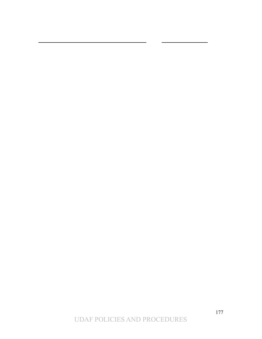UDAF POLICIES AND PROCEDURES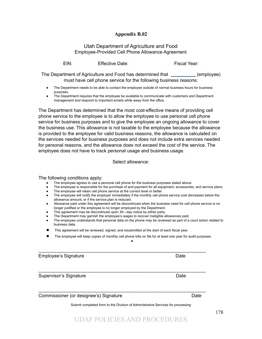#### **Appendix B.02**

#### Utah Department of Agriculture and Food Employee-Provided Cell Phone Allowance Agreement

EIN: Effective Date: Fiscal Year:

The Department of Agriculture and Food has determined that (employee) must have cell phone service for the following business reasons:

- The Department needs to be able to contact the employee outside of normal business hours for business purposes.
- The Department requires that the employee be available to communicate with customers and Department management and respond to important emails while away from the office.

The Department has determined that the most cost-effective means of providing cell phone service to the employee is to allow the employee to use personal cell phone service for business purposes and to give the employee an ongoing allowance to cover the business use. This allowance is not taxable to the employee because the allowance is provided to the employee for valid business reasons, the allowance is calculated on the services needed for business purposes and does not include extra services needed for personal reasons, and the allowance does not exceed the cost of the service. The employee does not have to track personal usage and business usage.

Select allowance:

#### The following conditions apply:

- The employee agrees to use a personal cell phone for the business purposes stated above.
- The employee is responsible for the purchase of and payment for all equipment, accessories, and service plans. The employee will retain cell phone service at the current level or better.
- The employee will notify the employer immediately if the monthly cell phone service cost decreases below the allowance amount, or if the service plan is reduced.
- allowance amount, or it the service plan is reduced.<br>● Allowance paid under this agreement will be discontinued when the business need for cell phone service is no longer justified or the employee is no longer employed by the Department.
- This agreement may be discontinued upon 30—day notice by either party.
- The Department may garnish the employee's wages to recover ineligible allowances paid.
- The employee understands that personal data on the phone may be reviewed as part of a court action related to business data.
- This agreement will be reviewed, signed, and resubmitted at the start of each fiscal year.

\_\_\_\_\_\_\_\_\_\_\_\_\_\_\_\_\_\_\_\_\_\_\_\_\_\_\_\_\_\_\_\_\_\_\_\_\_\_\_\_\_\_\_\_\_\_\_\_\_\_\_\_\_\_\_\_\_\_\_\_\_\_\_\_

\_\_\_\_\_\_\_\_\_\_\_\_\_\_\_\_\_\_\_\_\_\_\_\_\_\_\_\_\_\_\_\_\_\_\_\_\_\_\_\_\_\_\_\_\_\_\_\_\_\_\_\_\_\_\_\_\_\_\_\_\_\_\_\_

The employee will keep copies of monthly cell phone bills on file for at least one year for audit purposes. ●

Employee's Signature **Date** Date

Supervisor's Signature **Date** Date Date

Commissioner (or designee's) Signature Date

Submit completed form to the Division of Administrative Services for processing

\_\_\_\_\_\_\_\_\_\_\_\_\_\_\_\_\_\_\_\_\_\_\_\_\_\_\_\_\_\_\_\_\_\_\_\_\_\_\_\_\_\_\_\_\_\_\_\_\_\_\_\_\_\_\_\_\_\_\_\_\_\_\_\_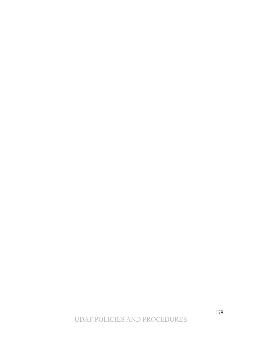UDAF POLICIES AND PROCEDURES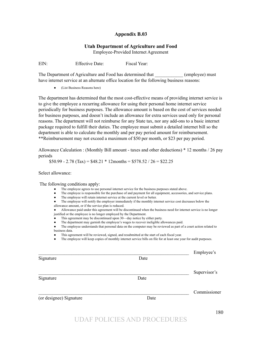#### **Appendix B.03**

#### **Utah Department of Agriculture and Food**

Employee-Provided Internet Agreement

EIN: Effective Date: Fiscal Year:

The Department of Agriculture and Food has determined that (employee) must have internet service at an alternate office location for the following business reasons:

● (List Business Reasons here)

The department has determined that the most cost-effective means of providing internet service is to give the employee a recurring allowance for using their personal home internet service periodically for business purposes. The allowance amount is based on the cost of services needed for business purposes, and doesn't include an allowance for extra services used only for personal reasons. The department will not reimburse for any State tax, nor any add-ons to a basic internet package required to fulfill their duties. The employee must submit a detailed internet bill so the department is able to calculate the monthly and per pay period amount for reimbursement. \*\*Reimbursement may not exceed a maximum of \$50 per month, or \$23 per pay period.

Allowance Calculation : (Monthly Bill amount - taxes and other deductions) \* 12 months / 26 pay periods

 $$50.99 - 2.78$  (Tax) = \$48.21 \* 12months = \$578.52 / 26 = \$22.25

Select allowance:

The following conditions apply:

- The employee agrees to use personal internet service for the business purposes stated above.
- The employee is responsible for the purchase of and payment for all equipment, accessories, and service plans.
- The employee will retain internet service at the current level or better.
- The employee will notify the employer immediately if the monthly internet service cost decreases below the allowance amount, or if the service plan is reduced.

● Allowance paid under this agreement will be discontinued when the business need for internet service is no longer justified or the employee is no longer employed by the Department.

- This agreement may be discontinued upon 30—day notice by either party.
- The department may garnish the employee's wages to recover ineligible allowances paid.

The employee understands that personal data on the computer may be reviewed as part of a court action related to business data.

- This agreement will be reviewed, signed, and resubmitted at the start of each fiscal year.
- The employee will keep copies of monthly internet service bills on file for at least one year for audit purposes.

| Date | Employee's   |
|------|--------------|
| Date | Supervisor's |
| Date | Commissioner |
|      |              |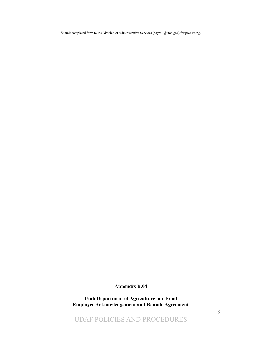Submit completed form to the Division of Administrative Services (payroll@utah.gov) for processing.

**Appendix B.04**

**Utah Department of Agriculture and Food Employee Acknowledgement and Remote Agreement**

UDAF POLICIES AND PROCEDURES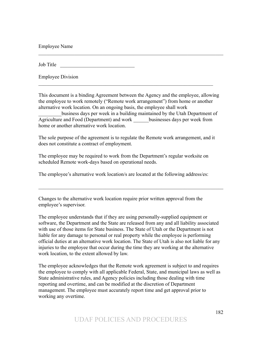Employee Name

Job Title

Employee Division

This document is a binding Agreement between the Agency and the employee, allowing the employee to work remotely ("Remote work arrangement") from home or another alternative work location. On an ongoing basis, the employee shall work

 $\mathcal{L}_\text{max} = \mathcal{L}_\text{max} = \mathcal{L}_\text{max} = \mathcal{L}_\text{max} = \mathcal{L}_\text{max} = \mathcal{L}_\text{max} = \mathcal{L}_\text{max} = \mathcal{L}_\text{max} = \mathcal{L}_\text{max} = \mathcal{L}_\text{max} = \mathcal{L}_\text{max} = \mathcal{L}_\text{max} = \mathcal{L}_\text{max} = \mathcal{L}_\text{max} = \mathcal{L}_\text{max} = \mathcal{L}_\text{max} = \mathcal{L}_\text{max} = \mathcal{L}_\text{max} = \mathcal{$ 

 $\mathcal{L}_\text{max} = \mathcal{L}_\text{max} = \mathcal{L}_\text{max} = \mathcal{L}_\text{max} = \mathcal{L}_\text{max} = \mathcal{L}_\text{max} = \mathcal{L}_\text{max} = \mathcal{L}_\text{max} = \mathcal{L}_\text{max} = \mathcal{L}_\text{max} = \mathcal{L}_\text{max} = \mathcal{L}_\text{max} = \mathcal{L}_\text{max} = \mathcal{L}_\text{max} = \mathcal{L}_\text{max} = \mathcal{L}_\text{max} = \mathcal{L}_\text{max} = \mathcal{L}_\text{max} = \mathcal{$ 

business days per week in a building maintained by the Utah Department of Agriculture and Food (Department) and work businesses days per week from home or another alternative work location.

The sole purpose of the agreement is to regulate the Remote work arrangement, and it does not constitute a contract of employment.

The employee may be required to work from the Department's regular worksite on scheduled Remote work-days based on operational needs.

The employee's alternative work location/s are located at the following address/es:

 $\mathcal{L}_\text{max} = \mathcal{L}_\text{max} = \mathcal{L}_\text{max} = \mathcal{L}_\text{max} = \mathcal{L}_\text{max} = \mathcal{L}_\text{max} = \mathcal{L}_\text{max} = \mathcal{L}_\text{max} = \mathcal{L}_\text{max} = \mathcal{L}_\text{max} = \mathcal{L}_\text{max} = \mathcal{L}_\text{max} = \mathcal{L}_\text{max} = \mathcal{L}_\text{max} = \mathcal{L}_\text{max} = \mathcal{L}_\text{max} = \mathcal{L}_\text{max} = \mathcal{L}_\text{max} = \mathcal{$ 

Changes to the alternative work location require prior written approval from the employee's supervisor.

The employee understands that if they are using personally-supplied equipment or software, the Department and the State are released from any and all liability associated with use of those items for State business. The State of Utah or the Department is not liable for any damage to personal or real property while the employee is performing official duties at an alternative work location. The State of Utah is also not liable for any injuries to the employee that occur during the time they are working at the alternative work location, to the extent allowed by law.

The employee acknowledges that the Remote work agreement is subject to and requires the employee to comply with all applicable Federal, State, and municipal laws as well as State administrative rules, and Agency policies including those dealing with time reporting and overtime, and can be modified at the discretion of Department management. The employee must accurately report time and get approval prior to working any overtime.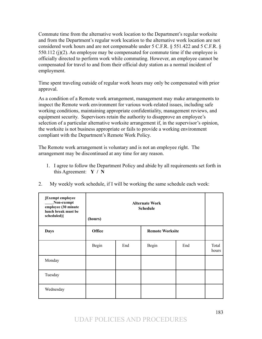Commute time from the alternative work location to the Department's regular worksite and from the Department's regular work location to the alternative work location are not considered work hours and are not compensable under 5 C.F.R. § 551.422 and 5 C.F.R. § 550.112 (j)(2). An employee may be compensated for commute time if the employee is officially directed to perform work while commuting. However, an employee cannot be compensated for travel to and from their official duty station as a normal incident of employment.

Time spent traveling outside of regular work hours may only be compensated with prior approval.

As a condition of a Remote work arrangement, management may make arrangements to inspect the Remote work environment for various work-related issues, including safe working conditions, maintaining appropriate confidentiality, management reviews, and equipment security. Supervisors retain the authority to disapprove an employee's selection of a particular alternative worksite arrangement if, in the supervisor's opinion, the worksite is not business appropriate or fails to provide a working environment compliant with the Department's Remote Work Policy.

The Remote work arrangement is voluntary and is not an employee right. The arrangement may be discontinued at any time for any reason.

- 1. I agree to follow the Department Policy and abide by all requirements set forth in this Agreement: **Y / N**
- 2. My weekly work schedule, if I will be working the same schedule each week:

| [Exempt employee<br>Non-exempt<br>employee (30 minute<br>lunch break must be<br>scheduled)] | <b>Alternate Work</b><br><b>Schedule</b><br>(hours) |     |                        |     |                |
|---------------------------------------------------------------------------------------------|-----------------------------------------------------|-----|------------------------|-----|----------------|
| <b>Days</b>                                                                                 | Office                                              |     | <b>Remote Worksite</b> |     |                |
|                                                                                             | Begin                                               | End | Begin                  | End | Total<br>hours |
| Monday                                                                                      |                                                     |     |                        |     |                |
| Tuesday                                                                                     |                                                     |     |                        |     |                |
| Wednesday                                                                                   |                                                     |     |                        |     |                |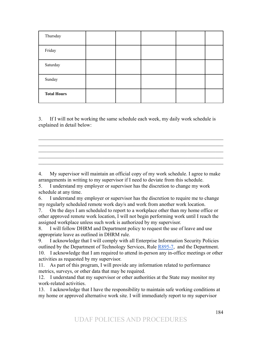| Thursday           |  |  |  |
|--------------------|--|--|--|
| Friday             |  |  |  |
| Saturday           |  |  |  |
| Sunday             |  |  |  |
| <b>Total Hours</b> |  |  |  |

3. If I will not be working the same schedule each week, my daily work schedule is explained in detail below:

 $\mathcal{L}_\text{max} = \mathcal{L}_\text{max} = \mathcal{L}_\text{max} = \mathcal{L}_\text{max} = \mathcal{L}_\text{max} = \mathcal{L}_\text{max} = \mathcal{L}_\text{max} = \mathcal{L}_\text{max} = \mathcal{L}_\text{max} = \mathcal{L}_\text{max} = \mathcal{L}_\text{max} = \mathcal{L}_\text{max} = \mathcal{L}_\text{max} = \mathcal{L}_\text{max} = \mathcal{L}_\text{max} = \mathcal{L}_\text{max} = \mathcal{L}_\text{max} = \mathcal{L}_\text{max} = \mathcal{$  $\mathcal{L}_\text{max} = \mathcal{L}_\text{max} = \mathcal{L}_\text{max} = \mathcal{L}_\text{max} = \mathcal{L}_\text{max} = \mathcal{L}_\text{max} = \mathcal{L}_\text{max} = \mathcal{L}_\text{max} = \mathcal{L}_\text{max} = \mathcal{L}_\text{max} = \mathcal{L}_\text{max} = \mathcal{L}_\text{max} = \mathcal{L}_\text{max} = \mathcal{L}_\text{max} = \mathcal{L}_\text{max} = \mathcal{L}_\text{max} = \mathcal{L}_\text{max} = \mathcal{L}_\text{max} = \mathcal{$  $\mathcal{L}_\text{max} = \mathcal{L}_\text{max} = \mathcal{L}_\text{max} = \mathcal{L}_\text{max} = \mathcal{L}_\text{max} = \mathcal{L}_\text{max} = \mathcal{L}_\text{max} = \mathcal{L}_\text{max} = \mathcal{L}_\text{max} = \mathcal{L}_\text{max} = \mathcal{L}_\text{max} = \mathcal{L}_\text{max} = \mathcal{L}_\text{max} = \mathcal{L}_\text{max} = \mathcal{L}_\text{max} = \mathcal{L}_\text{max} = \mathcal{L}_\text{max} = \mathcal{L}_\text{max} = \mathcal{$  $\mathcal{L}_\text{max} = \mathcal{L}_\text{max} = \mathcal{L}_\text{max} = \mathcal{L}_\text{max} = \mathcal{L}_\text{max} = \mathcal{L}_\text{max} = \mathcal{L}_\text{max} = \mathcal{L}_\text{max} = \mathcal{L}_\text{max} = \mathcal{L}_\text{max} = \mathcal{L}_\text{max} = \mathcal{L}_\text{max} = \mathcal{L}_\text{max} = \mathcal{L}_\text{max} = \mathcal{L}_\text{max} = \mathcal{L}_\text{max} = \mathcal{L}_\text{max} = \mathcal{L}_\text{max} = \mathcal{$  $\mathcal{L}_\text{max} = \mathcal{L}_\text{max} = \mathcal{L}_\text{max} = \mathcal{L}_\text{max} = \mathcal{L}_\text{max} = \mathcal{L}_\text{max} = \mathcal{L}_\text{max} = \mathcal{L}_\text{max} = \mathcal{L}_\text{max} = \mathcal{L}_\text{max} = \mathcal{L}_\text{max} = \mathcal{L}_\text{max} = \mathcal{L}_\text{max} = \mathcal{L}_\text{max} = \mathcal{L}_\text{max} = \mathcal{L}_\text{max} = \mathcal{L}_\text{max} = \mathcal{L}_\text{max} = \mathcal{$ 

4. My supervisor will maintain an official copy of my work schedule. I agree to make arrangements in writing to my supervisor if I need to deviate from this schedule.

5. I understand my employer or supervisor has the discretion to change my work schedule at any time.

6. I understand my employer or supervisor has the discretion to require me to change my regularly scheduled remote work day/s and work from another work location.

7. On the days I am scheduled to report to a workplace other than my home office or other approved remote work location, I will not begin performing work until I reach the assigned workplace unless such work is authorized by my supervisor.

8. I will follow DHRM and Department policy to request the use of leave and use appropriate leave as outlined in DHRM rule.

9. I acknowledge that I will comply with all Enterprise Information Security Policies outlined by the Department of Technology Services, Rule [R895-7](https://rules.utah.gov/publicat/code/r895/r895-007.htm), and the Department. 10. I acknowledge that I am required to attend in-person any in-office meetings or other activities as requested by my supervisor.

11. As part of this program, I will provide any information related to performance metrics, surveys, or other data that may be required.

12. I understand that my supervisor or other authorities at the State may monitor my work-related activities.

13. I acknowledge that I have the responsibility to maintain safe working conditions at my home or approved alternative work site. I will immediately report to my supervisor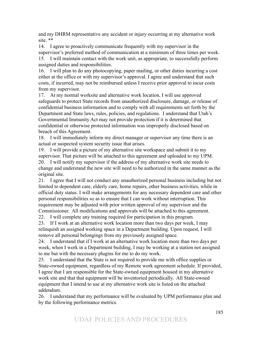and my DHRM representative any accident or injury occurring at my alternative work site. \*\*

14. I agree to proactively communicate frequently with my supervisor in the supervisor's preferred method of communication at a minimum of three times per week.

15. I will maintain contact with the work unit, as appropriate, to successfully perform assigned duties and responsibilities.

16. I will plan to do any photocopying, paper mailing, or other duties incurring a cost either at the office or with my supervisor's approval. I agree and understand that such costs, if incurred, may not be reimbursed unless I receive prior approval to incur costs from my supervisor.

17. At my normal worksite and alternative work location, I will use approved safeguards to protect State records from unauthorized disclosure, damage, or release of confidential business information and to comply with all requirements set forth by the Department and State laws, rules, policies, and regulations. I understand that Utah's Governmental Immunity Act may not provide protection if it is determined that confidential or otherwise protected information was improperly disclosed based on breach of this Agreement.

18. I will immediately inform my direct manager or supervisor any time there is an actual or suspected system security issue that arises.

19. I will provide a picture of my alternative site workspace and submit it to my supervisor. That picture will be attached to this agreement and uploaded to my UPM.

20. I will notify my supervisor if the address of my alternative work site needs to change and understand the new site will need to be authorized in the same manner as the original site.

21. I agree that I will not conduct any unauthorized personal business including but not limited to dependent care, elderly care, home repairs, other business activities, while in official duty status. I will make arrangements for any necessary dependent care and other personal responsibilities so as to ensure that I can work without interruption. This requirement may be adjusted with prior written approval of my supervisor and the Commissioner. All modifications and approvals will be attached to this agreement.

22. I will complete any training required for participation in this program.

23. If I work at an alternative work location more than two days per week, I may relinquish an assigned working space in a Department building. Upon request, I will remove all personal belongings from my previously assigned space.

24. I understand that if I work at an alternative work location more than two days per week, when I work in a Department building, I may be working at a station not assigned to me but with the necessary plugins for me to do my work.

25. I understand that the State is not required to provide me with office supplies or State-owned equipment, regardless of my Remote work agreement schedule. If provided, I agree that I am responsible for the State-owned equipment housed in my alternative work site and that that equipment will be inventoried periodically. All State-owned equipment that I intend to use at my alternative work site is listed on the attached addendum.

26. I understand that my performance will be evaluated by UPM performance plan and by the following performance metrics.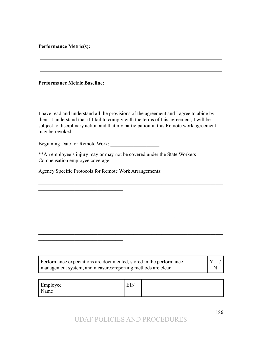**Performance Metric(s):**

#### **Performance Metric Baseline:**

I have read and understand all the provisions of the agreement and I agree to abide by them. I understand that if I fail to comply with the terms of this agreement, I will be subject to disciplinary action and that my participation in this Remote work agreement may be revoked.

 $\mathcal{L}_\text{max} = \mathcal{L}_\text{max} = \mathcal{L}_\text{max} = \mathcal{L}_\text{max} = \mathcal{L}_\text{max} = \mathcal{L}_\text{max} = \mathcal{L}_\text{max} = \mathcal{L}_\text{max} = \mathcal{L}_\text{max} = \mathcal{L}_\text{max} = \mathcal{L}_\text{max} = \mathcal{L}_\text{max} = \mathcal{L}_\text{max} = \mathcal{L}_\text{max} = \mathcal{L}_\text{max} = \mathcal{L}_\text{max} = \mathcal{L}_\text{max} = \mathcal{L}_\text{max} = \mathcal{$ 

 $\mathcal{L}_\text{max} = \mathcal{L}_\text{max} = \mathcal{L}_\text{max} = \mathcal{L}_\text{max} = \mathcal{L}_\text{max} = \mathcal{L}_\text{max} = \mathcal{L}_\text{max} = \mathcal{L}_\text{max} = \mathcal{L}_\text{max} = \mathcal{L}_\text{max} = \mathcal{L}_\text{max} = \mathcal{L}_\text{max} = \mathcal{L}_\text{max} = \mathcal{L}_\text{max} = \mathcal{L}_\text{max} = \mathcal{L}_\text{max} = \mathcal{L}_\text{max} = \mathcal{L}_\text{max} = \mathcal{$ 

 $\mathcal{L}_\text{max} = \mathcal{L}_\text{max} = \mathcal{L}_\text{max} = \mathcal{L}_\text{max} = \mathcal{L}_\text{max} = \mathcal{L}_\text{max} = \mathcal{L}_\text{max} = \mathcal{L}_\text{max} = \mathcal{L}_\text{max} = \mathcal{L}_\text{max} = \mathcal{L}_\text{max} = \mathcal{L}_\text{max} = \mathcal{L}_\text{max} = \mathcal{L}_\text{max} = \mathcal{L}_\text{max} = \mathcal{L}_\text{max} = \mathcal{L}_\text{max} = \mathcal{L}_\text{max} = \mathcal{$ 

 $\mathcal{L}_\text{max} = \mathcal{L}_\text{max} = \mathcal{L}_\text{max} = \mathcal{L}_\text{max} = \mathcal{L}_\text{max} = \mathcal{L}_\text{max} = \mathcal{L}_\text{max} = \mathcal{L}_\text{max} = \mathcal{L}_\text{max} = \mathcal{L}_\text{max} = \mathcal{L}_\text{max} = \mathcal{L}_\text{max} = \mathcal{L}_\text{max} = \mathcal{L}_\text{max} = \mathcal{L}_\text{max} = \mathcal{L}_\text{max} = \mathcal{L}_\text{max} = \mathcal{L}_\text{max} = \mathcal{$ 

Beginning Date for Remote Work:

\*\*An employee's injury may or may not be covered under the State Workers Compensation employee coverage.

Agency Specific Protocols for Remote Work Arrangements:

 $\mathcal{L}_\text{max}$ 

 $\mathcal{L}_\text{max}$ 

 $\mathcal{L}_\text{max}$ 

 $\mathcal{L}_\text{max}$ 

| Performance expectations are documented, stored in the performance |  |
|--------------------------------------------------------------------|--|
| management system, and measures/reporting methods are clear.       |  |

| Employee | EIN |  |
|----------|-----|--|
| Name     |     |  |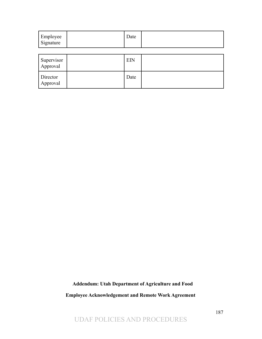| Employee<br>Signature  | Date       |  |
|------------------------|------------|--|
|                        |            |  |
| Supervisor<br>Approval | <b>EIN</b> |  |
| Director<br>Approval   | Date       |  |

## **Addendum: Utah Department of Agriculture and Food Employee Acknowledgement and Remote Work Agreement**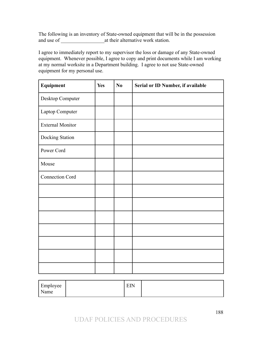The following is an inventory of State-owned equipment that will be in the possession and use of  $\overline{\phantom{a}}$  at their alternative work station.

I agree to immediately report to my supervisor the loss or damage of any State-owned equipment. Whenever possible, I agree to copy and print documents while I am working at my normal worksite in a Department building. I agree to not use State-owned equipment for my personal use.

| Equipment               | Yes | No | Serial or ID Number, if available |
|-------------------------|-----|----|-----------------------------------|
| Desktop Computer        |     |    |                                   |
| Laptop Computer         |     |    |                                   |
| <b>External Monitor</b> |     |    |                                   |
| Docking Station         |     |    |                                   |
| Power Cord              |     |    |                                   |
| Mouse                   |     |    |                                   |
| <b>Connection Cord</b>  |     |    |                                   |
|                         |     |    |                                   |
|                         |     |    |                                   |
|                         |     |    |                                   |
|                         |     |    |                                   |
|                         |     |    |                                   |
|                         |     |    |                                   |
|                         |     |    |                                   |

| Employee | ПR<br><b>н</b><br>L'II. |  |
|----------|-------------------------|--|
| Name     |                         |  |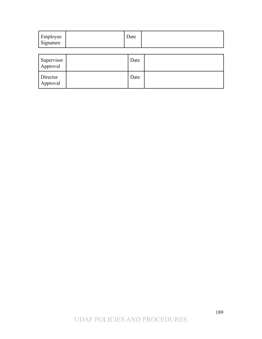| Employee<br>Signature  | Date |  |
|------------------------|------|--|
|                        |      |  |
| Supervisor<br>Approval | Date |  |
| Director<br>Approval   | Date |  |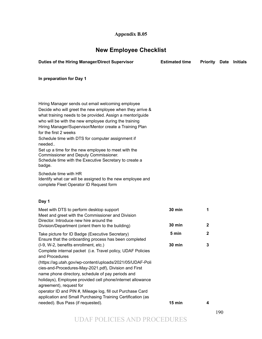## **Appendix B.05**

## **New Employee Checklist**

| Duties of the Hiring Manager/Direct Supervisor                                                                                                                                                                                                                                                                                                                                                                                                                                                                                                              | <b>Estimated time</b>          | <b>Priority Date Initials</b> |  |
|-------------------------------------------------------------------------------------------------------------------------------------------------------------------------------------------------------------------------------------------------------------------------------------------------------------------------------------------------------------------------------------------------------------------------------------------------------------------------------------------------------------------------------------------------------------|--------------------------------|-------------------------------|--|
| In preparation for Day 1                                                                                                                                                                                                                                                                                                                                                                                                                                                                                                                                    |                                |                               |  |
|                                                                                                                                                                                                                                                                                                                                                                                                                                                                                                                                                             |                                |                               |  |
| Hiring Manager sends out email welcoming employee<br>Decide who will greet the new employee when they arrive &<br>what training needs to be provided. Assign a mentor/guide<br>who will be with the new employee during the training<br>Hiring Manager/Supervisor/Mentor create a Training Plan<br>for the first 2 weeks<br>Schedule time with DTS for computer assignment if<br>needed<br>Set up a time for the new employee to meet with the<br>Commissioner and Deputy Commissioner.<br>Schedule time with the Executive Secretary to create a<br>badge. |                                |                               |  |
| Schedule time with HR<br>Identify what car will be assigned to the new employee and<br>complete Fleet Operator ID Request form                                                                                                                                                                                                                                                                                                                                                                                                                              |                                |                               |  |
| Day 1                                                                                                                                                                                                                                                                                                                                                                                                                                                                                                                                                       |                                |                               |  |
| Meet with DTS to perform desktop support<br>Meet and greet with the Commissioner and Division<br>Director. Introduce new hire around the<br>Division/Department (orient them to the building)                                                                                                                                                                                                                                                                                                                                                               | <b>30 min</b><br><b>30 min</b> | 1<br>$\mathbf{2}$             |  |
| Take picture for ID Badge (Executive Secretary)                                                                                                                                                                                                                                                                                                                                                                                                                                                                                                             | 5 min                          | $\mathbf{2}$                  |  |
| Ensure that the onboarding process has been completed<br>(I-9, W-2, benefits enrollment, etc.)<br>Complete internal packet (i.e. Travel policy, UDAF Policies<br>and Procedures<br>(https://ag.utah.gov/wp-content/uploads/2021/05/UDAF-Poli<br>cies-and-Procedures-May-2021.pdf), Division and First<br>name phone directory, schedule of pay periods and<br>holidays), Employee provided cell phone/internet allowance<br>agreement), request for                                                                                                         | <b>30 min</b>                  | 3                             |  |
| operator ID and PIN #, Mileage log, fill out Purchase Card<br>application and Small Purchasing Training Certification (as<br>needed). Bus Pass (if requested).                                                                                                                                                                                                                                                                                                                                                                                              | 15 min                         | 4                             |  |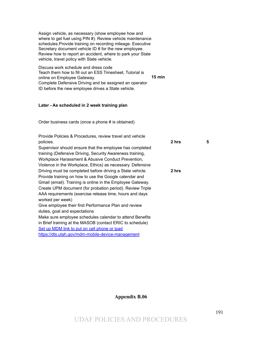Assign vehicle, as necessary (show employee how and where to get fuel using PIN #). Review vehicle maintenance schedules.Provide training on recording mileage. Executive Secretary document vehicle ID # for the new employee. Review how to report an accident, where to park your State vehicle, travel policy with State vehicle.

Discuss work schedule and dress code Teach them how to fill out an ESS Timesheet, Tutorial is online on Employee Gateway. **15 min** Complete Defensive Driving and be assigned an operator ID before the new employee drives a State vehicle.

#### **Later - As scheduled in 2 week training plan**

Order business cards (once a phone # is obtained)

Provide Policies & Procedures, review travel and vehicle policies. **2 hrs 5**

Supervisor should ensure that the employee has completed training (Defensive Driving, Security Awareness training, Workplace Harassment & Abusive Conduct Prevention, Violence in the Workplace, Ethics) as necessary. Defensive Driving must be completed before driving a State vehicle. **2 hrs** Provide training on how to use the Google calendar and Gmail (email). Training is online in the Employee Gateway. Create UPM document (for probation period). Review Triple AAA requirements (exercise release time, hours and days worked per week) Give employee their first Performance Plan and review duties, goal and expectations Make sure employee schedules calendar to attend Benefits

in Brief training at the MASOB (contact ERIC to schedule) Set up MDM link to put on cell [phone](https://dts.utah.gov/mdm-mobile-device-management) or ipad <https://dts.utah.gov/mdm-mobile-device-management>

#### **Appendix B.06**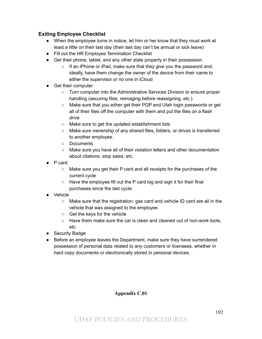### **Exiting Employee Checklist**

- When the employee turns in notice, let him or her know that they must work at least a little on their last day (their last day can't be annual or sick leave)
- Fill out the HR Employee Termination Checklist
- Get their phone, tablet, and any other state property in their possession.
	- If an iPhone or iPad, make sure that they give you the password and, ideally, have them change the owner of the device from their name to either the supervisor or no one in iCloud
- Get their computer
	- Turn computer into the Administrative Services Division to ensure proper handling (securing files, reimaging before reassigning, etc.)
	- Make sure that you either get their PGP and Utah login passwords or get all of their files off the computer with them and put the files on a flash drive
	- Make sure to get the updated establishment lists
	- Make sure ownership of any shared files, folders, or drives is transferred to another employee.
	- Documents
	- Make sure you have all of their violation letters and other documentation about citations, stop sales, etc.
- P card
	- Make sure you get their P card and all receipts for the purchases of the current cycle
	- Have the employee fill out the P card log and sign it for their final purchases since the last cycle
- Vehicle
	- Make sure that the registration, gas card and vehicle ID card are all in the vehicle that was assigned to the employee
	- Get the keys for the vehicle
	- Have them make sure the car is clean and cleaned out of non-work tools, etc
- Security Badge
- Before an employee leaves the Department, make sure they have surrendered possession of personal data related to any customers or licensees, whether in hard copy documents or electronically stored in personal devices.

### **Appendix C.01**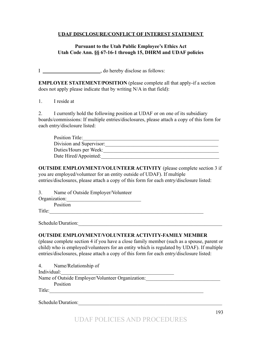#### **UDAF DISCLOSURE/CONFLICT OF INTEREST STATEMENT**

#### **Pursuant to the Utah Public Employee's Ethics Act Utah Code Ann. §§ 67-16-1 through 15, DHRM and UDAF policies**

I contract the same contract of the disclose as follows:

**EMPLOYEE STATEMENT/POSITION** (please complete all that apply-if a section does not apply please indicate that by writing N/A in that field):

1. I reside at

2. I currently hold the following position at UDAF or on one of its subsidiary boards/commissions: If multiple entries/disclosures, please attach a copy of this form for each entry/disclosure listed:

| Position Title:          |  |
|--------------------------|--|
| Division and Supervisor: |  |
| Duties/Hours per Week:   |  |
| Date Hired/Appointed:    |  |

**OUTSIDE EMPLOYMENT/VOLUNTEER ACTIVITY** (please complete section 3 if you are employed/volunteer for an entity outside of UDAF). If multiple entries/disclosures, please attach a copy of this form for each entry/disclosure listed:

3. Name of Outside Employer/Volunteer

Organization:

Position

Title:

Schedule/Duration:

#### **OUTSIDE EMPLOYMENT/VOLUNTEER ACTIVITY-FAMILY MEMBER**

(please complete section 4 if you have a close family member (such as a spouse, parent or child) who is employed/volunteers for an entity which is regulated by UDAF). If multiple entries/disclosures, please attach a copy of this form for each entry/disclosure listed:

4. Name/Relationship of Individual: Name of Outside Employer/Volunteer Organization: Position Title: Schedule/Duration: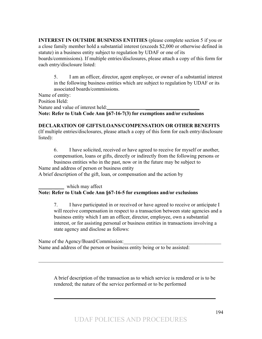**INTEREST IN OUTSIDE BUSINESS ENTITIES** (please complete section 5 if you or a close family member hold a substantial interest (exceeds \$2,000 or otherwise defined in statute) in a business entity subject to regulation by UDAF or one of its boards/commissions). If multiple entries/disclosures, please attach a copy of this form for each entry/disclosure listed:

5. I am an officer, director, agent employee, or owner of a substantial interest in the following business entities which are subject to regulation by UDAF or its associated boards/commissions.

Name of entity:

Position Held:

Nature and value of interest held:

**Note: Refer to Utah Code Ann §67-16-7(3) for exemptions and/or exclusions**

## **DECLARATION OF GIFTS/LOANS/COMPENSATION OR OTHER BENEFITS**

(If multiple entries/disclosures, please attach a copy of this form for each entry/disclosure listed):

6. I have solicited, received or have agreed to receive for myself or another, compensation, loans or gifts, directly or indirectly from the following persons or business entities who in the past, now or in the future may be subject to Name and address of person or business entity

A brief description of the gift, loan, or compensation and the action by

#### which may affect **Note: Refer to Utah Code Ann §67-16-5 for exemptions and/or exclusions**

7. I have participated in or received or have agreed to receive or anticipate I will receive compensation in respect to a transaction between state agencies and a business entity which I am an officer, director, employee, own a substantial interest, or for assisting personal or business entities in transactions involving a state agency and disclose as follows:

Name of the Agency/Board/Commission: Name and address of the person or business entity being or to be assisted:

A brief description of the transaction as to which service is rendered or is to be rendered; the nature of the service performed or to be performed

\_\_\_\_\_\_\_\_\_\_\_\_\_\_\_\_\_\_\_\_\_\_\_\_\_\_\_\_\_\_\_\_\_\_\_\_\_\_\_\_\_\_\_\_\_\_\_\_\_\_\_\_\_\_\_\_\_\_\_\_\_\_\_

 $\mathcal{L}_\text{max} = \mathcal{L}_\text{max} = \mathcal{L}_\text{max} = \mathcal{L}_\text{max} = \mathcal{L}_\text{max} = \mathcal{L}_\text{max} = \mathcal{L}_\text{max} = \mathcal{L}_\text{max} = \mathcal{L}_\text{max} = \mathcal{L}_\text{max} = \mathcal{L}_\text{max} = \mathcal{L}_\text{max} = \mathcal{L}_\text{max} = \mathcal{L}_\text{max} = \mathcal{L}_\text{max} = \mathcal{L}_\text{max} = \mathcal{L}_\text{max} = \mathcal{L}_\text{max} = \mathcal{$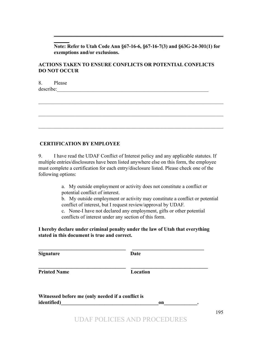**Note: Refer to Utah Code Ann §67-16-6, §67-16-7(3) and §63G-24-301(1) for exemptions and/or exclusions.**

 $\overline{\phantom{a}}$  , and the contract of the contract of the contract of the contract of the contract of the contract of the contract of the contract of the contract of the contract of the contract of the contract of the contrac

#### **ACTIONS TAKEN TO ENSURE CONFLICTS OR POTENTIAL CONFLICTS DO NOT OCCUR**

 $\mathcal{L}_\text{max} = \mathcal{L}_\text{max} = \mathcal{L}_\text{max} = \mathcal{L}_\text{max} = \mathcal{L}_\text{max} = \mathcal{L}_\text{max} = \mathcal{L}_\text{max} = \mathcal{L}_\text{max} = \mathcal{L}_\text{max} = \mathcal{L}_\text{max} = \mathcal{L}_\text{max} = \mathcal{L}_\text{max} = \mathcal{L}_\text{max} = \mathcal{L}_\text{max} = \mathcal{L}_\text{max} = \mathcal{L}_\text{max} = \mathcal{L}_\text{max} = \mathcal{L}_\text{max} = \mathcal{$ 

 $\mathcal{L}_\text{max} = \mathcal{L}_\text{max} = \mathcal{L}_\text{max} = \mathcal{L}_\text{max} = \mathcal{L}_\text{max} = \mathcal{L}_\text{max} = \mathcal{L}_\text{max} = \mathcal{L}_\text{max} = \mathcal{L}_\text{max} = \mathcal{L}_\text{max} = \mathcal{L}_\text{max} = \mathcal{L}_\text{max} = \mathcal{L}_\text{max} = \mathcal{L}_\text{max} = \mathcal{L}_\text{max} = \mathcal{L}_\text{max} = \mathcal{L}_\text{max} = \mathcal{L}_\text{max} = \mathcal{$ 

 $\mathcal{L}_\text{max} = \mathcal{L}_\text{max} = \mathcal{L}_\text{max} = \mathcal{L}_\text{max} = \mathcal{L}_\text{max} = \mathcal{L}_\text{max} = \mathcal{L}_\text{max} = \mathcal{L}_\text{max} = \mathcal{L}_\text{max} = \mathcal{L}_\text{max} = \mathcal{L}_\text{max} = \mathcal{L}_\text{max} = \mathcal{L}_\text{max} = \mathcal{L}_\text{max} = \mathcal{L}_\text{max} = \mathcal{L}_\text{max} = \mathcal{L}_\text{max} = \mathcal{L}_\text{max} = \mathcal{$ 

8. Please describe:

 $\mathcal{L}$ 

#### **CERTIFICATION BY EMPLOYEE**

9. I have read the UDAF Conflict of Interest policy and any applicable statutes. If multiple entries/disclosures have been listed anywhere else on this form, the employee must complete a certification for each entry/disclosure listed. Please check one of the following options:

> a. My outside employment or activity does not constitute a conflict or potential conflict of interest.

b. My outside employment or activity may constitute a conflict or potential conflict of interest, but I request review/approval by UDAF.

c. None-I have not declared any employment, gifts or other potential conflicts of interest under any section of this form.

#### **I hereby declare under criminal penalty under the law of Utah that everything stated in this document is true and correct.**

 $\mathcal{L}_\mathcal{L} = \{ \mathcal{L}_\mathcal{L} = \{ \mathcal{L}_\mathcal{L} = \{ \mathcal{L}_\mathcal{L} = \{ \mathcal{L}_\mathcal{L} = \{ \mathcal{L}_\mathcal{L} = \{ \mathcal{L}_\mathcal{L} = \{ \mathcal{L}_\mathcal{L} = \{ \mathcal{L}_\mathcal{L} = \{ \mathcal{L}_\mathcal{L} = \{ \mathcal{L}_\mathcal{L} = \{ \mathcal{L}_\mathcal{L} = \{ \mathcal{L}_\mathcal{L} = \{ \mathcal{L}_\mathcal{L} = \{ \mathcal{L}_\mathcal{$ 

 $\mathcal{L} = \{ \mathcal{L} \mathcal{L} \mathcal{L} \mathcal{L} \mathcal{L} \mathcal{L} \mathcal{L} \mathcal{L} \mathcal{L} \mathcal{L} \mathcal{L} \mathcal{L} \mathcal{L} \mathcal{L} \mathcal{L} \mathcal{L} \mathcal{L} \mathcal{L} \mathcal{L} \mathcal{L} \mathcal{L} \mathcal{L} \mathcal{L} \mathcal{L} \mathcal{L} \mathcal{L} \mathcal{L} \mathcal{L} \mathcal{L} \mathcal{L} \mathcal{L} \mathcal{L} \mathcal{L} \mathcal{L} \mathcal{L} \$ 

| <b>Signature</b> | Date |
|------------------|------|
|                  |      |

**Printed Name** Location

| Witnessed before me (only needed if a conflict is |    |  |
|---------------------------------------------------|----|--|
| identified)                                       | on |  |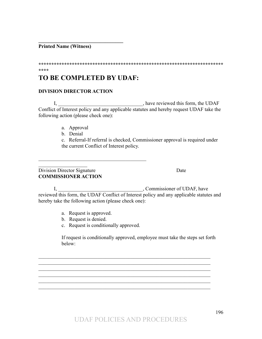**Printed Name (Witness)**

#### **\*\*\*\*\*\*\*\*\*\*\*\*\*\*\*\*\*\*\*\*\*\*\*\*\*\*\*\*\*\*\*\*\*\*\*\*\*\*\*\*\*\*\*\*\*\*\*\*\*\*\*\*\*\*\*\*\*\*\*\*\*\*\*\*\*\*\*\*\*\*\*\***

## **\*\*\*\***

## **TO BE COMPLETED BY UDAF:**

#### **DIVISION DIRECTOR ACTION**

 $\mathcal{L} = \{ \mathcal{L} \}$ 

I, have reviewed this form, the UDAF Conflict of Interest policy and any applicable statutes and hereby request UDAF take the following action (please check one):

- a. Approval
- b. Denial

c. Referral-If referral is checked, Commissioner approval is required under the current Conflict of Interest policy.

#### Division Director Signature Date **COMMISSIONER ACTION**

 $\mathcal{L}_\text{max}$ 

I, Commissioner of UDAF, have reviewed this form, the UDAF Conflict of Interest policy and any applicable statutes and hereby take the following action (please check one):

a. Request is approved.

 $\mathcal{L}_\text{max}$ 

- b. Request is denied.
- c. Request is conditionally approved.

If request is conditionally approved, employee must take the steps set forth below:

 $\mathcal{L}_\text{max} = \mathcal{L}_\text{max} = \mathcal{L}_\text{max} = \mathcal{L}_\text{max} = \mathcal{L}_\text{max} = \mathcal{L}_\text{max} = \mathcal{L}_\text{max} = \mathcal{L}_\text{max} = \mathcal{L}_\text{max} = \mathcal{L}_\text{max} = \mathcal{L}_\text{max} = \mathcal{L}_\text{max} = \mathcal{L}_\text{max} = \mathcal{L}_\text{max} = \mathcal{L}_\text{max} = \mathcal{L}_\text{max} = \mathcal{L}_\text{max} = \mathcal{L}_\text{max} = \mathcal{$  $\mathcal{L}_\text{max} = \mathcal{L}_\text{max} = \mathcal{L}_\text{max} = \mathcal{L}_\text{max} = \mathcal{L}_\text{max} = \mathcal{L}_\text{max} = \mathcal{L}_\text{max} = \mathcal{L}_\text{max} = \mathcal{L}_\text{max} = \mathcal{L}_\text{max} = \mathcal{L}_\text{max} = \mathcal{L}_\text{max} = \mathcal{L}_\text{max} = \mathcal{L}_\text{max} = \mathcal{L}_\text{max} = \mathcal{L}_\text{max} = \mathcal{L}_\text{max} = \mathcal{L}_\text{max} = \mathcal{$  $\mathcal{L}_\text{max} = \mathcal{L}_\text{max} = \mathcal{L}_\text{max} = \mathcal{L}_\text{max} = \mathcal{L}_\text{max} = \mathcal{L}_\text{max} = \mathcal{L}_\text{max} = \mathcal{L}_\text{max} = \mathcal{L}_\text{max} = \mathcal{L}_\text{max} = \mathcal{L}_\text{max} = \mathcal{L}_\text{max} = \mathcal{L}_\text{max} = \mathcal{L}_\text{max} = \mathcal{L}_\text{max} = \mathcal{L}_\text{max} = \mathcal{L}_\text{max} = \mathcal{L}_\text{max} = \mathcal{$  $\mathcal{L}_\text{max} = \mathcal{L}_\text{max} = \mathcal{L}_\text{max} = \mathcal{L}_\text{max} = \mathcal{L}_\text{max} = \mathcal{L}_\text{max} = \mathcal{L}_\text{max} = \mathcal{L}_\text{max} = \mathcal{L}_\text{max} = \mathcal{L}_\text{max} = \mathcal{L}_\text{max} = \mathcal{L}_\text{max} = \mathcal{L}_\text{max} = \mathcal{L}_\text{max} = \mathcal{L}_\text{max} = \mathcal{L}_\text{max} = \mathcal{L}_\text{max} = \mathcal{L}_\text{max} = \mathcal{$  $\mathcal{L}_\text{max} = \mathcal{L}_\text{max} = \mathcal{L}_\text{max} = \mathcal{L}_\text{max} = \mathcal{L}_\text{max} = \mathcal{L}_\text{max} = \mathcal{L}_\text{max} = \mathcal{L}_\text{max} = \mathcal{L}_\text{max} = \mathcal{L}_\text{max} = \mathcal{L}_\text{max} = \mathcal{L}_\text{max} = \mathcal{L}_\text{max} = \mathcal{L}_\text{max} = \mathcal{L}_\text{max} = \mathcal{L}_\text{max} = \mathcal{L}_\text{max} = \mathcal{L}_\text{max} = \mathcal{$  $\mathcal{L}_\text{max} = \mathcal{L}_\text{max} = \mathcal{L}_\text{max} = \mathcal{L}_\text{max} = \mathcal{L}_\text{max} = \mathcal{L}_\text{max} = \mathcal{L}_\text{max} = \mathcal{L}_\text{max} = \mathcal{L}_\text{max} = \mathcal{L}_\text{max} = \mathcal{L}_\text{max} = \mathcal{L}_\text{max} = \mathcal{L}_\text{max} = \mathcal{L}_\text{max} = \mathcal{L}_\text{max} = \mathcal{L}_\text{max} = \mathcal{L}_\text{max} = \mathcal{L}_\text{max} = \mathcal{$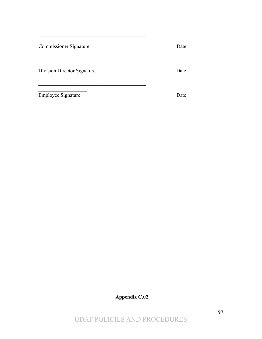$\mathcal{L}_\text{max}$ Commissioner Signature Date

 $\mathcal{L}_\text{max}$ 

 $\mathcal{L}_\text{max}$ 

 $\mathcal{L}_\text{max}$ 

 $\mathcal{L}_\text{max}$ 

Division Director Signature Date

Employee Signature Date

 $\mathcal{L}_\text{max}$ 

**Appendix C.02**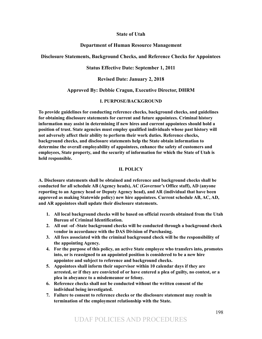#### **State of Utah**

#### **Department of Human Resource Management**

#### **Disclosure Statements, Background Checks, and Reference Checks for Appointees**

#### **Status Effective Date: September 1, 2011**

#### **Revised Date: January 2, 2018**

#### **Approved By: Debbie Cragun, Executive Director, DHRM**

#### **I. PURPOSE/BACKGROUND**

**To provide guidelines for conducting reference checks, background checks, and guidelines for obtaining disclosure statements for current and future appointees. Criminal history information may assist in determining if new hires and current appointees should hold a position of trust. State agencies must employ qualified individuals whose past history will not adversely affect their ability to perform their work duties. Reference checks, background checks, and disclosure statements help the State obtain information to determine the overall employability of appointees, enhance the safety of customers and employees, State property, and the security of information for which the State of Utah is held responsible.**

#### **II. POLICY**

**A. Disclosure statements shall be obtained and reference and background checks shall be conducted for all schedule AB (Agency heads), AC (Governor's Office staff), AD (anyone reporting to an Agency head or Deputy Agency head), and AR (individual that have been approved as making Statewide policy) new hire appointees. Current schedule AB, AC, AD, and AR appointees shall update their disclosure statements.**

- **1. All local background checks will be based on official records obtained from the Utah Bureau of Criminal Identification.**
- **2. All out -of -State background checks will be conducted through a background check vendor in accordance with the DAS Division of Purchasing.**
- **3. All fees associated with the criminal background check will be the responsibility of the appointing Agency.**
- **4. For the purpose of this policy, an active State employee who transfers into, promotes into, or is reassigned to an appointed position is considered to be a new hire appointee and subject to reference and background checks.**
- **5. Appointees shall inform their supervisor within 10 calendar days if they are arrested, or if they are convicted of or have entered a plea of guilty, no contest, or a plea in abeyance to a misdemeanor or felony.**
- **6. Reference checks shall not be conducted without the written consent of the individual being investigated.**
- **7. Failure to consent to reference checks or the disclosure statement may result in termination of the employment relationship with the State.**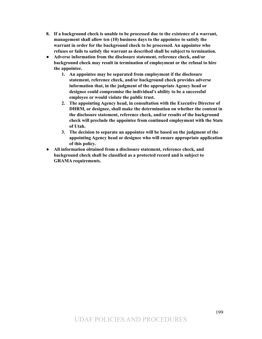- **8. If a background check is unable to be processed due to the existence of a warrant, management shall allow ten (10) business days to the appointee to satisfy the warrant in order for the background check to be processed. An appointee who refuses or fails to satisfy the warrant as described shall be subject to termination.**
- **● Adverse information from the disclosure statement, reference check, and/or background check may result in termination of employment or the refusal to hire the appointee.**
	- **1. An appointee may be separated from employment if the disclosure statement, reference check, and/or background check provides adverse information that, in the judgment of the appropriate Agency head or designee could compromise the individual's ability to be a successful employee or would violate the public trust.**
	- **2. The appointing Agency head, in consultation with the Executive Director of DHRM, or designee, shall make the determination on whether the content in the disclosure statement, reference check, and/or results of the background check will preclude the appointee from continued employment with the State of Utah.**
	- **3. The decision to separate an appointee will be based on the judgment of the appointing Agency head or designee who will ensure appropriate application of this policy.**
- **● All information obtained from a disclosure statement, reference check, and background check shall be classified as a protected record and is subject to GRAMA requirements.**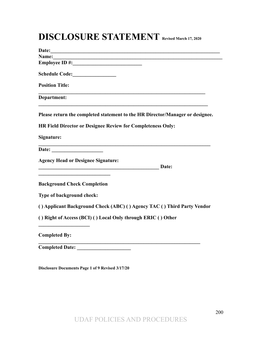# **DISCLOSURE STATEMENT Revised March 17, 2020**

| <b>Name:</b><br><u> 1989 - Johann Barn, amerikansk politiker (d. 1989)</u>    |       |
|-------------------------------------------------------------------------------|-------|
|                                                                               |       |
| <b>Schedule Code:</b> Schedule 2014                                           |       |
| <b>Position Title:</b>                                                        |       |
| Department:                                                                   |       |
| Please return the completed statement to the HR Director/Manager or designee. |       |
| HR Field Director or Designee Review for Completeness Only:                   |       |
| Signature:                                                                    |       |
|                                                                               |       |
| <b>Agency Head or Designee Signature:</b>                                     | Date: |
| <b>Background Check Completion</b>                                            |       |
| Type of background check:                                                     |       |
| () Applicant Background Check (ABC) () Agency TAC () Third Party Vendor       |       |
| () Right of Access (BCI) () Local Only through ERIC () Other                  |       |
| <b>Completed By:</b>                                                          |       |
|                                                                               |       |

**Disclosure Documents Page 1 of 9 Revised 3/17/20**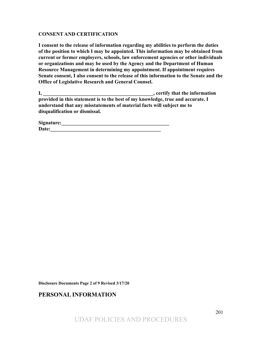#### **CONSENT AND CERTIFICATION**

**I consent to the release of information regarding my abilities to perform the duties of the position to which I may be appointed. This information may be obtained from current or former employers, schools, law enforcement agencies or other individuals or organizations and may be used by the Agency and the Department of Human Resource Management in determining my appointment. If appointment requires Senate consent, I also consent to the release of this information to the Senate and the Office of Legislative Research and General Counsel.**

**I,** the information is the information of  $\mathbf{I}$ , certify that the information **provided in this statement is to the best of my knowledge, true and accurate. I understand that any misstatements of material facts will subject me to disqualification or dismissal.**

| Signature: |  |
|------------|--|
| Date:      |  |

**Disclosure Documents Page 2 of 9 Revised 3/17/20**

## **PERSONAL INFORMATION**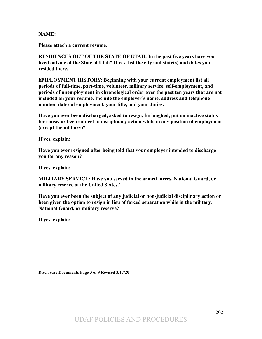#### **NAME:**

**Please attach a current resume.**

**RESIDENCES OUT OF THE STATE OF UTAH: In the past five years have you lived outside of the State of Utah? If yes, list the city and state(s) and dates you resided there.**

**EMPLOYMENT HISTORY: Beginning with your current employment list all periods of full-time, part-time, volunteer, military service, self-employment, and periods of unemployment in chronological order over the past ten years that are not included on your resume. Include the employer's name, address and telephone number, dates of employment, your title, and your duties.**

**Have you ever been discharged, asked to resign, furloughed, put on inactive status for cause, or been subject to disciplinary action while in any position of employment (except the military)?**

**If yes, explain:**

**Have you ever resigned after being told that your employer intended to discharge you for any reason?**

**If yes, explain:**

**MILITARY SERVICE: Have you served in the armed forces, National Guard, or military reserve of the United States?**

**Have you ever been the subject of any judicial or non-judicial disciplinary action or been given the option to resign in lieu of forced separation while in the military, National Guard, or military reserve?**

**If yes, explain:**

**Disclosure Documents Page 3 of 9 Revised 3/17/20**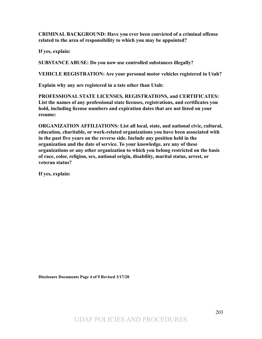**CRIMINAL BACKGROUND: Have you ever been convicted of a criminal offense related to the area of responsibility to which you may be appointed?**

**If yes, explain:**

**SUBSTANCE ABUSE: Do you now use controlled substances illegally?**

**VEHICLE REGISTRATION: Are your personal motor vehicles registered in Utah?**

**Explain why any are registered in a tate other than Utah:**

**PROFESSIONAL STATE LICENSES, REGISTRATIONS, and CERTIFICATES: List the names of any professional state licenses, registrations, and certificates you hold, including license numbers and expiration dates that are not listed on your resume:**

**ORGANIZATION AFFILIATIONS: List all local, state, and national civic, cultural, education, charitable, or work-related organizations you have been associated with in the past five years on the reverse side. Include any position held in the organization and the date of service. To your knowledge, are any of these organizations or any other organization to which you belong restricted on the basis of race, color, religion, sex, national origin, disability, marital status, arrest, or veteran status?**

**If yes, explain:**

**Disclosure Documents Page 4 of 9 Revised 3/17/20**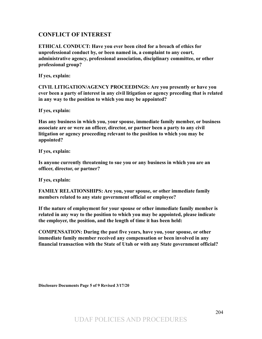## **CONFLICT OF INTEREST**

**ETHICAL CONDUCT: Have you ever been cited for a breach of ethics for unprofessional conduct by, or been named in, a complaint to any court, administrative agency, professional association, disciplinary committee, or other professional group?**

**If yes, explain:**

**CIVIL LITIGATION/AGENCY PROCEEDINGS: Are you presently or have you ever been a party of interest in any civil litigation or agency preceding that is related in any way to the position to which you may be appointed?**

**If yes, explain:**

**Has any business in which you, your spouse, immediate family member, or business associate are or were an officer, director, or partner been a party to any civil litigation or agency proceeding relevant to the position to which you may be appointed?**

**If yes, explain:**

**Is anyone currently threatening to sue you or any business in which you are an officer, director, or partner?**

**If yes, explain:**

**FAMILY RELATIONSHIPS: Are you, your spouse, or other immediate family members related to any state government official or employee?**

**If the nature of employment for your spouse or other immediate family member is related in any way to the position to which you may be appointed, please indicate the employer, the position, and the length of time it has been held:**

**COMPENSATION: During the past five years, have you, your spouse, or other immediate family member received any compensation or been involved in any financial transaction with the State of Utah or with any State government official?**

**Disclosure Documents Page 5 of 9 Revised 3/17/20**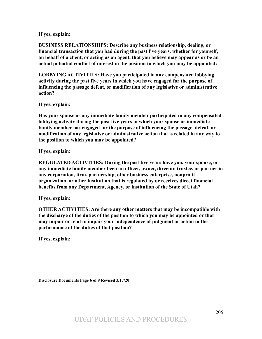**If yes, explain:**

**BUSINESS RELATIONSHIPS: Describe any business relationship, dealing, or financial transaction that you had during the past five years, whether for yourself, on behalf of a client, or acting as an agent, that you believe may appear as or be an actual potential conflict of interest in the position to which you may be appointed:**

**LOBBYING ACTIVITIES: Have you participated in any compensated lobbying activity during the past five years in which you have engaged for the purpose of influencing the passage defeat, or modification of any legislative or administrative action?**

**If yes, explain:**

**Has your spouse or any immediate family member participated in any compensated lobbying activity during the past five years in which your spouse or immediate family member has engaged for the purpose of influencing the passage, defeat, or modification of any legislative or administrative action that is related in any way to the position to which you may be appointed?**

**If yes, explain:**

**REGULATED ACTIVITIES: During the past five years have you, your spouse, or any immediate family member been an officer, owner, director, trustee, or partner in any corporation, firm, partnership, other business enterprise, nonprofit organization, or other institution that is regulated by or receives direct financial benefits from any Department, Agency, or institution of the State of Utah?**

**If yes, explain:**

**OTHER ACTIVITIES: Are there any other matters that may be incompatible with the discharge of the duties of the position to which you may be appointed or that may impair or tend to impair your independence of judgment or action in the performance of the duties of that position?**

**If yes, explain:**

**Disclosure Documents Page 6 of 9 Revised 3/17/20**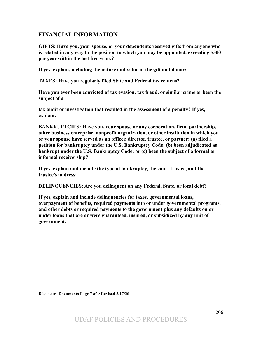## **FINANCIAL INFORMATION**

**GIFTS: Have you, your spouse, or your dependents received gifts from anyone who is related in any way to the position to which you may be appointed, exceeding \$500 per year within the last five years?**

**If yes, explain, including the nature and value of the gift and donor:**

**TAXES: Have you regularly filed State and Federal tax returns?**

**Have you ever been convicted of tax evasion, tax fraud, or similar crime or been the subject of a**

**tax audit or investigation that resulted in the assessment of a penalty? If yes, explain:**

**BANKRUPTCIES: Have you, your spouse or any corporation, firm, partnership, other business enterprise, nonprofit organization, or other institution in which you or your spouse have served as an officer, director, trustee, or partner: (a) filed a petition for bankruptcy under the U.S. Bankruptcy Code; (b) been adjudicated as bankrupt under the U.S. Bankruptcy Code: or (c) been the subject of a formal or informal receivership?**

**If yes, explain and include the type of bankruptcy, the court trustee, and the trustee's address:**

**DELINQUENCIES: Are you delinquent on any Federal, State, or local debt?**

**If yes, explain and include delinquencies for taxes, governmental loans, overpayment of benefits, required payments into or under governmental programs, and other debts or required payments to the government plus any defaults on or under loans that are or were guaranteed, insured, or subsidized by any unit of government.**

**Disclosure Documents Page 7 of 9 Revised 3/17/20**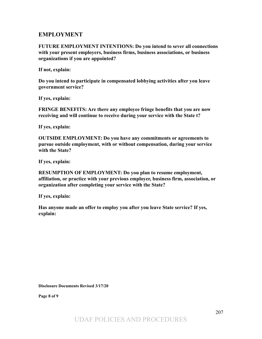## **EMPLOYMENT**

**FUTURE EMPLOYMENT INTENTIONS: Do you intend to sever all connections with your present employers, business firms, business associations, or business organizations if you are appointed?**

**If not, explain:**

**Do you intend to participate in compensated lobbying activities after you leave government service?**

**If yes, explain:**

**FRINGE BENEFITS: Are there any employee fringe benefits that you are now receiving and will continue to receive during your service with the State t?**

**If yes, explain:**

**OUTSIDE EMPLOYMENT: Do you have any commitments or agreements to pursue outside employment, with or without compensation, during your service with the State?**

**If yes, explain:**

**RESUMPTION OF EMPLOYMENT: Do you plan to resume employment, affiliation, or practice with your previous employer, business firm, association, or organization after completing your service with the State?**

**If yes, explain:**

**Has anyone made an offer to employ you after you leave State service? If yes, explain:**

**Disclosure Documents Revised 3/17/20**

**Page 8 of 9**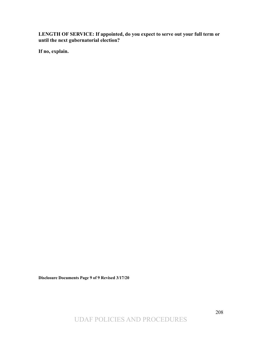**LENGTH OF SERVICE: If appointed, do you expect to serve out your full term or until the next gubernatorial election?**

**If no, explain.**

**Disclosure Documents Page 9 of 9 Revised 3/17/20**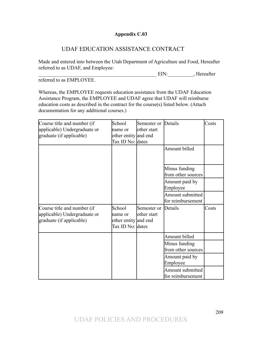#### **Appendix C.03**

## UDAF EDUCATION ASSISTANCE CONTRACT

Made and entered into between the Utah Department of Agriculture and Food, Hereafter referred to as UDAF, and Employee:

EIN: Fig. the extended parameter  $\overline{E}$ . Hereafter

#### referred to as EMPLOYEE.

Whereas, the EMPLOYEE requests education assistance from the UDAF Education Assistance Program, the EMPLOYEE and UDAF agree that UDAF will reimburse education costs as described in the contract for the course(s) listed below. (Attach documentation for any additional courses.)

| Course title and number (if  | School               | Semester or  | Details            | Costs |
|------------------------------|----------------------|--------------|--------------------|-------|
| applicable) Undergraduate or | name or              | other start  |                    |       |
| graduate (if applicable)     | other entity and end |              |                    |       |
|                              | Tax ID No: dates     |              |                    |       |
|                              |                      |              | Amount billed      |       |
|                              |                      |              |                    |       |
|                              |                      |              |                    |       |
|                              |                      |              | Minus funding      |       |
|                              |                      |              | from other sources |       |
|                              |                      |              | Amount paid by     |       |
|                              |                      |              | Employee           |       |
|                              |                      |              | Amount submitted   |       |
|                              |                      |              | for reimbursement  |       |
| Course title and number (if  | School               | Semester or  | Details            | Costs |
| applicable) Undergraduate or | name or              | lother start |                    |       |
| graduate (if applicable)     | other entity and end |              |                    |       |
|                              | Tax ID No: dates     |              |                    |       |
|                              |                      |              | Amount billed      |       |
|                              |                      |              | Minus funding      |       |
|                              |                      |              | from other sources |       |
|                              |                      |              | Amount paid by     |       |
|                              |                      |              | Employee           |       |
|                              |                      |              | Amount submitted   |       |
|                              |                      |              | for reimbursement  |       |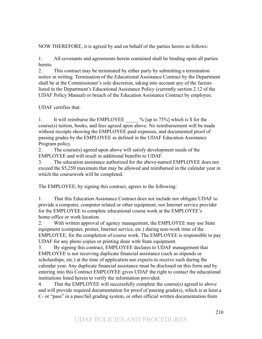NOW THEREFORE, it is agreed by and on behalf of the parties hereto as follows:

1. All covenants and agreements herein contained shall be binding upon all parties hereto.

2. This contract may be terminated by either party by submitting a termination notice in writing. Termination of the Educational Assistance Contract by the Department shall be at the Commissioner's sole discretion, taking into account any of the factors listed in the Department's Educational Assistance Policy (currently section 2.12 of the UDAF Policy Manual) or breach of the Education Assistance Contract by employee.

UDAF certifies that:

1. It will reimburse the EMPLOYEE \_\_\_\_\_ % [up to 75%] which is \$ for the course(s) tuition, books, and fees agreed upon above. No reimbursement will be made without receipts showing the EMPLOYEE paid expenses, and documented proof of passing grades by the EMPLOYEE as defined in the UDAF Education Assistance Program policy.

2. The course(s) agreed upon above will satisfy development needs of the EMPLOYEE and will result in additional benefits to UDAF.

3. The education assistance authorized for the above-named EMPLOYEE does not exceed the \$5,250 maximum that may be allowed and reimbursed in the calendar year in which the coursework will be completed.

The EMPLOYEE, by signing this contract, agrees to the following:

1. That this Education Assistance Contract does not include nor obligate UDAF to provide a computer, computer related or other equipment, nor Internet service provider for the EMPLOYEE to complete educational course work at the EMPLOYEE's home-office or work location.

2. With written approval of agency management, the EMPLOYEE may use State equipment (computer, printer, Internet service, etc.) during non-work time of the EMPLOYEE, for the completion of course work. The EMPLOYEE is responsible to pay UDAF for any photo copies or printing done with State equipment.

3. By signing this contract, EMPLOYEE declares to UDAF management that EMPLOYEE is not receiving duplicate financial assistance (such as stipends or scholarships, etc.) at the time of application nor expects to receive such during the calendar year. Any duplicate financial assistance must be disclosed on this form and by entering into this Contract EMPLOYEE gives UDAF the right to contact the educational institutions listed herein to verify the information provided.

4. That the EMPLOYEE will successfully complete the course(s) agreed to above and will provide required documentation for proof of passing grade(s), which is at least a C- or "pass" in a pass/fail grading system, or other official written documentation from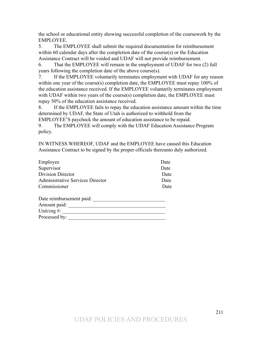the school or educational entity showing successful completion of the coursework by the EMPLOYEE.

5. The EMPLOYEE shall submit the required documentation for reimbursement within 60 calendar days after the completion date of the course(s) or the Education Assistance Contract will be voided and UDAF will not provide reimbursement.

6. That the EMPLOYEE will remain in the employment of UDAF for two (2) full years following the completion date of the above course(s).

7. If the EMPLOYEE voluntarily terminates employment with UDAF for any reason within one year of the course(s) completion date, the EMPLOYEE must repay 100% of the education assistance received. If the EMPLOYEE voluntarily terminates employment with UDAF within two years of the course(s) completion date, the EMPLOYEE must repay 50% of the education assistance received.

8. If the EMPLOYEE fails to repay the education assistance amount within the time determined by UDAF, the State of Utah is authorized to withhold from the EMPLOYEE'S paycheck the amount of education assistance to be repaid.

9. The EMPLOYEE will comply with the UDAF Education Assistance Program policy.

IN WITNESS WHEREOF, UDAF and the EMPLOYEE have caused this Education Assistance Contract to be signed by the proper officials thereunto duly authorized.

| Employee                                | Date |
|-----------------------------------------|------|
| Supervisor                              | Date |
| Division Director                       | Date |
| <b>Administrative Services Director</b> | Date |
| Commissioner                            | Date |

| Date reimbursement paid: |  |
|--------------------------|--|
| Amount paid:             |  |
| Unit/org $\#$ :          |  |
| Processed by:            |  |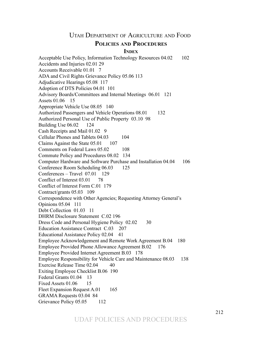# UTAH DEPARTMENT OF AGRICULTURE AND FOOD

## **POLICIES AND PROCEDURES**

#### **INDEX**

Acceptable Use Policy, Information Technology Resources 04.02 102 Accidents and Injuries 02.01 29 Accounts Receivable 01.01 7 ADA and Civil Rights Grievance Policy 05.06 113 Adjudicative Hearings 05.08 117 Adoption of DTS Policies 04.01 101 Advisory Boards/Committees and Internal Meetings 06.01 121 Assets 01.06 15 Appropriate Vehicle Use 08.05 140 Authorized Passengers and Vehicle Operations 08.01 132 Authorized Personal Use of Public Property 03.10 98 Building Use 06.02 124 Cash Receipts and Mail 01.02 9 Cellular Phones and Tablets 04.03 104 Claims Against the State 05.01 107 Comments on Federal Laws 05.02 108 Commute Policy and Procedures 08.02 134 Computer Hardware and Software Purchase and Installation 04.04 106 Conference Room Scheduling 06.03 125 Conferences – Travel 07.01 129 Conflict of Interest 03.01 78 Conflict of Interest Form C.01 179 Contract/grants 05.03 109 Correspondence with Other Agencies; Requesting Attorney General's Opinions 05.04 111 Debt Collection 01.03 11 DHRM Disclosure Statement C.02 196 Dress Code and Personal Hygiene Policy 02.02 30 Education Assistance Contract C.03 207 Educational Assistance Policy 02.04 41 Employee Acknowledgement and Remote Work Agreement B.04 180 Employee Provided Phone Allowance Agreement B.02 176 Employee Provided Internet Agreement B.03 178 Employee Responsibility for Vehicle Care and Maintenance 08.03 138 Exercise Release Time 02.04 40 Exiting Employee Checklist B.06 190 Federal Grants 01.04 13 Fixed Assets 01.06 15 Fleet Expansion Request A.01 165 GRAMA Requests 03.04 84 Grievance Policy 05.05 112